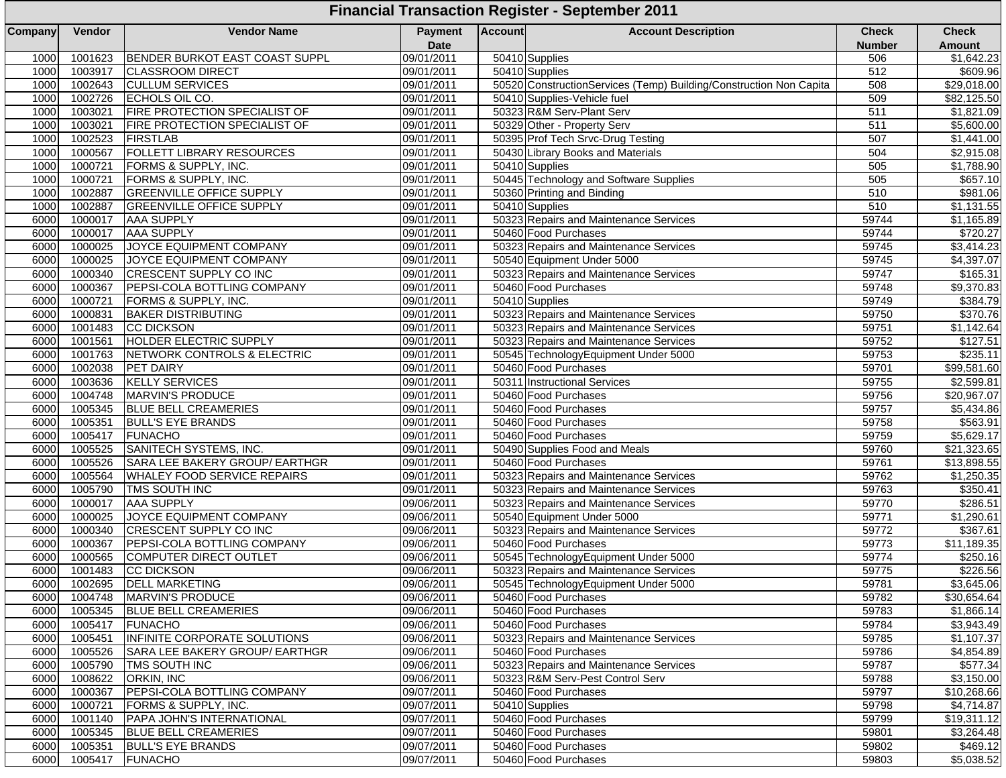| Company<br>Vendor<br><b>Vendor Name</b><br>Payment<br><b>Account</b><br><b>Account Description</b><br><b>Date</b><br><b>BENDER BURKOT EAST COAST SUPPL</b><br>09/01/2011<br>50410 Supplies<br>1001623<br>1000<br>1003917<br><b>CLASSROOM DIRECT</b><br>09/01/2011<br>50410 Supplies<br>1000<br>1002643<br><b>CULLUM SERVICES</b><br>09/01/2011<br>50520 ConstructionServices (Temp) Building/Construction Non Capita<br>1000<br>1002726<br>ECHOLS OIL CO.<br>09/01/2011<br>50410 Supplies-Vehicle fuel<br>1000 |                               | <b>Financial Transaction Register - September 2011</b> |  |  |  |  |  |  |  |  |  |  |
|----------------------------------------------------------------------------------------------------------------------------------------------------------------------------------------------------------------------------------------------------------------------------------------------------------------------------------------------------------------------------------------------------------------------------------------------------------------------------------------------------------------|-------------------------------|--------------------------------------------------------|--|--|--|--|--|--|--|--|--|--|
|                                                                                                                                                                                                                                                                                                                                                                                                                                                                                                                | <b>Check</b><br><b>Number</b> | <b>Check</b><br><b>Amount</b>                          |  |  |  |  |  |  |  |  |  |  |
|                                                                                                                                                                                                                                                                                                                                                                                                                                                                                                                | 506                           | \$1,642.23                                             |  |  |  |  |  |  |  |  |  |  |
|                                                                                                                                                                                                                                                                                                                                                                                                                                                                                                                | 512                           | \$609.96                                               |  |  |  |  |  |  |  |  |  |  |
|                                                                                                                                                                                                                                                                                                                                                                                                                                                                                                                | 508                           | $\overline{$29,018.00}$                                |  |  |  |  |  |  |  |  |  |  |
|                                                                                                                                                                                                                                                                                                                                                                                                                                                                                                                | 509                           | \$82,125.50                                            |  |  |  |  |  |  |  |  |  |  |
| 1003021<br>FIRE PROTECTION SPECIALIST OF<br>50323 R&M Serv-Plant Serv<br>1000<br>09/01/2011                                                                                                                                                                                                                                                                                                                                                                                                                    | 511                           | \$1,821.09                                             |  |  |  |  |  |  |  |  |  |  |
| 1003021<br><b>FIRE PROTECTION SPECIALIST OF</b><br>09/01/2011<br>50329 Other - Property Serv<br>1000                                                                                                                                                                                                                                                                                                                                                                                                           | 511                           | \$5,600.00                                             |  |  |  |  |  |  |  |  |  |  |
| 1002523<br>09/01/2011<br>1000<br><b>FIRSTLAB</b><br>50395 Prof Tech Srvc-Drug Testing                                                                                                                                                                                                                                                                                                                                                                                                                          | 507                           | \$1,441.00                                             |  |  |  |  |  |  |  |  |  |  |
| <b>FOLLETT LIBRARY RESOURCES</b><br>1000<br>1000567<br>09/01/2011<br>50430 Library Books and Materials                                                                                                                                                                                                                                                                                                                                                                                                         | 504                           | \$2,915.08                                             |  |  |  |  |  |  |  |  |  |  |
| 1000721<br>1000<br>FORMS & SUPPLY, INC.<br>09/01/2011<br>50410 Supplies                                                                                                                                                                                                                                                                                                                                                                                                                                        | 505                           | \$1,788.90                                             |  |  |  |  |  |  |  |  |  |  |
| 1000721<br>50445 Technology and Software Supplies<br>1000<br>FORMS & SUPPLY, INC.<br>09/01/2011                                                                                                                                                                                                                                                                                                                                                                                                                | 505                           | \$657.10                                               |  |  |  |  |  |  |  |  |  |  |
| 1002887<br><b>GREENVILLE OFFICE SUPPLY</b><br>09/01/2011<br>1000<br>50360 Printing and Binding                                                                                                                                                                                                                                                                                                                                                                                                                 | 510                           | \$981.06                                               |  |  |  |  |  |  |  |  |  |  |
| 1000<br>1002887<br><b>GREENVILLE OFFICE SUPPLY</b><br>09/01/2011<br>50410 Supplies                                                                                                                                                                                                                                                                                                                                                                                                                             | 510                           | \$1,131.55                                             |  |  |  |  |  |  |  |  |  |  |
| 1000017<br><b>AAA SUPPLY</b><br>09/01/2011<br>50323 Repairs and Maintenance Services<br>6000                                                                                                                                                                                                                                                                                                                                                                                                                   | 59744                         | \$1,165.89                                             |  |  |  |  |  |  |  |  |  |  |
| 6000<br>1000017<br><b>AAA SUPPLY</b><br>09/01/2011<br>50460 Food Purchases                                                                                                                                                                                                                                                                                                                                                                                                                                     | 59744                         | \$720.27                                               |  |  |  |  |  |  |  |  |  |  |
| 1000025<br>JOYCE EQUIPMENT COMPANY<br>09/01/2011<br>50323 Repairs and Maintenance Services<br>6000                                                                                                                                                                                                                                                                                                                                                                                                             | 59745                         | \$3,414.23                                             |  |  |  |  |  |  |  |  |  |  |
| 1000025<br>JOYCE EQUIPMENT COMPANY<br>09/01/2011<br>50540 Equipment Under 5000<br>6000                                                                                                                                                                                                                                                                                                                                                                                                                         | 59745                         | \$4,397.07                                             |  |  |  |  |  |  |  |  |  |  |
| 1000340<br>CRESCENT SUPPLY CO INC<br>09/01/2011<br>50323 Repairs and Maintenance Services<br>6000                                                                                                                                                                                                                                                                                                                                                                                                              | 59747                         | \$165.31                                               |  |  |  |  |  |  |  |  |  |  |
| 1000367<br>6000<br>PEPSI-COLA BOTTLING COMPANY<br>09/01/2011<br>50460 Food Purchases                                                                                                                                                                                                                                                                                                                                                                                                                           | 59748                         | \$9,370.83                                             |  |  |  |  |  |  |  |  |  |  |
| 1000721<br>FORMS & SUPPLY, INC.<br>09/01/2011<br>50410 Supplies<br>6000                                                                                                                                                                                                                                                                                                                                                                                                                                        | 59749                         | \$384.79                                               |  |  |  |  |  |  |  |  |  |  |
| 1000831<br><b>BAKER DISTRIBUTING</b><br>09/01/2011<br>6000<br>50323 Repairs and Maintenance Services                                                                                                                                                                                                                                                                                                                                                                                                           | 59750                         | \$370.76                                               |  |  |  |  |  |  |  |  |  |  |
| 1001483<br><b>CC DICKSON</b><br>09/01/2011<br>50323 Repairs and Maintenance Services<br>6000                                                                                                                                                                                                                                                                                                                                                                                                                   | 59751                         | \$1,142.64                                             |  |  |  |  |  |  |  |  |  |  |
| 1001561<br>6000<br><b>HOLDER ELECTRIC SUPPLY</b><br>09/01/2011<br>50323 Repairs and Maintenance Services                                                                                                                                                                                                                                                                                                                                                                                                       | 59752                         | \$127.51                                               |  |  |  |  |  |  |  |  |  |  |
| 6000<br>1001763<br>NETWORK CONTROLS & ELECTRIC<br>09/01/2011<br>50545 TechnologyEquipment Under 5000                                                                                                                                                                                                                                                                                                                                                                                                           | 59753                         | \$235.11                                               |  |  |  |  |  |  |  |  |  |  |
| 1002038<br>09/01/2011<br>6000<br><b>PET DAIRY</b><br>50460 Food Purchases                                                                                                                                                                                                                                                                                                                                                                                                                                      | 59701                         | \$99,581.60                                            |  |  |  |  |  |  |  |  |  |  |
| 6000<br>1003636<br><b>KELLY SERVICES</b><br>09/01/2011<br>50311 Instructional Services                                                                                                                                                                                                                                                                                                                                                                                                                         | 59755                         | \$2,599.81                                             |  |  |  |  |  |  |  |  |  |  |
| 6000<br>1004748<br>MARVIN'S PRODUCE<br>09/01/2011<br>50460 Food Purchases                                                                                                                                                                                                                                                                                                                                                                                                                                      | 59756                         | \$20,967.07                                            |  |  |  |  |  |  |  |  |  |  |
| 6000<br>1005345<br>50460 Food Purchases<br><b>BLUE BELL CREAMERIES</b><br>09/01/2011                                                                                                                                                                                                                                                                                                                                                                                                                           | 59757                         | $\overline{$}5,434.86$                                 |  |  |  |  |  |  |  |  |  |  |
| 1005351<br>09/01/2011<br>6000<br><b>BULL'S EYE BRANDS</b><br>50460 Food Purchases                                                                                                                                                                                                                                                                                                                                                                                                                              | 59758                         | \$563.91                                               |  |  |  |  |  |  |  |  |  |  |
| 1005417<br><b>FUNACHO</b><br>09/01/2011<br>50460 Food Purchases<br>6000                                                                                                                                                                                                                                                                                                                                                                                                                                        | 59759                         | \$5,629.17                                             |  |  |  |  |  |  |  |  |  |  |
| 1005525<br>SANITECH SYSTEMS, INC.<br>09/01/2011<br>50490 Supplies Food and Meals<br>6000                                                                                                                                                                                                                                                                                                                                                                                                                       | 59760                         | \$21,323.65                                            |  |  |  |  |  |  |  |  |  |  |
| 1005526<br>SARA LEE BAKERY GROUP/ EARTHGR<br>6000<br>09/01/2011<br>50460 Food Purchases                                                                                                                                                                                                                                                                                                                                                                                                                        | 59761                         | \$13,898.55                                            |  |  |  |  |  |  |  |  |  |  |
| 1005564<br>09/01/2011<br>6000<br>WHALEY FOOD SERVICE REPAIRS<br>50323 Repairs and Maintenance Services                                                                                                                                                                                                                                                                                                                                                                                                         | 59762                         | \$1,250.35                                             |  |  |  |  |  |  |  |  |  |  |
| 1005790<br>09/01/2011<br>6000<br>TMS SOUTH INC<br>50323 Repairs and Maintenance Services                                                                                                                                                                                                                                                                                                                                                                                                                       | 59763                         | \$350.41                                               |  |  |  |  |  |  |  |  |  |  |
| 1000017<br><b>AAA SUPPLY</b><br>09/06/2011<br>50323 Repairs and Maintenance Services<br>6000                                                                                                                                                                                                                                                                                                                                                                                                                   | 59770                         | \$286.51                                               |  |  |  |  |  |  |  |  |  |  |
| 1000025<br>6000<br>JOYCE EQUIPMENT COMPANY<br>09/06/2011<br>50540 Equipment Under 5000                                                                                                                                                                                                                                                                                                                                                                                                                         | 59771                         | \$1,290.61                                             |  |  |  |  |  |  |  |  |  |  |
| 6000<br>1000340<br>CRESCENT SUPPLY CO INC<br>09/06/2011<br>50323 Repairs and Maintenance Services                                                                                                                                                                                                                                                                                                                                                                                                              | 59772                         | \$367.61                                               |  |  |  |  |  |  |  |  |  |  |
| 1000367<br>PEPSI-COLA BOTTLING COMPANY<br>09/06/2011<br>6000<br>50460 Food Purchases                                                                                                                                                                                                                                                                                                                                                                                                                           | 59773                         | \$11,189.35                                            |  |  |  |  |  |  |  |  |  |  |
| <b>COMPUTER DIRECT OUTLET</b><br>6000<br>09/06/2011<br>50545 TechnologyEquipment Under 5000<br>1000565                                                                                                                                                                                                                                                                                                                                                                                                         | 59774                         | \$250.16                                               |  |  |  |  |  |  |  |  |  |  |
| 6000<br>1001483<br><b>CC DICKSON</b><br>09/06/2011<br>50323 Repairs and Maintenance Services                                                                                                                                                                                                                                                                                                                                                                                                                   | 59775                         | \$226.56                                               |  |  |  |  |  |  |  |  |  |  |
| 09/06/2011<br>50545 TechnologyEquipment Under 5000<br>6000<br>1002695<br><b>DELL MARKETING</b>                                                                                                                                                                                                                                                                                                                                                                                                                 | 59781                         | \$3,645.06                                             |  |  |  |  |  |  |  |  |  |  |
| 6000<br>1004748<br><b>MARVIN'S PRODUCE</b><br>09/06/2011<br>50460 Food Purchases                                                                                                                                                                                                                                                                                                                                                                                                                               | 59782                         | \$30,654.64                                            |  |  |  |  |  |  |  |  |  |  |
| 1005345<br><b>BLUE BELL CREAMERIES</b><br>09/06/2011<br>50460 Food Purchases<br>6000                                                                                                                                                                                                                                                                                                                                                                                                                           | 59783                         | \$1,866.14                                             |  |  |  |  |  |  |  |  |  |  |
| 1005417<br>09/06/2011<br>6000<br><b>FUNACHO</b><br>50460 Food Purchases                                                                                                                                                                                                                                                                                                                                                                                                                                        | 59784                         | \$3,943.49                                             |  |  |  |  |  |  |  |  |  |  |
| 6000<br>1005451<br>INFINITE CORPORATE SOLUTIONS<br>09/06/2011<br>50323 Repairs and Maintenance Services                                                                                                                                                                                                                                                                                                                                                                                                        | 59785                         | \$1,107.37                                             |  |  |  |  |  |  |  |  |  |  |
| 1005526<br>SARA LEE BAKERY GROUP/ EARTHGR<br>09/06/2011<br>6000<br>50460 Food Purchases                                                                                                                                                                                                                                                                                                                                                                                                                        | 59786                         | \$4,854.89                                             |  |  |  |  |  |  |  |  |  |  |
| 1005790<br>TMS SOUTH INC<br>09/06/2011<br>6000<br>50323 Repairs and Maintenance Services                                                                                                                                                                                                                                                                                                                                                                                                                       | 59787                         | \$577.34                                               |  |  |  |  |  |  |  |  |  |  |
| 1008622<br>ORKIN, INC<br>09/06/2011<br>50323 R&M Serv-Pest Control Serv<br>6000                                                                                                                                                                                                                                                                                                                                                                                                                                | 59788                         | \$3,150.00                                             |  |  |  |  |  |  |  |  |  |  |
| 6000<br>1000367<br>PEPSI-COLA BOTTLING COMPANY<br>09/07/2011<br>50460 Food Purchases                                                                                                                                                                                                                                                                                                                                                                                                                           | 59797                         | \$10,268.66                                            |  |  |  |  |  |  |  |  |  |  |
| 6000<br>1000721<br>09/07/2011<br>FORMS & SUPPLY, INC.<br>50410 Supplies                                                                                                                                                                                                                                                                                                                                                                                                                                        | 59798                         | \$4,714.87                                             |  |  |  |  |  |  |  |  |  |  |
| 1001140<br>PAPA JOHN'S INTERNATIONAL<br>09/07/2011<br>6000<br>50460 Food Purchases                                                                                                                                                                                                                                                                                                                                                                                                                             | 59799                         | \$19,311.12                                            |  |  |  |  |  |  |  |  |  |  |
| 1005345<br><b>BLUE BELL CREAMERIES</b><br>09/07/2011<br>6000<br>50460 Food Purchases                                                                                                                                                                                                                                                                                                                                                                                                                           | 59801                         | \$3.264.48                                             |  |  |  |  |  |  |  |  |  |  |
| 1005351<br>6000<br><b>BULL'S EYE BRANDS</b><br>09/07/2011<br>50460 Food Purchases                                                                                                                                                                                                                                                                                                                                                                                                                              | 59802                         | \$469.12                                               |  |  |  |  |  |  |  |  |  |  |
| 50460 Food Purchases<br>6000<br>1005417<br><b>FUNACHO</b><br>09/07/2011                                                                                                                                                                                                                                                                                                                                                                                                                                        | 59803                         | \$5,038.52                                             |  |  |  |  |  |  |  |  |  |  |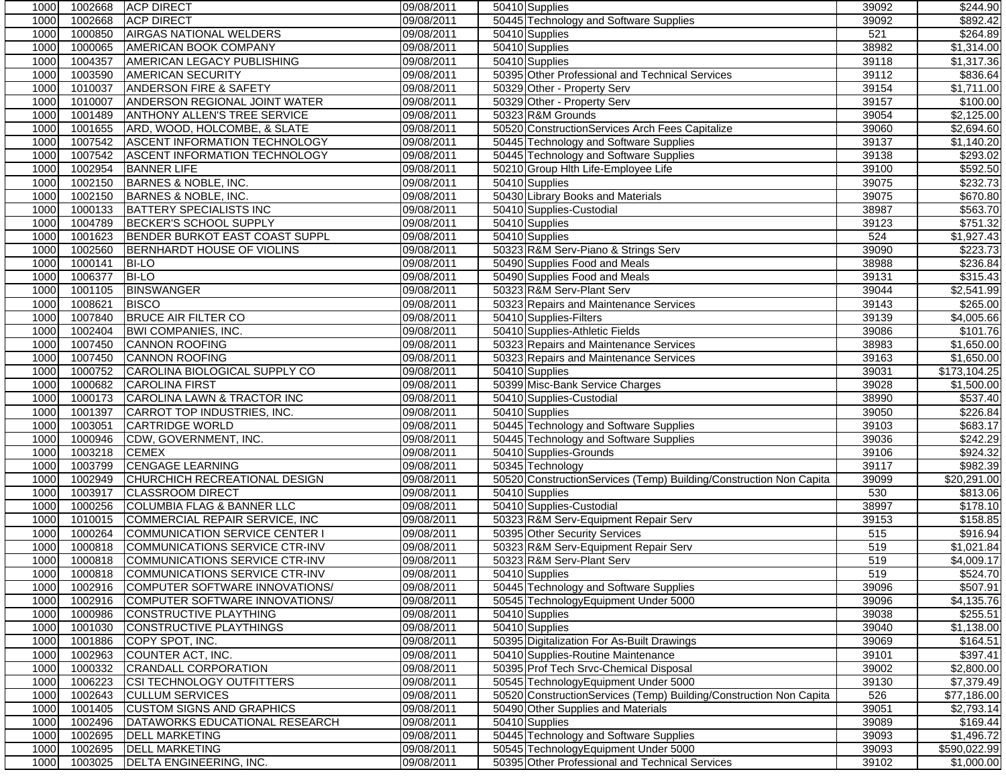| 1000<br>1000<br>1000<br>1000<br>1000<br>1000 | 1002668            | <b>ACP DIRECT</b>                                | 09/08/2011               | 50410 Supplies                                                                          | 39092          | \$244.90                   |
|----------------------------------------------|--------------------|--------------------------------------------------|--------------------------|-----------------------------------------------------------------------------------------|----------------|----------------------------|
|                                              |                    | <b>ACP DIRECT</b>                                | 09/08/2011               | 50445 Technology and Software Supplies                                                  | 39092          | \$892.42                   |
|                                              | 1000850            | <b>AIRGAS NATIONAL WELDERS</b>                   | 09/08/2011               | 50410 Supplies                                                                          | 521            | \$264.89                   |
|                                              | 1000065            | AMERICAN BOOK COMPANY                            | 09/08/2011               | 50410 Supplies                                                                          | 38982          | \$1,314.00                 |
|                                              | 1004357            | AMERICAN LEGACY PUBLISHING                       | 09/08/2011               | 50410 Supplies                                                                          | 39118          | \$1,317.36                 |
|                                              | 1003590            | AMERICAN SECURITY                                | 09/08/2011               | 50395 Other Professional and Technical Services                                         | 39112          | \$836.64                   |
|                                              | 1010037            | ANDERSON FIRE & SAFETY                           | 09/08/2011               | 50329 Other - Property Serv                                                             | 39154          | \$1,711.00                 |
| 1000                                         | 1010007            | ANDERSON REGIONAL JOINT WATER                    | 09/08/2011               | 50329 Other - Property Serv                                                             | 39157          | \$100.00                   |
| 1000                                         | 1001489            | ANTHONY ALLEN'S TREE SERVICE                     | 09/08/2011               | 50323 R&M Grounds                                                                       | 39054          | \$2,125.00                 |
| 1000                                         | 1001655            | ARD, WOOD, HOLCOMBE, & SLATE                     | 09/08/2011               | 50520 ConstructionServices Arch Fees Capitalize                                         | 39060          | \$2,694.60                 |
| 1000                                         | 1007542            | <b>ASCENT INFORMATION TECHNOLOGY</b>             | 09/08/2011               | 50445 Technology and Software Supplies                                                  | 39137          | \$1,140.20                 |
| 1000                                         | 1007542            | ASCENT INFORMATION TECHNOLOGY                    | 09/08/2011               | 50445 Technology and Software Supplies                                                  | 39138          | \$293.02                   |
| 1000                                         | 1002954            | <b>BANNER LIFE</b>                               | 09/08/2011               | 50210 Group Hlth Life-Employee Life                                                     | 39100          | \$592.50                   |
| 1000                                         | 1002150            | BARNES & NOBLE, INC.                             | 09/08/2011               | 50410 Supplies                                                                          | 39075          | \$232.73                   |
|                                              |                    |                                                  |                          | 50430 Library Books and Materials                                                       |                |                            |
| 1000                                         | 1002150            | BARNES & NOBLE, INC.                             | 09/08/2011               |                                                                                         | 39075          | \$670.80                   |
| 1000                                         | 1000133            | <b>BATTERY SPECIALISTS INC</b>                   | 09/08/2011               | 50410 Supplies-Custodial                                                                | 38987          | \$563.70                   |
| 1000                                         | 1004789            | <b>BECKER'S SCHOOL SUPPLY</b>                    | 09/08/2011               | 50410 Supplies                                                                          | 39123          | \$751.32                   |
| 1000                                         | 1001623            | BENDER BURKOT EAST COAST SUPPL                   | 09/08/2011               | 50410 Supplies                                                                          | 524            | \$1,927.43                 |
| 1000                                         | 1002560            | BERNHARDT HOUSE OF VIOLINS                       | 09/08/2011               | 50323 R&M Serv-Piano & Strings Serv                                                     | 39090          | \$223.73                   |
| 1000                                         | 1000141            | <b>BI-LO</b>                                     | 09/08/2011               | 50490 Supplies Food and Meals                                                           | 38988          | \$236.84                   |
| 1000                                         | 1006377            | <b>BI-LO</b>                                     | 09/08/2011               | 50490 Supplies Food and Meals                                                           | 39131          | \$315.43                   |
| 1000                                         | 1001105            | <b>BINSWANGER</b>                                | 09/08/2011               | 50323 R&M Serv-Plant Serv                                                               | 39044          | \$2,541.99                 |
| 1000                                         | 1008621            | <b>BISCO</b>                                     | 09/08/2011               | 50323 Repairs and Maintenance Services                                                  | 39143          | \$265.00                   |
| 1000                                         | 1007840            | <b>BRUCE AIR FILTER CO</b>                       | 09/08/2011               | 50410 Supplies-Filters                                                                  | 39139          | \$4,005.66                 |
| 1000                                         | 1002404            | BWI COMPANIES, INC.                              | 09/08/2011               | 50410 Supplies-Athletic Fields                                                          | 39086          | \$101.76                   |
| 1000                                         | 1007450            | <b>CANNON ROOFING</b>                            | 09/08/2011               | 50323 Repairs and Maintenance Services                                                  | 38983          | \$1,650.00                 |
| 1000                                         | 1007450            | <b>CANNON ROOFING</b>                            | 09/08/2011               | 50323 Repairs and Maintenance Services                                                  | 39163          | \$1,650.00                 |
| 1000                                         | 1000752            | CAROLINA BIOLOGICAL SUPPLY CO                    | 09/08/2011               | 50410 Supplies                                                                          | 39031          | \$173,104.25               |
| 1000                                         | 1000682            | <b>CAROLINA FIRST</b>                            | 09/08/2011               | 50399 Misc-Bank Service Charges                                                         | 39028          | \$1,500.00                 |
| 1000                                         | 1000173            | CAROLINA LAWN & TRACTOR INC                      | 09/08/2011               | 50410 Supplies-Custodial                                                                | 38990          | \$537.40                   |
| 1000                                         | 1001397            | CARROT TOP INDUSTRIES, INC.                      | 09/08/2011               | 50410 Supplies                                                                          | 39050          | \$226.84                   |
| 1000                                         | 1003051            | <b>CARTRIDGE WORLD</b>                           | 09/08/2011               | 50445 Technology and Software Supplies                                                  | 39103          | \$683.17                   |
| 1000                                         | 1000946            | CDW, GOVERNMENT, INC.                            | 09/08/2011               | 50445 Technology and Software Supplies                                                  | 39036          | \$242.29                   |
| 1000                                         | 1003218            | <b>CEMEX</b>                                     | 09/08/2011               | 50410 Supplies-Grounds                                                                  | 39106          | \$924.32                   |
| 1000                                         | 1003799            | <b>CENGAGE LEARNING</b>                          | 09/08/2011               | 50345 Technology                                                                        | 39117          | \$982.39                   |
| 1000                                         | 1002949            | CHURCHICH RECREATIONAL DESIGN                    | 09/08/2011               | 50520 ConstructionServices (Temp) Building/Construction Non Capita                      | 39099          | \$20,291.00                |
| 1000                                         | 1003917            | <b>CLASSROOM DIRECT</b>                          | 09/08/2011               | 50410 Supplies                                                                          | 530            | \$813.06                   |
| 1000                                         | 1000256            | <b>COLUMBIA FLAG &amp; BANNER LLC</b>            | 09/08/2011               | 50410 Supplies-Custodial                                                                | 38997          | \$178.10                   |
| 1000                                         | 1010015            | COMMERCIAL REPAIR SERVICE, INC                   | 09/08/2011               | 50323 R&M Serv-Equipment Repair Serv                                                    | 39153          | \$158.85                   |
| 1000                                         | 1000264            | COMMUNICATION SERVICE CENTER I                   | 09/08/2011               | 50395 Other Security Services                                                           | 515            | \$916.94                   |
| 1000                                         | 1000818            | <b>COMMUNICATIONS SERVICE CTR-INV</b>            | 09/08/2011               | 50323 R&M Serv-Equipment Repair Serv                                                    | 519            | \$1,021.84                 |
| 1000                                         | 1000818            | COMMUNICATIONS SERVICE CTR-INV                   | 09/08/2011               | 50323 R&M Serv-Plant Serv                                                               | 519            | \$4,009.17                 |
| 1000                                         |                    | 1000818 COMMUNICATIONS SERVICE CTR-INV           | 09/08/2011               | 50410 Supplies                                                                          | 519            | \$524.70                   |
|                                              | 1002916            | COMPUTER SOFTWARE INNOVATIONS/                   | 09/08/2011               | 50445 Technology and Software Supplies                                                  | 39096          | \$507.91                   |
|                                              | 1002916            |                                                  | 09/08/2011               | 50545 TechnologyEquipment Under 5000                                                    | 39096          | \$4,135.76                 |
| 1000                                         |                    | COMPUTER SOFTWARE INNOVATIONS/                   |                          |                                                                                         |                |                            |
| 1000                                         | 1000986<br>1001030 | CONSTRUCTIVE PLAYTHING                           | 09/08/2011               | 50410 Supplies                                                                          | 39038          | \$255.51                   |
| 1000                                         |                    | <b>CONSTRUCTIVE PLAYTHINGS</b>                   | 09/08/2011<br>09/08/2011 | 50410 Supplies                                                                          | 39040<br>39069 | \$1,138.00                 |
| 1000                                         |                    |                                                  |                          | 50395 Digitalization For As-Built Drawings                                              |                |                            |
| 1000                                         | 1001886            | COPY SPOT, INC.                                  |                          |                                                                                         |                | \$164.51                   |
| 1000                                         | 1002963            | COUNTER ACT, INC.                                | 09/08/2011               | 50410 Supplies-Routine Maintenance                                                      | 39101          | \$397.41                   |
| 1000                                         | 1000332            | CRANDALL CORPORATION                             | 09/08/2011               | 50395 Prof Tech Srvc-Chemical Disposal                                                  | 39002          | \$2,800.00                 |
| 1000                                         | 1006223            | CSI TECHNOLOGY OUTFITTERS                        | 09/08/2011               | 50545 TechnologyEquipment Under 5000                                                    | 39130          | \$7,379.49                 |
| 1000                                         | 1002643            | <b>CULLUM SERVICES</b>                           | 09/08/2011               | 50520 ConstructionServices (Temp) Building/Construction Non Capita                      | 526            | \$77,186.00                |
| 1000                                         | 1001405            | <b>CUSTOM SIGNS AND GRAPHICS</b>                 | 09/08/2011               | 50490 Other Supplies and Materials                                                      | 39051          | \$2,793.14                 |
| 1000                                         | 1002496            | DATAWORKS EDUCATIONAL RESEARCH                   | 09/08/2011               | 50410 Supplies                                                                          | 39089          | \$169.44                   |
| 1000                                         | 1002695            | <b>DELL MARKETING</b>                            | 09/08/2011               | 50445 Technology and Software Supplies                                                  | 39093          | \$1,496.72                 |
| 1000<br>1000                                 | 1002695<br>1003025 | <b>DELL MARKETING</b><br>DELTA ENGINEERING, INC. | 09/08/2011<br>09/08/2011 | 50545 TechnologyEquipment Under 5000<br>50395 Other Professional and Technical Services | 39093<br>39102 | \$590,022.99<br>\$1,000.00 |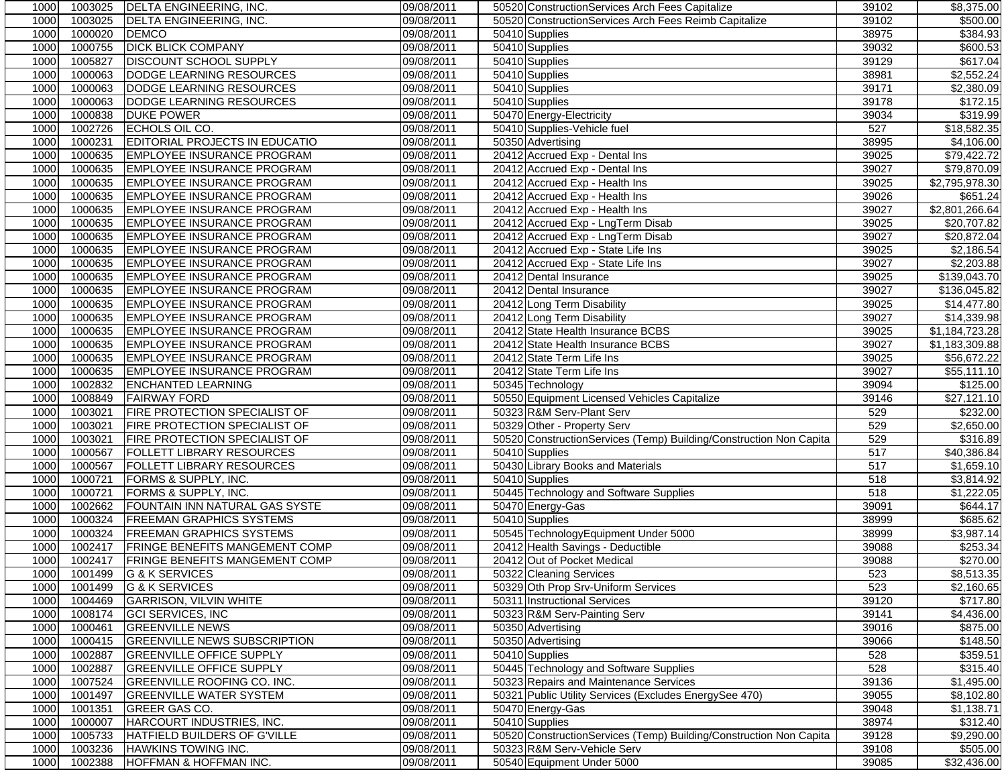| 1000         | 1003025 | DELTA ENGINEERING, INC.               | 09/08/2011 | 50520 Construction Services Arch Fees Capitalize                   | 39102 | \$8,375.00                  |
|--------------|---------|---------------------------------------|------------|--------------------------------------------------------------------|-------|-----------------------------|
| 1000         | 1003025 | <b>DELTA ENGINEERING, INC.</b>        | 09/08/2011 | 50520 Construction Services Arch Fees Reimb Capitalize             | 39102 | \$500.00                    |
| 1000         | 1000020 | <b>DEMCO</b>                          | 09/08/2011 | 50410 Supplies                                                     | 38975 | 384.93                      |
| 1000         | 1000755 | <b>DICK BLICK COMPANY</b>             | 09/08/2011 | 50410 Supplies                                                     | 39032 | \$600.53                    |
| 1000         | 1005827 | <b>DISCOUNT SCHOOL SUPPLY</b>         | 09/08/2011 | 50410 Supplies                                                     | 39129 | \$617.04                    |
| 1000         | 1000063 | DODGE LEARNING RESOURCES              | 09/08/2011 | 50410 Supplies                                                     | 38981 | \$2,552.24                  |
| 1000         | 1000063 | DODGE LEARNING RESOURCES              | 09/08/2011 | 50410 Supplies                                                     | 39171 | \$2,380.09                  |
| 1000         | 1000063 | DODGE LEARNING RESOURCES              | 09/08/2011 | 50410 Supplies                                                     | 39178 | \$172.15                    |
| 1000         | 1000838 | <b>DUKE POWER</b>                     | 09/08/2011 | 50470 Energy-Electricity                                           | 39034 | \$319.99                    |
| 1000         | 1002726 | ECHOLS OIL CO.                        | 09/08/2011 | 50410 Supplies-Vehicle fuel                                        | 527   | \$18,582.35                 |
| 1000         | 1000231 | <b>EDITORIAL PROJECTS IN EDUCATIO</b> | 09/08/2011 | 50350 Advertising                                                  | 38995 | \$4,106.00                  |
| 1000         | 1000635 | <b>EMPLOYEE INSURANCE PROGRAM</b>     |            | 20412 Accrued Exp - Dental Ins                                     | 39025 | \$79,422.72                 |
|              |         |                                       | 09/08/2011 |                                                                    |       | \$79,870.09                 |
| 1000         | 1000635 | <b>EMPLOYEE INSURANCE PROGRAM</b>     | 09/08/2011 | 20412 Accrued Exp - Dental Ins                                     | 39027 |                             |
| 1000         | 1000635 | <b>EMPLOYEE INSURANCE PROGRAM</b>     | 09/08/2011 | 20412 Accrued Exp - Health Ins                                     | 39025 | $\overline{$2,795,978.30}$  |
| 1000         | 1000635 | EMPLOYEE INSURANCE PROGRAM            | 09/08/2011 | 20412 Accrued Exp - Health Ins                                     | 39026 | \$651.24                    |
| 1000         | 1000635 | <b>EMPLOYEE INSURANCE PROGRAM</b>     | 09/08/2011 | 20412 Accrued Exp - Health Ins                                     | 39027 | \$2,801,266.64              |
| 1000         | 1000635 | <b>EMPLOYEE INSURANCE PROGRAM</b>     | 09/08/2011 | 20412 Accrued Exp - LngTerm Disab                                  | 39025 | \$20,707.82                 |
| 1000         | 1000635 | <b>EMPLOYEE INSURANCE PROGRAM</b>     | 09/08/2011 | 20412 Accrued Exp - LngTerm Disab                                  | 39027 | \$20,872.04                 |
| 1000         | 1000635 | EMPLOYEE INSURANCE PROGRAM            | 09/08/2011 | 20412 Accrued Exp - State Life Ins                                 | 39025 | \$2,186.54                  |
| 1000         | 1000635 | <b>EMPLOYEE INSURANCE PROGRAM</b>     | 09/08/2011 | 20412 Accrued Exp - State Life Ins                                 | 39027 | \$2,203.88                  |
| 1000         | 1000635 | <b>EMPLOYEE INSURANCE PROGRAM</b>     | 09/08/2011 | 20412 Dental Insurance                                             | 39025 | \$139,043.70                |
| 1000         | 1000635 | <b>EMPLOYEE INSURANCE PROGRAM</b>     | 09/08/2011 | 20412 Dental Insurance                                             | 39027 | \$136,045.82                |
| 1000         | 1000635 | EMPLOYEE INSURANCE PROGRAM            | 09/08/2011 | 20412 Long Term Disability                                         | 39025 | \$14,477.80                 |
| 1000         | 1000635 | <b>EMPLOYEE INSURANCE PROGRAM</b>     | 09/08/2011 | 20412 Long Term Disability                                         | 39027 | \$14,339.98                 |
| 1000         | 1000635 | <b>EMPLOYEE INSURANCE PROGRAM</b>     | 09/08/2011 | 20412 State Health Insurance BCBS                                  | 39025 | $\overline{\$1,184,723.28}$ |
| 1000         | 1000635 | <b>EMPLOYEE INSURANCE PROGRAM</b>     | 09/08/2011 | 20412 State Health Insurance BCBS                                  | 39027 | \$1,183,309.88              |
| 1000         | 1000635 | <b>EMPLOYEE INSURANCE PROGRAM</b>     | 09/08/2011 | 20412 State Term Life Ins                                          | 39025 | \$56,672.22                 |
| 1000         | 1000635 | <b>EMPLOYEE INSURANCE PROGRAM</b>     | 09/08/2011 | 20412 State Term Life Ins                                          | 39027 | \$55,111.10                 |
| 1000         | 1002832 | <b>ENCHANTED LEARNING</b>             | 09/08/2011 | 50345 Technology                                                   | 39094 | \$125.00                    |
| 1000         | 1008849 | <b>FAIRWAY FORD</b>                   | 09/08/2011 | 50550 Equipment Licensed Vehicles Capitalize                       | 39146 | \$27,121.10                 |
| 1000         | 1003021 | FIRE PROTECTION SPECIALIST OF         | 09/08/2011 | 50323 R&M Serv-Plant Serv                                          | 529   | \$232.00                    |
| 1000         | 1003021 | <b>FIRE PROTECTION SPECIALIST OF</b>  | 09/08/2011 | 50329 Other - Property Serv                                        | 529   | \$2,650.00                  |
| 1000         | 1003021 | FIRE PROTECTION SPECIALIST OF         | 09/08/2011 | 50520 ConstructionServices (Temp) Building/Construction Non Capita | 529   | 3316.89                     |
| 1000         | 1000567 | <b>FOLLETT LIBRARY RESOURCES</b>      | 09/08/2011 | 50410 Supplies                                                     | 517   | \$40,386.84                 |
| 1000         | 1000567 | <b>FOLLETT LIBRARY RESOURCES</b>      | 09/08/2011 | 50430 Library Books and Materials                                  | 517   | \$1,659.10                  |
| 1000         | 1000721 | FORMS & SUPPLY, INC.                  | 09/08/2011 | 50410 Supplies                                                     | 518   | \$3,814.92                  |
| 1000         | 1000721 | FORMS & SUPPLY, INC.                  | 09/08/2011 | 50445 Technology and Software Supplies                             | 518   | \$1,222.05                  |
| 1000         | 1002662 | FOUNTAIN INN NATURAL GAS SYSTE        | 09/08/2011 | 50470 Energy-Gas                                                   | 39091 | \$644.17                    |
| 1000         | 1000324 | <b>FREEMAN GRAPHICS SYSTEMS</b>       | 09/08/2011 | 50410 Supplies                                                     | 38999 | \$685.62                    |
| 1000         | 1000324 | <b>FREEMAN GRAPHICS SYSTEMS</b>       | 09/08/2011 | 50545 TechnologyEquipment Under 5000                               | 38999 | $\overline{$3,987.14}$      |
| 1000         | 1002417 | <b>FRINGE BENEFITS MANGEMENT COMP</b> | 09/08/2011 | 20412 Health Savings - Deductible                                  | 39088 | \$253.34                    |
| 1000         | 1002417 | <b>FRINGE BENEFITS MANGEMENT COMP</b> | 09/08/2011 | 20412 Out of Pocket Medical                                        | 39088 | \$270.00                    |
| 1000         |         | 1001499 G & K SERVICES                | 09/08/2011 | 50322 Cleaning Services                                            | 523   | \$8,513.35                  |
| 1000         | 1001499 | G & K SERVICES                        | 09/08/2011 | 50329 Oth Prop Srv-Uniform Services                                | 523   | \$2,160.65                  |
| 1000         | 1004469 | <b>GARRISON, VILVIN WHITE</b>         | 09/08/2011 | 50311 Instructional Services                                       | 39120 | \$717.80                    |
| 1000         | 1008174 | <b>GCI SERVICES, INC</b>              | 09/08/2011 | 50323 R&M Serv-Painting Serv                                       | 39141 | \$4,436.00                  |
| 1000         | 1000461 | <b>GREENVILLE NEWS</b>                | 09/08/2011 | 50350 Advertising                                                  | 39016 | \$875.00                    |
| 1000         | 1000415 | <b>GREENVILLE NEWS SUBSCRIPTION</b>   | 09/08/2011 | 50350 Advertising                                                  | 39066 | \$148.50                    |
|              | 1002887 | <b>GREENVILLE OFFICE SUPPLY</b>       | 09/08/2011 | 50410 Supplies                                                     | 528   | \$359.51                    |
| 1000         | 1002887 | <b>GREENVILLE OFFICE SUPPLY</b>       | 09/08/2011 | 50445 Technology and Software Supplies                             | 528   | \$315.40                    |
| 1000         |         |                                       |            |                                                                    |       |                             |
| 1000         | 1007524 | <b>GREENVILLE ROOFING CO. INC.</b>    | 09/08/2011 | 50323 Repairs and Maintenance Services                             | 39136 | $\overline{$1,495.00}$      |
| 1000         | 1001497 | <b>GREENVILLE WATER SYSTEM</b>        | 09/08/2011 | 50321 Public Utility Services (Excludes EnergySee 470)             | 39055 | \$8,102.80                  |
| 1000         | 1001351 | GREER GAS CO.                         | 09/08/2011 | 50470 Energy-Gas                                                   | 39048 | \$1,138.71                  |
| 1000         | 1000007 | <b>HARCOURT INDUSTRIES. INC.</b>      | 09/08/2011 | 50410 Supplies                                                     | 38974 | \$312.40                    |
| 1000         | 1005733 | HATFIELD BUILDERS OF G'VILLE          | 09/08/2011 | 50520 ConstructionServices (Temp) Building/Construction Non Capita | 39128 | \$9,290.00                  |
| 1000<br>1000 | 1003236 | HAWKINS TOWING INC.                   | 09/08/2011 | 50323 R&M Serv-Vehicle Serv                                        | 39108 | \$505.00                    |
|              | 1002388 | HOFFMAN & HOFFMAN INC.                | 09/08/2011 | 50540 Equipment Under 5000                                         | 39085 | \$32,436.00                 |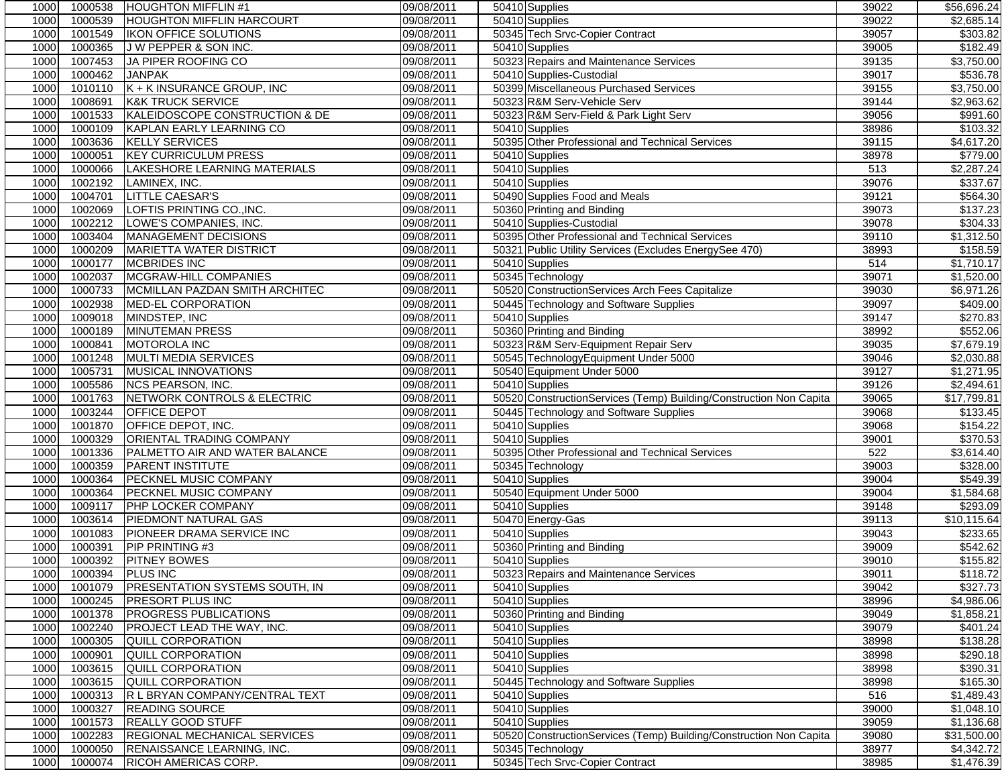| 1000         | 1000538            | <b>HOUGHTON MIFFLIN#1</b>                     | 09/08/2011               | 50410 Supplies                                                     | 39022          | \$56,696.24             |
|--------------|--------------------|-----------------------------------------------|--------------------------|--------------------------------------------------------------------|----------------|-------------------------|
| 1000         | 1000539            | <b>HOUGHTON MIFFLIN HARCOURT</b>              | 09/08/2011               | 50410 Supplies                                                     | 39022          | \$2,685.14              |
| 1000         | 1001549            | IKON OFFICE SOLUTIONS                         | 09/08/2011               | 50345 Tech Srvc-Copier Contract                                    | 39057          | \$303.82                |
| 1000         | 1000365            | J W PEPPER & SON INC.                         | 09/08/2011               | 50410 Supplies                                                     | 39005          | \$182.49                |
| 1000         | 1007453            | JA PIPER ROOFING CO                           | 09/08/2011               | 50323 Repairs and Maintenance Services                             | 39135          | \$3,750.00              |
| 1000         | 1000462            | <b>JANPAK</b>                                 | 09/08/2011               | 50410 Supplies-Custodial                                           | 39017          | \$536.78                |
| 1000         | 1010110            | K + K INSURANCE GROUP, INC                    | 09/08/2011               | 50399 Miscellaneous Purchased Services                             | 39155          | \$3,750.00              |
| 1000         | 1008691            | <b>K&amp;K TRUCK SERVICE</b>                  | 09/08/2011               | 50323 R&M Serv-Vehicle Serv                                        | 39144          | \$2,963.62              |
| 1000         | 1001533            | KALEIDOSCOPE CONSTRUCTION & DE                | 09/08/2011               | 50323 R&M Serv-Field & Park Light Serv                             | 39056          | \$991.60                |
| 1000         | 1000109            | KAPLAN EARLY LEARNING CO                      | 09/08/2011               | 50410 Supplies                                                     | 38986          | \$103.32                |
| 1000         | 1003636            | <b>KELLY SERVICES</b>                         | 09/08/2011               | 50395 Other Professional and Technical Services                    | 39115          | \$4,617.20              |
| 1000         | 1000051            | <b>KEY CURRICULUM PRESS</b>                   | 09/08/2011               | 50410 Supplies                                                     | 38978          | \$779.00                |
| 1000         | 1000066            | LAKESHORE LEARNING MATERIALS                  | 09/08/2011               | 50410 Supplies                                                     | 513            | \$2,287.24              |
| 1000         | 1002192            | LAMINEX, INC.                                 | 09/08/2011               | 50410 Supplies                                                     | 39076          | \$337.67                |
| 1000         | 1004701            | <b>LITTLE CAESAR'S</b>                        | 09/08/2011               | 50490 Supplies Food and Meals                                      | 39121          | \$564.30                |
| 1000         | 1002069            | LOFTIS PRINTING CO., INC.                     | 09/08/2011               | 50360 Printing and Binding                                         | 39073          | \$137.23                |
| 1000         | 1002212            | LOWE'S COMPANIES, INC.                        | 09/08/2011               | 50410 Supplies-Custodial                                           | 39078          | \$304.33                |
| 1000         | 1003404            | MANAGEMENT DECISIONS                          | 09/08/2011               | 50395 Other Professional and Technical Services                    | 39110          | \$1,312.50              |
| 1000         | 1000209            | <b>MARIETTA WATER DISTRICT</b>                | 09/08/2011               | 50321 Public Utility Services (Excludes EnergySee 470)             | 38993          | \$158.59                |
| 1000         | 1000177            | <b>MCBRIDES INC</b>                           | 09/08/2011               | 50410 Supplies                                                     | 514            | \$1,710.17              |
| 1000         | 1002037            | MCGRAW-HILL COMPANIES                         | 09/08/2011               | 50345 Technology                                                   | 39071          | \$1,520.00              |
| 1000         | 1000733            | MCMILLAN PAZDAN SMITH ARCHITEC                | 09/08/2011               | 50520 ConstructionServices Arch Fees Capitalize                    | 39030          | \$6,971.26              |
| 1000         | 1002938            | <b>MED-EL CORPORATION</b>                     | 09/08/2011               | 50445 Technology and Software Supplies                             | 39097          | \$409.00                |
| 1000         | 1009018            | MINDSTEP, INC                                 | 09/08/2011               | 50410 Supplies                                                     | 39147          | \$270.83                |
| 1000         | 1000189            | <b>MINUTEMAN PRESS</b>                        | 09/08/2011               | 50360 Printing and Binding                                         | 38992          | \$552.06                |
| 1000         | 1000841            | <b>MOTOROLA INC</b>                           | 09/08/2011               | 50323 R&M Serv-Equipment Repair Serv                               | 39035          | \$7,679.19              |
| 1000         | 1001248            | <b>MULTI MEDIA SERVICES</b>                   | 09/08/2011               | 50545 TechnologyEquipment Under 5000                               | 39046          | \$2,030.88              |
| 1000         | 1005731            | <b>MUSICAL INNOVATIONS</b>                    | 09/08/2011               | 50540 Equipment Under 5000                                         | 39127          | \$1,271.95              |
| 1000         | 1005586            | <b>NCS PEARSON, INC.</b>                      | 09/08/2011               | 50410 Supplies                                                     | 39126          | \$2,494.61              |
| 1000         | 1001763            | NETWORK CONTROLS & ELECTRIC                   | 09/08/2011               | 50520 ConstructionServices (Temp) Building/Construction Non Capita | 39065          | \$17,799.81             |
| 1000         | 1003244            | <b>OFFICE DEPOT</b>                           | 09/08/2011               | 50445 Technology and Software Supplies                             | 39068          | \$133.45                |
| 1000         | 1001870            | OFFICE DEPOT, INC.                            | 09/08/2011               | 50410 Supplies                                                     | 39068          | \$154.22                |
| 1000         | 1000329            | <b>ORIENTAL TRADING COMPANY</b>               | 09/08/2011               | 50410 Supplies                                                     | 39001          | \$370.53                |
| 1000         | 1001336            | PALMETTO AIR AND WATER BALANCE                | 09/08/2011               | 50395 Other Professional and Technical Services                    | 522            | \$3,614.40              |
| 1000         | 1000359            | <b>PARENT INSTITUTE</b>                       | 09/08/2011               | 50345 Technology                                                   | 39003          | \$328.00                |
| 1000         | 1000364            | PECKNEL MUSIC COMPANY                         | 09/08/2011               | 50410 Supplies                                                     | 39004          | \$549.39                |
| 1000         | 1000364            | PECKNEL MUSIC COMPANY                         | 09/08/2011               | 50540 Equipment Under 5000                                         | 39004          | \$1,584.68              |
| 1000         | 1009117            | PHP LOCKER COMPANY                            | 09/08/2011               | 50410 Supplies                                                     | 39148          | \$293.09                |
| 1000         | 1003614            | <b>PIEDMONT NATURAL GAS</b>                   | 09/08/2011               | 50470 Energy-Gas                                                   | 39113          | \$10,115.64             |
| 1000         | 1001083            | PIONEER DRAMA SERVICE INC                     | 09/08/2011               | 50410 Supplies                                                     | 39043          | \$233.65                |
| 1000         | 1000391            | PIP PRINTING #3                               | 09/08/2011               | 50360 Printing and Binding                                         | 39009          | \$542.62                |
| 1000         | 1000392            | <b>PITNEY BOWES</b>                           | 09/08/2011               | 50410 Supplies                                                     | 39010          | \$155.82                |
| 1000         | 1000394 PLUS INC   |                                               | 09/08/2011               | 50323 Repairs and Maintenance Services                             | 39011          | \$118.72                |
| 1000         | 1001079            | <b>PRESENTATION SYSTEMS SOUTH, IN</b>         | 09/08/2011               | 50410 Supplies                                                     | 39042          | \$327.73                |
| 1000         | 1000245            | <b>PRESORT PLUS INC</b>                       | 09/08/2011               | 50410 Supplies                                                     | 38996          | \$4,986.06              |
| 1000         | 1001378            | <b>PROGRESS PUBLICATIONS</b>                  | 09/08/2011               | 50360 Printing and Binding                                         | 39049          | $\overline{31,858.21}$  |
| 1000         | 1002240            | PROJECT LEAD THE WAY, INC.                    | 09/08/2011               | 50410 Supplies                                                     | 39079          | \$401.24                |
| 1000         | 1000305            | <b>QUILL CORPORATION</b>                      | 09/08/2011               | 50410 Supplies                                                     | 38998          | \$138.28                |
| 1000         | 1000901            | QUILL CORPORATION                             | 09/08/2011               | 50410 Supplies                                                     | 38998          | \$290.18                |
| 1000         | 1003615<br>1003615 | QUILL CORPORATION<br><b>QUILL CORPORATION</b> | 09/08/2011<br>09/08/2011 | 50410 Supplies<br>50445 Technology and Software Supplies           | 38998<br>38998 | \$390.31<br>\$165.30    |
| 1000<br>1000 | 1000313            | R L BRYAN COMPANY/CENTRAL TEXT                |                          |                                                                    | 516            | $\overline{\$1,489.43}$ |
| 1000         | 1000327            | <b>READING SOURCE</b>                         | 09/08/2011<br>09/08/2011 | 50410 Supplies<br>50410 Supplies                                   | 39000          | \$1,048.10              |
| 1000         | 1001573            | <b>REALLY GOOD STUFF</b>                      | 09/08/2011               | 50410 Supplies                                                     | 39059          | \$1,136.68              |
| 1000         | 1002283            | <b>REGIONAL MECHANICAL SERVICES</b>           | 09/08/2011               | 50520 ConstructionServices (Temp) Building/Construction Non Capita | 39080          | \$31,500.00             |
| 1000         | 1000050            | RENAISSANCE LEARNING, INC.                    | 09/08/2011               | 50345 Technology                                                   | 38977          | \$4,342.72              |
| 1000         | 1000074            | RICOH AMERICAS CORP.                          | 09/08/2011               | 50345 Tech Srvc-Copier Contract                                    | 38985          | \$1,476.39              |
|              |                    |                                               |                          |                                                                    |                |                         |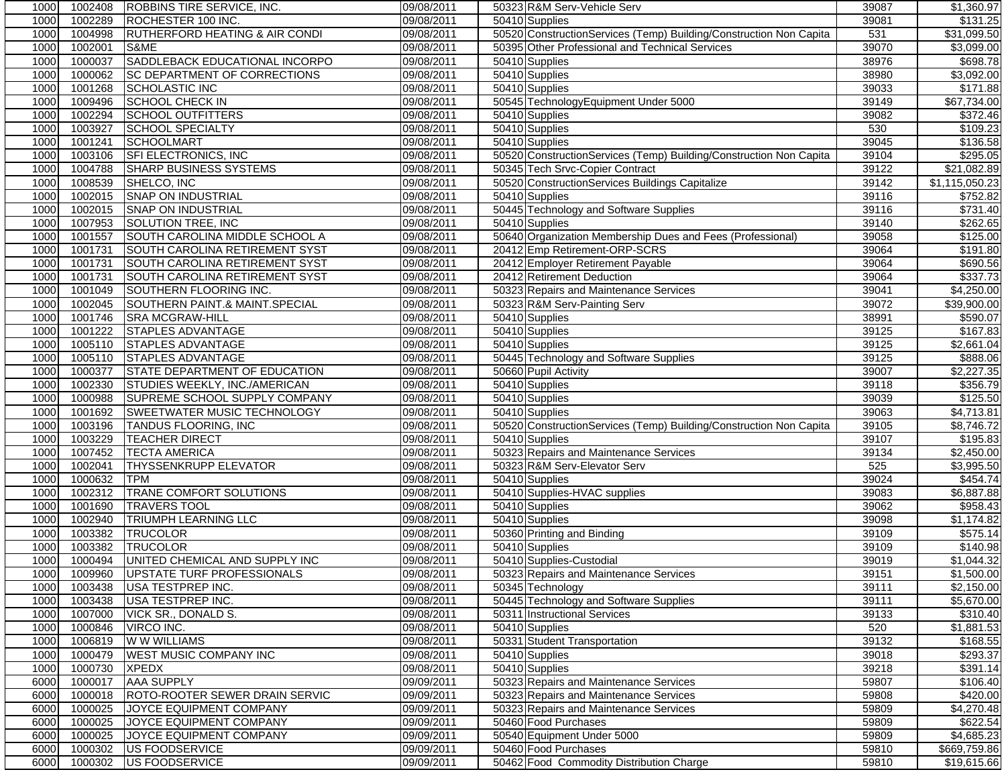| 10001 | 1002408 | <b>ROBBINS TIRE SERVICE, INC.</b>         | 09/08/2011 | 50323 R&M Serv-Vehicle Serv                                        | 39087 | \$1,360.97              |
|-------|---------|-------------------------------------------|------------|--------------------------------------------------------------------|-------|-------------------------|
| 1000  | 1002289 | ROCHESTER 100 INC.                        | 09/08/2011 | 50410 Supplies                                                     | 39081 | \$131.25                |
| 1000  | 1004998 | <b>RUTHERFORD HEATING &amp; AIR CONDI</b> | 09/08/2011 | 50520 ConstructionServices (Temp) Building/Construction Non Capita | 531   | \$31,099.50             |
| 1000  | 1002001 | S&ME                                      | 09/08/2011 | 50395 Other Professional and Technical Services                    | 39070 | \$3,099.00              |
| 1000  | 1000037 | SADDLEBACK EDUCATIONAL INCORPO            | 09/08/2011 | 50410 Supplies                                                     | 38976 | \$698.78                |
| 1000  | 1000062 | <b>SC DEPARTMENT OF CORRECTIONS</b>       | 09/08/2011 | 50410 Supplies                                                     | 38980 | \$3,092.00              |
| 1000  | 1001268 | <b>SCHOLASTIC INC</b>                     | 09/08/2011 | 50410 Supplies                                                     | 39033 | \$171.88                |
| 1000  | 1009496 | <b>SCHOOL CHECK IN</b>                    | 09/08/2011 | 50545 TechnologyEquipment Under 5000                               | 39149 | \$67,734.00             |
| 1000  | 1002294 | <b>SCHOOL OUTFITTERS</b>                  | 09/08/2011 | 50410 Supplies                                                     | 39082 | \$372.46                |
| 1000  | 1003927 | <b>SCHOOL SPECIALTY</b>                   | 09/08/2011 | 50410 Supplies                                                     | 530   | \$109.23                |
| 1000  | 1001241 | <b>SCHOOLMART</b>                         | 09/08/2011 | 50410 Supplies                                                     | 39045 | \$136.58                |
| 1000  | 1003106 | SFI ELECTRONICS, INC                      | 09/08/2011 | 50520 ConstructionServices (Temp) Building/Construction Non Capita | 39104 | \$295.05                |
| 1000  | 1004788 | <b>SHARP BUSINESS SYSTEMS</b>             | 09/08/2011 | 50345 Tech Srvc-Copier Contract                                    | 39122 | \$21,082.89             |
| 1000  | 1008539 | SHELCO. INC                               | 09/08/2011 | 50520 ConstructionServices Buildings Capitalize                    | 39142 | \$1,115,050.23          |
| 1000  | 1002015 | <b>SNAP ON INDUSTRIAL</b>                 | 09/08/2011 | 50410 Supplies                                                     | 39116 | \$752.82                |
| 1000  | 1002015 | <b>SNAP ON INDUSTRIAL</b>                 | 09/08/2011 | 50445 Technology and Software Supplies                             | 39116 | \$731.40                |
| 1000  | 1007953 | <b>SOLUTION TREE, INC</b>                 | 09/08/2011 | 50410 Supplies                                                     | 39140 | \$262.65                |
| 1000  | 1001557 | SOUTH CAROLINA MIDDLE SCHOOL A            | 09/08/2011 | 50640 Organization Membership Dues and Fees (Professional)         | 39058 | \$125.00                |
| 1000  | 1001731 | SOUTH CAROLINA RETIREMENT SYST            | 09/08/2011 | 20412 Emp Retirement-ORP-SCRS                                      | 39064 | \$191.80                |
| 1000  | 1001731 | <b>SOUTH CAROLINA RETIREMENT SYST</b>     | 09/08/2011 | 20412 Employer Retirement Payable                                  | 39064 | \$690.56                |
| 1000  | 1001731 | <b>SOUTH CAROLINA RETIREMENT SYST</b>     | 09/08/2011 | 20412 Retirement Deduction                                         | 39064 | \$337.73                |
| 1000  | 1001049 | SOUTHERN FLOORING INC.                    | 09/08/2011 | 50323 Repairs and Maintenance Services                             | 39041 | \$4,250.00              |
| 1000  | 1002045 | <b>SOUTHERN PAINT.&amp; MAINT.SPECIAL</b> | 09/08/2011 | 50323 R&M Serv-Painting Serv                                       | 39072 | \$39,900.00             |
| 1000  | 1001746 | <b>SRA MCGRAW-HILL</b>                    | 09/08/2011 | 50410 Supplies                                                     | 38991 | \$590.07                |
| 1000  | 1001222 | STAPLES ADVANTAGE                         | 09/08/2011 | 50410 Supplies                                                     | 39125 | \$167.83                |
| 1000  | 1005110 | <b>STAPLES ADVANTAGE</b>                  | 09/08/2011 | 50410 Supplies                                                     | 39125 | \$2,661.04              |
| 1000  | 1005110 | <b>STAPLES ADVANTAGE</b>                  | 09/08/2011 | 50445 Technology and Software Supplies                             | 39125 | \$888.06                |
| 1000  | 1000377 | <b>STATE DEPARTMENT OF EDUCATION</b>      | 09/08/2011 | 50660 Pupil Activity                                               | 39007 | \$2,227.35              |
| 1000  | 1002330 | STUDIES WEEKLY, INC./AMERICAN             | 09/08/2011 | 50410 Supplies                                                     | 39118 | \$356.79                |
| 1000  | 1000988 | SUPREME SCHOOL SUPPLY COMPANY             | 09/08/2011 | 50410 Supplies                                                     | 39039 | \$125.50                |
| 1000  | 1001692 | SWEETWATER MUSIC TECHNOLOGY               | 09/08/2011 | 50410 Supplies                                                     | 39063 | \$4,713.81              |
| 1000  | 1003196 | <b>TANDUS FLOORING, INC</b>               | 09/08/2011 | 50520 ConstructionServices (Temp) Building/Construction Non Capita | 39105 | $\overline{$8,746.72}$  |
| 1000  | 1003229 | <b>TEACHER DIRECT</b>                     | 09/08/2011 | 50410 Supplies                                                     | 39107 | \$195.83                |
| 1000  | 1007452 | <b>TECTA AMERICA</b>                      | 09/08/2011 | 50323 Repairs and Maintenance Services                             | 39134 | \$2,450.00              |
| 1000  | 1002041 | <b>THYSSENKRUPP ELEVATOR</b>              | 09/08/2011 | 50323 R&M Serv-Elevator Serv                                       | 525   | \$3,995.50              |
| 1000  | 1000632 | <b>TPM</b>                                | 09/08/2011 | 50410 Supplies                                                     | 39024 | \$454.74                |
| 1000  | 1002312 | <b>TRANE COMFORT SOLUTIONS</b>            | 09/08/2011 | 50410 Supplies-HVAC supplies                                       | 39083 | \$6,887.88              |
| 1000  | 1001690 | <b>TRAVERS TOOL</b>                       | 09/08/2011 | 50410 Supplies                                                     | 39062 | \$958.43                |
| 1000  | 1002940 | <b>TRIUMPH LEARNING LLC</b>               | 09/08/2011 | 50410 Supplies                                                     | 39098 | \$1,174.82              |
| 1000  | 1003382 | <b>TRUCOLOR</b>                           | 09/08/2011 | 50360 Printing and Binding                                         | 39109 | \$575.14                |
| 1000  | 1003382 | <b>TRUCOLOR</b>                           | 09/08/2011 | 50410 Supplies                                                     | 39109 | \$140.98                |
| 1000  | 1000494 | UNITED CHEMICAL AND SUPPLY INC            | 09/08/2011 | 50410 Supplies-Custodial                                           | 39019 | $\overline{\$1,044.32}$ |
| 1000  |         | 1009960 UPSTATE TURF PROFESSIONALS        | 09/08/2011 | 50323 Repairs and Maintenance Services                             | 39151 | \$1,500.00              |
| 1000  | 1003438 | USA TESTPREP INC.                         | 09/08/2011 | 50345 Technology                                                   | 39111 | \$2,150.00              |
| 1000  | 1003438 | USA TESTPREP INC.                         | 09/08/2011 | 50445 Technology and Software Supplies                             | 39111 | \$5,670.00              |
| 1000  | 1007000 | VICK SR., DONALD S.                       | 09/08/2011 | 50311 Instructional Services                                       | 39133 | \$310.40                |
| 1000  | 1000846 | VIRCO INC.                                | 09/08/2011 | 50410 Supplies                                                     | 520   | \$1,881.53              |
| 1000  | 1006819 | W W WILLIAMS                              | 09/08/2011 | 50331 Student Transportation                                       | 39132 | \$168.55                |
| 1000  | 1000479 | <b>WEST MUSIC COMPANY INC</b>             | 09/08/2011 | 50410 Supplies                                                     | 39018 | \$293.37                |
| 1000  | 1000730 | <b>XPEDX</b>                              | 09/08/2011 | 50410 Supplies                                                     | 39218 | \$391.14                |
| 6000  | 1000017 | <b>AAA SUPPLY</b>                         | 09/09/2011 | 50323 Repairs and Maintenance Services                             | 59807 | \$106.40                |
| 6000  | 1000018 | ROTO-ROOTER SEWER DRAIN SERVIC            | 09/09/2011 | 50323 Repairs and Maintenance Services                             | 59808 | \$420.00                |
| 6000  | 1000025 | JOYCE EQUIPMENT COMPANY                   | 09/09/2011 | 50323 Repairs and Maintenance Services                             | 59809 | $\overline{4,270.48}$   |
| 6000  | 1000025 | JOYCE EQUIPMENT COMPANY                   | 09/09/2011 | 50460 Food Purchases                                               | 59809 | \$622.54                |
| 6000  | 1000025 | JOYCE EQUIPMENT COMPANY                   | 09/09/2011 | 50540 Equipment Under 5000                                         | 59809 | \$4,685.23              |
| 6000  | 1000302 | US FOODSERVICE                            | 09/09/2011 | 50460 Food Purchases                                               | 59810 | \$669,759.86            |
| 6000  | 1000302 | US FOODSERVICE                            | 09/09/2011 | 50462 Food Commodity Distribution Charge                           | 59810 | \$19,615.66             |
|       |         |                                           |            |                                                                    |       |                         |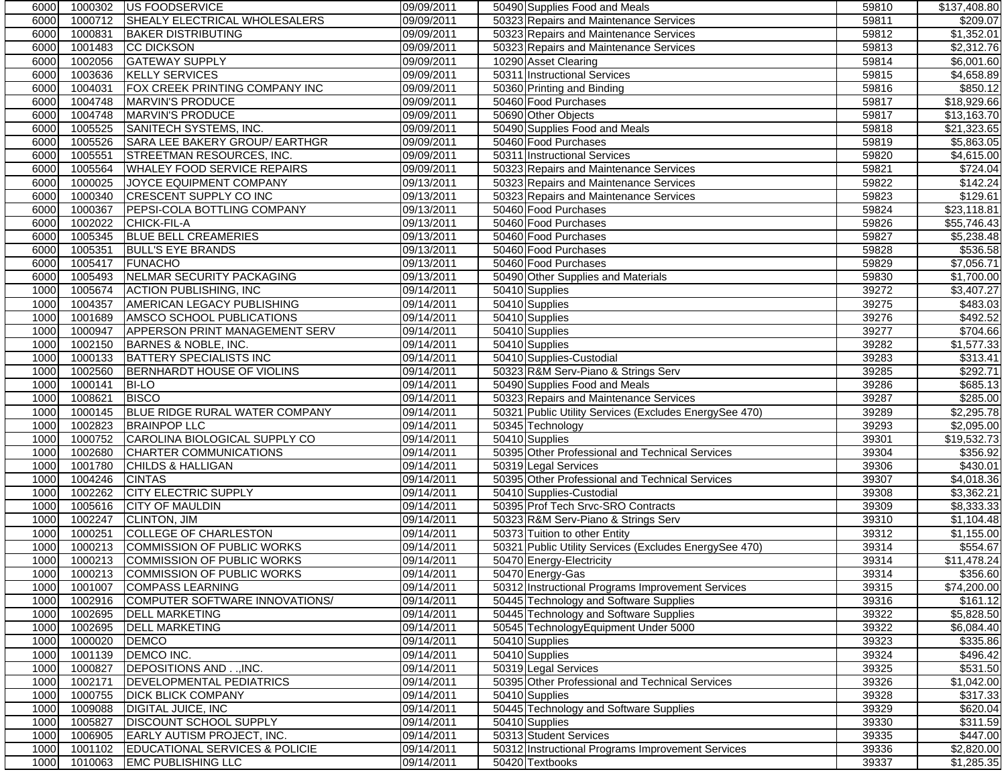| 6000 | 1000302 | <b>JUS FOODSERVICE</b>                | 09/09/2011 | 50490 Supplies Food and Meals                                  | 59810 | \$137,408.80            |
|------|---------|---------------------------------------|------------|----------------------------------------------------------------|-------|-------------------------|
| 6000 | 1000712 | SHEALY ELECTRICAL WHOLESALERS         | 09/09/2011 | 50323 Repairs and Maintenance Services                         | 59811 | \$209.07                |
| 6000 | 1000831 | <b>BAKER DISTRIBUTING</b>             | 09/09/2011 | 50323 Repairs and Maintenance Services                         | 59812 | \$1,352.01              |
| 6000 | 1001483 | <b>CC DICKSON</b>                     | 09/09/2011 | 50323 Repairs and Maintenance Services                         | 59813 | \$2,312.76              |
| 6000 | 1002056 | <b>GATEWAY SUPPLY</b>                 | 09/09/2011 | 10290 Asset Clearing                                           | 59814 | \$6,001.60              |
| 6000 | 1003636 | <b>KELLY SERVICES</b>                 | 09/09/2011 | 50311 Instructional Services                                   | 59815 | \$4,658.89              |
| 6000 | 1004031 | FOX CREEK PRINTING COMPANY INC        | 09/09/2011 | 50360 Printing and Binding                                     | 59816 | \$850.12                |
| 6000 | 1004748 | MARVIN'S PRODUCE                      | 09/09/2011 | 50460 Food Purchases                                           | 59817 | \$18,929.66             |
| 6000 | 1004748 | MARVIN'S PRODUCE                      | 09/09/2011 | 50690 Other Objects                                            | 59817 | \$13,163.70             |
| 6000 | 1005525 | SANITECH SYSTEMS, INC.                | 09/09/2011 | 50490 Supplies Food and Meals                                  | 59818 | \$21,323.65             |
| 6000 | 1005526 | SARA LEE BAKERY GROUP/ EARTHGR        | 09/09/2011 | 50460 Food Purchases                                           | 59819 | \$5,863.05              |
| 6000 | 1005551 | STREETMAN RESOURCES, INC.             | 09/09/2011 | 50311 Instructional Services                                   | 59820 | \$4,615.00              |
| 6000 | 1005564 | <b>WHALEY FOOD SERVICE REPAIRS</b>    | 09/09/2011 | 50323 Repairs and Maintenance Services                         | 59821 | \$724.04                |
| 6000 | 1000025 | JOYCE EQUIPMENT COMPANY               | 09/13/2011 | 50323 Repairs and Maintenance Services                         | 59822 | \$142.24                |
| 6000 | 1000340 | <b>CRESCENT SUPPLY CO INC</b>         | 09/13/2011 |                                                                | 59823 | \$129.61                |
| 6000 | 1000367 | PEPSI-COLA BOTTLING COMPANY           |            | 50323 Repairs and Maintenance Services<br>50460 Food Purchases | 59824 | \$23,118.81             |
|      | 1002022 |                                       | 09/13/2011 | 50460 Food Purchases                                           |       |                         |
| 6000 |         | CHICK-FIL-A                           | 09/13/2011 |                                                                | 59826 | \$55,746.43             |
| 6000 | 1005345 | <b>BLUE BELL CREAMERIES</b>           | 09/13/2011 | 50460 Food Purchases                                           | 59827 | \$5,238.48              |
| 6000 | 1005351 | <b>BULL'S EYE BRANDS</b>              | 09/13/2011 | 50460 Food Purchases                                           | 59828 | \$536.58                |
| 6000 | 1005417 | <b>FUNACHO</b>                        | 09/13/2011 | 50460 Food Purchases                                           | 59829 | \$7,056.71              |
| 6000 | 1005493 | NELMAR SECURITY PACKAGING             | 09/13/2011 | 50490 Other Supplies and Materials                             | 59830 | $\overline{$1,700.00}$  |
| 1000 | 1005674 | <b>ACTION PUBLISHING, INC</b>         | 09/14/2011 | 50410 Supplies                                                 | 39272 | \$3,407.27              |
| 1000 | 1004357 | <b>AMERICAN LEGACY PUBLISHING</b>     | 09/14/2011 | 50410 Supplies                                                 | 39275 | \$483.03                |
| 1000 | 1001689 | AMSCO SCHOOL PUBLICATIONS             | 09/14/2011 | 50410 Supplies                                                 | 39276 | \$492.52                |
| 1000 | 1000947 | <b>APPERSON PRINT MANAGEMENT SERV</b> | 09/14/2011 | 50410 Supplies                                                 | 39277 | \$704.66                |
| 1000 | 1002150 | BARNES & NOBLE, INC.                  | 09/14/2011 | 50410 Supplies                                                 | 39282 | \$1,577.33              |
| 1000 | 1000133 | <b>BATTERY SPECIALISTS INC</b>        | 09/14/2011 | 50410 Supplies-Custodial                                       | 39283 | \$313.41                |
| 1000 | 1002560 | BERNHARDT HOUSE OF VIOLINS            | 09/14/2011 | 50323 R&M Serv-Piano & Strings Serv                            | 39285 | \$292.71                |
| 1000 | 1000141 | <b>BI-LO</b>                          | 09/14/2011 | 50490 Supplies Food and Meals                                  | 39286 | \$685.13                |
| 1000 | 1008621 | <b>BISCO</b>                          | 09/14/2011 | 50323 Repairs and Maintenance Services                         | 39287 | \$285.00                |
| 1000 | 1000145 | BLUE RIDGE RURAL WATER COMPANY        | 09/14/2011 | 50321 Public Utility Services (Excludes EnergySee 470)         | 39289 | \$2,295.78              |
| 1000 | 1002823 | <b>BRAINPOP LLC</b>                   | 09/14/2011 | 50345 Technology                                               | 39293 | \$2,095.00              |
| 1000 | 1000752 | CAROLINA BIOLOGICAL SUPPLY CO         | 09/14/2011 | 50410 Supplies                                                 | 39301 | \$19,532.73             |
| 1000 | 1002680 | <b>CHARTER COMMUNICATIONS</b>         | 09/14/2011 | 50395 Other Professional and Technical Services                | 39304 | \$356.92                |
| 1000 | 1001780 | <b>CHILDS &amp; HALLIGAN</b>          | 09/14/2011 | 50319 Legal Services                                           | 39306 | \$430.01                |
| 1000 | 1004246 | <b>CINTAS</b>                         | 09/14/2011 | 50395 Other Professional and Technical Services                | 39307 | \$4,018.36              |
| 1000 | 1002262 | <b>CITY ELECTRIC SUPPLY</b>           | 09/14/2011 | 50410 Supplies-Custodial                                       | 39308 | \$3,362.21              |
| 1000 | 1005616 | <b>CITY OF MAULDIN</b>                | 09/14/2011 | 50395 Prof Tech Srvc-SRO Contracts                             | 39309 | \$8,333.33              |
| 1000 | 1002247 | <b>CLINTON, JIM</b>                   | 09/14/2011 | 50323 R&M Serv-Piano & Strings Serv                            | 39310 | $\overline{\$1,104.48}$ |
| 1000 | 1000251 | <b>COLLEGE OF CHARLESTON</b>          | 09/14/2011 | 50373 Tuition to other Entity                                  | 39312 | \$1,155.00              |
| 1000 | 1000213 | COMMISSION OF PUBLIC WORKS            | 09/14/2011 | 50321 Public Utility Services (Excludes EnergySee 470)         | 39314 | \$554.67                |
| 1000 | 1000213 | <b>COMMISSION OF PUBLIC WORKS</b>     | 09/14/2011 | 50470 Energy-Electricity                                       | 39314 | \$11,478.24             |
| 1000 |         | 1000213 COMMISSION OF PUBLIC WORKS    | 09/14/2011 | 50470 Energy-Gas                                               | 39314 | \$356.60                |
| 1000 | 1001007 | <b>COMPASS LEARNING</b>               | 09/14/2011 | 50312 Instructional Programs Improvement Services              | 39315 | \$74,200.00             |
| 1000 | 1002916 | COMPUTER SOFTWARE INNOVATIONS/        | 09/14/2011 | 50445 Technology and Software Supplies                         | 39316 | \$161.12                |
| 1000 | 1002695 | <b>DELL MARKETING</b>                 | 09/14/2011 | 50445 Technology and Software Supplies                         | 39322 | \$5,828.50              |
| 1000 | 1002695 | <b>DELL MARKETING</b>                 | 09/14/2011 | 50545 TechnologyEquipment Under 5000                           | 39322 | \$6,084.40              |
| 1000 | 1000020 | <b>DEMCO</b>                          | 09/14/2011 | 50410 Supplies                                                 | 39323 | \$335.86                |
|      |         |                                       |            |                                                                |       |                         |
| 1000 | 1001139 | DEMCO INC.                            | 09/14/2011 | 50410 Supplies                                                 | 39324 | \$496.42                |
| 1000 | 1000827 | DEPOSITIONS AND, INC.                 | 09/14/2011 | 50319 Legal Services                                           | 39325 | \$531.50                |
| 1000 | 1002171 | DEVELOPMENTAL PEDIATRICS              | 09/14/2011 | 50395 Other Professional and Technical Services                | 39326 | \$1,042.00              |
| 1000 | 1000755 | <b>DICK BLICK COMPANY</b>             | 09/14/2011 | 50410 Supplies                                                 | 39328 | \$317.33                |
| 1000 | 1009088 | DIGITAL JUICE, INC                    | 09/14/2011 | 50445 Technology and Software Supplies                         | 39329 | \$620.04                |
| 1000 | 1005827 | DISCOUNT SCHOOL SUPPLY                | 09/14/2011 | 50410 Supplies                                                 | 39330 | \$311.59                |
| 1000 | 1006905 | EARLY AUTISM PROJECT, INC.            | 09/14/2011 | 50313 Student Services                                         | 39335 | \$447.00                |
| 1000 | 1001102 | EDUCATIONAL SERVICES & POLICIE        | 09/14/2011 | 50312 Instructional Programs Improvement Services              | 39336 | \$2,820.00              |
| 1000 | 1010063 | <b>EMC PUBLISHING LLC</b>             | 09/14/2011 | 50420 Textbooks                                                | 39337 | $\overline{1,285.35}$   |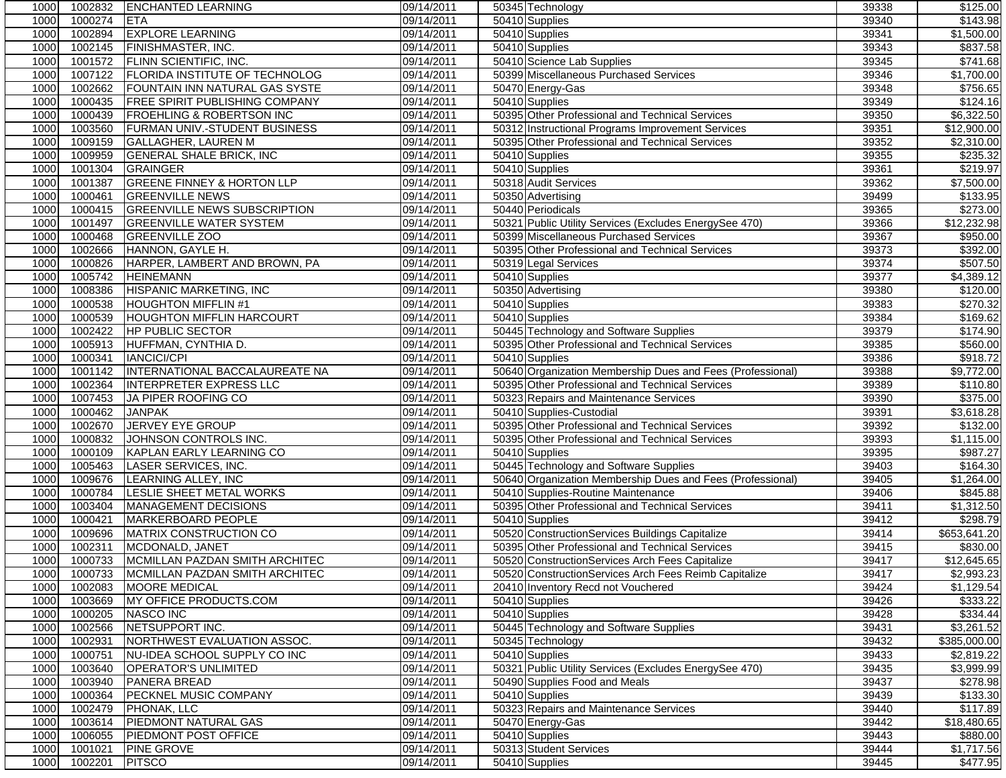| 1000         | 1002832            | <b>ENCHANTED LEARNING</b>                   | 09/14/2011               | 50345 Technology                                           | 39338          | \$125.00               |
|--------------|--------------------|---------------------------------------------|--------------------------|------------------------------------------------------------|----------------|------------------------|
| 1000         | 1000274            | <b>ETA</b>                                  | 09/14/2011               | 50410 Supplies                                             | 39340          | \$143.98               |
| 1000         | 1002894            | <b>EXPLORE LEARNING</b>                     | 09/14/2011               | 50410 Supplies                                             | 39341          | \$1,500.00             |
| 1000         | 1002145            | <b>FINISHMASTER, INC.</b>                   | 09/14/2011               | 50410 Supplies                                             | 39343          | \$837.58               |
| 1000         | 1001572            | <b>FLINN SCIENTIFIC, INC.</b>               | 09/14/2011               | 50410 Science Lab Supplies                                 | 39345          | \$741.68               |
| 1000         | 1007122            | <b>FLORIDA INSTITUTE OF TECHNOLOG</b>       | 09/14/2011               | 50399 Miscellaneous Purchased Services                     | 39346          | \$1,700.00             |
| 1000         | 1002662            | FOUNTAIN INN NATURAL GAS SYSTE              | 09/14/2011               | 50470 Energy-Gas                                           | 39348          | \$756.65               |
| 1000         | 1000435            | <b>FREE SPIRIT PUBLISHING COMPANY</b>       | 09/14/2011               | 50410 Supplies                                             | 39349          | \$124.16               |
| 1000         | 1000439            | <b>FROEHLING &amp; ROBERTSON INC</b>        | 09/14/2011               | 50395 Other Professional and Technical Services            | 39350          | \$6,322.50             |
| 1000         | 1003560            | FURMAN UNIV.-STUDENT BUSINESS               | 09/14/2011               | 50312 Instructional Programs Improvement Services          | 39351          | \$12,900.00            |
| 1000         | 1009159            | <b>GALLAGHER, LAUREN M</b>                  | 09/14/2011               | 50395 Other Professional and Technical Services            | 39352          | \$2,310.00             |
| 1000         | 1009959            | <b>GENERAL SHALE BRICK, INC</b>             | 09/14/2011               | 50410 Supplies                                             | 39355          | $\overline{$}235.32$   |
| 1000         | 1001304            | <b>GRAINGER</b>                             | 09/14/2011               | 50410 Supplies                                             | 39361          | \$219.97               |
| 1000         | 1001387            | <b>GREENE FINNEY &amp; HORTON LLP</b>       | 09/14/2011               | 50318 Audit Services                                       | 39362          | \$7,500.00             |
| 1000         | 1000461            | <b>GREENVILLE NEWS</b>                      | 09/14/2011               | 50350 Advertising                                          | 39499          | \$133.95               |
| 1000         | 1000415            | <b>GREENVILLE NEWS SUBSCRIPTION</b>         | 09/14/2011               | 50440 Periodicals                                          | 39365          | \$273.00               |
| 1000         | 1001497            | <b>GREENVILLE WATER SYSTEM</b>              | 09/14/2011               | 50321 Public Utility Services (Excludes EnergySee 470)     | 39366          | \$12,232.98            |
| 1000         | 1000468            | <b>GREENVILLE ZOO</b>                       | 09/14/2011               | 50399 Miscellaneous Purchased Services                     | 39367          | \$950.00               |
| 1000         | 1002666            | HANNON, GAYLE H.                            | 09/14/2011               | 50395 Other Professional and Technical Services            | 39373          | \$392.00               |
| 1000         | 1000826            | HARPER, LAMBERT AND BROWN, PA               | 09/14/2011               | 50319 Legal Services                                       | 39374          | \$507.50               |
| 1000         | 1005742            | <b>HEINEMANN</b>                            | 09/14/2011               | 50410 Supplies                                             | 39377          | \$4,389.12             |
| 1000         | 1008386            | HISPANIC MARKETING, INC                     | 09/14/2011               | 50350 Advertising                                          | 39380          | \$120.00               |
| 1000         | 1000538            | <b>HOUGHTON MIFFLIN #1</b>                  | 09/14/2011               | 50410 Supplies                                             | 39383          | \$270.32               |
| 1000         | 1000539            | <b>HOUGHTON MIFFLIN HARCOURT</b>            | 09/14/2011               | 50410 Supplies                                             | 39384          | \$169.62               |
| 1000         | 1002422            | <b>HP PUBLIC SECTOR</b>                     | 09/14/2011               | 50445 Technology and Software Supplies                     | 39379          | \$174.90               |
| 1000         | 1005913            | HUFFMAN, CYNTHIA D.                         | 09/14/2011               | 50395 Other Professional and Technical Services            | 39385          | \$560.00               |
| 1000         | 1000341            | <b>IANCICI/CPI</b>                          | 09/14/2011               | 50410 Supplies                                             | 39386          | \$918.72               |
| 1000         | 1001142            | INTERNATIONAL BACCALAUREATE NA              | 09/14/2011               | 50640 Organization Membership Dues and Fees (Professional) | 39388          | \$9,772.00             |
| 1000         | 1002364            | <b>INTERPRETER EXPRESS LLC</b>              | 09/14/2011               | 50395 Other Professional and Technical Services            | 39389          | \$110.80               |
| 1000         | 1007453            | JA PIPER ROOFING CO                         | 09/14/2011               | 50323 Repairs and Maintenance Services                     | 39390          | \$375.00               |
| 1000         | 1000462            | <b>JANPAK</b>                               | 09/14/2011               | 50410 Supplies-Custodial                                   | 39391          | \$3,618.28             |
| 1000         | 1002670            | <b>JERVEY EYE GROUP</b>                     | 09/14/2011               | 50395 Other Professional and Technical Services            | 39392          | \$132.00               |
| 1000         | 1000832            | JOHNSON CONTROLS INC.                       | 09/14/2011               | 50395 Other Professional and Technical Services            | 39393          | \$1,115.00             |
| 1000         | 1000109            | KAPLAN EARLY LEARNING CO                    | 09/14/2011               | 50410 Supplies                                             | 39395          | \$987.27               |
| 1000         | 1005463            | <b>LASER SERVICES, INC.</b>                 | 09/14/2011               | 50445 Technology and Software Supplies                     | 39403          | \$164.30               |
| 1000         | 1009676            | LEARNING ALLEY, INC                         | 09/14/2011               | 50640 Organization Membership Dues and Fees (Professional) | 39405          | \$1,264.00             |
| 1000         | 1000784            | LESLIE SHEET METAL WORKS                    | 09/14/2011               | 50410 Supplies-Routine Maintenance                         | 39406          | \$845.88               |
| 1000         | 1003404            | MANAGEMENT DECISIONS                        | 09/14/2011               | 50395 Other Professional and Technical Services            | 39411          | \$1,312.50             |
| 1000         | 1000421            | MARKERBOARD PEOPLE                          | 09/14/2011               | 50410 Supplies                                             | 39412          | \$298.79               |
| 1000         | 1009696            | MATRIX CONSTRUCTION CO                      | 09/14/2011               | 50520 ConstructionServices Buildings Capitalize            | 39414          | \$653,641.20           |
| 1000         | 1002311            | MCDONALD, JANET                             | 09/14/2011               | 50395 Other Professional and Technical Services            | 39415          | \$830.00               |
| 1000         | 1000733            | MCMILLAN PAZDAN SMITH ARCHITEC              | 09/14/2011               | 50520 ConstructionServices Arch Fees Capitalize            | 39417          | \$12,645.65            |
| 1000         |                    | 1000733 MCMILLAN PAZDAN SMITH ARCHITEC      | 09/14/2011               | 50520 ConstructionServices Arch Fees Reimb Capitalize      | 39417          | \$2,993.23             |
| 1000         | 1002083            | <b>MOORE MEDICAL</b>                        | 09/14/2011               | 20410 Inventory Recd not Vouchered                         | 39424          | \$1,129.54             |
| 1000         | 1003669            | MY OFFICE PRODUCTS.COM                      | 09/14/2011               | 50410 Supplies                                             | 39426          | \$333.22               |
| 1000         | 1000205            | NASCO INC                                   | 09/14/2011               | 50410 Supplies                                             | 39428          | 3334.44                |
| 1000         | 1002566            | NETSUPPORT INC.                             | 09/14/2011               | 50445 Technology and Software Supplies                     | 39431          | \$3,261.52             |
| 1000         | 1002931            | NORTHWEST EVALUATION ASSOC.                 | 09/14/2011               | 50345 Technology                                           | 39432          | \$385,000.00           |
| 1000         | 1000751            | NU-IDEA SCHOOL SUPPLY CO INC                | 09/14/2011               | 50410 Supplies                                             | 39433          | \$2,819.22             |
| 1000<br>1000 | 1003640<br>1003940 | <b>OPERATOR'S UNLIMITED</b><br>PANERA BREAD | 09/14/2011<br>09/14/2011 | 50321 Public Utility Services (Excludes EnergySee 470)     | 39435<br>39437 | \$3,999.99<br>\$278.98 |
|              | 1000364            | PECKNEL MUSIC COMPANY                       | 09/14/2011               | 50490 Supplies Food and Meals<br>50410 Supplies            | 39439          | \$133.30               |
| 1000<br>1000 | 1002479            | PHONAK, LLC                                 | 09/14/2011               | 50323 Repairs and Maintenance Services                     | 39440          | \$117.89               |
| 1000         | 1003614            | <b>PIEDMONT NATURAL GAS</b>                 | 09/14/2011               | 50470 Energy-Gas                                           | 39442          | \$18,480.65            |
| 1000         | 1006055            | PIEDMONT POST OFFICE                        | 09/14/2011               | 50410 Supplies                                             | 39443          | \$880.00               |
| 1000         | 1001021            | <b>PINE GROVE</b>                           | 09/14/2011               | 50313 Student Services                                     | 39444          | \$1,717.56             |
| 1000         | 1002201            | <b>PITSCO</b>                               | 09/14/2011               | 50410 Supplies                                             | 39445          | \$477.95               |
|              |                    |                                             |                          |                                                            |                |                        |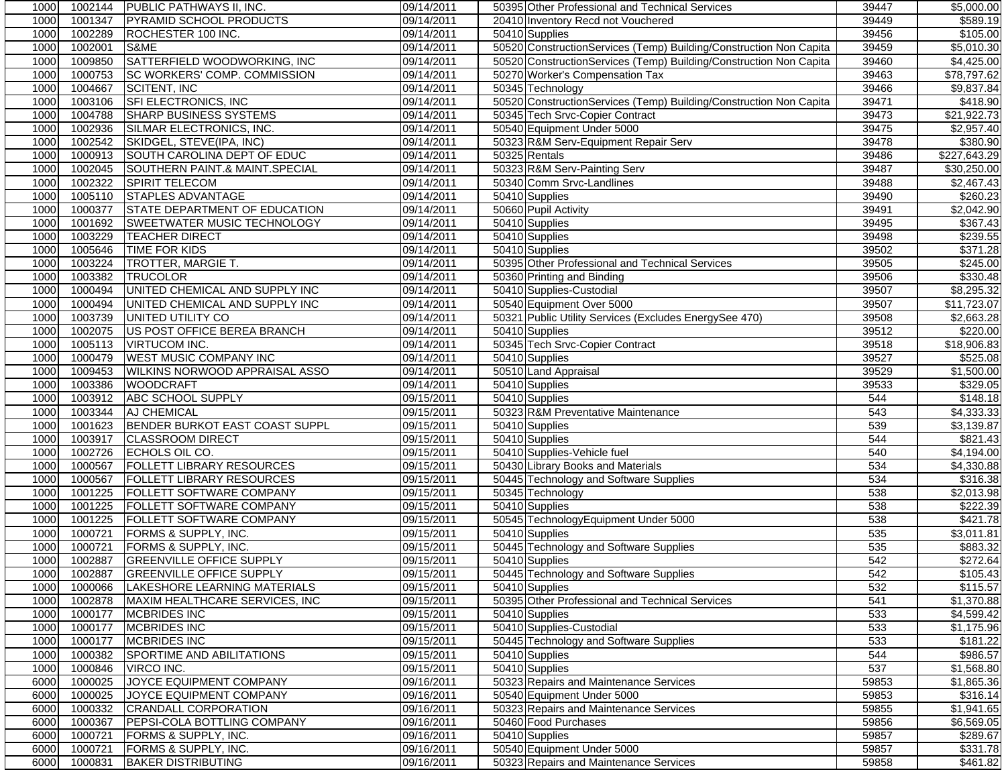| 1000         | 1002144            | PUBLIC PATHWAYS II, INC.                                            | 09/14/2011               | 50395 Other Professional and Technical Services                    | 39447      | \$5,000.00              |
|--------------|--------------------|---------------------------------------------------------------------|--------------------------|--------------------------------------------------------------------|------------|-------------------------|
| 1000         | 1001347            | PYRAMID SCHOOL PRODUCTS                                             | 09/14/2011               | 20410 Inventory Recd not Vouchered                                 | 39449      | \$589.19                |
| 1000         | 1002289            | ROCHESTER 100 INC.                                                  | 09/14/2011               | 50410 Supplies                                                     | 39456      | \$105.00                |
| 1000         | 1002001            | S&ME                                                                | 09/14/2011               | 50520 ConstructionServices (Temp) Building/Construction Non Capita | 39459      | \$5,010.30              |
| 1000         | 1009850            | SATTERFIELD WOODWORKING, INC                                        | 09/14/2011               | 50520 ConstructionServices (Temp) Building/Construction Non Capita | 39460      | \$4,425.00              |
| 1000         | 1000753            | SC WORKERS' COMP. COMMISSION                                        | 09/14/2011               | 50270 Worker's Compensation Tax                                    | 39463      | \$78,797.62             |
| 1000         | 1004667            | <b>SCITENT, INC</b>                                                 | 09/14/2011               | 50345 Technology                                                   | 39466      | \$9,837.84              |
| 1000         | 1003106            | SFI ELECTRONICS, INC                                                | 09/14/2011               | 50520 ConstructionServices (Temp) Building/Construction Non Capita | 39471      | \$418.90                |
| 1000         | 1004788            | <b>SHARP BUSINESS SYSTEMS</b>                                       | 09/14/2011               | 50345 Tech Srvc-Copier Contract                                    | 39473      | \$21,922.73             |
| 1000         | 1002936            | SILMAR ELECTRONICS, INC.                                            | 09/14/2011               | 50540 Equipment Under 5000                                         | 39475      | \$2,957.40              |
| 1000         | 1002542            | SKIDGEL, STEVE(IPA, INC)                                            | 09/14/2011               | 50323 R&M Serv-Equipment Repair Serv                               | 39478      | \$380.90                |
| 1000         | 1000913            | SOUTH CAROLINA DEPT OF EDUC                                         | 09/14/2011               | 50325 Rentals                                                      | 39486      | \$227,643.29            |
| 1000         | 1002045            | SOUTHERN PAINT.& MAINT.SPECIAL                                      | 09/14/2011               | 50323 R&M Serv-Painting Serv                                       | 39487      | \$30,250.00             |
| 1000         | 1002322            | <b>SPIRIT TELECOM</b>                                               | 09/14/2011               | 50340 Comm Srvc-Landlines                                          | 39488      | \$2,467.43              |
| 1000         | 1005110            | <b>STAPLES ADVANTAGE</b>                                            | 09/14/2011               | 50410 Supplies                                                     | 39490      | \$260.23                |
| 1000         | 1000377            | STATE DEPARTMENT OF EDUCATION                                       | 09/14/2011               | 50660 Pupil Activity                                               | 39491      | \$2,042.90              |
| 1000         | 1001692            | SWEETWATER MUSIC TECHNOLOGY                                         | 09/14/2011               | 50410 Supplies                                                     | 39495      | \$367.43                |
| 1000         | 1003229            | <b>TEACHER DIRECT</b>                                               | 09/14/2011               | 50410 Supplies                                                     | 39498      | \$239.55                |
| 1000         | 1005646            | <b>TIME FOR KIDS</b>                                                | 09/14/2011               | 50410 Supplies                                                     | 39502      | \$371.28                |
| 1000         | 1003224            | <b>TROTTER, MARGIE T.</b>                                           | 09/14/2011               | 50395 Other Professional and Technical Services                    | 39505      | \$245.00                |
| 1000         | 1003382            | <b>TRUCOLOR</b>                                                     | 09/14/2011               | 50360 Printing and Binding                                         | 39506      | \$330.48                |
| 1000         | 1000494            | UNITED CHEMICAL AND SUPPLY INC                                      | 09/14/2011               | 50410 Supplies-Custodial                                           | 39507      | \$8,295.32              |
| 1000         | 1000494            | UNITED CHEMICAL AND SUPPLY INC                                      | 09/14/2011               | 50540 Equipment Over 5000                                          | 39507      | \$11,723.07             |
| 1000         | 1003739            | UNITED UTILITY CO                                                   | 09/14/2011               | 50321 Public Utility Services (Excludes EnergySee 470)             | 39508      | \$2,663.28              |
| 1000         | 1002075            | US POST OFFICE BEREA BRANCH                                         | 09/14/2011               | 50410 Supplies                                                     | 39512      | \$220.00                |
| 1000         | 1005113            | <b>VIRTUCOM INC.</b>                                                | 09/14/2011               | 50345 Tech Srvc-Copier Contract                                    | 39518      | \$18,906.83             |
| 1000         | 1000479            | <b>WEST MUSIC COMPANY INC</b>                                       | 09/14/2011               | 50410 Supplies                                                     | 39527      | \$525.08                |
| 1000         | 1009453            | <b>WILKINS NORWOOD APPRAISAL ASSO</b>                               | 09/14/2011               | 50510 Land Appraisal                                               | 39529      | \$1,500.00              |
| 1000         | 1003386            | <b>WOODCRAFT</b>                                                    | 09/14/2011               | 50410 Supplies                                                     | 39533      | \$329.05                |
| 1000         | 1003912            | <b>ABC SCHOOL SUPPLY</b>                                            | 09/15/2011               | 50410 Supplies                                                     | 544        | \$148.18                |
| 1000         | 1003344            | AJ CHEMICAL                                                         | 09/15/2011               | 50323 R&M Preventative Maintenance                                 | 543        | \$4,333.33              |
| 1000         | 1001623            | BENDER BURKOT EAST COAST SUPPL                                      | 09/15/2011               | 50410 Supplies                                                     | 539        | \$3,139.87              |
| 1000         | 1003917            | <b>CLASSROOM DIRECT</b>                                             | 09/15/2011               | 50410 Supplies                                                     | 544        | \$821.43                |
| 1000         | 1002726            | ECHOLS OIL CO.                                                      | 09/15/2011               | 50410 Supplies-Vehicle fuel                                        | 540        | \$4,194.00              |
| 1000         | 1000567            | <b>FOLLETT LIBRARY RESOURCES</b>                                    | 09/15/2011               | 50430 Library Books and Materials                                  | 534        | \$4,330.88              |
| 1000         | 1000567            | <b>FOLLETT LIBRARY RESOURCES</b>                                    | 09/15/2011               | 50445 Technology and Software Supplies                             | 534        | \$316.38                |
| 1000         | 1001225            | FOLLETT SOFTWARE COMPANY                                            | 09/15/2011               |                                                                    | 538        | \$2,013.98              |
| 1000         | 1001225            | FOLLETT SOFTWARE COMPANY                                            | 09/15/2011               | 50345 Technology<br>50410 Supplies                                 | 538        | \$222.39                |
|              | 1001225            | FOLLETT SOFTWARE COMPANY                                            |                          |                                                                    |            |                         |
| 1000         |                    |                                                                     | 09/15/2011               | 50545 TechnologyEquipment Under 5000                               | 538        | \$421.78                |
| 1000<br>1000 | 1000721<br>1000721 | FORMS & SUPPLY, INC.<br>FORMS & SUPPLY, INC.                        | 09/15/2011<br>09/15/2011 | 50410 Supplies<br>50445 Technology and Software Supplies           | 535<br>535 | \$3,011.81<br>\$883.32  |
| 1000         | 1002887            |                                                                     |                          |                                                                    | 542        |                         |
| 1000         |                    | <b>GREENVILLE OFFICE SUPPLY</b><br>1002887 GREENVILLE OFFICE SUPPLY | 09/15/2011<br>09/15/2011 | 50410 Supplies<br>50445 Technology and Software Supplies           | 542        | \$272.64<br>\$105.43    |
| 1000         | 1000066            |                                                                     | 09/15/2011               |                                                                    |            | \$115.57                |
| 1000         | 1002878            | LAKESHORE LEARNING MATERIALS<br>MAXIM HEALTHCARE SERVICES, INC      | 09/15/2011               | 50410 Supplies<br>50395 Other Professional and Technical Services  | 532        | \$1,370.88              |
|              |                    |                                                                     |                          |                                                                    | 541        |                         |
| 1000         | 1000177            | <b>MCBRIDES INC</b>                                                 | 09/15/2011               | 50410 Supplies                                                     | 533        | \$4,599.42              |
| 1000         | 1000177            | <b>MCBRIDES INC</b>                                                 | 09/15/2011               | 50410 Supplies-Custodial                                           | 533        | \$1,175.96              |
| 1000         | 1000177            | <b>MCBRIDES INC</b>                                                 | 09/15/2011               | 50445 Technology and Software Supplies                             | 533        | \$181.22                |
| 1000         | 1000382            | SPORTIME AND ABILITATIONS                                           | 09/15/2011               | 50410 Supplies                                                     | 544        | \$986.57                |
| 1000         | 1000846            | VIRCO INC.                                                          | 09/15/2011               | 50410 Supplies                                                     | 537        | \$1,568.80              |
| 6000         | 1000025            | JOYCE EQUIPMENT COMPANY                                             | 09/16/2011               | 50323 Repairs and Maintenance Services                             | 59853      | \$1,865.36              |
| 6000         | 1000025            | JOYCE EQUIPMENT COMPANY                                             | 09/16/2011               | 50540 Equipment Under 5000                                         | 59853      | \$316.14                |
| 6000         | 1000332            | CRANDALL CORPORATION                                                | 09/16/2011               | 50323 Repairs and Maintenance Services                             | 59855      | $\overline{\$1,}941.65$ |
| 6000         | 1000367            | PEPSI-COLA BOTTLING COMPANY                                         | 09/16/2011               | 50460 Food Purchases                                               | 59856      | \$6,569.05              |
| 6000         | 1000721            | FORMS & SUPPLY, INC.                                                | 09/16/2011               | 50410 Supplies                                                     | 59857      | \$289.67                |
| 6000         | 1000721            | FORMS & SUPPLY, INC.                                                | 09/16/2011               | 50540 Equipment Under 5000                                         | 59857      | \$331.78                |
| 6000         | 1000831            | <b>BAKER DISTRIBUTING</b>                                           | 09/16/2011               | 50323 Repairs and Maintenance Services                             | 59858      | \$461.82                |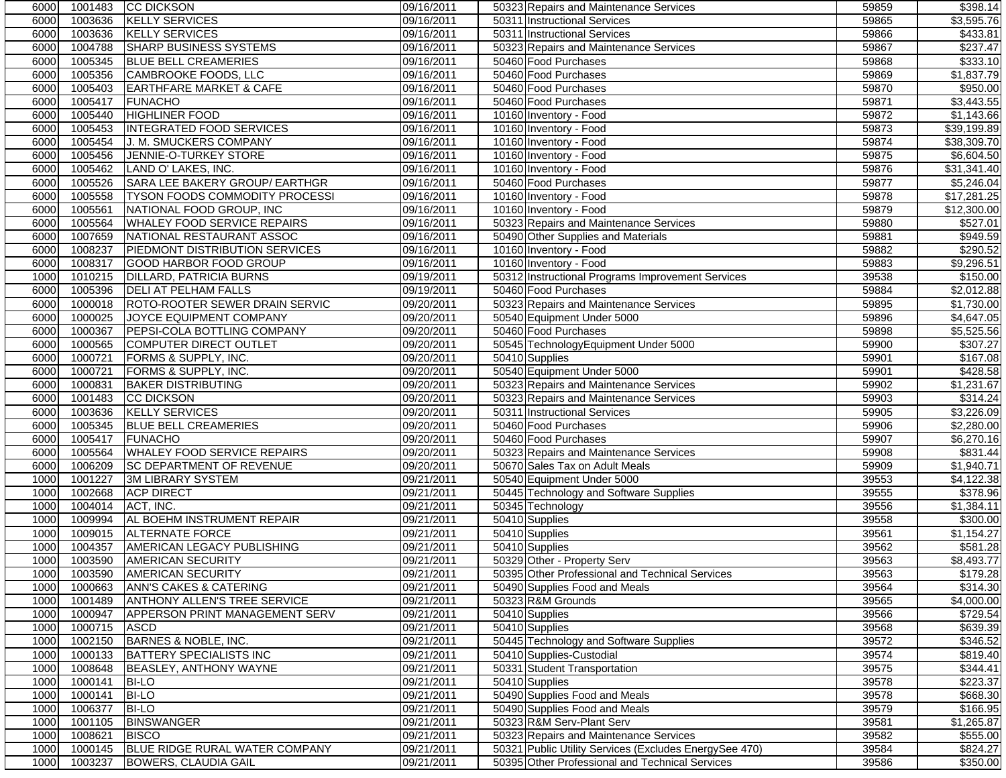| 60001 | 1001483            | <b>CC DICKSON</b>                   | 09/16/2011 | 50323 Repairs and Maintenance Services                 | 59859 | \$398.14               |
|-------|--------------------|-------------------------------------|------------|--------------------------------------------------------|-------|------------------------|
| 6000  | 1003636            | <b>KELLY SERVICES</b>               | 09/16/2011 | 50311 Instructional Services                           | 59865 | \$3,595.76             |
| 6000  | 1003636            | <b>KELLY SERVICES</b>               | 09/16/2011 | 50311 Instructional Services                           | 59866 | \$433.81               |
| 6000  | 1004788            | <b>SHARP BUSINESS SYSTEMS</b>       | 09/16/2011 | 50323 Repairs and Maintenance Services                 | 59867 | \$237.47               |
| 6000  | 1005345            | <b>BLUE BELL CREAMERIES</b>         | 09/16/2011 | 50460 Food Purchases                                   | 59868 | \$333.10               |
| 6000  | 1005356            | CAMBROOKE FOODS, LLC                | 09/16/2011 | 50460 Food Purchases                                   | 59869 | \$1,837.79             |
| 6000  | 1005403            | <b>EARTHFARE MARKET &amp; CAFE</b>  | 09/16/2011 | 50460 Food Purchases                                   | 59870 | \$950.00               |
| 6000  | 1005417            | <b>FUNACHO</b>                      | 09/16/2011 | 50460 Food Purchases                                   | 59871 | \$3,443.55             |
| 6000  | 1005440            | <b>HIGHLINER FOOD</b>               | 09/16/2011 | 10160 Inventory - Food                                 | 59872 | \$1,143.66             |
| 6000  | 1005453            | <b>INTEGRATED FOOD SERVICES</b>     | 09/16/2011 | 10160 Inventory - Food                                 | 59873 | \$39,199.89            |
| 6000  | 1005454            | J. M. SMUCKERS COMPANY              | 09/16/2011 | 10160 Inventory - Food                                 | 59874 | \$38,309.70            |
| 6000  | 1005456            | <b>JENNIE-O-TURKEY STORE</b>        | 09/16/2011 | 10160 Inventory - Food                                 | 59875 | \$6,604.50             |
| 6000  | 1005462            | LAND O' LAKES, INC.                 | 09/16/2011 | 10160 Inventory - Food                                 | 59876 | \$31,341.40            |
| 6000  | 1005526            | SARA LEE BAKERY GROUP/ EARTHGR      | 09/16/2011 | 50460 Food Purchases                                   | 59877 | \$5,246.04             |
| 6000  | 1005558            | TYSON FOODS COMMODITY PROCESSI      | 09/16/2011 | 10160 Inventory - Food                                 | 59878 | \$17,281.25            |
| 6000  | 1005561            | NATIONAL FOOD GROUP, INC            | 09/16/2011 | 10160 Inventory - Food                                 | 59879 | \$12,300.00            |
| 6000  | 1005564            | WHALEY FOOD SERVICE REPAIRS         |            |                                                        | 59880 | \$527.01               |
|       |                    |                                     | 09/16/2011 | 50323 Repairs and Maintenance Services                 |       |                        |
| 6000  | 1007659            | NATIONAL RESTAURANT ASSOC           | 09/16/2011 | 50490 Other Supplies and Materials                     | 59881 | \$949.59               |
| 6000  | 1008237            | PIEDMONT DISTRIBUTION SERVICES      | 09/16/2011 | 10160 Inventory - Food                                 | 59882 | \$290.52               |
| 6000  | 1008317            | GOOD HARBOR FOOD GROUP              | 09/16/2011 | 10160 Inventory - Food                                 | 59883 | \$9,296.51             |
| 1000  | 1010215            | DILLARD, PATRICIA BURNS             | 09/19/2011 | 50312 Instructional Programs Improvement Services      | 39538 | \$150.00               |
| 6000  | 1005396            | <b>DELI AT PELHAM FALLS</b>         | 09/19/2011 | 50460 Food Purchases                                   | 59884 | \$2,012.88             |
| 6000  | 1000018            | ROTO-ROOTER SEWER DRAIN SERVIC      | 09/20/2011 | 50323 Repairs and Maintenance Services                 | 59895 | \$1,730.00             |
| 6000  | 1000025            | JOYCE EQUIPMENT COMPANY             | 09/20/2011 | 50540 Equipment Under 5000                             | 59896 | \$4,647.05             |
| 6000  | 1000367            | PEPSI-COLA BOTTLING COMPANY         | 09/20/2011 | 50460 Food Purchases                                   | 59898 | \$5,525.56             |
| 6000  | 1000565            | <b>COMPUTER DIRECT OUTLET</b>       | 09/20/2011 | 50545 TechnologyEquipment Under 5000                   | 59900 | \$307.27               |
| 6000  | 1000721            | FORMS & SUPPLY, INC.                | 09/20/2011 | 50410 Supplies                                         | 59901 | \$167.08               |
| 6000  | 1000721            | FORMS & SUPPLY, INC.                | 09/20/2011 | 50540 Equipment Under 5000                             | 59901 | \$428.58               |
| 6000  | 1000831            | <b>BAKER DISTRIBUTING</b>           | 09/20/2011 | 50323 Repairs and Maintenance Services                 | 59902 | \$1,231.67             |
| 6000  | 1001483            | <b>CC DICKSON</b>                   | 09/20/2011 | 50323 Repairs and Maintenance Services                 | 59903 | \$314.24               |
| 6000  | 1003636            | <b>KELLY SERVICES</b>               | 09/20/2011 | 50311 Instructional Services                           | 59905 | \$3,226.09             |
| 6000  | 1005345            | <b>BLUE BELL CREAMERIES</b>         | 09/20/2011 | 50460 Food Purchases                                   | 59906 | \$2,280.00             |
| 6000  | 1005417            | <b>FUNACHO</b>                      | 09/20/2011 | 50460 Food Purchases                                   | 59907 | \$6,270.16             |
| 6000  | 1005564            | <b>WHALEY FOOD SERVICE REPAIRS</b>  | 09/20/2011 | 50323 Repairs and Maintenance Services                 | 59908 | \$831.44               |
| 6000  | 1006209            | SC DEPARTMENT OF REVENUE            | 09/20/2011 | 50670 Sales Tax on Adult Meals                         | 59909 | \$1,940.71             |
| 1000  | 1001227            | <b>3M LIBRARY SYSTEM</b>            | 09/21/2011 | 50540 Equipment Under 5000                             | 39553 | \$4,122.38             |
| 1000  | 1002668            | <b>ACP DIRECT</b>                   | 09/21/2011 | 50445 Technology and Software Supplies                 | 39555 | \$378.96               |
| 1000  | 1004014            | ACT, INC.                           | 09/21/2011 | 50345 Technology                                       | 39556 | \$1,384.11             |
| 1000  | 1009994            | AL BOEHM INSTRUMENT REPAIR          | 09/21/2011 | 50410 Supplies                                         | 39558 | \$300.00               |
| 1000  | 1009015            | <b>ALTERNATE FORCE</b>              | 09/21/2011 | 50410 Supplies                                         | 39561 | \$1,154.27             |
| 1000  | 1004357            | AMERICAN LEGACY PUBLISHING          | 09/21/2011 | 50410 Supplies                                         | 39562 | \$581.28               |
| 1000  | 1003590            | <b>AMERICAN SECURITY</b>            | 09/21/2011 | 50329 Other - Property Serv                            | 39563 | $\overline{$8,493.77}$ |
| 1000  |                    | 1003590 AMERICAN SECURITY           | 09/21/2011 | 50395 Other Professional and Technical Services        | 39563 | \$179.28               |
| 1000  | 1000663            | ANN'S CAKES & CATERING              | 09/21/2011 | 50490 Supplies Food and Meals                          | 39564 | \$314.30               |
| 1000  | 1001489            | <b>ANTHONY ALLEN'S TREE SERVICE</b> | 09/21/2011 | 50323 R&M Grounds                                      | 39565 | \$4,000.00             |
| 1000  | 1000947            | APPERSON PRINT MANAGEMENT SERV      | 09/21/2011 | 50410 Supplies                                         | 39566 | \$729.54               |
| 1000  | 1000715            | <b>ASCD</b>                         | 09/21/2011 | 50410 Supplies                                         | 39568 | \$639.39               |
| 1000  | 1002150            | BARNES & NOBLE, INC.                | 09/21/2011 | 50445 Technology and Software Supplies                 | 39572 | \$346.52               |
| 1000  | 1000133            | <b>BATTERY SPECIALISTS INC</b>      | 09/21/2011 | 50410 Supplies-Custodial                               | 39574 | \$819.40               |
| 1000  | 1008648            | BEASLEY, ANTHONY WAYNE              | 09/21/2011 | 50331 Student Transportation                           | 39575 | \$344.41               |
| 1000  | 1000141            | <b>BI-LO</b>                        | 09/21/2011 | 50410 Supplies                                         | 39578 | \$223.37               |
|       |                    |                                     |            |                                                        |       |                        |
| 1000  | 1000141<br>1006377 | <b>BI-LO</b><br><b>BI-LO</b>        | 09/21/2011 | 50490 Supplies Food and Meals                          | 39578 | \$668.30               |
| 1000  |                    | <b>BINSWANGER</b>                   | 09/21/2011 | 50490 Supplies Food and Meals                          | 39579 | \$166.95               |
| 1000  | 1001105            |                                     | 09/21/2011 | 50323 R&M Serv-Plant Serv                              | 39581 | \$1,265.87             |
| 1000  | 1008621            | <b>BISCO</b>                        | 09/21/2011 | 50323 Repairs and Maintenance Services                 | 39582 | \$555.00               |
| 1000  | 1000145            | BLUE RIDGE RURAL WATER COMPANY      | 09/21/2011 | 50321 Public Utility Services (Excludes EnergySee 470) | 39584 | \$824.27               |
| 1000  | 1003237            | <b>BOWERS, CLAUDIA GAIL</b>         | 09/21/2011 | 50395 Other Professional and Technical Services        | 39586 | \$350.00               |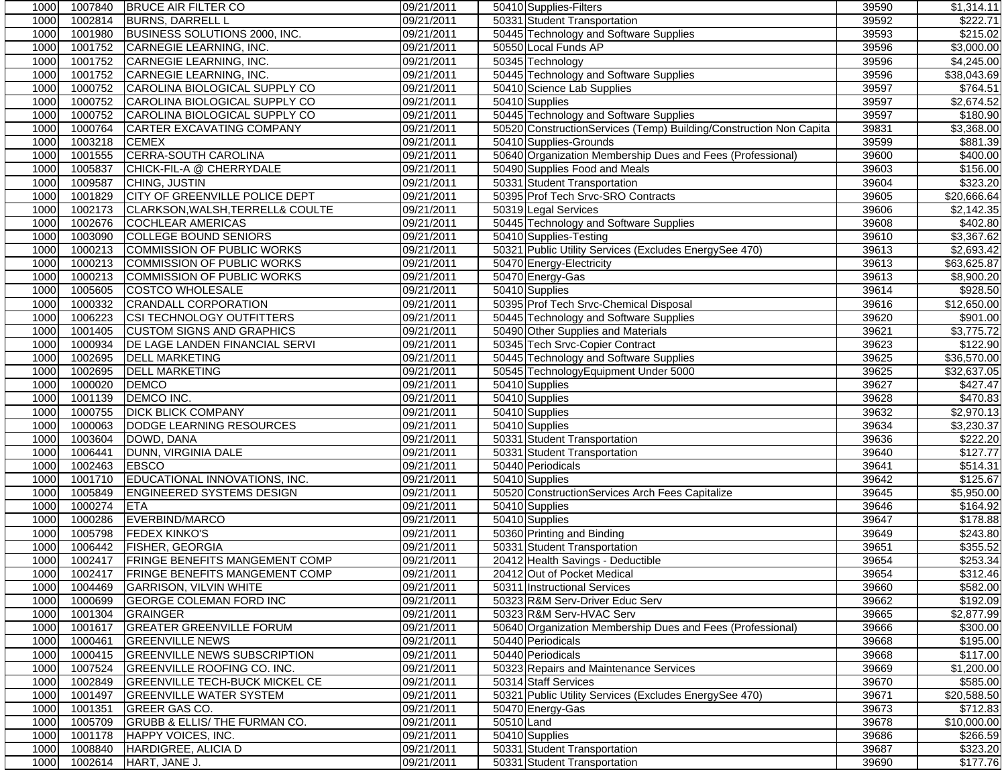| 1000         | 1007840            | <b>BRUCE AIR FILTER CO</b>                        | 09/21/2011               | 50410 Supplies-Filters                                                     | 39590          | \$1,314.11             |
|--------------|--------------------|---------------------------------------------------|--------------------------|----------------------------------------------------------------------------|----------------|------------------------|
| 1000         | 1002814            | <b>BURNS, DARRELL L</b>                           | 09/21/2011               | 50331 Student Transportation                                               | 39592          | \$222.71               |
| 1000         | 1001980            | BUSINESS SOLUTIONS 2000, INC.                     | 09/21/2011               | 50445 Technology and Software Supplies                                     | 39593          | \$215.02               |
| 1000         | 1001752            | <b>CARNEGIE LEARNING, INC.</b>                    | 09/21/2011               | 50550 Local Funds AP                                                       | 39596          | \$3,000.00             |
| 1000         | 1001752            | CARNEGIE LEARNING, INC.                           | 09/21/2011               | 50345 Technology                                                           | 39596          | \$4,245.00             |
| 1000         | 1001752            | CARNEGIE LEARNING, INC.                           | 09/21/2011               | 50445 Technology and Software Supplies                                     | 39596          | \$38,043.69            |
| 1000         | 1000752            | CAROLINA BIOLOGICAL SUPPLY CO                     | 09/21/2011               | 50410 Science Lab Supplies                                                 | 39597          | \$764.51               |
| 1000         | 1000752            | CAROLINA BIOLOGICAL SUPPLY CO                     | 09/21/2011               | 50410 Supplies                                                             | 39597          | \$2,674.52             |
| 1000         | 1000752            | CAROLINA BIOLOGICAL SUPPLY CO                     | 09/21/2011               | 50445 Technology and Software Supplies                                     | 39597          | \$180.90               |
| 1000         | 1000764            | <b>CARTER EXCAVATING COMPANY</b>                  | 09/21/2011               | 50520 ConstructionServices (Temp) Building/Construction Non Capita         | 39831          | \$3,368.00             |
| 1000         | 1003218            | <b>CEMEX</b>                                      | 09/21/2011               | 50410 Supplies-Grounds                                                     | 39599          | \$881.39               |
| 1000         | 1001555            | <b>CERRA-SOUTH CAROLINA</b>                       | 09/21/2011               | 50640 Organization Membership Dues and Fees (Professional)                 | 39600          | \$400.00               |
| 1000         | 1005837            | CHICK-FIL-A @ CHERRYDALE                          | 09/21/2011               | 50490 Supplies Food and Meals                                              | 39603          | \$156.00               |
| 1000         | 1009587            | CHING, JUSTIN                                     | 09/21/2011               | 50331 Student Transportation                                               | 39604          | \$323.20               |
| 1000         | 1001829            | <b>CITY OF GREENVILLE POLICE DEPT</b>             | 09/21/2011               | 50395 Prof Tech Srvc-SRO Contracts                                         | 39605          | \$20,666.64            |
| 1000         | 1002173            | CLARKSON, WALSH, TERRELL& COULTE                  | 09/21/2011               | 50319 Legal Services                                                       | 39606          | \$2,142.35             |
| 1000         | 1002676            | <b>COCHLEAR AMERICAS</b>                          | 09/21/2011               | 50445 Technology and Software Supplies                                     | 39608          | \$402.80               |
| 1000         | 1003090            | COLLEGE BOUND SENIORS                             | 09/21/2011               | 50410 Supplies-Testing                                                     | 39610          | \$3,367.62             |
| 1000         | 1000213            | COMMISSION OF PUBLIC WORKS                        | 09/21/2011               | 50321 Public Utility Services (Excludes EnergySee 470)                     | 39613          | \$2,693.42             |
| 1000         | 1000213            | COMMISSION OF PUBLIC WORKS                        | 09/21/2011               | 50470 Energy-Electricity                                                   | 39613          | \$63,625.87            |
| 1000         | 1000213            | <b>COMMISSION OF PUBLIC WORKS</b>                 | 09/21/2011               | 50470 Energy-Gas                                                           | 39613          | \$8,900.20             |
| 1000         | 1005605            | <b>COSTCO WHOLESALE</b>                           | 09/21/2011               | 50410 Supplies                                                             | 39614          | \$928.50               |
| 1000         | 1000332            | <b>CRANDALL CORPORATION</b>                       | 09/21/2011               | 50395 Prof Tech Srvc-Chemical Disposal                                     | 39616          | \$12,650.00            |
| 1000         | 1006223            | CSI TECHNOLOGY OUTFITTERS                         | 09/21/2011               | 50445 Technology and Software Supplies                                     | 39620          | \$901.00               |
| 1000         | 1001405            | <b>CUSTOM SIGNS AND GRAPHICS</b>                  | 09/21/2011               | 50490 Other Supplies and Materials                                         | 39621          | \$3,775.72             |
| 1000         | 1000934            | DE LAGE LANDEN FINANCIAL SERVI                    | 09/21/2011               | 50345 Tech Srvc-Copier Contract                                            | 39623          | \$122.90               |
| 1000         | 1002695            | <b>DELL MARKETING</b>                             | 09/21/2011               | 50445 Technology and Software Supplies                                     | 39625          | \$36,570.00            |
| 1000         | 1002695            | <b>DELL MARKETING</b>                             | 09/21/2011               | 50545 TechnologyEquipment Under 5000                                       | 39625          | \$32,637.05            |
| 1000         | 1000020            | <b>DEMCO</b>                                      | 09/21/2011               | 50410 Supplies                                                             | 39627          | \$427.47               |
| 1000         | 1001139            | DEMCO INC.                                        | 09/21/2011               | 50410 Supplies                                                             | 39628          | \$470.83               |
| 1000         | 1000755            | <b>DICK BLICK COMPANY</b>                         | 09/21/2011               | 50410 Supplies                                                             | 39632          | \$2,970.13             |
| 1000         | 1000063            | DODGE LEARNING RESOURCES                          | 09/21/2011               | 50410 Supplies                                                             | 39634          | \$3,230.37             |
| 1000         | 1003604            | DOWD, DANA                                        | 09/21/2011               | 50331 Student Transportation                                               | 39636          | \$222.20               |
| 1000         | 1006441            | DUNN, VIRGINIA DALE                               | 09/21/2011               | 50331 Student Transportation                                               | 39640          | \$127.77               |
| 1000         | 1002463            | <b>EBSCO</b>                                      | 09/21/2011               | 50440 Periodicals                                                          | 39641          | \$514.31               |
| 1000         | 1001710            | EDUCATIONAL INNOVATIONS, INC.                     | 09/21/2011               | 50410 Supplies                                                             | 39642          | \$125.67               |
| 1000         | 1005849            | <b>ENGINEERED SYSTEMS DESIGN</b>                  | 09/21/2011               |                                                                            | 39645          | \$5,950.00             |
| 1000         | 1000274            | <b>ETA</b>                                        | 09/21/2011               | 50520 ConstructionServices Arch Fees Capitalize<br>50410 Supplies          | 39646          | \$164.92               |
| 1000         | 1000286            | EVERBIND/MARCO                                    | 09/21/2011               | 50410 Supplies                                                             | 39647          | \$178.88               |
| 1000         | 1005798            | <b>FEDEX KINKO'S</b>                              | 09/21/2011               | 50360 Printing and Binding                                                 | 39649          | \$243.80               |
| 1000         | 1006442            | <b>FISHER, GEORGIA</b>                            | 09/21/2011               | 50331 Student Transportation                                               | 39651          | \$355.52               |
| 1000         | 1002417            | <b>FRINGE BENEFITS MANGEMENT COMP</b>             | 09/21/2011               | 20412 Health Savings - Deductible                                          | 39654          | \$253.34               |
| 1000         |                    | 1002417 FRINGE BENEFITS MANGEMENT COMP            | 09/21/2011               | 20412 Out of Pocket Medical                                                | 39654          | \$312.46               |
| 1000         | 1004469            |                                                   |                          | 50311 Instructional Services                                               |                |                        |
| 1000         | 1000699            | <b>GARRISON, VILVIN WHITE</b>                     | 09/21/2011<br>09/21/2011 |                                                                            | 39660<br>39662 | \$582.00<br>\$192.09   |
| 1000         | 1001304            | <b>GEORGE COLEMAN FORD INC</b><br><b>GRAINGER</b> |                          | 50323 R&M Serv-Driver Educ Serv<br>50323 R&M Serv-HVAC Serv                | 39665          |                        |
|              |                    | <b>GREATER GREENVILLE FORUM</b>                   | 09/21/2011               | 50640 Organization Membership Dues and Fees (Professional)                 |                | \$2,877.99             |
| 1000<br>1000 | 1001617<br>1000461 | <b>GREENVILLE NEWS</b>                            | 09/21/2011<br>09/21/2011 | 50440 Periodicals                                                          | 39666<br>39668 | \$300.00               |
|              |                    |                                                   |                          |                                                                            |                | \$195.00               |
| 1000         | 1000415            | <b>GREENVILLE NEWS SUBSCRIPTION</b>               | 09/21/2011               | 50440 Periodicals                                                          | 39668          | \$117.00<br>\$1,200.00 |
| 1000         | 1007524            | <b>GREENVILLE ROOFING CO. INC.</b>                | 09/21/2011               | 50323 Repairs and Maintenance Services                                     | 39669          |                        |
| 1000         | 1002849            | <b>GREENVILLE TECH-BUCK MICKEL CE</b>             | 09/21/2011               | 50314 Staff Services                                                       | 39670          | \$585.00               |
| 1000         | 1001497            | <b>GREENVILLE WATER SYSTEM</b>                    | 09/21/2011               | 50321 Public Utility Services (Excludes EnergySee 470)<br>50470 Energy-Gas | 39671          | \$20,588.50            |
| 1000         | 1001351            | GREER GAS CO.                                     | 09/21/2011               |                                                                            | 39673          | \$712.83               |
| 1000         | 1005709            | GRUBB & ELLIS/ THE FURMAN CO.                     | 09/21/2011               | 50510 Land                                                                 | 39678          | \$10,000.00            |
| 1000         | 1001178            | HAPPY VOICES, INC.                                | 09/21/2011               | 50410 Supplies                                                             | 39686          | \$266.59               |
| 1000         | 1008840            | HARDIGREE, ALICIA D                               | 09/21/2011               | 50331 Student Transportation                                               | 39687          | \$323.20               |
| 1000         | 1002614            | HART, JANE J.                                     | 09/21/2011               | 50331 Student Transportation                                               | 39690          | \$177.76               |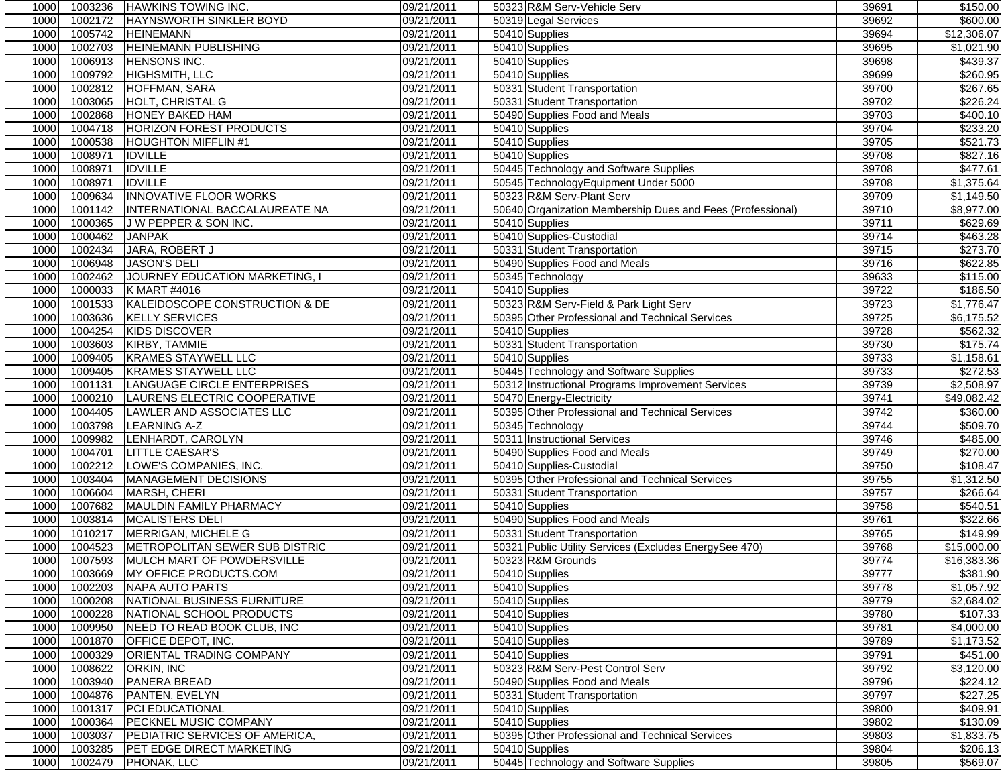| 1000 | 1003236 | <b>HAWKINS TOWING INC.</b>      | 09/21/2011 | 50323 R&M Serv-Vehicle Serv                                | 39691 | \$150.00                |
|------|---------|---------------------------------|------------|------------------------------------------------------------|-------|-------------------------|
| 1000 | 1002172 | <b>HAYNSWORTH SINKLER BOYD</b>  | 09/21/2011 | 50319 Legal Services                                       | 39692 | \$600.00                |
| 1000 | 1005742 | <b>HEINEMANN</b>                | 09/21/2011 | 50410 Supplies                                             | 39694 | \$12,306.07             |
| 1000 | 1002703 | <b>HEINEMANN PUBLISHING</b>     | 09/21/2011 | 50410 Supplies                                             | 39695 | \$1,021.90              |
| 1000 | 1006913 | <b>HENSONS INC.</b>             | 09/21/2011 | 50410 Supplies                                             | 39698 | \$439.37                |
| 1000 | 1009792 | HIGHSMITH, LLC                  | 09/21/2011 | 50410 Supplies                                             | 39699 | \$260.95                |
| 1000 | 1002812 | HOFFMAN, SARA                   | 09/21/2011 | 50331 Student Transportation                               | 39700 | \$267.65                |
| 1000 | 1003065 | HOLT, CHRISTAL G                | 09/21/2011 | 50331 Student Transportation                               | 39702 | \$226.24                |
| 1000 | 1002868 | <b>HONEY BAKED HAM</b>          | 09/21/2011 | 50490 Supplies Food and Meals                              | 39703 | \$400.10                |
| 1000 | 1004718 | <b>HORIZON FOREST PRODUCTS</b>  | 09/21/2011 | 50410 Supplies                                             | 39704 | \$233.20                |
| 1000 | 1000538 | <b>HOUGHTON MIFFLIN #1</b>      | 09/21/2011 | 50410 Supplies                                             | 39705 | \$521.73                |
| 1000 | 1008971 | <b>IDVILLE</b>                  | 09/21/2011 | 50410 Supplies                                             | 39708 | \$827.16                |
| 1000 | 1008971 | <b>IDVILLE</b>                  | 09/21/2011 | 50445 Technology and Software Supplies                     | 39708 | \$477.61                |
| 1000 | 1008971 | <b>IDVILLE</b>                  | 09/21/2011 | 50545 TechnologyEquipment Under 5000                       | 39708 | \$1,375.64              |
| 1000 | 1009634 | <b>INNOVATIVE FLOOR WORKS</b>   | 09/21/2011 | 50323 R&M Serv-Plant Serv                                  | 39709 | $\overline{\$1,149.50}$ |
| 1000 | 1001142 | INTERNATIONAL BACCALAUREATE NA  | 09/21/2011 | 50640 Organization Membership Dues and Fees (Professional) | 39710 | \$8,977.00              |
| 1000 | 1000365 | J W PEPPER & SON INC.           | 09/21/2011 | 50410 Supplies                                             | 39711 | \$629.69                |
| 1000 | 1000462 | <b>JANPAK</b>                   | 09/21/2011 | 50410 Supplies-Custodial                                   | 39714 | \$463.28                |
| 1000 | 1002434 | JARA, ROBERT J                  | 09/21/2011 | 50331 Student Transportation                               | 39715 | \$273.70                |
| 1000 | 1006948 | <b>JASON'S DELI</b>             | 09/21/2011 | 50490 Supplies Food and Meals                              | 39716 | \$622.85                |
| 1000 | 1002462 | JOURNEY EDUCATION MARKETING, I  | 09/21/2011 | 50345 Technology                                           | 39633 | \$115.00                |
| 1000 | 1000033 | K MART #4016                    | 09/21/2011 | 50410 Supplies                                             | 39722 | \$186.50                |
| 1000 | 1001533 | KALEIDOSCOPE CONSTRUCTION & DE  | 09/21/2011 | 50323 R&M Serv-Field & Park Light Serv                     | 39723 | \$1,776.47              |
| 1000 | 1003636 | <b>KELLY SERVICES</b>           | 09/21/2011 | 50395 Other Professional and Technical Services            | 39725 | $\overline{$6,175.52}$  |
| 1000 | 1004254 | <b>KIDS DISCOVER</b>            | 09/21/2011 | 50410 Supplies                                             | 39728 | \$562.32                |
| 1000 | 1003603 | KIRBY, TAMMIE                   | 09/21/2011 | 50331 Student Transportation                               | 39730 | \$175.74                |
| 1000 | 1009405 | <b>KRAMES STAYWELL LLC</b>      | 09/21/2011 | 50410 Supplies                                             | 39733 | \$1,158.61              |
| 1000 | 1009405 | <b>KRAMES STAYWELL LLC</b>      | 09/21/2011 | 50445 Technology and Software Supplies                     | 39733 | \$272.53                |
| 1000 | 1001131 | LANGUAGE CIRCLE ENTERPRISES     | 09/21/2011 | 50312 Instructional Programs Improvement Services          | 39739 | \$2,508.97              |
| 1000 | 1000210 | LAURENS ELECTRIC COOPERATIVE    | 09/21/2011 | 50470 Energy-Electricity                                   | 39741 | \$49,082.42             |
| 1000 | 1004405 | LAWLER AND ASSOCIATES LLC       | 09/21/2011 | 50395 Other Professional and Technical Services            | 39742 | \$360.00                |
| 1000 | 1003798 | <b>LEARNING A-Z</b>             | 09/21/2011 | 50345 Technology                                           | 39744 | \$509.70                |
| 1000 | 1009982 | LENHARDT, CAROLYN               | 09/21/2011 | 50311 Instructional Services                               | 39746 | \$485.00                |
| 1000 | 1004701 | <b>LITTLE CAESAR'S</b>          | 09/21/2011 | 50490 Supplies Food and Meals                              | 39749 | $\overline{$270.00}$    |
| 1000 | 1002212 | LOWE'S COMPANIES, INC.          | 09/21/2011 | 50410 Supplies-Custodial                                   | 39750 | \$108.47                |
| 1000 | 1003404 | MANAGEMENT DECISIONS            | 09/21/2011 | 50395 Other Professional and Technical Services            | 39755 | \$1,312.50              |
| 1000 | 1006604 | MARSH, CHERI                    | 09/21/2011 | 50331 Student Transportation                               | 39757 | \$266.64                |
| 1000 | 1007682 | MAULDIN FAMILY PHARMACY         | 09/21/2011 | 50410 Supplies                                             | 39758 | \$540.51                |
| 1000 | 1003814 | MCALISTERS DELI                 | 09/21/2011 | 50490 Supplies Food and Meals                              | 39761 | \$322.66                |
| 1000 | 1010217 | MERRIGAN, MICHELE G             | 09/21/2011 | 50331 Student Transportation                               | 39765 | 3149.99                 |
| 1000 | 1004523 | METROPOLITAN SEWER SUB DISTRIC  | 09/21/2011 | 50321 Public Utility Services (Excludes EnergySee 470)     | 39768 | \$15,000.00             |
| 1000 | 1007593 | MULCH MART OF POWDERSVILLE      | 09/21/2011 | 50323 R&M Grounds                                          | 39774 | \$16,383.36             |
| 1000 |         | 1003669 MY OFFICE PRODUCTS.COM  | 09/21/2011 | 50410 Supplies                                             | 39777 | \$381.90                |
| 1000 | 1002203 | NAPA AUTO PARTS                 | 09/21/2011 | 50410 Supplies                                             | 39778 | \$1,057.92              |
| 1000 | 1000208 | NATIONAL BUSINESS FURNITURE     | 09/21/2011 | 50410 Supplies                                             | 39779 | \$2,684.02              |
| 1000 | 1000228 | NATIONAL SCHOOL PRODUCTS        | 09/21/2011 | 50410 Supplies                                             | 39780 | \$107.33                |
| 1000 | 1009950 | NEED TO READ BOOK CLUB, INC     | 09/21/2011 | 50410 Supplies                                             | 39781 | \$4,000.00              |
| 1000 | 1001870 | <b>OFFICE DEPOT, INC.</b>       | 09/21/2011 | 50410 Supplies                                             | 39789 | \$1,173.52              |
| 1000 | 1000329 | <b>ORIENTAL TRADING COMPANY</b> | 09/21/2011 | 50410 Supplies                                             | 39791 | \$451.00                |
| 1000 | 1008622 | ORKIN, INC                      | 09/21/2011 | 50323 R&M Serv-Pest Control Serv                           | 39792 | \$3,120.00              |
| 1000 | 1003940 | PANERA BREAD                    | 09/21/2011 | 50490 Supplies Food and Meals                              | 39796 | \$224.12                |
| 1000 | 1004876 | PANTEN, EVELYN                  | 09/21/2011 | 50331 Student Transportation                               | 39797 | \$227.25                |
| 1000 | 1001317 | <b>PCI EDUCATIONAL</b>          | 09/21/2011 | 50410 Supplies                                             | 39800 | \$409.91                |
| 1000 | 1000364 | PECKNEL MUSIC COMPANY           | 09/21/2011 | 50410 Supplies                                             | 39802 | \$130.09                |
| 1000 | 1003037 | PEDIATRIC SERVICES OF AMERICA,  | 09/21/2011 | 50395 Other Professional and Technical Services            | 39803 | \$1,833.75              |
| 1000 | 1003285 | PET EDGE DIRECT MARKETING       | 09/21/2011 | 50410 Supplies                                             | 39804 | \$206.13                |
| 1000 | 1002479 | PHONAK, LLC                     | 09/21/2011 | 50445 Technology and Software Supplies                     | 39805 | \$569.07                |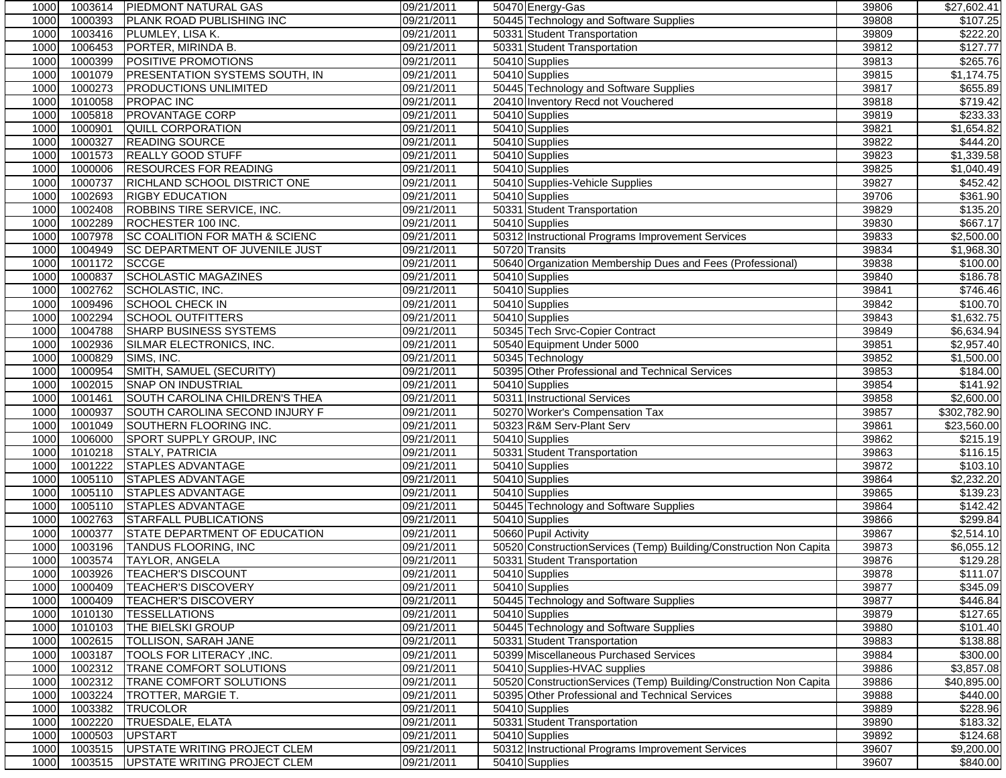| 1000 | 1003614 | <b>PIEDMONT NATURAL GAS</b>    | 09/21/2011 | 50470 Energy-Gas                                                   | 39806 | \$27,602.41          |
|------|---------|--------------------------------|------------|--------------------------------------------------------------------|-------|----------------------|
| 1000 | 1000393 | PLANK ROAD PUBLISHING INC      | 09/21/2011 | 50445 Technology and Software Supplies                             | 39808 | \$107.25             |
| 1000 | 1003416 | PLUMLEY, LISA K.               | 09/21/2011 | 50331 Student Transportation                                       | 39809 | \$222.20             |
| 1000 | 1006453 | PORTER, MIRINDA B.             | 09/21/2011 | 50331 Student Transportation                                       | 39812 | \$127.77             |
| 1000 | 1000399 | POSITIVE PROMOTIONS            | 09/21/2011 | 50410 Supplies                                                     | 39813 | \$265.76             |
| 1000 | 1001079 | PRESENTATION SYSTEMS SOUTH, IN | 09/21/2011 | 50410 Supplies                                                     | 39815 | \$1,174.75           |
| 1000 | 1000273 | <b>PRODUCTIONS UNLIMITED</b>   | 09/21/2011 | 50445 Technology and Software Supplies                             | 39817 | \$655.89             |
| 1000 | 1010058 | <b>PROPAC INC</b>              | 09/21/2011 | 20410 Inventory Recd not Vouchered                                 | 39818 | \$719.42             |
| 1000 | 1005818 | PROVANTAGE CORP                | 09/21/2011 | 50410 Supplies                                                     | 39819 | \$233.33             |
| 1000 | 1000901 | QUILL CORPORATION              | 09/21/2011 | 50410 Supplies                                                     | 39821 | \$1,654.82           |
| 1000 | 1000327 | READING SOURCE                 | 09/21/2011 | 50410 Supplies                                                     | 39822 | \$444.20             |
| 1000 | 1001573 | REALLY GOOD STUFF              | 09/21/2011 | 50410 Supplies                                                     | 39823 | \$1,339.58           |
| 1000 | 1000006 | <b>RESOURCES FOR READING</b>   | 09/21/2011 | 50410 Supplies                                                     | 39825 | \$1,040.49           |
| 1000 | 1000737 | RICHLAND SCHOOL DISTRICT ONE   | 09/21/2011 | 50410 Supplies-Vehicle Supplies                                    | 39827 | \$452.42             |
| 1000 | 1002693 | <b>RIGBY EDUCATION</b>         | 09/21/2011 | 50410 Supplies                                                     | 39706 | \$361.90             |
| 1000 | 1002408 | ROBBINS TIRE SERVICE, INC.     | 09/21/2011 | 50331 Student Transportation                                       | 39829 | \$135.20             |
| 1000 | 1002289 | ROCHESTER 100 INC.             | 09/21/2011 | 50410 Supplies                                                     | 39830 | \$667.17             |
| 1000 | 1007978 | SC COALITION FOR MATH & SCIENC | 09/21/2011 | 50312 Instructional Programs Improvement Services                  | 39833 | \$2,500.00           |
| 1000 | 1004949 | SC DEPARTMENT OF JUVENILE JUST | 09/21/2011 | 50720 Transits                                                     | 39834 | \$1,968.30           |
| 1000 | 1001172 | <b>SCCGE</b>                   | 09/21/2011 | 50640 Organization Membership Dues and Fees (Professional)         | 39838 | \$100.00             |
| 1000 | 1000837 | <b>SCHOLASTIC MAGAZINES</b>    | 09/21/2011 | 50410 Supplies                                                     | 39840 | \$186.78             |
| 1000 | 1002762 | SCHOLASTIC, INC.               | 09/21/2011 | 50410 Supplies                                                     | 39841 | \$746.46             |
| 1000 | 1009496 | <b>SCHOOL CHECK IN</b>         | 09/21/2011 | 50410 Supplies                                                     | 39842 | \$100.70             |
| 1000 | 1002294 | <b>SCHOOL OUTFITTERS</b>       | 09/21/2011 | 50410 Supplies                                                     | 39843 | \$1,632.75           |
| 1000 | 1004788 | <b>SHARP BUSINESS SYSTEMS</b>  | 09/21/2011 | 50345 Tech Srvc-Copier Contract                                    | 39849 | \$6,634.94           |
| 1000 | 1002936 | SILMAR ELECTRONICS, INC.       | 09/21/2011 | 50540 Equipment Under 5000                                         | 39851 | \$2,957.40           |
| 1000 | 1000829 | SIMS, INC.                     | 09/21/2011 | 50345 Technology                                                   | 39852 | \$1,500.00           |
| 1000 | 1000954 | SMITH, SAMUEL (SECURITY)       | 09/21/2011 | 50395 Other Professional and Technical Services                    | 39853 | $\overline{$}184.00$ |
| 1000 | 1002015 | <b>SNAP ON INDUSTRIAL</b>      | 09/21/2011 | 50410 Supplies                                                     | 39854 | \$141.92             |
| 1000 | 1001461 | SOUTH CAROLINA CHILDREN'S THEA | 09/21/2011 | 50311 Instructional Services                                       | 39858 | \$2,600.00           |
| 1000 | 1000937 | SOUTH CAROLINA SECOND INJURY F | 09/21/2011 | 50270 Worker's Compensation Tax                                    | 39857 | \$302,782.90         |
| 1000 | 1001049 | SOUTHERN FLOORING INC.         | 09/21/2011 | 50323 R&M Serv-Plant Serv                                          | 39861 | \$23,560.00          |
| 1000 | 1006000 | SPORT SUPPLY GROUP, INC        | 09/21/2011 | 50410 Supplies                                                     | 39862 | 3215.19              |
| 1000 | 1010218 | <b>STALY, PATRICIA</b>         | 09/21/2011 | 50331 Student Transportation                                       | 39863 | \$116.15             |
| 1000 | 1001222 | <b>STAPLES ADVANTAGE</b>       | 09/21/2011 | 50410 Supplies                                                     | 39872 | \$103.10             |
| 1000 | 1005110 | <b>STAPLES ADVANTAGE</b>       | 09/21/2011 | 50410 Supplies                                                     | 39864 | \$2,232.20           |
| 1000 | 1005110 | STAPLES ADVANTAGE              | 09/21/2011 | 50410 Supplies                                                     | 39865 | \$139.23             |
| 1000 | 1005110 | STAPLES ADVANTAGE              | 09/21/2011 | 50445 Technology and Software Supplies                             | 39864 | \$142.42             |
| 1000 | 1002763 | <b>STARFALL PUBLICATIONS</b>   | 09/21/2011 | 50410 Supplies                                                     | 39866 | \$299.84             |
| 1000 | 1000377 | STATE DEPARTMENT OF EDUCATION  | 09/21/2011 | 50660 Pupil Activity                                               | 39867 | \$2,514.10           |
| 1000 | 1003196 | TANDUS FLOORING, INC           | 09/21/2011 | 50520 ConstructionServices (Temp) Building/Construction Non Capita | 39873 | \$6,055.12           |
| 1000 | 1003574 | <b>TAYLOR, ANGELA</b>          | 09/21/2011 | 50331 Student Transportation                                       | 39876 | \$129.28             |
| 1000 |         | 1003926   TEACHER'S DISCOUNT   | 09/21/2011 | 50410 Supplies                                                     | 39878 | \$111.07             |
| 1000 | 1000409 | <b>TEACHER'S DISCOVERY</b>     | 09/21/2011 | 50410 Supplies                                                     | 39877 | \$345.09             |
| 1000 | 1000409 | <b>TEACHER'S DISCOVERY</b>     | 09/21/2011 | 50445 Technology and Software Supplies                             | 39877 | \$446.84             |
| 1000 | 1010130 | <b>TESSELLATIONS</b>           | 09/21/2011 | 50410 Supplies                                                     | 39879 | \$127.65             |
| 1000 | 1010103 | THE BIELSKI GROUP              | 09/21/2011 | 50445 Technology and Software Supplies                             | 39880 | \$101.40             |
| 1000 | 1002615 | TOLLISON, SARAH JANE           | 09/21/2011 | 50331 Student Transportation                                       | 39883 | \$138.88             |
| 1000 | 1003187 | TOOLS FOR LITERACY , INC.      | 09/21/2011 | 50399 Miscellaneous Purchased Services                             | 39884 | \$300.00             |
| 1000 | 1002312 | TRANE COMFORT SOLUTIONS        | 09/21/2011 | 50410 Supplies-HVAC supplies                                       | 39886 | \$3,857.08           |
| 1000 | 1002312 | TRANE COMFORT SOLUTIONS        | 09/21/2011 | 50520 ConstructionServices (Temp) Building/Construction Non Capita | 39886 | \$40,895.00          |
| 1000 | 1003224 | TROTTER, MARGIE T.             | 09/21/2011 | 50395 Other Professional and Technical Services                    | 39888 | $\sqrt{$440.00}$     |
| 1000 | 1003382 | <b>TRUCOLOR</b>                | 09/21/2011 | 50410 Supplies                                                     | 39889 | \$228.96             |
| 1000 | 1002220 | <b>TRUESDALE, ELATA</b>        | 09/21/2011 | 50331 Student Transportation                                       | 39890 | \$183.32             |
| 1000 | 1000503 | <b>UPSTART</b>                 | 09/21/2011 | 50410 Supplies                                                     | 39892 | \$124.68             |
| 1000 | 1003515 | UPSTATE WRITING PROJECT CLEM   | 09/21/2011 | 50312 Instructional Programs Improvement Services                  | 39607 | \$9,200.00           |
| 1000 | 1003515 | UPSTATE WRITING PROJECT CLEM   | 09/21/2011 | 50410 Supplies                                                     | 39607 | \$840.00             |
|      |         |                                |            |                                                                    |       |                      |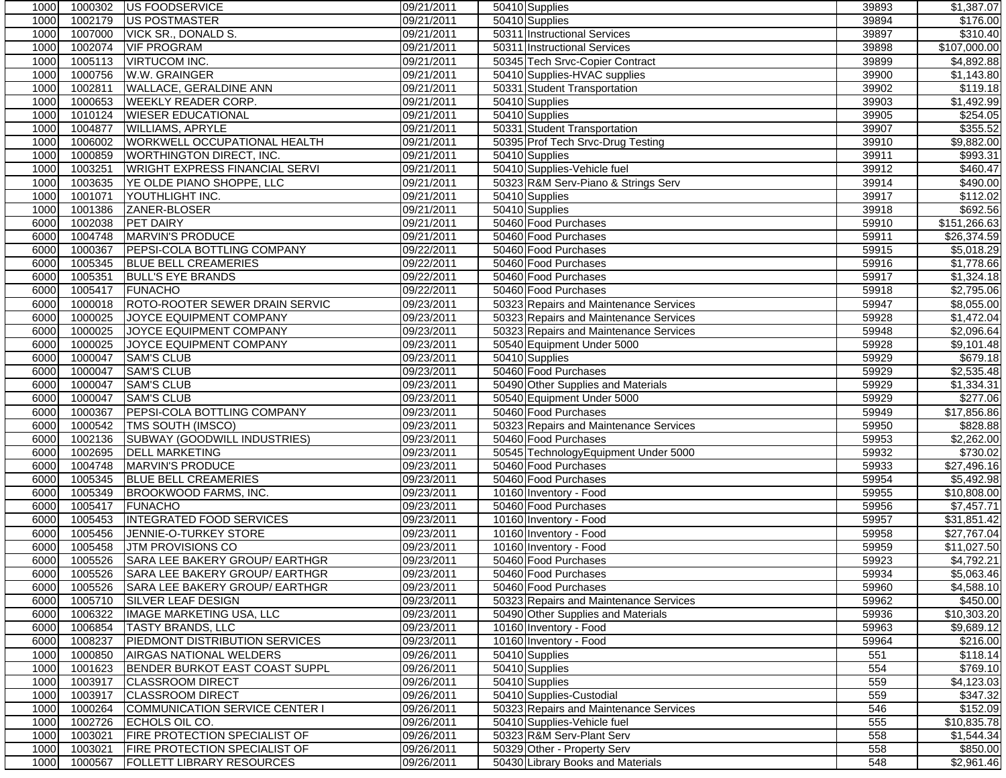| 1000 | 1000302 | <b>IUS FOODSERVICE</b>                 | 09/21/2011 | 50410 Supplies                         | 39893 | \$1,387.07             |
|------|---------|----------------------------------------|------------|----------------------------------------|-------|------------------------|
| 1000 | 1002179 | <b>US POSTMASTER</b>                   | 09/21/2011 | 50410 Supplies                         | 39894 | \$176.00               |
| 1000 | 1007000 | VICK SR., DONALD S.                    | 09/21/2011 | 50311 Instructional Services           | 39897 | \$310.40               |
| 1000 | 1002074 | <b>VIF PROGRAM</b>                     | 09/21/2011 | 50311 Instructional Services           | 39898 | \$107,000.00           |
| 1000 | 1005113 | <b>VIRTUCOM INC.</b>                   | 09/21/2011 | 50345 Tech Srvc-Copier Contract        | 39899 | \$4,892.88             |
| 1000 | 1000756 | W.W. GRAINGER                          | 09/21/2011 | 50410 Supplies-HVAC supplies           | 39900 | \$1,143.80             |
| 1000 | 1002811 | <b>WALLACE, GERALDINE ANN</b>          | 09/21/2011 | 50331 Student Transportation           | 39902 | \$119.18               |
| 1000 | 1000653 | <b>WEEKLY READER CORP.</b>             | 09/21/2011 | 50410 Supplies                         | 39903 | \$1,492.99             |
| 1000 | 1010124 | <b>WIESER EDUCATIONAL</b>              | 09/21/2011 | 50410 Supplies                         | 39905 | \$254.05               |
| 1000 | 1004877 | <b>WILLIAMS, APRYLE</b>                | 09/21/2011 | 50331 Student Transportation           | 39907 | \$355.52               |
| 1000 | 1006002 | WORKWELL OCCUPATIONAL HEALTH           | 09/21/2011 | 50395 Prof Tech Srvc-Drug Testing      | 39910 | \$9,882.00             |
| 1000 | 1000859 | <b>WORTHINGTON DIRECT, INC.</b>        | 09/21/2011 | 50410 Supplies                         | 39911 | \$993.31               |
| 1000 | 1003251 | WRIGHT EXPRESS FINANCIAL SERVI         | 09/21/2011 | 50410 Supplies-Vehicle fuel            | 39912 | \$460.47               |
| 1000 | 1003635 | YE OLDE PIANO SHOPPE, LLC              | 09/21/2011 | 50323 R&M Serv-Piano & Strings Serv    | 39914 | \$490.00               |
| 1000 | 1001071 | YOUTHLIGHT INC.                        | 09/21/2011 | 50410 Supplies                         | 39917 | $\overline{$}112.02$   |
| 1000 | 1001386 | ZANER-BLOSER                           | 09/21/2011 | 50410 Supplies                         | 39918 | \$692.56               |
| 6000 | 1002038 | <b>PET DAIRY</b>                       | 09/21/2011 | 50460 Food Purchases                   | 59910 | \$151,266.63           |
|      | 1004748 | MARVIN'S PRODUCE                       |            |                                        |       |                        |
| 6000 |         |                                        | 09/21/2011 | 50460 Food Purchases                   | 59911 | \$26,374.59            |
| 6000 | 1000367 | PEPSI-COLA BOTTLING COMPANY            | 09/22/2011 | 50460 Food Purchases                   | 59915 | \$5,018.29             |
| 6000 | 1005345 | <b>BLUE BELL CREAMERIES</b>            | 09/22/2011 | 50460 Food Purchases                   | 59916 | \$1,778.66             |
| 6000 | 1005351 | <b>BULL'S EYE BRANDS</b>               | 09/22/2011 | 50460 Food Purchases                   | 59917 | \$1,324.18             |
| 6000 | 1005417 | <b>FUNACHO</b>                         | 09/22/2011 | 50460 Food Purchases                   | 59918 | \$2,795.06             |
| 6000 | 1000018 | <b>ROTO-ROOTER SEWER DRAIN SERVIC</b>  | 09/23/2011 | 50323 Repairs and Maintenance Services | 59947 | \$8,055.00             |
| 6000 | 1000025 | JOYCE EQUIPMENT COMPANY                | 09/23/2011 | 50323 Repairs and Maintenance Services | 59928 | \$1,472.04             |
| 6000 | 1000025 | JOYCE EQUIPMENT COMPANY                | 09/23/2011 | 50323 Repairs and Maintenance Services | 59948 | \$2,096.64             |
| 6000 | 1000025 | JOYCE EQUIPMENT COMPANY                | 09/23/2011 | 50540 Equipment Under 5000             | 59928 | \$9,101.48             |
| 6000 | 1000047 | <b>SAM'S CLUB</b>                      | 09/23/2011 | 50410 Supplies                         | 59929 | \$679.18               |
| 6000 | 1000047 | <b>SAM'S CLUB</b>                      | 09/23/2011 | 50460 Food Purchases                   | 59929 | \$2,535.48             |
| 6000 | 1000047 | <b>SAM'S CLUB</b>                      | 09/23/2011 | 50490 Other Supplies and Materials     | 59929 | \$1,334.31             |
| 6000 | 1000047 | <b>SAM'S CLUB</b>                      | 09/23/2011 | 50540 Equipment Under 5000             | 59929 | \$277.06               |
| 6000 | 1000367 | PEPSI-COLA BOTTLING COMPANY            | 09/23/2011 | 50460 Food Purchases                   | 59949 | \$17,856.86            |
| 6000 | 1000542 | TMS SOUTH (IMSCO)                      | 09/23/2011 | 50323 Repairs and Maintenance Services | 59950 | \$828.88               |
| 6000 | 1002136 | SUBWAY (GOODWILL INDUSTRIES)           | 09/23/2011 | 50460 Food Purchases                   | 59953 | $\overline{$2,262.00}$ |
| 6000 | 1002695 | <b>DELL MARKETING</b>                  | 09/23/2011 | 50545 TechnologyEquipment Under 5000   | 59932 | \$730.02               |
| 6000 | 1004748 | <b>MARVIN'S PRODUCE</b>                | 09/23/2011 | 50460 Food Purchases                   | 59933 | \$27,496.16            |
| 6000 | 1005345 | <b>BLUE BELL CREAMERIES</b>            | 09/23/2011 | 50460 Food Purchases                   | 59954 | \$5,492.98             |
| 6000 | 1005349 | BROOKWOOD FARMS, INC.                  | 09/23/2011 | 10160 Inventory - Food                 | 59955 | \$10,808.00            |
| 6000 | 1005417 | <b>FUNACHO</b>                         | 09/23/2011 | 50460 Food Purchases                   | 59956 | \$7,457.71             |
| 6000 | 1005453 | <b>INTEGRATED FOOD SERVICES</b>        | 09/23/2011 | 10160 Inventory - Food                 | 59957 | \$31,851.42            |
| 6000 | 1005456 | JENNIE-O-TURKEY STORE                  | 09/23/2011 | 10160 Inventory - Food                 | 59958 | \$27,767.04            |
| 6000 | 1005458 | <b>JTM PROVISIONS CO</b>               | 09/23/2011 | 10160 Inventory - Food                 | 59959 | \$11,027.50            |
| 6000 | 1005526 | SARA LEE BAKERY GROUP/ EARTHGR         | 09/23/2011 | 50460 Food Purchases                   | 59923 | \$4,792.21             |
| 6000 |         | 1005526 SARA LEE BAKERY GROUP/ EARTHGR | 09/23/2011 | 50460 Food Purchases                   | 59934 | \$5,063.46             |
| 6000 | 1005526 | SARA LEE BAKERY GROUP/ EARTHGR         | 09/23/2011 | 50460 Food Purchases                   | 59960 | \$4,588.10             |
| 6000 | 1005710 | SILVER LEAF DESIGN                     | 09/23/2011 | 50323 Repairs and Maintenance Services | 59962 | \$450.00               |
| 6000 | 1006322 | IMAGE MARKETING USA, LLC               | 09/23/2011 | 50490 Other Supplies and Materials     | 59936 | \$10,303.20            |
| 6000 | 1006854 | <b>TASTY BRANDS, LLC</b>               | 09/23/2011 | 10160 Inventory - Food                 | 59963 | \$9,689.12             |
| 6000 | 1008237 | PIEDMONT DISTRIBUTION SERVICES         |            |                                        | 59964 | \$216.00               |
|      |         | AIRGAS NATIONAL WELDERS                | 09/23/2011 | 10160 Inventory - Food                 |       |                        |
| 1000 | 1000850 | <b>BENDER BURKOT EAST COAST SUPPL</b>  | 09/26/2011 | 50410 Supplies                         | 551   | \$118.14               |
| 1000 | 1001623 |                                        | 09/26/2011 | $\overline{504}$ 10 Supplies           | 554   | \$769.10               |
| 1000 | 1003917 | <b>CLASSROOM DIRECT</b>                | 09/26/2011 | 50410 Supplies                         | 559   | \$4,123.03             |
| 1000 | 1003917 | <b>CLASSROOM DIRECT</b>                | 09/26/2011 | 50410 Supplies-Custodial               | 559   | \$347.32               |
| 1000 | 1000264 | COMMUNICATION SERVICE CENTER I         | 09/26/2011 | 50323 Repairs and Maintenance Services | 546   | \$152.09               |
| 1000 | 1002726 | ECHOLS OIL CO.                         | 09/26/2011 | 50410 Supplies-Vehicle fuel            | 555   | \$10,835.78            |
| 1000 | 1003021 | FIRE PROTECTION SPECIALIST OF          | 09/26/2011 | 50323 R&M Serv-Plant Serv              | 558   | \$1,544.34             |
| 1000 | 1003021 | FIRE PROTECTION SPECIALIST OF          | 09/26/2011 | 50329 Other - Property Serv            | 558   | \$850.00               |
| 1000 | 1000567 | <b>FOLLETT LIBRARY RESOURCES</b>       | 09/26/2011 | 50430 Library Books and Materials      | 548   | \$2,961.46             |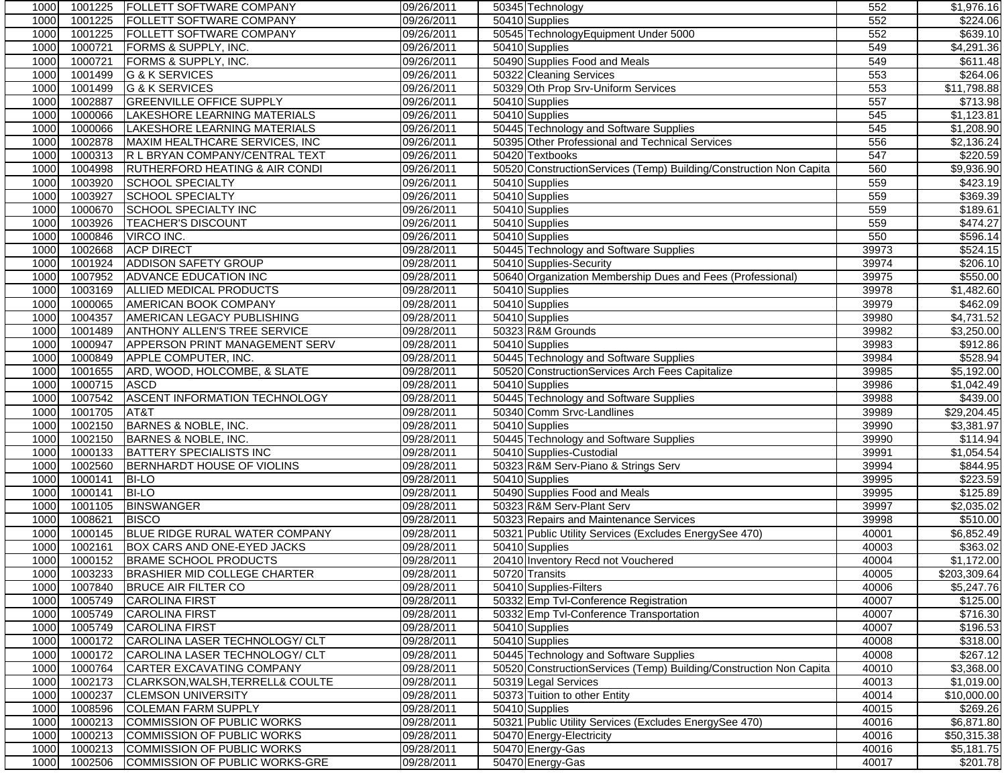| 1000 | 1001225 | FOLLETT SOFTWARE COMPANY             | 09/26/2011 | 50345 Technology                                                   | 552   | \$1,976.16           |
|------|---------|--------------------------------------|------------|--------------------------------------------------------------------|-------|----------------------|
| 1000 | 1001225 | FOLLETT SOFTWARE COMPANY             | 09/26/2011 | 50410 Supplies                                                     | 552   | \$224.06             |
| 1000 | 1001225 | FOLLETT SOFTWARE COMPANY             | 09/26/2011 | 50545 TechnologyEquipment Under 5000                               | 552   | \$639.10             |
| 1000 | 1000721 | FORMS & SUPPLY, INC.                 | 09/26/2011 | 50410 Supplies                                                     | 549   | \$4,291.36           |
| 1000 | 1000721 | FORMS & SUPPLY, INC.                 | 09/26/2011 | 50490 Supplies Food and Meals                                      | 549   | \$611.48             |
| 1000 | 1001499 | G & K SERVICES                       | 09/26/2011 | 50322 Cleaning Services                                            | 553   | \$264.06             |
| 1000 | 1001499 | <b>G &amp; K SERVICES</b>            | 09/26/2011 | 50329 Oth Prop Srv-Uniform Services                                | 553   | \$11,798.88          |
| 1000 | 1002887 | <b>GREENVILLE OFFICE SUPPLY</b>      | 09/26/2011 | 50410 Supplies                                                     | 557   | \$713.98             |
| 1000 | 1000066 | LAKESHORE LEARNING MATERIALS         | 09/26/2011 | 50410 Supplies                                                     | 545   | \$1,123.81           |
| 1000 | 1000066 | LAKESHORE LEARNING MATERIALS         | 09/26/2011 | 50445 Technology and Software Supplies                             | 545   | \$1,208.90           |
| 1000 | 1002878 | MAXIM HEALTHCARE SERVICES, INC       | 09/26/2011 | 50395 Other Professional and Technical Services                    | 556   | \$2,136.24           |
| 1000 | 1000313 | R L BRYAN COMPANY/CENTRAL TEXT       | 09/26/2011 | 50420 Textbooks                                                    | 547   | \$220.59             |
| 1000 | 1004998 | RUTHERFORD HEATING & AIR CONDI       | 09/26/2011 | 50520 ConstructionServices (Temp) Building/Construction Non Capita | 560   | \$9,936.90           |
| 1000 | 1003920 | <b>SCHOOL SPECIALTY</b>              | 09/26/2011 | 50410 Supplies                                                     | 559   | \$423.19             |
| 1000 | 1003927 | <b>SCHOOL SPECIALTY</b>              | 09/26/2011 | 50410 Supplies                                                     | 559   | \$369.39             |
| 1000 | 1000670 | SCHOOL SPECIALTY INC                 | 09/26/2011 | 50410 Supplies                                                     | 559   | $\overline{$}189.61$ |
| 1000 | 1003926 | <b>TEACHER'S DISCOUNT</b>            | 09/26/2011 | 50410 Supplies                                                     | 559   | \$474.27             |
| 1000 | 1000846 | VIRCO INC.                           | 09/26/2011 | 50410 Supplies                                                     | 550   | \$596.14             |
| 1000 | 1002668 | <b>ACP DIRECT</b>                    | 09/28/2011 | 50445 Technology and Software Supplies                             | 39973 | \$524.15             |
| 1000 | 1001924 | <b>ADDISON SAFETY GROUP</b>          | 09/28/2011 | 50410 Supplies-Security                                            | 39974 | \$206.10             |
| 1000 | 1007952 | ADVANCE EDUCATION INC                | 09/28/2011 | 50640 Organization Membership Dues and Fees (Professional)         | 39975 | \$550.00             |
| 1000 | 1003169 | ALLIED MEDICAL PRODUCTS              | 09/28/2011 | 50410 Supplies                                                     | 39978 | \$1,482.60           |
| 1000 | 1000065 | <b>AMERICAN BOOK COMPANY</b>         | 09/28/2011 | 50410 Supplies                                                     | 39979 | \$462.09             |
| 1000 | 1004357 | AMERICAN LEGACY PUBLISHING           | 09/28/2011 | 50410 Supplies                                                     | 39980 | \$4,731.52           |
| 1000 | 1001489 | <b>ANTHONY ALLEN'S TREE SERVICE</b>  | 09/28/2011 | 50323 R&M Grounds                                                  | 39982 | \$3,250.00           |
| 1000 | 1000947 | APPERSON PRINT MANAGEMENT SERV       | 09/28/2011 | 50410 Supplies                                                     | 39983 | \$912.86             |
|      |         | APPLE COMPUTER, INC.                 |            |                                                                    |       | \$528.94             |
| 1000 | 1000849 |                                      | 09/28/2011 | 50445 Technology and Software Supplies                             | 39984 |                      |
| 1000 | 1001655 | ARD, WOOD, HOLCOMBE, & SLATE         | 09/28/2011 | 50520 ConstructionServices Arch Fees Capitalize                    | 39985 | \$5,192.00           |
| 1000 | 1000715 | <b>ASCD</b>                          | 09/28/2011 | 50410 Supplies                                                     | 39986 | \$1,042.49           |
| 1000 | 1007542 | ASCENT INFORMATION TECHNOLOGY        | 09/28/2011 | 50445 Technology and Software Supplies                             | 39988 | \$439.00             |
| 1000 | 1001705 | AT&T                                 | 09/28/2011 | 50340 Comm Srvc-Landlines                                          | 39989 | \$29,204.45          |
| 1000 | 1002150 | BARNES & NOBLE, INC.                 | 09/28/2011 | 50410 Supplies                                                     | 39990 | \$3,381.97           |
| 1000 | 1002150 | BARNES & NOBLE, INC.                 | 09/28/2011 | 50445 Technology and Software Supplies                             | 39990 | \$114.94             |
| 1000 | 1000133 | <b>BATTERY SPECIALISTS INC</b>       | 09/28/2011 | 50410 Supplies-Custodial                                           | 39991 | \$1,054.54           |
| 1000 | 1002560 | BERNHARDT HOUSE OF VIOLINS           | 09/28/2011 | 50323 R&M Serv-Piano & Strings Serv                                | 39994 | \$844.95             |
| 1000 | 1000141 | <b>BI-LO</b>                         | 09/28/2011 | 50410 Supplies                                                     | 39995 | \$223.59             |
| 1000 | 1000141 | <b>BI-LO</b>                         | 09/28/2011 | 50490 Supplies Food and Meals                                      | 39995 | \$125.89             |
| 1000 | 1001105 | <b>BINSWANGER</b>                    | 09/28/2011 | 50323 R&M Serv-Plant Serv                                          | 39997 | \$2,035.02           |
| 1000 | 1008621 | <b>BISCO</b>                         | 09/28/2011 | 50323 Repairs and Maintenance Services                             | 39998 | \$510.00             |
| 1000 | 1000145 | BLUE RIDGE RURAL WATER COMPANY       | 09/28/2011 | 50321 Public Utility Services (Excludes EnergySee 470)             | 40001 | \$6,852.49           |
| 1000 | 1002161 | BOX CARS AND ONE-EYED JACKS          | 09/28/2011 | 50410 Supplies                                                     | 40003 | \$363.02             |
| 1000 | 1000152 | <b>BRAME SCHOOL PRODUCTS</b>         | 09/28/2011 | 20410 Inventory Recd not Vouchered                                 | 40004 | \$1,172.00           |
| 1000 |         | 1003233 BRASHIER MID COLLEGE CHARTER | 09/28/2011 | 50720 Transits                                                     | 40005 | \$203,309.64         |
| 1000 | 1007840 | <b>BRUCE AIR FILTER CO</b>           | 09/28/2011 | 50410 Supplies-Filters                                             | 40006 | \$5,247.76           |
| 1000 | 1005749 | <b>CAROLINA FIRST</b>                | 09/28/2011 | 50332 Emp Tvl-Conference Registration                              | 40007 | \$125.00             |
| 1000 | 1005749 | <b>CAROLINA FIRST</b>                | 09/28/2011 | 50332 Emp Tvl-Conference Transportation                            | 40007 | \$716.30             |
| 1000 | 1005749 | <b>CAROLINA FIRST</b>                | 09/28/2011 | 50410 Supplies                                                     | 40007 | \$196.53             |
| 1000 | 1000172 | CAROLINA LASER TECHNOLOGY/ CLT       | 09/28/2011 | 50410 Supplies                                                     | 40008 | \$318.00             |
| 1000 | 1000172 | CAROLINA LASER TECHNOLOGY/ CLT       | 09/28/2011 | 50445 Technology and Software Supplies                             | 40008 | \$267.12             |
| 1000 | 1000764 | CARTER EXCAVATING COMPANY            | 09/28/2011 | 50520 ConstructionServices (Temp) Building/Construction Non Capita | 40010 | \$3,368.00           |
| 1000 | 1002173 | CLARKSON, WALSH, TERRELL& COULTE     | 09/28/2011 | 50319 Legal Services                                               | 40013 | \$1,019.00           |
| 1000 | 1000237 | <b>CLEMSON UNIVERSITY</b>            | 09/28/2011 | 50373 Tuition to other Entity                                      | 40014 | \$10,000.00          |
| 1000 | 1008596 | <b>COLEMAN FARM SUPPLY</b>           | 09/28/2011 | 50410 Supplies                                                     | 40015 | \$269.26             |
| 1000 | 1000213 | COMMISSION OF PUBLIC WORKS           | 09/28/2011 | 50321 Public Utility Services (Excludes Energy See 470)            | 40016 | \$6,871.80           |
| 1000 | 1000213 | COMMISSION OF PUBLIC WORKS           | 09/28/2011 | 50470 Energy-Electricity                                           | 40016 | \$50,315.38          |
| 1000 | 1000213 | <b>COMMISSION OF PUBLIC WORKS</b>    | 09/28/2011 | 50470 Energy-Gas                                                   | 40016 | \$5,181.75           |
| 1000 | 1002506 | COMMISSION OF PUBLIC WORKS-GRE       | 09/28/2011 | 50470 Energy-Gas                                                   | 40017 | \$201.78             |
|      |         |                                      |            |                                                                    |       |                      |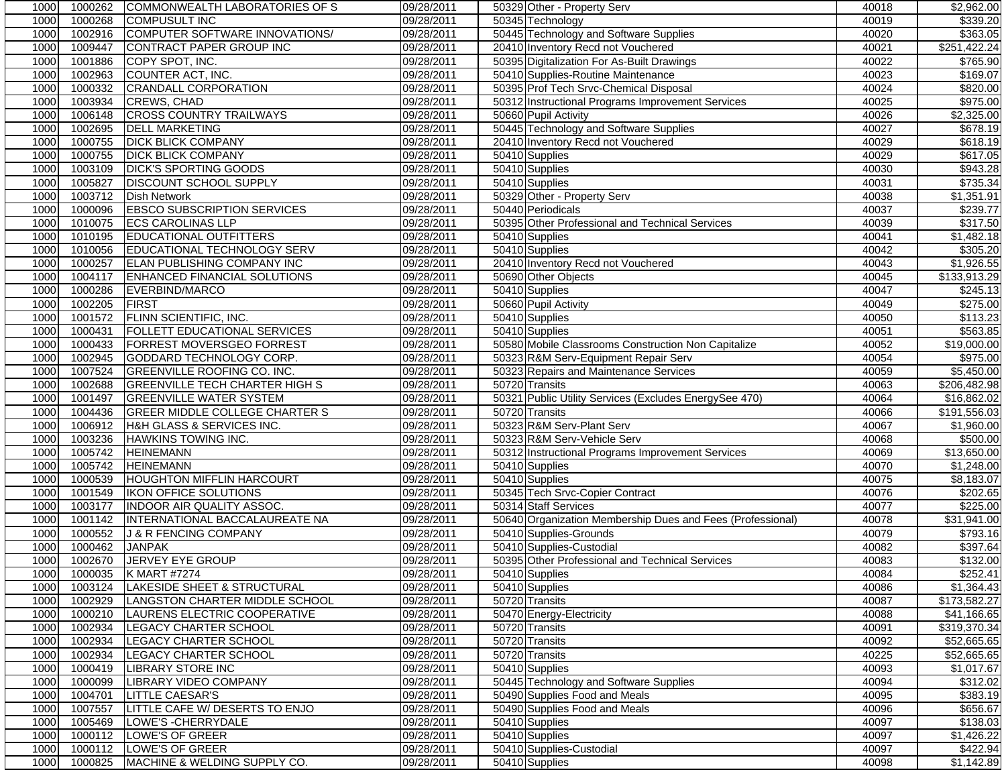| 1000         | 1000262            | COMMONWEALTH LABORATORIES OF S                                 | 09/28/2011               | 50329 Other - Property Serv                                | 40018          | \$2,962.00                 |
|--------------|--------------------|----------------------------------------------------------------|--------------------------|------------------------------------------------------------|----------------|----------------------------|
| 1000         | 1000268            | <b>COMPUSULT INC</b>                                           | 09/28/2011               | 50345 Technology                                           | 40019          | 3339.20                    |
| 1000         | 1002916            | COMPUTER SOFTWARE INNOVATIONS/                                 | 09/28/2011               | 50445 Technology and Software Supplies                     | 40020          | \$363.05                   |
| 1000         | 1009447            | CONTRACT PAPER GROUP INC                                       | 09/28/2011               | 20410 Inventory Recd not Vouchered                         | 40021          | \$251,422.24               |
| 1000         | 1001886            | COPY SPOT, INC.                                                | 09/28/2011               | 50395 Digitalization For As-Built Drawings                 | 40022          | \$765.90                   |
| 1000         | 1002963            | COUNTER ACT, INC.                                              | 09/28/2011               | 50410 Supplies-Routine Maintenance                         | 40023          | \$169.07                   |
| 1000         | 1000332            | <b>CRANDALL CORPORATION</b>                                    | 09/28/2011               | 50395 Prof Tech Srvc-Chemical Disposal                     | 40024          | \$820.00                   |
| 1000         | 1003934            | <b>CREWS, CHAD</b>                                             | 09/28/2011               | 50312 Instructional Programs Improvement Services          | 40025          | \$975.00                   |
| 1000         | 1006148            | <b>CROSS COUNTRY TRAILWAYS</b>                                 | 09/28/2011               | 50660 Pupil Activity                                       | 40026          | \$2,325.00                 |
| 1000         | 1002695            | <b>DELL MARKETING</b>                                          | 09/28/2011               | 50445 Technology and Software Supplies                     | 40027          | \$678.19                   |
| 1000         | 1000755            | <b>DICK BLICK COMPANY</b>                                      | 09/28/2011               | 20410 Inventory Recd not Vouchered                         | 40029          | \$618.19                   |
| 1000         | 1000755            | <b>DICK BLICK COMPANY</b>                                      | 09/28/2011               | 50410 Supplies                                             | 40029          | \$617.05                   |
| 1000         | 1003109            | <b>DICK'S SPORTING GOODS</b>                                   | 09/28/2011               | 50410 Supplies                                             | 40030          | \$943.28                   |
| 1000         | 1005827            | <b>DISCOUNT SCHOOL SUPPLY</b>                                  | 09/28/2011               | 50410 Supplies                                             | 40031          | \$735.34                   |
| 1000         | 1003712            | <b>Dish Network</b>                                            | 09/28/2011               | 50329 Other - Property Serv                                | 40038          | \$1,351.91                 |
| 1000         | 1000096            | <b>EBSCO SUBSCRIPTION SERVICES</b>                             | 09/28/2011               | 50440 Periodicals                                          | 40037          | \$239.77                   |
| 1000         | 1010075            | <b>ECS CAROLINAS LLP</b>                                       | 09/28/2011               | 50395 Other Professional and Technical Services            | 40039          | \$317.50                   |
| 1000         | 1010195            | <b>EDUCATIONAL OUTFITTERS</b>                                  | 09/28/2011               | 50410 Supplies                                             | 40041          | \$1,482.18                 |
| 1000         | 1010056            | EDUCATIONAL TECHNOLOGY SERV                                    | 09/28/2011               | 50410 Supplies                                             | 40042          | \$305.20                   |
| 1000         | 1000257            | <b>ELAN PUBLISHING COMPANY INC</b>                             | 09/28/2011               | 20410 Inventory Recd not Vouchered                         | 40043          | \$1,926.55                 |
| 1000         | 1004117            | ENHANCED FINANCIAL SOLUTIONS                                   | 09/28/2011               | 50690 Other Objects                                        | 40045          | \$133,913.29               |
| 1000         | 1000286            | EVERBIND/MARCO                                                 | 09/28/2011               | 50410 Supplies                                             | 40047          | \$245.13                   |
| 1000         | 1002205            | <b>FIRST</b>                                                   | 09/28/2011               | 50660 Pupil Activity                                       | 40049          | \$275.00                   |
| 1000         | 1001572            | <b>FLINN SCIENTIFIC, INC.</b>                                  | 09/28/2011               | 50410 Supplies                                             | 40050          | \$113.23                   |
| 1000         | 1000431            | <b>FOLLETT EDUCATIONAL SERVICES</b>                            | 09/28/2011               | 50410 Supplies                                             | 40051          | \$563.85                   |
| 1000         | 1000433            | <b>FORREST MOVERSGEO FORREST</b>                               | 09/28/2011               | 50580 Mobile Classrooms Construction Non Capitalize        | 40052          | \$19,000.00                |
| 1000         | 1002945            | GODDARD TECHNOLOGY CORP.                                       | 09/28/2011               | 50323 R&M Serv-Equipment Repair Serv                       | 40054          | \$975.00                   |
| 1000         | 1007524            | <b>GREENVILLE ROOFING CO. INC.</b>                             | 09/28/2011               | 50323 Repairs and Maintenance Services                     | 40059          | \$5,450.00                 |
| 1000         | 1002688            | <b>GREENVILLE TECH CHARTER HIGH S</b>                          | 09/28/2011               | 50720 Transits                                             | 40063          | \$206,482.98               |
| 1000         | 1001497            | <b>GREENVILLE WATER SYSTEM</b>                                 | 09/28/2011               | 50321 Public Utility Services (Excludes EnergySee 470)     | 40064          | \$16,862.02                |
| 1000         | 1004436            | <b>GREER MIDDLE COLLEGE CHARTER S</b>                          | 09/28/2011               | 50720 Transits                                             | 40066          | \$191,556.03               |
| 1000         | 1006912            | H&H GLASS & SERVICES INC.                                      | 09/28/2011               | 50323 R&M Serv-Plant Serv                                  | 40067          | \$1,960.00                 |
| 1000         | 1003236            | <b>HAWKINS TOWING INC.</b>                                     | 09/28/2011               | 50323 R&M Serv-Vehicle Serv                                | 40068          | \$500.00                   |
| 1000         | 1005742            | <b>HEINEMANN</b>                                               | 09/28/2011               | 50312 Instructional Programs Improvement Services          | 40069          | \$13,650.00                |
| 1000         | 1005742            | <b>HEINEMANN</b>                                               | 09/28/2011               | 50410 Supplies                                             | 40070          | \$1,248.00                 |
| 1000         | 1000539            | <b>HOUGHTON MIFFLIN HARCOURT</b>                               | 09/28/2011               | 50410 Supplies                                             | 40075          | \$8,183.07                 |
| 1000         | 1001549            | IKON OFFICE SOLUTIONS                                          | 09/28/2011               | 50345 Tech Srvc-Copier Contract                            | 40076          | \$202.65                   |
| 1000         | 1003177            | INDOOR AIR QUALITY ASSOC.                                      | 09/28/2011               | 50314 Staff Services                                       | 40077          | \$225.00                   |
|              |                    |                                                                |                          |                                                            |                | \$31,941.00                |
| 1000         | 1001142            | INTERNATIONAL BACCALAUREATE NA                                 | 09/28/2011               | 50640 Organization Membership Dues and Fees (Professional) | 40078          | \$793.16                   |
| 1000         | 1000552            | J & R FENCING COMPANY                                          | 09/28/2011               | 50410 Supplies-Grounds<br>50410 Supplies-Custodial         | 40079          |                            |
| 1000<br>1000 | 1000462<br>1002670 | <b>JANPAK</b><br>JERVEY EYE GROUP                              | 09/28/2011               |                                                            | 40082<br>40083 | \$397.64                   |
|              |                    | 1000035 K MART #7274                                           | 09/28/2011<br>09/28/2011 | 50395 Other Professional and Technical Services            | 40084          | \$132.00                   |
| 1000<br>1000 |                    |                                                                | 09/28/2011               | 50410 Supplies                                             |                | \$252.41                   |
| 1000         | 1003124<br>1002929 | LAKESIDE SHEET & STRUCTURAL                                    | 09/28/2011               | 50410 Supplies<br>50720 Transits                           | 40086<br>40087 | \$1,364.43<br>\$173,582.27 |
| 1000         | 1000210            | LANGSTON CHARTER MIDDLE SCHOOL<br>LAURENS ELECTRIC COOPERATIVE |                          |                                                            |                | \$41,166.65                |
| 1000         | 1002934            | <b>LEGACY CHARTER SCHOOL</b>                                   | 09/28/2011<br>09/28/2011 | 50470 Energy-Electricity<br>50720 Transits                 | 40088<br>40091 | \$319,370.34               |
|              | 1002934            | <b>LEGACY CHARTER SCHOOL</b>                                   | 09/28/2011               |                                                            |                |                            |
| 1000         |                    |                                                                |                          | 50720 Transits                                             | 40092          | \$52,665.65                |
| 1000         | 1002934            | LEGACY CHARTER SCHOOL                                          | 09/28/2011               | 50720 Transits                                             | 40225          | \$52,665.65                |
| 1000         | 1000419            | <b>LIBRARY STORE INC</b>                                       | 09/28/2011               | 50410 Supplies                                             | 40093          | \$1,017.67                 |
| 1000         | 1000099            | LIBRARY VIDEO COMPANY                                          | 09/28/2011               | 50445 Technology and Software Supplies                     | 40094          | \$312.02                   |
| 1000         | 1004701            | <b>LITTLE CAESAR'S</b>                                         | 09/28/2011               | 50490 Supplies Food and Meals                              | 40095          | \$383.19                   |
| 1000         | 1007557            | LITTLE CAFE W/ DESERTS TO ENJO<br>LOWE'S - CHERRYDALE          | 09/28/2011               | 50490 Supplies Food and Meals                              | 40096          | \$656.67                   |
| 1000         | 1005469            |                                                                | 09/28/2011               | 50410 Supplies                                             | 40097          | \$138.03                   |
| 1000         | 1000112            | LOWE'S OF GREER                                                | 09/28/2011               | 50410 Supplies                                             | 40097          | \$1,426.22                 |
| 1000         | 1000112            | LOWE'S OF GREER                                                | 09/28/2011               | 50410 Supplies-Custodial                                   | 40097          | \$422.94                   |
| 1000         | 1000825            | MACHINE & WELDING SUPPLY CO.                                   | 09/28/2011               | 50410 Supplies                                             | 40098          | \$1,142.89                 |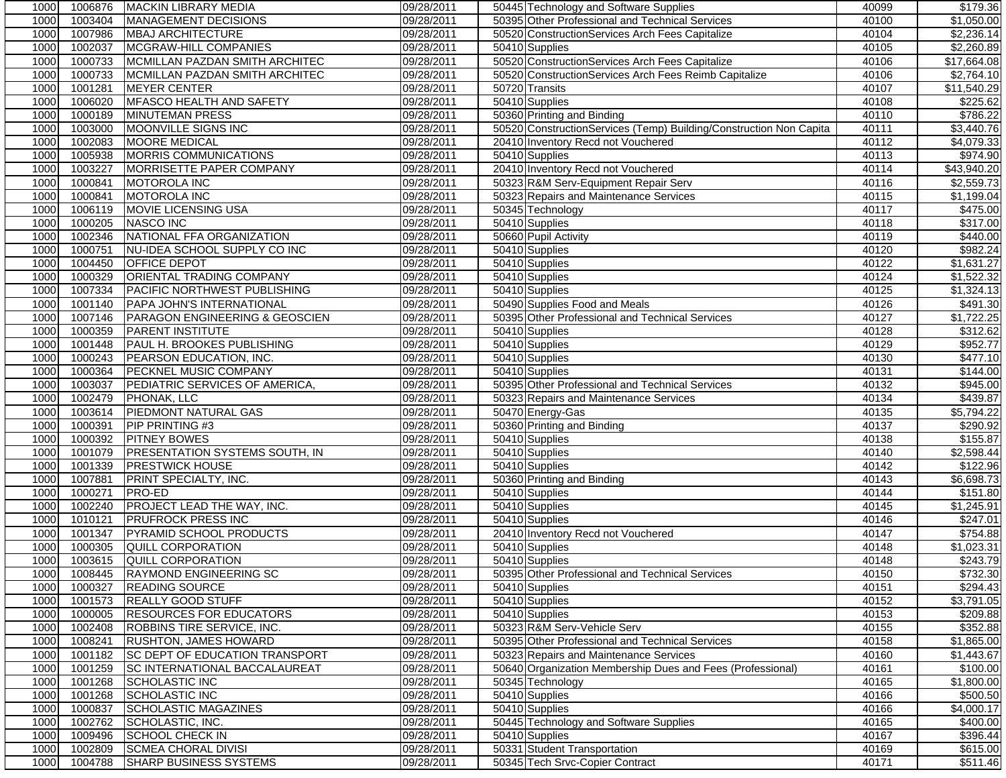| 1000<br>MANAGEMENT DECISIONS<br>09/28/2011<br>50395 Other Professional and Technical Services<br>1003404<br>1007986<br>1000<br><b>MBAJ ARCHITECTURE</b><br>09/28/2011<br>50520 ConstructionServices Arch Fees Capitalize<br>1002037<br>MCGRAW-HILL COMPANIES<br>09/28/2011<br>1000<br>50410 Supplies<br>50520 ConstructionServices Arch Fees Capitalize<br>1000733<br>MCMILLAN PAZDAN SMITH ARCHITEC<br>09/28/2011<br>1000<br>1000733<br>MCMILLAN PAZDAN SMITH ARCHITEC<br>09/28/2011<br>50520 ConstructionServices Arch Fees Reimb Capitalize<br>1000<br>1001281<br>1000<br><b>MEYER CENTER</b><br>09/28/2011<br>50720 Transits<br>1006020<br>MFASCO HEALTH AND SAFETY<br>09/28/2011<br>50410 Supplies<br>1000<br>1000189<br><b>MINUTEMAN PRESS</b><br>09/28/2011<br>50360 Printing and Binding<br>1000<br>1000<br>1003000<br>MOONVILLE SIGNS INC<br>09/28/2011<br>50520 ConstructionServices (Temp) Building/Construction Non Capita<br>1002083<br>1000<br><b>MOORE MEDICAL</b><br>09/28/2011<br>20410 Inventory Recd not Vouchered<br>1000<br>1005938<br>MORRIS COMMUNICATIONS<br>09/28/2011<br>50410 Supplies<br>1003227<br><b>MORRISETTE PAPER COMPANY</b><br>1000<br>09/28/2011<br>20410 Inventory Recd not Vouchered<br>1000<br>1000841<br>MOTOROLA INC<br>09/28/2011<br>50323 R&M Serv-Equipment Repair Serv<br>1000<br>1000841<br><b>MOTOROLA INC</b><br>09/28/2011<br>50323 Repairs and Maintenance Services<br>1000<br>1006119<br>MOVIE LICENSING USA<br>09/28/2011<br>50345 Technology<br>1000205<br>1000<br>NASCO INC<br>09/28/2011<br>50410 Supplies<br>1002346<br>NATIONAL FFA ORGANIZATION<br>09/28/2011<br>50660 Pupil Activity<br>1000<br>1000751<br>NU-IDEA SCHOOL SUPPLY CO INC<br>09/28/2011<br>50410 Supplies<br>1000<br>1004450<br>1000<br><b>OFFICE DEPOT</b><br>09/28/2011<br>50410 Supplies<br>1000329<br>ORIENTAL TRADING COMPANY<br>09/28/2011<br>1000<br>50410 Supplies<br>1007334<br>PACIFIC NORTHWEST PUBLISHING<br>09/28/2011<br>1000<br>50410 Supplies<br>1000<br>1001140<br>PAPA JOHN'S INTERNATIONAL<br>09/28/2011<br>50490 Supplies Food and Meals<br>1007146<br>1000<br>PARAGON ENGINEERING & GEOSCIEN<br>09/28/2011<br>50395 Other Professional and Technical Services<br>1000<br>1000359<br><b>PARENT INSTITUTE</b><br>09/28/2011<br>50410 Supplies<br>1001448<br>PAUL H. BROOKES PUBLISHING<br>1000<br>09/28/2011<br>50410 Supplies<br>1000<br>1000243<br>PEARSON EDUCATION, INC.<br>09/28/2011<br>50410 Supplies<br>1000<br>1000364<br>PECKNEL MUSIC COMPANY<br>09/28/2011<br>50410 Supplies<br>1000<br>1003037<br>09/28/2011<br>50395 Other Professional and Technical Services<br>PEDIATRIC SERVICES OF AMERICA,<br>1002479<br>1000<br>PHONAK, LLC<br>09/28/2011<br>50323 Repairs and Maintenance Services<br>1003614<br><b>PIEDMONT NATURAL GAS</b><br>09/28/2011<br>50470 Energy-Gas<br>1000<br>1000<br>1000391<br>09/28/2011<br>50360 Printing and Binding<br><b>PIP PRINTING #3</b><br>1000392<br>1000<br><b>PITNEY BOWES</b><br>09/28/2011<br>50410 Supplies<br>1001079<br>PRESENTATION SYSTEMS SOUTH, IN<br>1000<br>09/28/2011<br>50410 Supplies<br>1001339<br><b>PRESTWICK HOUSE</b><br>1000<br>09/28/2011<br>50410 Supplies<br>1000<br>1007881<br>PRINT SPECIALTY, INC.<br>09/28/2011<br>50360 Printing and Binding<br>1000271<br>1000<br>PRO-ED<br>09/28/2011<br>50410 Supplies<br>PROJECT LEAD THE WAY, INC.<br>1000<br>1002240<br>09/28/2011<br>50410 Supplies<br>1010121<br><b>PRUFROCK PRESS INC</b><br>1000<br>09/28/2011<br>50410 Supplies<br>PYRAMID SCHOOL PRODUCTS<br>1000<br>1001347<br>09/28/2011<br>20410 Inventory Recd not Vouchered<br>1000<br>1000305<br>QUILL CORPORATION<br>09/28/2011<br>50410 Supplies<br>1000<br>1003615<br>50410 Supplies<br>QUILL CORPORATION<br>09/28/2011<br>1008445 RAYMOND ENGINEERING SC<br>09/28/2011<br>50395 Other Professional and Technical Services<br>1000<br>09/28/2011<br>1000<br>1000327<br><b>READING SOURCE</b><br>50410 Supplies<br>1001573<br><b>REALLY GOOD STUFF</b><br>09/28/2011<br>50410 Supplies<br>1000<br>1000<br>1000005<br><b>RESOURCES FOR EDUCATORS</b><br>09/28/2011<br>50410 Supplies<br>1002408<br>50323 R&M Serv-Vehicle Serv<br>1000<br>ROBBINS TIRE SERVICE, INC.<br>09/28/2011<br>1008241<br>1000<br><b>RUSHTON, JAMES HOWARD</b><br>09/28/2011<br>50395 Other Professional and Technical Services<br>1001182<br><b>SC DEPT OF EDUCATION TRANSPORT</b><br>09/28/2011<br>1000<br>50323 Repairs and Maintenance Services<br>1001259<br><b>SC INTERNATIONAL BACCALAUREAT</b><br>09/28/2011<br>1000<br>50640 Organization Membership Dues and Fees (Professional)<br>1001268<br>09/28/2011<br>1000<br><b>SCHOLASTIC INC</b><br>50345 Technology<br><b>SCHOLASTIC INC</b><br>1001268<br>09/28/2011<br>50410 Supplies<br>1000<br>1000837<br><b>SCHOLASTIC MAGAZINES</b><br>09/28/2011<br>50410 Supplies<br>1000<br>1002762<br>SCHOLASTIC, INC.<br>50445 Technology and Software Supplies<br>1000<br>09/28/2011<br>1009496<br>09/28/2011<br>50410 Supplies<br>1000<br><b>SCHOOL CHECK IN</b><br>1002809<br>50331 Student Transportation<br><b>SCMEA CHORAL DIVISI</b><br>09/28/2011<br>1000 | 1000 | 1006876 | MACKIN LIBRARY MEDIA          | 09/28/2011 | 50445 Technology and Software Supplies | 40099 | \$179.36               |
|-----------------------------------------------------------------------------------------------------------------------------------------------------------------------------------------------------------------------------------------------------------------------------------------------------------------------------------------------------------------------------------------------------------------------------------------------------------------------------------------------------------------------------------------------------------------------------------------------------------------------------------------------------------------------------------------------------------------------------------------------------------------------------------------------------------------------------------------------------------------------------------------------------------------------------------------------------------------------------------------------------------------------------------------------------------------------------------------------------------------------------------------------------------------------------------------------------------------------------------------------------------------------------------------------------------------------------------------------------------------------------------------------------------------------------------------------------------------------------------------------------------------------------------------------------------------------------------------------------------------------------------------------------------------------------------------------------------------------------------------------------------------------------------------------------------------------------------------------------------------------------------------------------------------------------------------------------------------------------------------------------------------------------------------------------------------------------------------------------------------------------------------------------------------------------------------------------------------------------------------------------------------------------------------------------------------------------------------------------------------------------------------------------------------------------------------------------------------------------------------------------------------------------------------------------------------------------------------------------------------------------------------------------------------------------------------------------------------------------------------------------------------------------------------------------------------------------------------------------------------------------------------------------------------------------------------------------------------------------------------------------------------------------------------------------------------------------------------------------------------------------------------------------------------------------------------------------------------------------------------------------------------------------------------------------------------------------------------------------------------------------------------------------------------------------------------------------------------------------------------------------------------------------------------------------------------------------------------------------------------------------------------------------------------------------------------------------------------------------------------------------------------------------------------------------------------------------------------------------------------------------------------------------------------------------------------------------------------------------------------------------------------------------------------------------------------------------------------------------------------------------------------------------------------------------------------------------------------------------------------------------------------------------------------------------------------------------------------------------------------------------------------------------------------------------------------------------------------------------------------------------------------------------------------------------------------------------------------------------------------------------------------------------------------------------------------------------------------------------------------------------------------------------------------------------------------------------------------------------------------------------------------------------------------------------------------------------------------------------------------------------------------------------------------------------------------------------------------------------------------------|------|---------|-------------------------------|------------|----------------------------------------|-------|------------------------|
|                                                                                                                                                                                                                                                                                                                                                                                                                                                                                                                                                                                                                                                                                                                                                                                                                                                                                                                                                                                                                                                                                                                                                                                                                                                                                                                                                                                                                                                                                                                                                                                                                                                                                                                                                                                                                                                                                                                                                                                                                                                                                                                                                                                                                                                                                                                                                                                                                                                                                                                                                                                                                                                                                                                                                                                                                                                                                                                                                                                                                                                                                                                                                                                                                                                                                                                                                                                                                                                                                                                                                                                                                                                                                                                                                                                                                                                                                                                                                                                                                                                                                                                                                                                                                                                                                                                                                                                                                                                                                                                                                                                                                                                                                                                                                                                                                                                                                                                                                                                                                                                                                                                       |      |         |                               |            |                                        | 40100 | \$1,050.00             |
|                                                                                                                                                                                                                                                                                                                                                                                                                                                                                                                                                                                                                                                                                                                                                                                                                                                                                                                                                                                                                                                                                                                                                                                                                                                                                                                                                                                                                                                                                                                                                                                                                                                                                                                                                                                                                                                                                                                                                                                                                                                                                                                                                                                                                                                                                                                                                                                                                                                                                                                                                                                                                                                                                                                                                                                                                                                                                                                                                                                                                                                                                                                                                                                                                                                                                                                                                                                                                                                                                                                                                                                                                                                                                                                                                                                                                                                                                                                                                                                                                                                                                                                                                                                                                                                                                                                                                                                                                                                                                                                                                                                                                                                                                                                                                                                                                                                                                                                                                                                                                                                                                                                       |      |         |                               |            |                                        | 40104 | \$2,236.14             |
|                                                                                                                                                                                                                                                                                                                                                                                                                                                                                                                                                                                                                                                                                                                                                                                                                                                                                                                                                                                                                                                                                                                                                                                                                                                                                                                                                                                                                                                                                                                                                                                                                                                                                                                                                                                                                                                                                                                                                                                                                                                                                                                                                                                                                                                                                                                                                                                                                                                                                                                                                                                                                                                                                                                                                                                                                                                                                                                                                                                                                                                                                                                                                                                                                                                                                                                                                                                                                                                                                                                                                                                                                                                                                                                                                                                                                                                                                                                                                                                                                                                                                                                                                                                                                                                                                                                                                                                                                                                                                                                                                                                                                                                                                                                                                                                                                                                                                                                                                                                                                                                                                                                       |      |         |                               |            |                                        | 40105 | \$2,260.89             |
|                                                                                                                                                                                                                                                                                                                                                                                                                                                                                                                                                                                                                                                                                                                                                                                                                                                                                                                                                                                                                                                                                                                                                                                                                                                                                                                                                                                                                                                                                                                                                                                                                                                                                                                                                                                                                                                                                                                                                                                                                                                                                                                                                                                                                                                                                                                                                                                                                                                                                                                                                                                                                                                                                                                                                                                                                                                                                                                                                                                                                                                                                                                                                                                                                                                                                                                                                                                                                                                                                                                                                                                                                                                                                                                                                                                                                                                                                                                                                                                                                                                                                                                                                                                                                                                                                                                                                                                                                                                                                                                                                                                                                                                                                                                                                                                                                                                                                                                                                                                                                                                                                                                       |      |         |                               |            |                                        | 40106 | \$17,664.08            |
|                                                                                                                                                                                                                                                                                                                                                                                                                                                                                                                                                                                                                                                                                                                                                                                                                                                                                                                                                                                                                                                                                                                                                                                                                                                                                                                                                                                                                                                                                                                                                                                                                                                                                                                                                                                                                                                                                                                                                                                                                                                                                                                                                                                                                                                                                                                                                                                                                                                                                                                                                                                                                                                                                                                                                                                                                                                                                                                                                                                                                                                                                                                                                                                                                                                                                                                                                                                                                                                                                                                                                                                                                                                                                                                                                                                                                                                                                                                                                                                                                                                                                                                                                                                                                                                                                                                                                                                                                                                                                                                                                                                                                                                                                                                                                                                                                                                                                                                                                                                                                                                                                                                       |      |         |                               |            |                                        | 40106 | \$2,764.10             |
|                                                                                                                                                                                                                                                                                                                                                                                                                                                                                                                                                                                                                                                                                                                                                                                                                                                                                                                                                                                                                                                                                                                                                                                                                                                                                                                                                                                                                                                                                                                                                                                                                                                                                                                                                                                                                                                                                                                                                                                                                                                                                                                                                                                                                                                                                                                                                                                                                                                                                                                                                                                                                                                                                                                                                                                                                                                                                                                                                                                                                                                                                                                                                                                                                                                                                                                                                                                                                                                                                                                                                                                                                                                                                                                                                                                                                                                                                                                                                                                                                                                                                                                                                                                                                                                                                                                                                                                                                                                                                                                                                                                                                                                                                                                                                                                                                                                                                                                                                                                                                                                                                                                       |      |         |                               |            |                                        | 40107 | \$11,540.29            |
|                                                                                                                                                                                                                                                                                                                                                                                                                                                                                                                                                                                                                                                                                                                                                                                                                                                                                                                                                                                                                                                                                                                                                                                                                                                                                                                                                                                                                                                                                                                                                                                                                                                                                                                                                                                                                                                                                                                                                                                                                                                                                                                                                                                                                                                                                                                                                                                                                                                                                                                                                                                                                                                                                                                                                                                                                                                                                                                                                                                                                                                                                                                                                                                                                                                                                                                                                                                                                                                                                                                                                                                                                                                                                                                                                                                                                                                                                                                                                                                                                                                                                                                                                                                                                                                                                                                                                                                                                                                                                                                                                                                                                                                                                                                                                                                                                                                                                                                                                                                                                                                                                                                       |      |         |                               |            |                                        | 40108 | \$225.62               |
|                                                                                                                                                                                                                                                                                                                                                                                                                                                                                                                                                                                                                                                                                                                                                                                                                                                                                                                                                                                                                                                                                                                                                                                                                                                                                                                                                                                                                                                                                                                                                                                                                                                                                                                                                                                                                                                                                                                                                                                                                                                                                                                                                                                                                                                                                                                                                                                                                                                                                                                                                                                                                                                                                                                                                                                                                                                                                                                                                                                                                                                                                                                                                                                                                                                                                                                                                                                                                                                                                                                                                                                                                                                                                                                                                                                                                                                                                                                                                                                                                                                                                                                                                                                                                                                                                                                                                                                                                                                                                                                                                                                                                                                                                                                                                                                                                                                                                                                                                                                                                                                                                                                       |      |         |                               |            |                                        | 40110 | \$786.22               |
|                                                                                                                                                                                                                                                                                                                                                                                                                                                                                                                                                                                                                                                                                                                                                                                                                                                                                                                                                                                                                                                                                                                                                                                                                                                                                                                                                                                                                                                                                                                                                                                                                                                                                                                                                                                                                                                                                                                                                                                                                                                                                                                                                                                                                                                                                                                                                                                                                                                                                                                                                                                                                                                                                                                                                                                                                                                                                                                                                                                                                                                                                                                                                                                                                                                                                                                                                                                                                                                                                                                                                                                                                                                                                                                                                                                                                                                                                                                                                                                                                                                                                                                                                                                                                                                                                                                                                                                                                                                                                                                                                                                                                                                                                                                                                                                                                                                                                                                                                                                                                                                                                                                       |      |         |                               |            |                                        | 40111 | \$3,440.76             |
|                                                                                                                                                                                                                                                                                                                                                                                                                                                                                                                                                                                                                                                                                                                                                                                                                                                                                                                                                                                                                                                                                                                                                                                                                                                                                                                                                                                                                                                                                                                                                                                                                                                                                                                                                                                                                                                                                                                                                                                                                                                                                                                                                                                                                                                                                                                                                                                                                                                                                                                                                                                                                                                                                                                                                                                                                                                                                                                                                                                                                                                                                                                                                                                                                                                                                                                                                                                                                                                                                                                                                                                                                                                                                                                                                                                                                                                                                                                                                                                                                                                                                                                                                                                                                                                                                                                                                                                                                                                                                                                                                                                                                                                                                                                                                                                                                                                                                                                                                                                                                                                                                                                       |      |         |                               |            |                                        | 40112 | \$4,079.33             |
|                                                                                                                                                                                                                                                                                                                                                                                                                                                                                                                                                                                                                                                                                                                                                                                                                                                                                                                                                                                                                                                                                                                                                                                                                                                                                                                                                                                                                                                                                                                                                                                                                                                                                                                                                                                                                                                                                                                                                                                                                                                                                                                                                                                                                                                                                                                                                                                                                                                                                                                                                                                                                                                                                                                                                                                                                                                                                                                                                                                                                                                                                                                                                                                                                                                                                                                                                                                                                                                                                                                                                                                                                                                                                                                                                                                                                                                                                                                                                                                                                                                                                                                                                                                                                                                                                                                                                                                                                                                                                                                                                                                                                                                                                                                                                                                                                                                                                                                                                                                                                                                                                                                       |      |         |                               |            |                                        | 40113 | \$974.90               |
|                                                                                                                                                                                                                                                                                                                                                                                                                                                                                                                                                                                                                                                                                                                                                                                                                                                                                                                                                                                                                                                                                                                                                                                                                                                                                                                                                                                                                                                                                                                                                                                                                                                                                                                                                                                                                                                                                                                                                                                                                                                                                                                                                                                                                                                                                                                                                                                                                                                                                                                                                                                                                                                                                                                                                                                                                                                                                                                                                                                                                                                                                                                                                                                                                                                                                                                                                                                                                                                                                                                                                                                                                                                                                                                                                                                                                                                                                                                                                                                                                                                                                                                                                                                                                                                                                                                                                                                                                                                                                                                                                                                                                                                                                                                                                                                                                                                                                                                                                                                                                                                                                                                       |      |         |                               |            |                                        | 40114 | \$43,940.20            |
|                                                                                                                                                                                                                                                                                                                                                                                                                                                                                                                                                                                                                                                                                                                                                                                                                                                                                                                                                                                                                                                                                                                                                                                                                                                                                                                                                                                                                                                                                                                                                                                                                                                                                                                                                                                                                                                                                                                                                                                                                                                                                                                                                                                                                                                                                                                                                                                                                                                                                                                                                                                                                                                                                                                                                                                                                                                                                                                                                                                                                                                                                                                                                                                                                                                                                                                                                                                                                                                                                                                                                                                                                                                                                                                                                                                                                                                                                                                                                                                                                                                                                                                                                                                                                                                                                                                                                                                                                                                                                                                                                                                                                                                                                                                                                                                                                                                                                                                                                                                                                                                                                                                       |      |         |                               |            |                                        | 40116 | \$2,559.73             |
|                                                                                                                                                                                                                                                                                                                                                                                                                                                                                                                                                                                                                                                                                                                                                                                                                                                                                                                                                                                                                                                                                                                                                                                                                                                                                                                                                                                                                                                                                                                                                                                                                                                                                                                                                                                                                                                                                                                                                                                                                                                                                                                                                                                                                                                                                                                                                                                                                                                                                                                                                                                                                                                                                                                                                                                                                                                                                                                                                                                                                                                                                                                                                                                                                                                                                                                                                                                                                                                                                                                                                                                                                                                                                                                                                                                                                                                                                                                                                                                                                                                                                                                                                                                                                                                                                                                                                                                                                                                                                                                                                                                                                                                                                                                                                                                                                                                                                                                                                                                                                                                                                                                       |      |         |                               |            |                                        | 40115 | $\overline{$}1,199.04$ |
|                                                                                                                                                                                                                                                                                                                                                                                                                                                                                                                                                                                                                                                                                                                                                                                                                                                                                                                                                                                                                                                                                                                                                                                                                                                                                                                                                                                                                                                                                                                                                                                                                                                                                                                                                                                                                                                                                                                                                                                                                                                                                                                                                                                                                                                                                                                                                                                                                                                                                                                                                                                                                                                                                                                                                                                                                                                                                                                                                                                                                                                                                                                                                                                                                                                                                                                                                                                                                                                                                                                                                                                                                                                                                                                                                                                                                                                                                                                                                                                                                                                                                                                                                                                                                                                                                                                                                                                                                                                                                                                                                                                                                                                                                                                                                                                                                                                                                                                                                                                                                                                                                                                       |      |         |                               |            |                                        | 40117 | \$475.00               |
|                                                                                                                                                                                                                                                                                                                                                                                                                                                                                                                                                                                                                                                                                                                                                                                                                                                                                                                                                                                                                                                                                                                                                                                                                                                                                                                                                                                                                                                                                                                                                                                                                                                                                                                                                                                                                                                                                                                                                                                                                                                                                                                                                                                                                                                                                                                                                                                                                                                                                                                                                                                                                                                                                                                                                                                                                                                                                                                                                                                                                                                                                                                                                                                                                                                                                                                                                                                                                                                                                                                                                                                                                                                                                                                                                                                                                                                                                                                                                                                                                                                                                                                                                                                                                                                                                                                                                                                                                                                                                                                                                                                                                                                                                                                                                                                                                                                                                                                                                                                                                                                                                                                       |      |         |                               |            |                                        | 40118 | \$317.00               |
|                                                                                                                                                                                                                                                                                                                                                                                                                                                                                                                                                                                                                                                                                                                                                                                                                                                                                                                                                                                                                                                                                                                                                                                                                                                                                                                                                                                                                                                                                                                                                                                                                                                                                                                                                                                                                                                                                                                                                                                                                                                                                                                                                                                                                                                                                                                                                                                                                                                                                                                                                                                                                                                                                                                                                                                                                                                                                                                                                                                                                                                                                                                                                                                                                                                                                                                                                                                                                                                                                                                                                                                                                                                                                                                                                                                                                                                                                                                                                                                                                                                                                                                                                                                                                                                                                                                                                                                                                                                                                                                                                                                                                                                                                                                                                                                                                                                                                                                                                                                                                                                                                                                       |      |         |                               |            |                                        | 40119 | \$440.00               |
|                                                                                                                                                                                                                                                                                                                                                                                                                                                                                                                                                                                                                                                                                                                                                                                                                                                                                                                                                                                                                                                                                                                                                                                                                                                                                                                                                                                                                                                                                                                                                                                                                                                                                                                                                                                                                                                                                                                                                                                                                                                                                                                                                                                                                                                                                                                                                                                                                                                                                                                                                                                                                                                                                                                                                                                                                                                                                                                                                                                                                                                                                                                                                                                                                                                                                                                                                                                                                                                                                                                                                                                                                                                                                                                                                                                                                                                                                                                                                                                                                                                                                                                                                                                                                                                                                                                                                                                                                                                                                                                                                                                                                                                                                                                                                                                                                                                                                                                                                                                                                                                                                                                       |      |         |                               |            |                                        | 40120 | \$982.24               |
|                                                                                                                                                                                                                                                                                                                                                                                                                                                                                                                                                                                                                                                                                                                                                                                                                                                                                                                                                                                                                                                                                                                                                                                                                                                                                                                                                                                                                                                                                                                                                                                                                                                                                                                                                                                                                                                                                                                                                                                                                                                                                                                                                                                                                                                                                                                                                                                                                                                                                                                                                                                                                                                                                                                                                                                                                                                                                                                                                                                                                                                                                                                                                                                                                                                                                                                                                                                                                                                                                                                                                                                                                                                                                                                                                                                                                                                                                                                                                                                                                                                                                                                                                                                                                                                                                                                                                                                                                                                                                                                                                                                                                                                                                                                                                                                                                                                                                                                                                                                                                                                                                                                       |      |         |                               |            |                                        | 40122 | \$1,631.27             |
|                                                                                                                                                                                                                                                                                                                                                                                                                                                                                                                                                                                                                                                                                                                                                                                                                                                                                                                                                                                                                                                                                                                                                                                                                                                                                                                                                                                                                                                                                                                                                                                                                                                                                                                                                                                                                                                                                                                                                                                                                                                                                                                                                                                                                                                                                                                                                                                                                                                                                                                                                                                                                                                                                                                                                                                                                                                                                                                                                                                                                                                                                                                                                                                                                                                                                                                                                                                                                                                                                                                                                                                                                                                                                                                                                                                                                                                                                                                                                                                                                                                                                                                                                                                                                                                                                                                                                                                                                                                                                                                                                                                                                                                                                                                                                                                                                                                                                                                                                                                                                                                                                                                       |      |         |                               |            |                                        | 40124 | \$1,522.32             |
|                                                                                                                                                                                                                                                                                                                                                                                                                                                                                                                                                                                                                                                                                                                                                                                                                                                                                                                                                                                                                                                                                                                                                                                                                                                                                                                                                                                                                                                                                                                                                                                                                                                                                                                                                                                                                                                                                                                                                                                                                                                                                                                                                                                                                                                                                                                                                                                                                                                                                                                                                                                                                                                                                                                                                                                                                                                                                                                                                                                                                                                                                                                                                                                                                                                                                                                                                                                                                                                                                                                                                                                                                                                                                                                                                                                                                                                                                                                                                                                                                                                                                                                                                                                                                                                                                                                                                                                                                                                                                                                                                                                                                                                                                                                                                                                                                                                                                                                                                                                                                                                                                                                       |      |         |                               |            |                                        | 40125 | \$1,324.13             |
|                                                                                                                                                                                                                                                                                                                                                                                                                                                                                                                                                                                                                                                                                                                                                                                                                                                                                                                                                                                                                                                                                                                                                                                                                                                                                                                                                                                                                                                                                                                                                                                                                                                                                                                                                                                                                                                                                                                                                                                                                                                                                                                                                                                                                                                                                                                                                                                                                                                                                                                                                                                                                                                                                                                                                                                                                                                                                                                                                                                                                                                                                                                                                                                                                                                                                                                                                                                                                                                                                                                                                                                                                                                                                                                                                                                                                                                                                                                                                                                                                                                                                                                                                                                                                                                                                                                                                                                                                                                                                                                                                                                                                                                                                                                                                                                                                                                                                                                                                                                                                                                                                                                       |      |         |                               |            |                                        | 40126 | \$491.30               |
|                                                                                                                                                                                                                                                                                                                                                                                                                                                                                                                                                                                                                                                                                                                                                                                                                                                                                                                                                                                                                                                                                                                                                                                                                                                                                                                                                                                                                                                                                                                                                                                                                                                                                                                                                                                                                                                                                                                                                                                                                                                                                                                                                                                                                                                                                                                                                                                                                                                                                                                                                                                                                                                                                                                                                                                                                                                                                                                                                                                                                                                                                                                                                                                                                                                                                                                                                                                                                                                                                                                                                                                                                                                                                                                                                                                                                                                                                                                                                                                                                                                                                                                                                                                                                                                                                                                                                                                                                                                                                                                                                                                                                                                                                                                                                                                                                                                                                                                                                                                                                                                                                                                       |      |         |                               |            |                                        | 40127 | \$1,722.25             |
|                                                                                                                                                                                                                                                                                                                                                                                                                                                                                                                                                                                                                                                                                                                                                                                                                                                                                                                                                                                                                                                                                                                                                                                                                                                                                                                                                                                                                                                                                                                                                                                                                                                                                                                                                                                                                                                                                                                                                                                                                                                                                                                                                                                                                                                                                                                                                                                                                                                                                                                                                                                                                                                                                                                                                                                                                                                                                                                                                                                                                                                                                                                                                                                                                                                                                                                                                                                                                                                                                                                                                                                                                                                                                                                                                                                                                                                                                                                                                                                                                                                                                                                                                                                                                                                                                                                                                                                                                                                                                                                                                                                                                                                                                                                                                                                                                                                                                                                                                                                                                                                                                                                       |      |         |                               |            |                                        | 40128 | \$312.62               |
|                                                                                                                                                                                                                                                                                                                                                                                                                                                                                                                                                                                                                                                                                                                                                                                                                                                                                                                                                                                                                                                                                                                                                                                                                                                                                                                                                                                                                                                                                                                                                                                                                                                                                                                                                                                                                                                                                                                                                                                                                                                                                                                                                                                                                                                                                                                                                                                                                                                                                                                                                                                                                                                                                                                                                                                                                                                                                                                                                                                                                                                                                                                                                                                                                                                                                                                                                                                                                                                                                                                                                                                                                                                                                                                                                                                                                                                                                                                                                                                                                                                                                                                                                                                                                                                                                                                                                                                                                                                                                                                                                                                                                                                                                                                                                                                                                                                                                                                                                                                                                                                                                                                       |      |         |                               |            |                                        | 40129 | \$952.77               |
|                                                                                                                                                                                                                                                                                                                                                                                                                                                                                                                                                                                                                                                                                                                                                                                                                                                                                                                                                                                                                                                                                                                                                                                                                                                                                                                                                                                                                                                                                                                                                                                                                                                                                                                                                                                                                                                                                                                                                                                                                                                                                                                                                                                                                                                                                                                                                                                                                                                                                                                                                                                                                                                                                                                                                                                                                                                                                                                                                                                                                                                                                                                                                                                                                                                                                                                                                                                                                                                                                                                                                                                                                                                                                                                                                                                                                                                                                                                                                                                                                                                                                                                                                                                                                                                                                                                                                                                                                                                                                                                                                                                                                                                                                                                                                                                                                                                                                                                                                                                                                                                                                                                       |      |         |                               |            |                                        | 40130 | $\sqrt{$477.10}$       |
|                                                                                                                                                                                                                                                                                                                                                                                                                                                                                                                                                                                                                                                                                                                                                                                                                                                                                                                                                                                                                                                                                                                                                                                                                                                                                                                                                                                                                                                                                                                                                                                                                                                                                                                                                                                                                                                                                                                                                                                                                                                                                                                                                                                                                                                                                                                                                                                                                                                                                                                                                                                                                                                                                                                                                                                                                                                                                                                                                                                                                                                                                                                                                                                                                                                                                                                                                                                                                                                                                                                                                                                                                                                                                                                                                                                                                                                                                                                                                                                                                                                                                                                                                                                                                                                                                                                                                                                                                                                                                                                                                                                                                                                                                                                                                                                                                                                                                                                                                                                                                                                                                                                       |      |         |                               |            |                                        | 40131 | \$144.00               |
|                                                                                                                                                                                                                                                                                                                                                                                                                                                                                                                                                                                                                                                                                                                                                                                                                                                                                                                                                                                                                                                                                                                                                                                                                                                                                                                                                                                                                                                                                                                                                                                                                                                                                                                                                                                                                                                                                                                                                                                                                                                                                                                                                                                                                                                                                                                                                                                                                                                                                                                                                                                                                                                                                                                                                                                                                                                                                                                                                                                                                                                                                                                                                                                                                                                                                                                                                                                                                                                                                                                                                                                                                                                                                                                                                                                                                                                                                                                                                                                                                                                                                                                                                                                                                                                                                                                                                                                                                                                                                                                                                                                                                                                                                                                                                                                                                                                                                                                                                                                                                                                                                                                       |      |         |                               |            |                                        | 40132 | \$945.00               |
|                                                                                                                                                                                                                                                                                                                                                                                                                                                                                                                                                                                                                                                                                                                                                                                                                                                                                                                                                                                                                                                                                                                                                                                                                                                                                                                                                                                                                                                                                                                                                                                                                                                                                                                                                                                                                                                                                                                                                                                                                                                                                                                                                                                                                                                                                                                                                                                                                                                                                                                                                                                                                                                                                                                                                                                                                                                                                                                                                                                                                                                                                                                                                                                                                                                                                                                                                                                                                                                                                                                                                                                                                                                                                                                                                                                                                                                                                                                                                                                                                                                                                                                                                                                                                                                                                                                                                                                                                                                                                                                                                                                                                                                                                                                                                                                                                                                                                                                                                                                                                                                                                                                       |      |         |                               |            |                                        | 40134 | \$439.87               |
|                                                                                                                                                                                                                                                                                                                                                                                                                                                                                                                                                                                                                                                                                                                                                                                                                                                                                                                                                                                                                                                                                                                                                                                                                                                                                                                                                                                                                                                                                                                                                                                                                                                                                                                                                                                                                                                                                                                                                                                                                                                                                                                                                                                                                                                                                                                                                                                                                                                                                                                                                                                                                                                                                                                                                                                                                                                                                                                                                                                                                                                                                                                                                                                                                                                                                                                                                                                                                                                                                                                                                                                                                                                                                                                                                                                                                                                                                                                                                                                                                                                                                                                                                                                                                                                                                                                                                                                                                                                                                                                                                                                                                                                                                                                                                                                                                                                                                                                                                                                                                                                                                                                       |      |         |                               |            |                                        | 40135 | \$5,794.22             |
|                                                                                                                                                                                                                                                                                                                                                                                                                                                                                                                                                                                                                                                                                                                                                                                                                                                                                                                                                                                                                                                                                                                                                                                                                                                                                                                                                                                                                                                                                                                                                                                                                                                                                                                                                                                                                                                                                                                                                                                                                                                                                                                                                                                                                                                                                                                                                                                                                                                                                                                                                                                                                                                                                                                                                                                                                                                                                                                                                                                                                                                                                                                                                                                                                                                                                                                                                                                                                                                                                                                                                                                                                                                                                                                                                                                                                                                                                                                                                                                                                                                                                                                                                                                                                                                                                                                                                                                                                                                                                                                                                                                                                                                                                                                                                                                                                                                                                                                                                                                                                                                                                                                       |      |         |                               |            |                                        | 40137 | \$290.92               |
|                                                                                                                                                                                                                                                                                                                                                                                                                                                                                                                                                                                                                                                                                                                                                                                                                                                                                                                                                                                                                                                                                                                                                                                                                                                                                                                                                                                                                                                                                                                                                                                                                                                                                                                                                                                                                                                                                                                                                                                                                                                                                                                                                                                                                                                                                                                                                                                                                                                                                                                                                                                                                                                                                                                                                                                                                                                                                                                                                                                                                                                                                                                                                                                                                                                                                                                                                                                                                                                                                                                                                                                                                                                                                                                                                                                                                                                                                                                                                                                                                                                                                                                                                                                                                                                                                                                                                                                                                                                                                                                                                                                                                                                                                                                                                                                                                                                                                                                                                                                                                                                                                                                       |      |         |                               |            |                                        |       |                        |
|                                                                                                                                                                                                                                                                                                                                                                                                                                                                                                                                                                                                                                                                                                                                                                                                                                                                                                                                                                                                                                                                                                                                                                                                                                                                                                                                                                                                                                                                                                                                                                                                                                                                                                                                                                                                                                                                                                                                                                                                                                                                                                                                                                                                                                                                                                                                                                                                                                                                                                                                                                                                                                                                                                                                                                                                                                                                                                                                                                                                                                                                                                                                                                                                                                                                                                                                                                                                                                                                                                                                                                                                                                                                                                                                                                                                                                                                                                                                                                                                                                                                                                                                                                                                                                                                                                                                                                                                                                                                                                                                                                                                                                                                                                                                                                                                                                                                                                                                                                                                                                                                                                                       |      |         |                               |            |                                        | 40138 | \$155.87               |
|                                                                                                                                                                                                                                                                                                                                                                                                                                                                                                                                                                                                                                                                                                                                                                                                                                                                                                                                                                                                                                                                                                                                                                                                                                                                                                                                                                                                                                                                                                                                                                                                                                                                                                                                                                                                                                                                                                                                                                                                                                                                                                                                                                                                                                                                                                                                                                                                                                                                                                                                                                                                                                                                                                                                                                                                                                                                                                                                                                                                                                                                                                                                                                                                                                                                                                                                                                                                                                                                                                                                                                                                                                                                                                                                                                                                                                                                                                                                                                                                                                                                                                                                                                                                                                                                                                                                                                                                                                                                                                                                                                                                                                                                                                                                                                                                                                                                                                                                                                                                                                                                                                                       |      |         |                               |            |                                        | 40140 | \$2,598.44             |
|                                                                                                                                                                                                                                                                                                                                                                                                                                                                                                                                                                                                                                                                                                                                                                                                                                                                                                                                                                                                                                                                                                                                                                                                                                                                                                                                                                                                                                                                                                                                                                                                                                                                                                                                                                                                                                                                                                                                                                                                                                                                                                                                                                                                                                                                                                                                                                                                                                                                                                                                                                                                                                                                                                                                                                                                                                                                                                                                                                                                                                                                                                                                                                                                                                                                                                                                                                                                                                                                                                                                                                                                                                                                                                                                                                                                                                                                                                                                                                                                                                                                                                                                                                                                                                                                                                                                                                                                                                                                                                                                                                                                                                                                                                                                                                                                                                                                                                                                                                                                                                                                                                                       |      |         |                               |            |                                        | 40142 | \$122.96               |
|                                                                                                                                                                                                                                                                                                                                                                                                                                                                                                                                                                                                                                                                                                                                                                                                                                                                                                                                                                                                                                                                                                                                                                                                                                                                                                                                                                                                                                                                                                                                                                                                                                                                                                                                                                                                                                                                                                                                                                                                                                                                                                                                                                                                                                                                                                                                                                                                                                                                                                                                                                                                                                                                                                                                                                                                                                                                                                                                                                                                                                                                                                                                                                                                                                                                                                                                                                                                                                                                                                                                                                                                                                                                                                                                                                                                                                                                                                                                                                                                                                                                                                                                                                                                                                                                                                                                                                                                                                                                                                                                                                                                                                                                                                                                                                                                                                                                                                                                                                                                                                                                                                                       |      |         |                               |            |                                        | 40143 | \$6,698.73             |
|                                                                                                                                                                                                                                                                                                                                                                                                                                                                                                                                                                                                                                                                                                                                                                                                                                                                                                                                                                                                                                                                                                                                                                                                                                                                                                                                                                                                                                                                                                                                                                                                                                                                                                                                                                                                                                                                                                                                                                                                                                                                                                                                                                                                                                                                                                                                                                                                                                                                                                                                                                                                                                                                                                                                                                                                                                                                                                                                                                                                                                                                                                                                                                                                                                                                                                                                                                                                                                                                                                                                                                                                                                                                                                                                                                                                                                                                                                                                                                                                                                                                                                                                                                                                                                                                                                                                                                                                                                                                                                                                                                                                                                                                                                                                                                                                                                                                                                                                                                                                                                                                                                                       |      |         |                               |            |                                        | 40144 | \$151.80               |
|                                                                                                                                                                                                                                                                                                                                                                                                                                                                                                                                                                                                                                                                                                                                                                                                                                                                                                                                                                                                                                                                                                                                                                                                                                                                                                                                                                                                                                                                                                                                                                                                                                                                                                                                                                                                                                                                                                                                                                                                                                                                                                                                                                                                                                                                                                                                                                                                                                                                                                                                                                                                                                                                                                                                                                                                                                                                                                                                                                                                                                                                                                                                                                                                                                                                                                                                                                                                                                                                                                                                                                                                                                                                                                                                                                                                                                                                                                                                                                                                                                                                                                                                                                                                                                                                                                                                                                                                                                                                                                                                                                                                                                                                                                                                                                                                                                                                                                                                                                                                                                                                                                                       |      |         |                               |            |                                        | 40145 | \$1,245.91             |
|                                                                                                                                                                                                                                                                                                                                                                                                                                                                                                                                                                                                                                                                                                                                                                                                                                                                                                                                                                                                                                                                                                                                                                                                                                                                                                                                                                                                                                                                                                                                                                                                                                                                                                                                                                                                                                                                                                                                                                                                                                                                                                                                                                                                                                                                                                                                                                                                                                                                                                                                                                                                                                                                                                                                                                                                                                                                                                                                                                                                                                                                                                                                                                                                                                                                                                                                                                                                                                                                                                                                                                                                                                                                                                                                                                                                                                                                                                                                                                                                                                                                                                                                                                                                                                                                                                                                                                                                                                                                                                                                                                                                                                                                                                                                                                                                                                                                                                                                                                                                                                                                                                                       |      |         |                               |            |                                        | 40146 | \$247.01               |
|                                                                                                                                                                                                                                                                                                                                                                                                                                                                                                                                                                                                                                                                                                                                                                                                                                                                                                                                                                                                                                                                                                                                                                                                                                                                                                                                                                                                                                                                                                                                                                                                                                                                                                                                                                                                                                                                                                                                                                                                                                                                                                                                                                                                                                                                                                                                                                                                                                                                                                                                                                                                                                                                                                                                                                                                                                                                                                                                                                                                                                                                                                                                                                                                                                                                                                                                                                                                                                                                                                                                                                                                                                                                                                                                                                                                                                                                                                                                                                                                                                                                                                                                                                                                                                                                                                                                                                                                                                                                                                                                                                                                                                                                                                                                                                                                                                                                                                                                                                                                                                                                                                                       |      |         |                               |            |                                        | 40147 | \$754.88               |
|                                                                                                                                                                                                                                                                                                                                                                                                                                                                                                                                                                                                                                                                                                                                                                                                                                                                                                                                                                                                                                                                                                                                                                                                                                                                                                                                                                                                                                                                                                                                                                                                                                                                                                                                                                                                                                                                                                                                                                                                                                                                                                                                                                                                                                                                                                                                                                                                                                                                                                                                                                                                                                                                                                                                                                                                                                                                                                                                                                                                                                                                                                                                                                                                                                                                                                                                                                                                                                                                                                                                                                                                                                                                                                                                                                                                                                                                                                                                                                                                                                                                                                                                                                                                                                                                                                                                                                                                                                                                                                                                                                                                                                                                                                                                                                                                                                                                                                                                                                                                                                                                                                                       |      |         |                               |            |                                        | 40148 | \$1,023.31             |
|                                                                                                                                                                                                                                                                                                                                                                                                                                                                                                                                                                                                                                                                                                                                                                                                                                                                                                                                                                                                                                                                                                                                                                                                                                                                                                                                                                                                                                                                                                                                                                                                                                                                                                                                                                                                                                                                                                                                                                                                                                                                                                                                                                                                                                                                                                                                                                                                                                                                                                                                                                                                                                                                                                                                                                                                                                                                                                                                                                                                                                                                                                                                                                                                                                                                                                                                                                                                                                                                                                                                                                                                                                                                                                                                                                                                                                                                                                                                                                                                                                                                                                                                                                                                                                                                                                                                                                                                                                                                                                                                                                                                                                                                                                                                                                                                                                                                                                                                                                                                                                                                                                                       |      |         |                               |            |                                        | 40148 | \$243.79               |
|                                                                                                                                                                                                                                                                                                                                                                                                                                                                                                                                                                                                                                                                                                                                                                                                                                                                                                                                                                                                                                                                                                                                                                                                                                                                                                                                                                                                                                                                                                                                                                                                                                                                                                                                                                                                                                                                                                                                                                                                                                                                                                                                                                                                                                                                                                                                                                                                                                                                                                                                                                                                                                                                                                                                                                                                                                                                                                                                                                                                                                                                                                                                                                                                                                                                                                                                                                                                                                                                                                                                                                                                                                                                                                                                                                                                                                                                                                                                                                                                                                                                                                                                                                                                                                                                                                                                                                                                                                                                                                                                                                                                                                                                                                                                                                                                                                                                                                                                                                                                                                                                                                                       |      |         |                               |            |                                        | 40150 | \$732.30               |
|                                                                                                                                                                                                                                                                                                                                                                                                                                                                                                                                                                                                                                                                                                                                                                                                                                                                                                                                                                                                                                                                                                                                                                                                                                                                                                                                                                                                                                                                                                                                                                                                                                                                                                                                                                                                                                                                                                                                                                                                                                                                                                                                                                                                                                                                                                                                                                                                                                                                                                                                                                                                                                                                                                                                                                                                                                                                                                                                                                                                                                                                                                                                                                                                                                                                                                                                                                                                                                                                                                                                                                                                                                                                                                                                                                                                                                                                                                                                                                                                                                                                                                                                                                                                                                                                                                                                                                                                                                                                                                                                                                                                                                                                                                                                                                                                                                                                                                                                                                                                                                                                                                                       |      |         |                               |            |                                        | 40151 | \$294.43               |
|                                                                                                                                                                                                                                                                                                                                                                                                                                                                                                                                                                                                                                                                                                                                                                                                                                                                                                                                                                                                                                                                                                                                                                                                                                                                                                                                                                                                                                                                                                                                                                                                                                                                                                                                                                                                                                                                                                                                                                                                                                                                                                                                                                                                                                                                                                                                                                                                                                                                                                                                                                                                                                                                                                                                                                                                                                                                                                                                                                                                                                                                                                                                                                                                                                                                                                                                                                                                                                                                                                                                                                                                                                                                                                                                                                                                                                                                                                                                                                                                                                                                                                                                                                                                                                                                                                                                                                                                                                                                                                                                                                                                                                                                                                                                                                                                                                                                                                                                                                                                                                                                                                                       |      |         |                               |            |                                        | 40152 | \$3,791.05             |
|                                                                                                                                                                                                                                                                                                                                                                                                                                                                                                                                                                                                                                                                                                                                                                                                                                                                                                                                                                                                                                                                                                                                                                                                                                                                                                                                                                                                                                                                                                                                                                                                                                                                                                                                                                                                                                                                                                                                                                                                                                                                                                                                                                                                                                                                                                                                                                                                                                                                                                                                                                                                                                                                                                                                                                                                                                                                                                                                                                                                                                                                                                                                                                                                                                                                                                                                                                                                                                                                                                                                                                                                                                                                                                                                                                                                                                                                                                                                                                                                                                                                                                                                                                                                                                                                                                                                                                                                                                                                                                                                                                                                                                                                                                                                                                                                                                                                                                                                                                                                                                                                                                                       |      |         |                               |            |                                        | 40153 | \$209.88               |
|                                                                                                                                                                                                                                                                                                                                                                                                                                                                                                                                                                                                                                                                                                                                                                                                                                                                                                                                                                                                                                                                                                                                                                                                                                                                                                                                                                                                                                                                                                                                                                                                                                                                                                                                                                                                                                                                                                                                                                                                                                                                                                                                                                                                                                                                                                                                                                                                                                                                                                                                                                                                                                                                                                                                                                                                                                                                                                                                                                                                                                                                                                                                                                                                                                                                                                                                                                                                                                                                                                                                                                                                                                                                                                                                                                                                                                                                                                                                                                                                                                                                                                                                                                                                                                                                                                                                                                                                                                                                                                                                                                                                                                                                                                                                                                                                                                                                                                                                                                                                                                                                                                                       |      |         |                               |            |                                        | 40155 | \$352.88               |
|                                                                                                                                                                                                                                                                                                                                                                                                                                                                                                                                                                                                                                                                                                                                                                                                                                                                                                                                                                                                                                                                                                                                                                                                                                                                                                                                                                                                                                                                                                                                                                                                                                                                                                                                                                                                                                                                                                                                                                                                                                                                                                                                                                                                                                                                                                                                                                                                                                                                                                                                                                                                                                                                                                                                                                                                                                                                                                                                                                                                                                                                                                                                                                                                                                                                                                                                                                                                                                                                                                                                                                                                                                                                                                                                                                                                                                                                                                                                                                                                                                                                                                                                                                                                                                                                                                                                                                                                                                                                                                                                                                                                                                                                                                                                                                                                                                                                                                                                                                                                                                                                                                                       |      |         |                               |            |                                        | 40158 | \$1,865.00             |
|                                                                                                                                                                                                                                                                                                                                                                                                                                                                                                                                                                                                                                                                                                                                                                                                                                                                                                                                                                                                                                                                                                                                                                                                                                                                                                                                                                                                                                                                                                                                                                                                                                                                                                                                                                                                                                                                                                                                                                                                                                                                                                                                                                                                                                                                                                                                                                                                                                                                                                                                                                                                                                                                                                                                                                                                                                                                                                                                                                                                                                                                                                                                                                                                                                                                                                                                                                                                                                                                                                                                                                                                                                                                                                                                                                                                                                                                                                                                                                                                                                                                                                                                                                                                                                                                                                                                                                                                                                                                                                                                                                                                                                                                                                                                                                                                                                                                                                                                                                                                                                                                                                                       |      |         |                               |            |                                        | 40160 | \$1,443.67             |
|                                                                                                                                                                                                                                                                                                                                                                                                                                                                                                                                                                                                                                                                                                                                                                                                                                                                                                                                                                                                                                                                                                                                                                                                                                                                                                                                                                                                                                                                                                                                                                                                                                                                                                                                                                                                                                                                                                                                                                                                                                                                                                                                                                                                                                                                                                                                                                                                                                                                                                                                                                                                                                                                                                                                                                                                                                                                                                                                                                                                                                                                                                                                                                                                                                                                                                                                                                                                                                                                                                                                                                                                                                                                                                                                                                                                                                                                                                                                                                                                                                                                                                                                                                                                                                                                                                                                                                                                                                                                                                                                                                                                                                                                                                                                                                                                                                                                                                                                                                                                                                                                                                                       |      |         |                               |            |                                        | 40161 | \$100.00               |
|                                                                                                                                                                                                                                                                                                                                                                                                                                                                                                                                                                                                                                                                                                                                                                                                                                                                                                                                                                                                                                                                                                                                                                                                                                                                                                                                                                                                                                                                                                                                                                                                                                                                                                                                                                                                                                                                                                                                                                                                                                                                                                                                                                                                                                                                                                                                                                                                                                                                                                                                                                                                                                                                                                                                                                                                                                                                                                                                                                                                                                                                                                                                                                                                                                                                                                                                                                                                                                                                                                                                                                                                                                                                                                                                                                                                                                                                                                                                                                                                                                                                                                                                                                                                                                                                                                                                                                                                                                                                                                                                                                                                                                                                                                                                                                                                                                                                                                                                                                                                                                                                                                                       |      |         |                               |            |                                        | 40165 | \$1,800.00             |
|                                                                                                                                                                                                                                                                                                                                                                                                                                                                                                                                                                                                                                                                                                                                                                                                                                                                                                                                                                                                                                                                                                                                                                                                                                                                                                                                                                                                                                                                                                                                                                                                                                                                                                                                                                                                                                                                                                                                                                                                                                                                                                                                                                                                                                                                                                                                                                                                                                                                                                                                                                                                                                                                                                                                                                                                                                                                                                                                                                                                                                                                                                                                                                                                                                                                                                                                                                                                                                                                                                                                                                                                                                                                                                                                                                                                                                                                                                                                                                                                                                                                                                                                                                                                                                                                                                                                                                                                                                                                                                                                                                                                                                                                                                                                                                                                                                                                                                                                                                                                                                                                                                                       |      |         |                               |            |                                        | 40166 | \$500.50               |
|                                                                                                                                                                                                                                                                                                                                                                                                                                                                                                                                                                                                                                                                                                                                                                                                                                                                                                                                                                                                                                                                                                                                                                                                                                                                                                                                                                                                                                                                                                                                                                                                                                                                                                                                                                                                                                                                                                                                                                                                                                                                                                                                                                                                                                                                                                                                                                                                                                                                                                                                                                                                                                                                                                                                                                                                                                                                                                                                                                                                                                                                                                                                                                                                                                                                                                                                                                                                                                                                                                                                                                                                                                                                                                                                                                                                                                                                                                                                                                                                                                                                                                                                                                                                                                                                                                                                                                                                                                                                                                                                                                                                                                                                                                                                                                                                                                                                                                                                                                                                                                                                                                                       |      |         |                               |            |                                        | 40166 | \$4,000.17             |
|                                                                                                                                                                                                                                                                                                                                                                                                                                                                                                                                                                                                                                                                                                                                                                                                                                                                                                                                                                                                                                                                                                                                                                                                                                                                                                                                                                                                                                                                                                                                                                                                                                                                                                                                                                                                                                                                                                                                                                                                                                                                                                                                                                                                                                                                                                                                                                                                                                                                                                                                                                                                                                                                                                                                                                                                                                                                                                                                                                                                                                                                                                                                                                                                                                                                                                                                                                                                                                                                                                                                                                                                                                                                                                                                                                                                                                                                                                                                                                                                                                                                                                                                                                                                                                                                                                                                                                                                                                                                                                                                                                                                                                                                                                                                                                                                                                                                                                                                                                                                                                                                                                                       |      |         |                               |            |                                        | 40165 | \$400.00               |
|                                                                                                                                                                                                                                                                                                                                                                                                                                                                                                                                                                                                                                                                                                                                                                                                                                                                                                                                                                                                                                                                                                                                                                                                                                                                                                                                                                                                                                                                                                                                                                                                                                                                                                                                                                                                                                                                                                                                                                                                                                                                                                                                                                                                                                                                                                                                                                                                                                                                                                                                                                                                                                                                                                                                                                                                                                                                                                                                                                                                                                                                                                                                                                                                                                                                                                                                                                                                                                                                                                                                                                                                                                                                                                                                                                                                                                                                                                                                                                                                                                                                                                                                                                                                                                                                                                                                                                                                                                                                                                                                                                                                                                                                                                                                                                                                                                                                                                                                                                                                                                                                                                                       |      |         |                               |            |                                        | 40167 | \$396.44               |
|                                                                                                                                                                                                                                                                                                                                                                                                                                                                                                                                                                                                                                                                                                                                                                                                                                                                                                                                                                                                                                                                                                                                                                                                                                                                                                                                                                                                                                                                                                                                                                                                                                                                                                                                                                                                                                                                                                                                                                                                                                                                                                                                                                                                                                                                                                                                                                                                                                                                                                                                                                                                                                                                                                                                                                                                                                                                                                                                                                                                                                                                                                                                                                                                                                                                                                                                                                                                                                                                                                                                                                                                                                                                                                                                                                                                                                                                                                                                                                                                                                                                                                                                                                                                                                                                                                                                                                                                                                                                                                                                                                                                                                                                                                                                                                                                                                                                                                                                                                                                                                                                                                                       |      |         |                               |            |                                        | 40169 | \$615.00               |
|                                                                                                                                                                                                                                                                                                                                                                                                                                                                                                                                                                                                                                                                                                                                                                                                                                                                                                                                                                                                                                                                                                                                                                                                                                                                                                                                                                                                                                                                                                                                                                                                                                                                                                                                                                                                                                                                                                                                                                                                                                                                                                                                                                                                                                                                                                                                                                                                                                                                                                                                                                                                                                                                                                                                                                                                                                                                                                                                                                                                                                                                                                                                                                                                                                                                                                                                                                                                                                                                                                                                                                                                                                                                                                                                                                                                                                                                                                                                                                                                                                                                                                                                                                                                                                                                                                                                                                                                                                                                                                                                                                                                                                                                                                                                                                                                                                                                                                                                                                                                                                                                                                                       | 1000 | 1004788 | <b>SHARP BUSINESS SYSTEMS</b> | 09/28/2011 | 50345 Tech Srvc-Copier Contract        | 40171 | \$511.46               |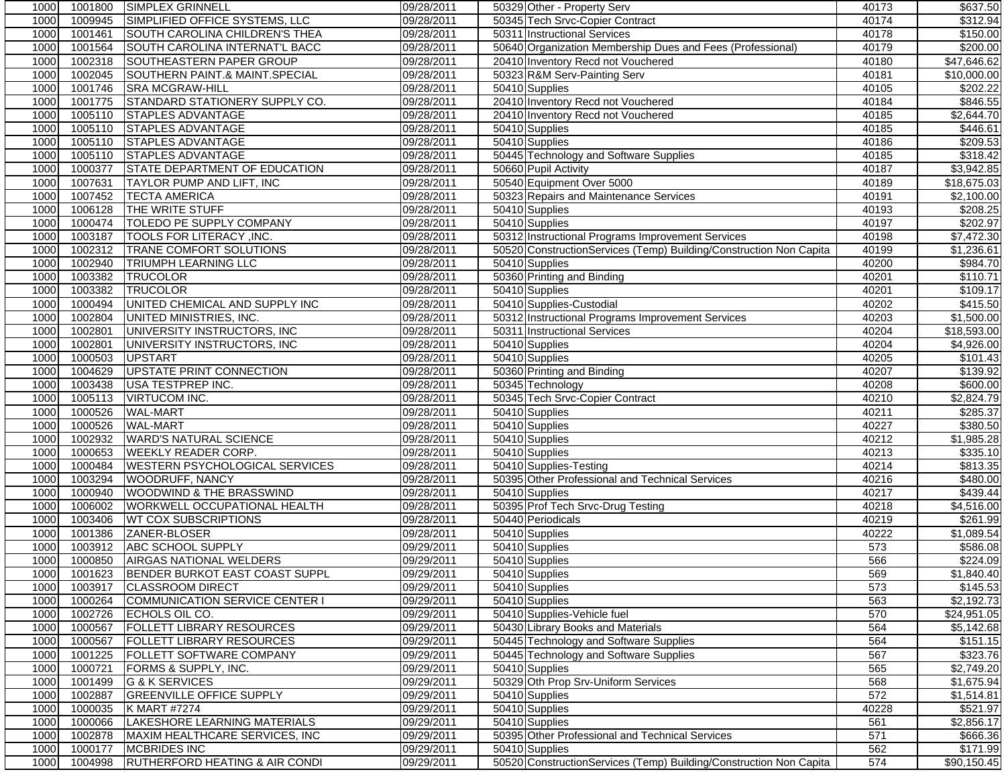| 1000         | 1001800            | <b>SIMPLEX GRINNELL</b>                   | 09/28/2011               | 50329 Other - Property Serv                                        | 40173      | \$637.50                |
|--------------|--------------------|-------------------------------------------|--------------------------|--------------------------------------------------------------------|------------|-------------------------|
| 1000         | 1009945            | SIMPLIFIED OFFICE SYSTEMS, LLC            | 09/28/2011               | 50345 Tech Srvc-Copier Contract                                    | 40174      | 3312.94                 |
| 1000         | 1001461            | SOUTH CAROLINA CHILDREN'S THEA            | 09/28/2011               | 50311 Instructional Services                                       | 40178      | \$150.00                |
| 1000         | 1001564            | SOUTH CAROLINA INTERNAT'L BACC            | 09/28/2011               | 50640 Organization Membership Dues and Fees (Professional)         | 40179      | \$200.00                |
| 1000         | 1002318            | SOUTHEASTERN PAPER GROUP                  | 09/28/2011               | 20410 Inventory Recd not Vouchered                                 | 40180      | \$47,646.62             |
| 1000         | 1002045            | SOUTHERN PAINT.& MAINT.SPECIAL            | 09/28/2011               | 50323 R&M Serv-Painting Serv                                       | 40181      | \$10,000.00             |
| 1000         | 1001746            | <b>SRA MCGRAW-HILL</b>                    | 09/28/2011               | 50410 Supplies                                                     | 40105      | \$202.22                |
| 1000         | 1001775            | STANDARD STATIONERY SUPPLY CO.            | 09/28/2011               | 20410 Inventory Recd not Vouchered                                 | 40184      | \$846.55                |
| 1000         | 1005110            | <b>STAPLES ADVANTAGE</b>                  | 09/28/2011               | 20410 Inventory Recd not Vouchered                                 | 40185      | \$2,644.70              |
| 1000         | 1005110            | <b>STAPLES ADVANTAGE</b>                  | 09/28/2011               | 50410 Supplies                                                     | 40185      | \$446.61                |
| 1000         | 1005110            | STAPLES ADVANTAGE                         | 09/28/2011               | 50410 Supplies                                                     | 40186      | \$209.53                |
| 1000         | 1005110            | STAPLES ADVANTAGE                         | 09/28/2011               | 50445 Technology and Software Supplies                             | 40185      | \$318.42                |
| 1000         | 1000377            | STATE DEPARTMENT OF EDUCATION             | 09/28/2011               | 50660 Pupil Activity                                               | 40187      | \$3,942.85              |
| 1000         | 1007631            | TAYLOR PUMP AND LIFT, INC                 | 09/28/2011               | 50540 Equipment Over 5000                                          | 40189      | \$18,675.03             |
| 1000         | 1007452            | <b>TECTA AMERICA</b>                      | 09/28/2011               | 50323 Repairs and Maintenance Services                             | 40191      | \$2,100.00              |
| 1000         | 1006128            | THE WRITE STUFF                           | 09/28/2011               | 50410 Supplies                                                     | 40193      | 3208.25                 |
| 1000         | 1000474            | TOLEDO PE SUPPLY COMPANY                  | 09/28/2011               | 50410 Supplies                                                     | 40197      | \$202.97                |
| 1000         | 1003187            | TOOLS FOR LITERACY, INC.                  | 09/28/2011               | 50312 Instructional Programs Improvement Services                  | 40198      | \$7,472.30              |
| 1000         | 1002312            | TRANE COMFORT SOLUTIONS                   | 09/28/2011               | 50520 ConstructionServices (Temp) Building/Construction Non Capita | 40199      | \$1,236.61              |
| 1000         | 1002940            | <b>TRIUMPH LEARNING LLC</b>               | 09/28/2011               | 50410 Supplies                                                     | 40200      | \$984.70                |
| 1000         | 1003382            | <b>TRUCOLOR</b>                           | 09/28/2011               | 50360 Printing and Binding                                         | 40201      | $\overline{$110.71}$    |
| 1000         | 1003382            | <b>TRUCOLOR</b>                           | 09/28/2011               | 50410 Supplies                                                     | 40201      | \$109.17                |
| 1000         | 1000494            | UNITED CHEMICAL AND SUPPLY INC            | 09/28/2011               | 50410 Supplies-Custodial                                           | 40202      | \$415.50                |
| 1000         | 1002804            | UNITED MINISTRIES, INC.                   | 09/28/2011               | 50312 Instructional Programs Improvement Services                  | 40203      | \$1,500.00              |
| 1000         | 1002801            | UNIVERSITY INSTRUCTORS, INC               | 09/28/2011               | 50311 Instructional Services                                       | 40204      | \$18,593.00             |
| 1000         | 1002801            | UNIVERSITY INSTRUCTORS, INC               | 09/28/2011               | 50410 Supplies                                                     | 40204      | \$4,926.00              |
| 1000         | 1000503            | <b>UPSTART</b>                            | 09/28/2011               | 50410 Supplies                                                     | 40205      | \$101.43                |
| 1000         | 1004629            | UPSTATE PRINT CONNECTION                  | 09/28/2011               | 50360 Printing and Binding                                         | 40207      | \$139.92                |
| 1000         | 1003438            | USA TESTPREP INC.                         | 09/28/2011               | 50345 Technology                                                   | 40208      | \$600.00                |
| 1000         | 1005113            | <b>VIRTUCOM INC.</b>                      | 09/28/2011               | 50345 Tech Srvc-Copier Contract                                    | 40210      | \$2,824.79              |
| 1000         | 1000526            | <b>WAL-MART</b>                           | 09/28/2011               | 50410 Supplies                                                     | 40211      | \$285.37                |
| 1000         | 1000526            | <b>WAL-MART</b>                           | 09/28/2011               | 50410 Supplies                                                     | 40227      | \$380.50                |
| 1000         | 1002932            | <b>WARD'S NATURAL SCIENCE</b>             | 09/28/2011               | 50410 Supplies                                                     | 40212      | \$1,985.28              |
| 1000         | 1000653            | <b>WEEKLY READER CORP.</b>                | 09/28/2011               | 50410 Supplies                                                     | 40213      | \$335.10                |
| 1000         | 1000484            | <b>WESTERN PSYCHOLOGICAL SERVICES</b>     | 09/28/2011               | 50410 Supplies-Testing                                             | 40214      | \$813.35                |
| 1000         | 1003294            | WOODRUFF, NANCY                           | 09/28/2011               | 50395 Other Professional and Technical Services                    | 40216      | \$480.00                |
| 1000         | 1000940            | WOODWIND & THE BRASSWIND                  | 09/28/2011               | 50410 Supplies                                                     | 40217      | \$439.44                |
| 1000         | 1006002            | WORKWELL OCCUPATIONAL HEALTH              | 09/28/2011               | 50395 Prof Tech Srvc-Drug Testing                                  | 40218      | \$4,516.00              |
| 1000         | 1003406            | <b>WT COX SUBSCRIPTIONS</b>               |                          | 50440 Periodicals                                                  | 40219      | \$261.99                |
|              |                    | ZANER-BLOSER                              | 09/28/2011<br>09/28/2011 |                                                                    |            |                         |
| 1000<br>1000 | 1001386<br>1003912 | ABC SCHOOL SUPPLY                         |                          | 50410 Supplies                                                     | 40222      | \$1,089.54              |
| 1000         | 1000850            | <b>AIRGAS NATIONAL WELDERS</b>            | 09/29/2011               | 50410 Supplies                                                     | 573<br>566 | \$586.08<br>\$224.09    |
| 1000         |                    | 1001623 BENDER BURKOT EAST COAST SUPPL    | 09/29/2011               | 50410 Supplies<br>50410 Supplies                                   |            | \$1,840.40              |
|              |                    |                                           | 09/29/2011               |                                                                    | 569        |                         |
| 1000         | 1003917            | <b>CLASSROOM DIRECT</b>                   | 09/29/2011               | 50410 Supplies                                                     | 573        | \$145.53                |
| 1000         | 1000264<br>1002726 | COMMUNICATION SERVICE CENTER I            | 09/29/2011               | 50410 Supplies                                                     | 563<br>570 | \$2,192.73              |
| 1000         |                    | ECHOLS OIL CO.                            | 09/29/2011               | 50410 Supplies-Vehicle fuel                                        |            | $\overline{$24,951.05}$ |
| 1000         | 1000567            | <b>FOLLETT LIBRARY RESOURCES</b>          | 09/29/2011               | 50430 Library Books and Materials                                  | 564        | \$5,142.68              |
| 1000         | 1000567            | <b>FOLLETT LIBRARY RESOURCES</b>          | 09/29/2011               | 50445 Technology and Software Supplies                             | 564        | \$151.15                |
| 1000         | 1001225            | FOLLETT SOFTWARE COMPANY                  | 09/29/2011               | 50445 Technology and Software Supplies                             | 567        | \$323.76                |
| 1000         | 1000721            | FORMS & SUPPLY, INC.                      | 09/29/2011               | 50410 Supplies                                                     | 565        | \$2,749.20              |
| 1000         | 1001499            | <b>G &amp; K SERVICES</b>                 | 09/29/2011               | 50329 Oth Prop Srv-Uniform Services                                | 568        | \$1,675.94              |
| 1000         | 1002887            | <b>GREENVILLE OFFICE SUPPLY</b>           | 09/29/2011               | 50410 Supplies                                                     | 572        | \$1,514.81              |
| 1000         | 1000035            | K MART #7274                              | 09/29/2011               | 50410 Supplies                                                     | 40228      | \$521.97                |
| 1000         | 1000066            | LAKESHORE LEARNING MATERIALS              | 09/29/2011               | 50410 Supplies                                                     | 561        | \$2,856.17              |
| 1000         | 1002878            | MAXIM HEALTHCARE SERVICES, INC            | 09/29/2011               | 50395 Other Professional and Technical Services                    | 571        | \$666.36                |
| 1000         | 1000177            | <b>MCBRIDES INC</b>                       | 09/29/2011               | 50410 Supplies                                                     | 562        | \$171.99                |
| 1000         | 1004998            | <b>RUTHERFORD HEATING &amp; AIR CONDI</b> | 09/29/2011               | 50520 ConstructionServices (Temp) Building/Construction Non Capita | 574        | \$90,150.45             |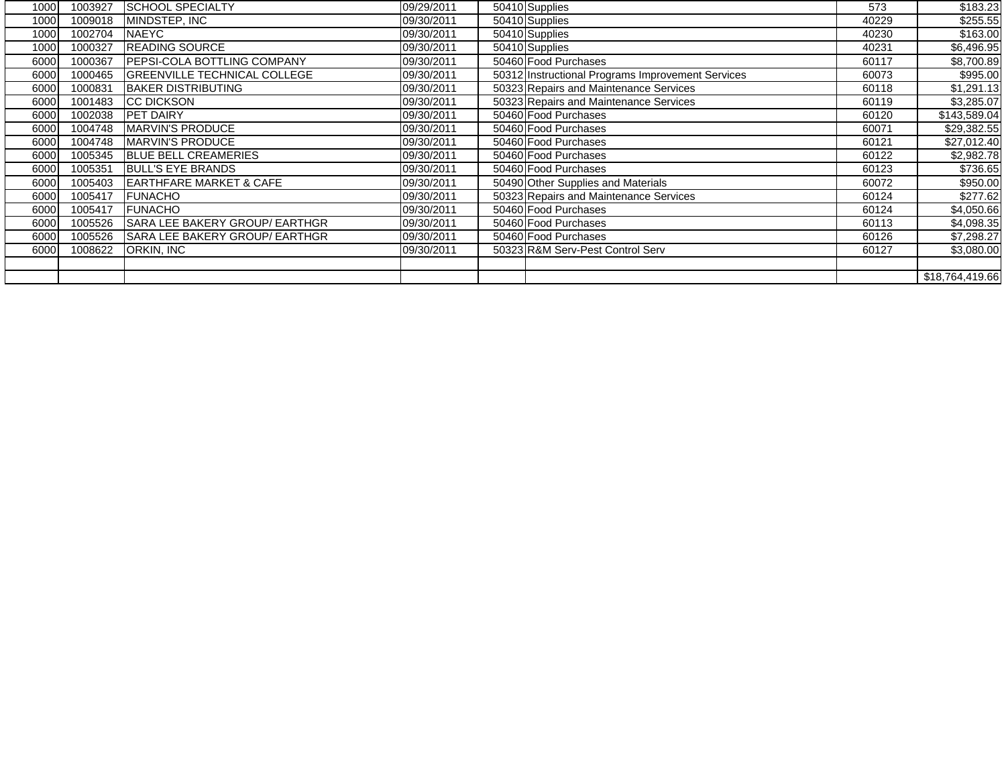| 1000 | 1003927 | <b>SCHOOL SPECIALTY</b>              | 09/29/2011 | 50410 Supplies                                    | 573   | \$183.23        |
|------|---------|--------------------------------------|------------|---------------------------------------------------|-------|-----------------|
| 1000 | 1009018 | MINDSTEP, INC                        | 09/30/2011 | 50410 Supplies                                    | 40229 | \$255.55        |
| 1000 | 1002704 | <b>NAEYC</b>                         | 09/30/2011 | 50410 Supplies                                    | 40230 | \$163.00        |
| 1000 | 1000327 | <b>READING SOURCE</b>                | 09/30/2011 | 50410 Supplies                                    | 40231 | \$6,496.95      |
| 6000 | 1000367 | <b>IPEPSI-COLA BOTTLING COMPANY</b>  | 09/30/2011 | 50460 Food Purchases                              | 60117 | \$8,700.89      |
| 6000 | 1000465 | <b>IGREENVILLE TECHNICAL COLLEGE</b> | 09/30/2011 | 50312 Instructional Programs Improvement Services | 60073 | \$995.00        |
| 6000 | 1000831 | <b>BAKER DISTRIBUTING</b>            | 09/30/2011 | 50323 Repairs and Maintenance Services            | 60118 | \$1,291.13      |
| 6000 | 1001483 | <b>CC DICKSON</b>                    | 09/30/2011 | 50323 Repairs and Maintenance Services            | 60119 | \$3,285.07      |
| 6000 | 1002038 | <b>PET DAIRY</b>                     | 09/30/2011 | 50460 Food Purchases                              | 60120 | \$143,589.04    |
| 6000 | 1004748 | MARVIN'S PRODUCE                     | 09/30/2011 | 50460 Food Purchases                              | 60071 | \$29,382.55     |
| 6000 | 1004748 | <b>IMARVIN'S PRODUCE</b>             | 09/30/2011 | 50460 Food Purchases                              | 60121 | \$27,012.40     |
| 6000 | 1005345 | <b>BLUE BELL CREAMERIES</b>          | 09/30/2011 | 50460 Food Purchases                              | 60122 | \$2,982.78      |
| 6000 | 1005351 | <b>BULL'S EYE BRANDS</b>             | 09/30/2011 | 50460 Food Purchases                              | 60123 | \$736.65        |
| 6000 | 1005403 | <b>EARTHFARE MARKET &amp; CAFE</b>   | 09/30/2011 | 50490 Other Supplies and Materials                | 60072 | \$950.00        |
| 6000 | 1005417 | <b>FUNACHO</b>                       | 09/30/2011 | 50323 Repairs and Maintenance Services            | 60124 | \$277.62        |
| 6000 | 1005417 | <b>FUNACHO</b>                       | 09/30/2011 | 50460 Food Purchases                              | 60124 | \$4,050.66      |
| 6000 | 1005526 | SARA LEE BAKERY GROUP/ EARTHGR       | 09/30/2011 | 50460 Food Purchases                              | 60113 | \$4,098.35      |
| 6000 | 1005526 | SARA LEE BAKERY GROUP/ EARTHGR       | 09/30/2011 | 50460 Food Purchases                              | 60126 | \$7,298.27      |
| 6000 | 1008622 | ORKIN, INC                           | 09/30/2011 | 50323 R&M Serv-Pest Control Serv                  | 60127 | \$3,080.00      |
|      |         |                                      |            |                                                   |       |                 |
|      |         |                                      |            |                                                   |       | \$18,764,419.66 |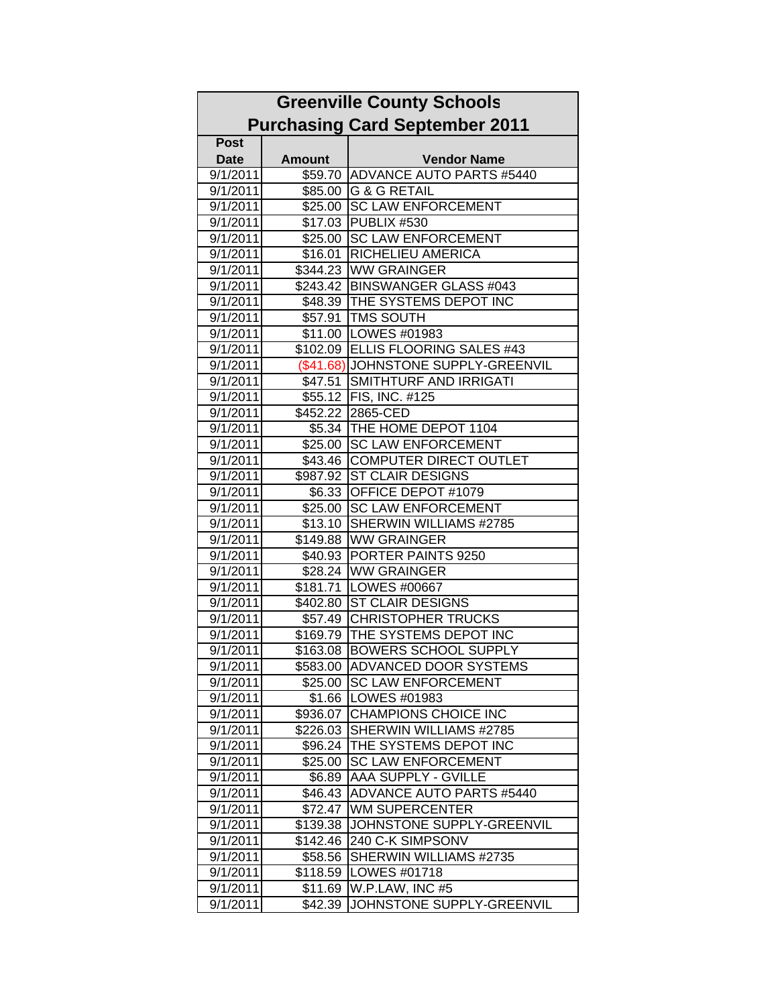| <b>Greenville County Schools</b> |               |                                       |  |  |
|----------------------------------|---------------|---------------------------------------|--|--|
|                                  |               | <b>Purchasing Card September 2011</b> |  |  |
| <b>Post</b>                      |               |                                       |  |  |
| <b>Date</b>                      | <b>Amount</b> | <b>Vendor Name</b>                    |  |  |
| 9/1/2011                         | \$59.70       | <b>ADVANCE AUTO PARTS #5440</b>       |  |  |
| 9/1/2011                         |               | \$85.00 G & G RETAIL                  |  |  |
| 9/1/2011                         | \$25.00       | <b>SC LAW ENFORCEMENT</b>             |  |  |
| 9/1/2011                         |               | \$17.03   PUBLIX #530                 |  |  |
| 9/1/2011                         |               | \$25.00 SC LAW ENFORCEMENT            |  |  |
| 9/1/2011                         | \$16.01       | <b>RICHELIEU AMERICA</b>              |  |  |
| 9/1/2011                         |               | \$344.23 WW GRAINGER                  |  |  |
| 9/1/2011                         | \$243.42      | <b>BINSWANGER GLASS #043</b>          |  |  |
| 9/1/2011                         | \$48.39       | <b>THE SYSTEMS DEPOT INC</b>          |  |  |
| 9/1/2011                         | \$57.91       | <b>TMS SOUTH</b>                      |  |  |
| 9/1/2011                         | \$11.00       | LOWES #01983                          |  |  |
| 9/1/2011                         | \$102.09      | <b>ELLIS FLOORING SALES #43</b>       |  |  |
| 9/1/2011                         |               | (\$41.68) JOHNSTONE SUPPLY-GREENVIL   |  |  |
| 9/1/2011                         | \$47.51       | SMITHTURF AND IRRIGATI                |  |  |
| 9/1/2011                         |               | \$55.12   FIS, INC. #125              |  |  |
| 9/1/2011                         | \$452.22      | 2865-CED                              |  |  |
| 9/1/2011                         |               | \$5.34   THE HOME DEPOT 1104          |  |  |
| 9/1/2011                         | \$25.00       | <b>SC LAW ENFORCEMENT</b>             |  |  |
| 9/1/2011                         | \$43.46       | <b>COMPUTER DIRECT OUTLET</b>         |  |  |
| 9/1/2011                         | \$987.92      | <b>ST CLAIR DESIGNS</b>               |  |  |
| 9/1/2011                         | \$6.33        | OFFICE DEPOT #1079                    |  |  |
| 9/1/2011                         | \$25.00       | <b>SC LAW ENFORCEMENT</b>             |  |  |
| 9/1/2011                         | \$13.10       | SHERWIN WILLIAMS #2785                |  |  |
| 9/1/2011                         | \$149.88      | <b>WW GRAINGER</b>                    |  |  |
| 9/1/2011                         | \$40.93       | <b>PORTER PAINTS 9250</b>             |  |  |
| 9/1/2011                         | \$28.24       | <b>WW GRAINGER</b>                    |  |  |
| 9/1/2011                         | \$181.71      | <b>LOWES #00667</b>                   |  |  |
| 9/1/2011                         | \$402.80      | <b>ST CLAIR DESIGNS</b>               |  |  |
| 9/1/2011                         | \$57.49       | <b>CHRISTOPHER TRUCKS</b>             |  |  |
| 9/1/2011                         |               | \$169.79   THE SYSTEMS DEPOT INC      |  |  |
| 9/1/2011                         | \$163.08      | <b>BOWERS SCHOOL SUPPLY</b>           |  |  |
| 9/1/2011                         | \$583.00      | <b>ADVANCED DOOR SYSTEMS</b>          |  |  |
| 9/1/2011                         | \$25.00       | <b>SC LAW ENFORCEMENT</b>             |  |  |
| 9/1/2011                         | \$1.66        | LOWES #01983                          |  |  |
| 9/1/2011                         | \$936.07      | <b>CHAMPIONS CHOICE INC</b>           |  |  |
| 9/1/2011                         | \$226.03      | SHERWIN WILLIAMS #2785                |  |  |
| 9/1/2011                         | \$96.24       | THE SYSTEMS DEPOT INC                 |  |  |
| 9/1/2011                         | \$25.00       | <b>SC LAW ENFORCEMENT</b>             |  |  |
| 9/1/2011                         | \$6.89        | AAA SUPPLY - GVILLE                   |  |  |
| 9/1/2011                         | \$46.43       | ADVANCE AUTO PARTS #5440              |  |  |
| 9/1/2011                         | \$72.47       | <b>WM SUPERCENTER</b>                 |  |  |
| 9/1/2011                         | \$139.38      | JOHNSTONE SUPPLY-GREENVIL             |  |  |
| 9/1/2011                         | \$142.46      | 240 C-K SIMPSONV                      |  |  |
| 9/1/2011                         | \$58.56       | SHERWIN WILLIAMS #2735                |  |  |
| 9/1/2011                         | \$118.59      | LOWES #01718                          |  |  |
| 9/1/2011                         | \$11.69       | W.P.LAW, INC #5                       |  |  |
| 9/1/2011                         | \$42.39       | JOHNSTONE SUPPLY-GREENVIL             |  |  |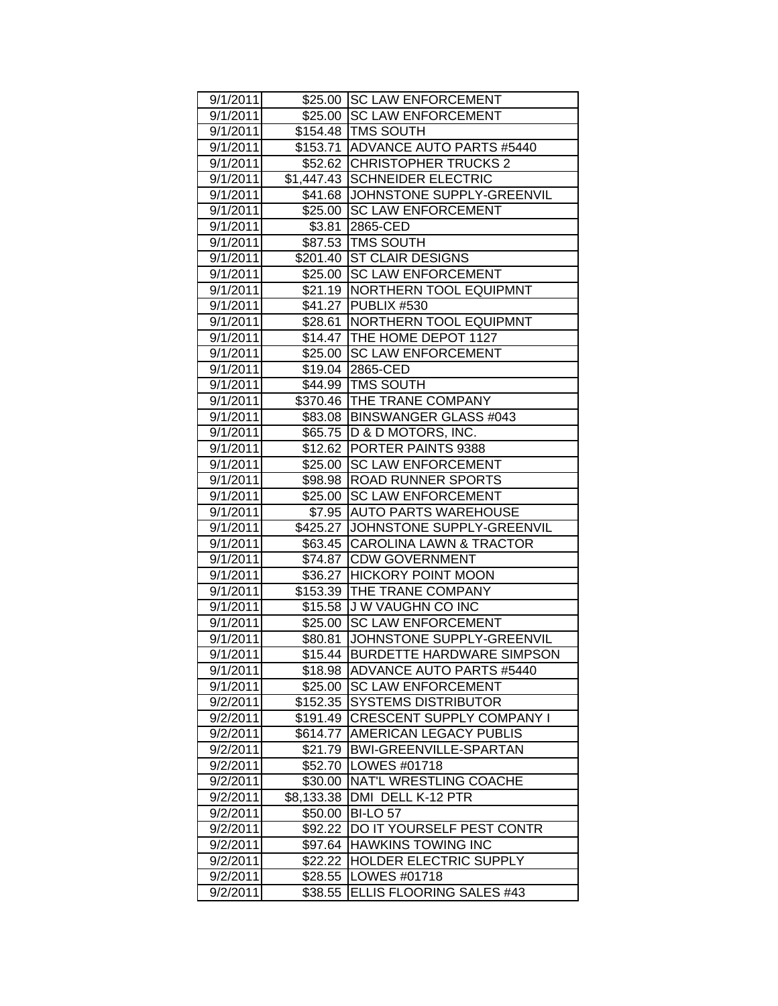| 9/1/2011 |            | \$25.00 SC LAW ENFORCEMENT          |
|----------|------------|-------------------------------------|
| 9/1/2011 |            | \$25.00 SC LAW ENFORCEMENT          |
| 9/1/2011 |            | \$154.48   TMS SOUTH                |
| 9/1/2011 |            | \$153.71 ADVANCE AUTO PARTS #5440   |
| 9/1/2011 |            | \$52.62 CHRISTOPHER TRUCKS 2        |
| 9/1/2011 |            | \$1,447.43 SCHNEIDER ELECTRIC       |
| 9/1/2011 |            | \$41.68 JJOHNSTONE SUPPLY-GREENVIL  |
| 9/1/2011 |            | \$25.00 SC LAW ENFORCEMENT          |
| 9/1/2011 |            | \$3.81 2865-CED                     |
| 9/1/2011 |            | \$87.53 TMS SOUTH                   |
| 9/1/2011 |            | \$201.40 ST CLAIR DESIGNS           |
| 9/1/2011 |            | \$25.00 SC LAW ENFORCEMENT          |
| 9/1/2011 |            | \$21.19   NORTHERN TOOL EQUIPMNT    |
| 9/1/2011 |            | \$41.27 PUBLIX #530                 |
| 9/1/2011 |            | \$28.61 NORTHERN TOOL EQUIPMNT      |
| 9/1/2011 |            | \$14.47 THE HOME DEPOT 1127         |
| 9/1/2011 |            | \$25.00 SC LAW ENFORCEMENT          |
| 9/1/2011 |            | \$19.04 2865-CED                    |
| 9/1/2011 |            | \$44.99   TMS SOUTH                 |
| 9/1/2011 |            | \$370.46 THE TRANE COMPANY          |
| 9/1/2011 |            | \$83.08   BINSWANGER GLASS #043     |
| 9/1/2011 |            | \$65.75 D & D MOTORS, INC.          |
| 9/1/2011 |            | \$12.62 PORTER PAINTS 9388          |
| 9/1/2011 |            | \$25.00 SC LAW ENFORCEMENT          |
| 9/1/2011 |            | \$98.98 ROAD RUNNER SPORTS          |
| 9/1/2011 |            | \$25.00 SC LAW ENFORCEMENT          |
| 9/1/2011 |            | \$7.95 AUTO PARTS WAREHOUSE         |
| 9/1/2011 |            | \$425.27 JJOHNSTONE SUPPLY-GREENVIL |
| 9/1/2011 |            | \$63.45 CAROLINA LAWN & TRACTOR     |
| 9/1/2011 |            | \$74.87 CDW GOVERNMENT              |
| 9/1/2011 |            | \$36.27 HICKORY POINT MOON          |
| 9/1/2011 |            | \$153.39 THE TRANE COMPANY          |
| 9/1/2011 |            | \$15.58 J W VAUGHN CO INC           |
| 9/1/2011 |            | \$25.00 SC LAW ENFORCEMENT          |
| 9/1/2011 | \$80.81    | JOHNSTONE SUPPLY-GREENVIL           |
| 9/1/2011 | \$15.44    | <b>BURDETTE HARDWARE SIMPSON</b>    |
| 9/1/2011 | \$18.98    | <b>ADVANCE AUTO PARTS #5440</b>     |
| 9/1/2011 | \$25.00    | <b>SC LAW ENFORCEMENT</b>           |
| 9/2/2011 | \$152.35   | <b>SYSTEMS DISTRIBUTOR</b>          |
| 9/2/2011 | \$191.49   | <b>CRESCENT SUPPLY COMPANY I</b>    |
| 9/2/2011 | \$614.77   | AMERICAN LEGACY PUBLIS              |
| 9/2/2011 | \$21.79    | <b>BWI-GREENVILLE-SPARTAN</b>       |
| 9/2/2011 | \$52.70    | LOWES #01718                        |
| 9/2/2011 | \$30.00    | NAT'L WRESTLING COACHE              |
| 9/2/2011 | \$8,133.38 | DMI DELL K-12 PTR                   |
| 9/2/2011 | \$50.00    | <b>BI-LO 57</b>                     |
| 9/2/2011 | \$92.22    | DO IT YOURSELF PEST CONTR           |
| 9/2/2011 | \$97.64    | <b>HAWKINS TOWING INC</b>           |
| 9/2/2011 | \$22.22    | HOLDER ELECTRIC SUPPLY              |
| 9/2/2011 | \$28.55    | LOWES #01718                        |
| 9/2/2011 | \$38.55    | ELLIS FLOORING SALES #43            |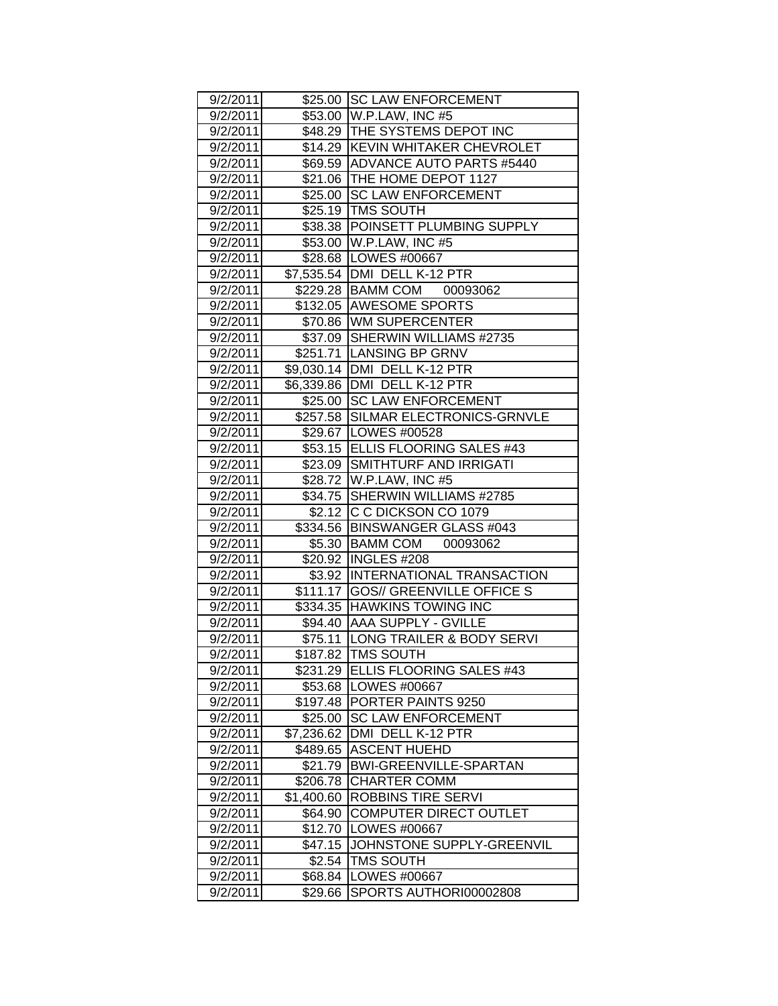| 9/2/2011             |                        | \$25.00 SC LAW ENFORCEMENT               |
|----------------------|------------------------|------------------------------------------|
| 9/2/2011             |                        | \$53.00 W.P.LAW, INC #5                  |
| 9/2/2011             |                        | \$48.29 THE SYSTEMS DEPOT INC            |
| 9/2/2011             |                        | \$14.29 KEVIN WHITAKER CHEVROLET         |
| 9/2/2011             |                        | \$69.59 ADVANCE AUTO PARTS #5440         |
| 9/2/2011             |                        | \$21.06 THE HOME DEPOT 1127              |
| 9/2/2011             |                        | \$25.00 SC LAW ENFORCEMENT               |
| 9/2/2011             |                        | \$25.19 TMS SOUTH                        |
| 9/2/2011             |                        | \$38.38 POINSETT PLUMBING SUPPLY         |
| 9/2/2011             |                        | \$53.00 W.P.LAW, INC #5                  |
| 9/2/2011             |                        | \$28.68   LOWES #00667                   |
| 9/2/2011             |                        | \$7,535.54   DMI DELL K-12 PTR           |
| 9/2/2011             |                        | \$229.28 BAMM COM 00093062               |
| 9/2/2011             |                        | \$132.05 AWESOME SPORTS                  |
| 9/2/2011             |                        | \$70.86 WM SUPERCENTER                   |
| 9/2/2011             |                        | \$37.09 SHERWIN WILLIAMS #2735           |
| 9/2/2011             |                        | \$251.71 LANSING BP GRNV                 |
| 9/2/2011             |                        | \$9,030.14 DMI DELL K-12 PTR             |
| 9/2/2011             |                        | \$6,339.86 DMI DELL K-12 PTR             |
| 9/2/2011             |                        | \$25.00 SC LAW ENFORCEMENT               |
| 9/2/2011             |                        | \$257.58 SILMAR ELECTRONICS-GRNVLE       |
| 9/2/2011             |                        | \$29.67   LOWES #00528                   |
| 9/2/2011             |                        | \$53.15 ELLIS FLOORING SALES #43         |
| 9/2/2011             |                        | \$23.09 SMITHTURF AND IRRIGATI           |
| 9/2/2011             |                        | \$28.72 W.P.LAW, INC #5                  |
| 9/2/2011             |                        | \$34.75 SHERWIN WILLIAMS #2785           |
| 9/2/2011             |                        | \$2.12 C C DICKSON CO 1079               |
| 9/2/2011             |                        | \$334.56 BINSWANGER GLASS #043           |
| 9/2/2011             |                        | \$5.30 BAMM COM 00093062                 |
| 9/2/2011             |                        | \$20.92  INGLES #208                     |
| 9/2/2011             |                        | \$3.92  INTERNATIONAL TRANSACTION        |
| 9/2/2011             |                        | \$111.17 GOS// GREENVILLE OFFICE S       |
| 9/2/2011             |                        | \$334.35 HAWKINS TOWING INC              |
| 9/2/2011             |                        | \$94.40 AAA SUPPLY - GVILLE              |
| 9/2/2011             |                        | \$75.11 LONG TRAILER & BODY SERVI        |
| 9/2/2011             |                        | \$187.82 TMS SOUTH                       |
| 9/2/2011             |                        | \$231.29 ELLIS FLOORING SALES #43        |
| 9/2/2011             | \$53.68                | <b>LOWES #00667</b>                      |
| 9/2/2011             | \$197.48               | PORTER PAINTS 9250                       |
| 9/2/2011             | \$25.00                | <b>SC LAW ENFORCEMENT</b>                |
| 9/2/2011<br>9/2/2011 | \$7,236.62             | DMI DELL K-12 PTR<br><b>ASCENT HUEHD</b> |
| 9/2/2011             | \$489.65               | <b>BWI-GREENVILLE-SPARTAN</b>            |
|                      | \$21.79                | <b>CHARTER COMM</b>                      |
| 9/2/2011<br>9/2/2011 | \$206.78<br>\$1,400.60 | <b>ROBBINS TIRE SERVI</b>                |
| 9/2/2011             | \$64.90                | COMPUTER DIRECT OUTLET                   |
| 9/2/2011             | \$12.70                | LOWES #00667                             |
| 9/2/2011             | \$47.15                | JOHNSTONE SUPPLY-GREENVIL                |
| 9/2/2011             | \$2.54                 | TMS SOUTH                                |
| 9/2/2011             | \$68.84                | LOWES #00667                             |
| 9/2/2011             | \$29.66                | SPORTS AUTHORI00002808                   |
|                      |                        |                                          |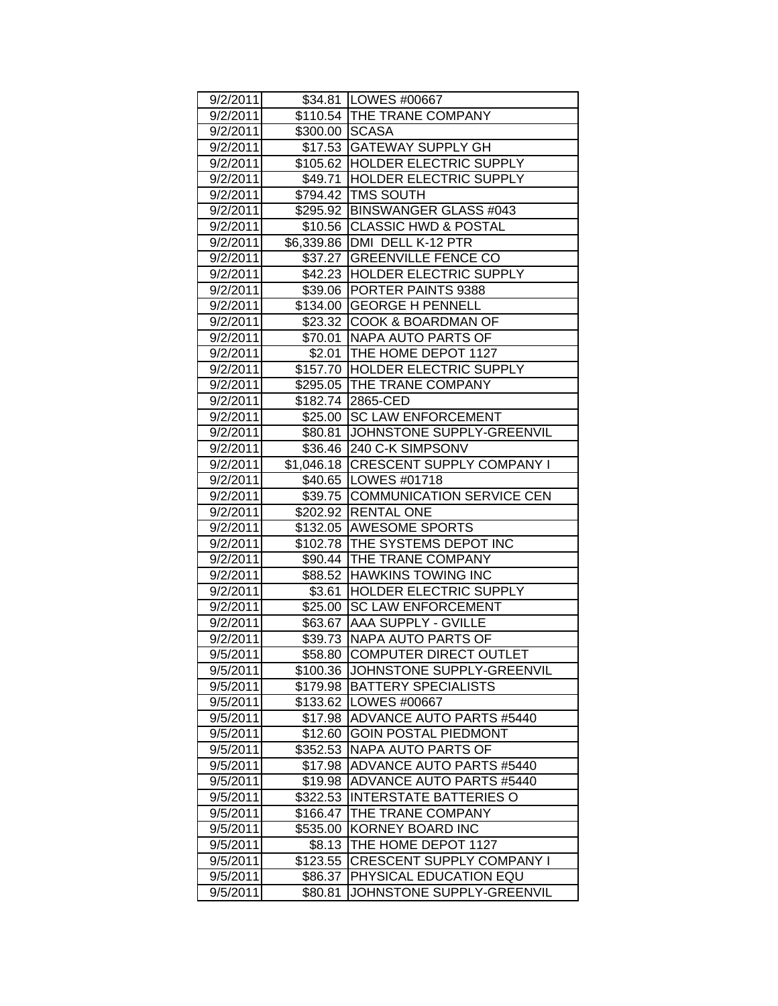| 9/2/2011 |                | \$34.81   LOWES #00667               |
|----------|----------------|--------------------------------------|
| 9/2/2011 |                | \$110.54 THE TRANE COMPANY           |
| 9/2/2011 | \$300.00 SCASA |                                      |
| 9/2/2011 |                | \$17.53 GATEWAY SUPPLY GH            |
| 9/2/2011 |                | \$105.62 HOLDER ELECTRIC SUPPLY      |
| 9/2/2011 |                | \$49.71 HOLDER ELECTRIC SUPPLY       |
| 9/2/2011 |                | \$794.42 TMS SOUTH                   |
| 9/2/2011 |                | \$295.92 BINSWANGER GLASS #043       |
| 9/2/2011 |                | \$10.56 CLASSIC HWD & POSTAL         |
| 9/2/2011 |                | \$6,339.86   DMI DELL K-12 PTR       |
| 9/2/2011 |                | \$37.27 GREENVILLE FENCE CO          |
| 9/2/2011 |                | \$42.23 HOLDER ELECTRIC SUPPLY       |
| 9/2/2011 |                | \$39.06 PORTER PAINTS 9388           |
| 9/2/2011 |                | \$134.00 GEORGE H PENNELL            |
| 9/2/2011 |                | \$23.32   COOK & BOARDMAN OF         |
| 9/2/2011 |                | \$70.01   NAPA AUTO PARTS OF         |
| 9/2/2011 |                | \$2.01 THE HOME DEPOT 1127           |
| 9/2/2011 |                | \$157.70 HOLDER ELECTRIC SUPPLY      |
| 9/2/2011 |                | \$295.05 THE TRANE COMPANY           |
| 9/2/2011 |                | \$182.74 2865-CED                    |
| 9/2/2011 |                | \$25.00 SC LAW ENFORCEMENT           |
| 9/2/2011 |                | \$80.81 JJOHNSTONE SUPPLY-GREENVIL   |
| 9/2/2011 |                | \$36.46 240 C-K SIMPSONV             |
| 9/2/2011 |                | \$1,046.18 CRESCENT SUPPLY COMPANY I |
| 9/2/2011 |                | \$40.65   LOWES #01718               |
| 9/2/2011 |                | \$39.75 COMMUNICATION SERVICE CEN    |
| 9/2/2011 |                | \$202.92 RENTAL ONE                  |
| 9/2/2011 |                | \$132.05 AWESOME SPORTS              |
| 9/2/2011 |                | \$102.78 THE SYSTEMS DEPOT INC       |
| 9/2/2011 |                | \$90.44  THE TRANE COMPANY           |
| 9/2/2011 |                | \$88.52 HAWKINS TOWING INC           |
| 9/2/2011 |                | \$3.61 HOLDER ELECTRIC SUPPLY        |
| 9/2/2011 |                | \$25.00 SC LAW ENFORCEMENT           |
| 9/2/2011 |                | \$63.67 AAA SUPPLY - GVILLE          |
| 9/2/2011 |                | \$39.73 NAPA AUTO PARTS OF           |
| 9/5/2011 |                | \$58.80 COMPUTER DIRECT OUTLET       |
| 9/5/2011 | \$100.36       | JOHNSTONE SUPPLY-GREENVIL            |
| 9/5/2011 | \$179.98       | <b>BATTERY SPECIALISTS</b>           |
| 9/5/2011 | \$133.62       | LOWES #00667                         |
| 9/5/2011 | \$17.98        | <b>ADVANCE AUTO PARTS #5440</b>      |
| 9/5/2011 | \$12.60        | <b>GOIN POSTAL PIEDMONT</b>          |
| 9/5/2011 | \$352.53       | <b>NAPA AUTO PARTS OF</b>            |
| 9/5/2011 | \$17.98        | <b>ADVANCE AUTO PARTS #5440</b>      |
| 9/5/2011 | \$19.98        | <b>ADVANCE AUTO PARTS #5440</b>      |
| 9/5/2011 | \$322.53       | <b>INTERSTATE BATTERIES O</b>        |
| 9/5/2011 | \$166.47       | THE TRANE COMPANY                    |
| 9/5/2011 | \$535.00       | <b>KORNEY BOARD INC</b>              |
| 9/5/2011 | \$8.13         | THE HOME DEPOT 1127                  |
| 9/5/2011 | \$123.55       | CRESCENT SUPPLY COMPANY I            |
| 9/5/2011 | \$86.37        | PHYSICAL EDUCATION EQU               |
| 9/5/2011 | \$80.81        | JOHNSTONE SUPPLY-GREENVIL            |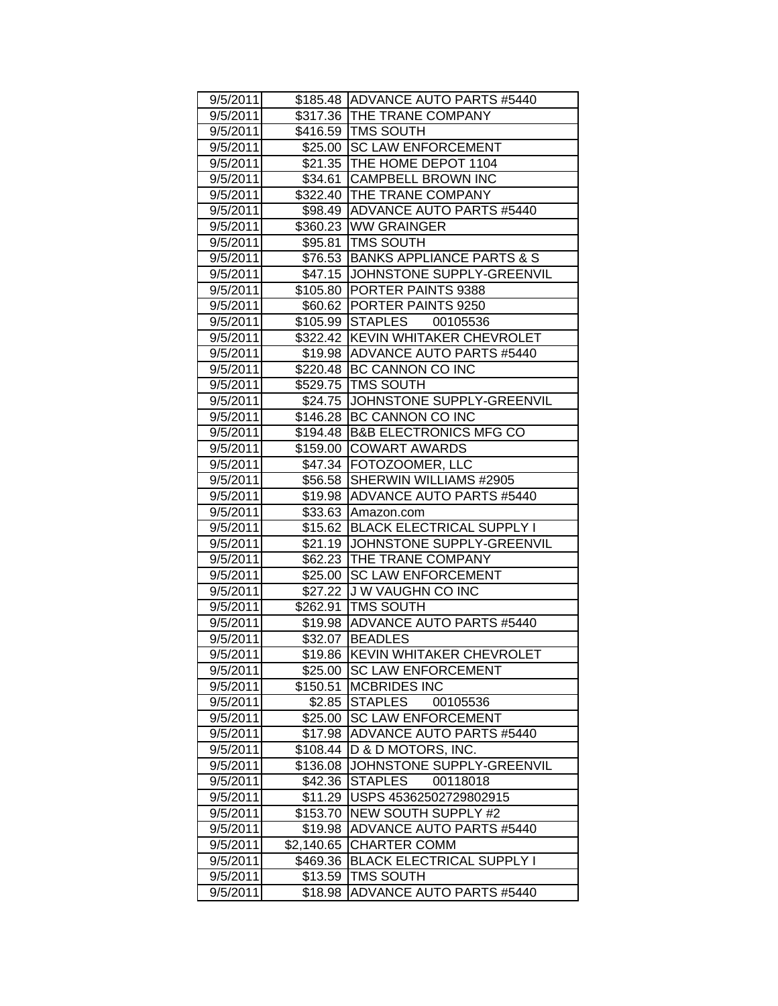| 9/5/2011 |            | \$185.48 ADVANCE AUTO PARTS #5440 |
|----------|------------|-----------------------------------|
| 9/5/2011 |            | \$317.36 THE TRANE COMPANY        |
| 9/5/2011 |            | \$416.59 TMS SOUTH                |
| 9/5/2011 |            | \$25.00 SC LAW ENFORCEMENT        |
| 9/5/2011 |            | \$21.35 THE HOME DEPOT 1104       |
| 9/5/2011 |            | \$34.61 CAMPBELL BROWN INC        |
| 9/5/2011 |            | \$322.40 THE TRANE COMPANY        |
| 9/5/2011 |            | \$98.49 ADVANCE AUTO PARTS #5440  |
| 9/5/2011 |            | \$360.23   WW GRAINGER            |
| 9/5/2011 |            | \$95.81   TMS SOUTH               |
| 9/5/2011 |            | \$76.53 BANKS APPLIANCE PARTS & S |
| 9/5/2011 |            | \$47.15 JOHNSTONE SUPPLY-GREENVIL |
| 9/5/2011 |            | \$105.80 PORTER PAINTS 9388       |
| 9/5/2011 |            | \$60.62 PORTER PAINTS 9250        |
| 9/5/2011 |            | \$105.99 STAPLES 00105536         |
| 9/5/2011 |            | \$322.42 KEVIN WHITAKER CHEVROLET |
| 9/5/2011 |            | \$19.98 ADVANCE AUTO PARTS #5440  |
| 9/5/2011 |            | \$220.48 BC CANNON CO INC         |
| 9/5/2011 | \$529.75   | <b>TMS SOUTH</b>                  |
| 9/5/2011 | \$24.75    | JOHNSTONE SUPPLY-GREENVIL         |
| 9/5/2011 |            | \$146.28 BC CANNON CO INC         |
| 9/5/2011 |            | \$194.48 B&B ELECTRONICS MFG CO   |
| 9/5/2011 |            | \$159.00 COWART AWARDS            |
| 9/5/2011 |            | \$47.34 FOTOZOOMER, LLC           |
| 9/5/2011 |            | \$56.58 SHERWIN WILLIAMS #2905    |
| 9/5/2011 |            | \$19.98 ADVANCE AUTO PARTS #5440  |
| 9/5/2011 |            | \$33.63 Amazon.com                |
| 9/5/2011 |            | \$15.62 BLACK ELECTRICAL SUPPLY I |
| 9/5/2011 |            | \$21.19 JOHNSTONE SUPPLY-GREENVIL |
| 9/5/2011 |            | \$62.23 THE TRANE COMPANY         |
| 9/5/2011 | \$25.00    | <b>SC LAW ENFORCEMENT</b>         |
| 9/5/2011 |            | \$27.22 J W VAUGHN CO INC         |
| 9/5/2011 |            | \$262.91   TMS SOUTH              |
| 9/5/2011 |            | \$19.98 ADVANCE AUTO PARTS #5440  |
| 9/5/2011 |            | \$32.07 BEADLES                   |
| 9/5/2011 |            | \$19.86 KEVIN WHITAKER CHEVROLET  |
| 9/5/2011 | \$25.00    | <b>SC LAW ENFORCEMENT</b>         |
| 9/5/2011 | \$150.51   | <b>MCBRIDES INC</b>               |
| 9/5/2011 | \$2.85     | STAPLES<br>00105536               |
| 9/5/2011 | \$25.00    | <b>SC LAW ENFORCEMENT</b>         |
| 9/5/2011 | \$17.98    | <b>ADVANCE AUTO PARTS #5440</b>   |
| 9/5/2011 | \$108.44   | D & D MOTORS, INC.                |
| 9/5/2011 | \$136.08   | JOHNSTONE SUPPLY-GREENVIL         |
| 9/5/2011 | \$42.36    | <b>STAPLES</b><br>00118018        |
| 9/5/2011 | \$11.29    | USPS 45362502729802915            |
| 9/5/2011 | \$153.70   | <b>NEW SOUTH SUPPLY #2</b>        |
| 9/5/2011 | \$19.98    | <b>ADVANCE AUTO PARTS #5440</b>   |
| 9/5/2011 | \$2,140.65 | <b>CHARTER COMM</b>               |
| 9/5/2011 | \$469.36   | <b>BLACK ELECTRICAL SUPPLY I</b>  |
| 9/5/2011 | \$13.59    | TMS SOUTH                         |
| 9/5/2011 | \$18.98    | <b>ADVANCE AUTO PARTS #5440</b>   |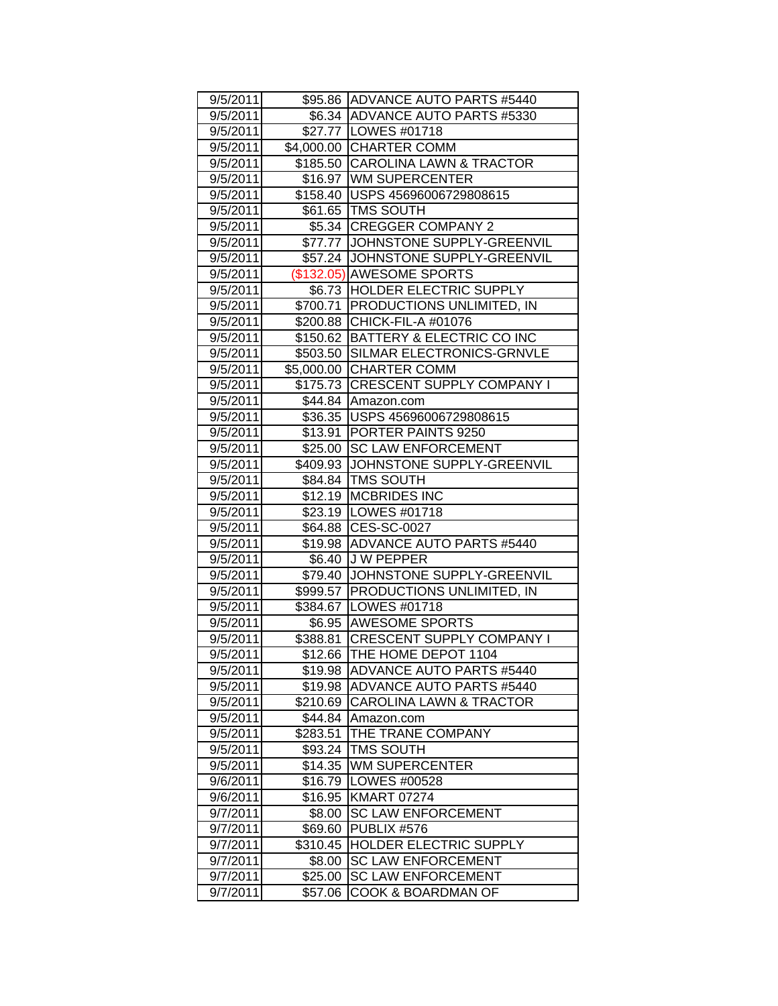| 9/5/2011 |          | \$95.86 ADVANCE AUTO PARTS #5440<br>\$6.34 ADVANCE AUTO PARTS #5330 |
|----------|----------|---------------------------------------------------------------------|
| 9/5/2011 |          |                                                                     |
| 9/5/2011 |          | \$27.77   LOWES #01718                                              |
| 9/5/2011 |          | \$4,000.00 CHARTER COMM                                             |
| 9/5/2011 |          | \$185.50 CAROLINA LAWN & TRACTOR                                    |
| 9/5/2011 |          | \$16.97 WM SUPERCENTER                                              |
| 9/5/2011 |          | \$158.40  USPS 45696006729808615                                    |
| 9/5/2011 |          | \$61.65   TMS SOUTH                                                 |
| 9/5/2011 |          | \$5.34   CREGGER COMPANY 2                                          |
| 9/5/2011 |          | \$77.77 JJOHNSTONE SUPPLY-GREENVIL                                  |
| 9/5/2011 |          | \$57.24 JOHNSTONE SUPPLY-GREENVIL                                   |
| 9/5/2011 |          | (\$132.05) AWESOME SPORTS                                           |
| 9/5/2011 |          | \$6.73  HOLDER ELECTRIC SUPPLY                                      |
| 9/5/2011 |          | \$700.71   PRODUCTIONS UNLIMITED, IN                                |
| 9/5/2011 |          | \$200.88 CHICK-FIL-A #01076                                         |
| 9/5/2011 |          | \$150.62 BATTERY & ELECTRIC CO INC                                  |
| 9/5/2011 |          | \$503.50 SILMAR ELECTRONICS-GRNVLE                                  |
| 9/5/2011 |          | \$5,000.00 CHARTER COMM                                             |
| 9/5/2011 |          | \$175.73 CRESCENT SUPPLY COMPANY I                                  |
| 9/5/2011 |          | \$44.84 Amazon.com                                                  |
| 9/5/2011 |          | \$36.35   USPS 45696006729808615                                    |
| 9/5/2011 |          | \$13.91 PORTER PAINTS 9250                                          |
| 9/5/2011 |          | \$25.00 SC LAW ENFORCEMENT                                          |
| 9/5/2011 |          | \$409.93 JOHNSTONE SUPPLY-GREENVIL                                  |
| 9/5/2011 |          | \$84.84   TMS SOUTH                                                 |
| 9/5/2011 |          | \$12.19   MCBRIDES INC                                              |
| 9/5/2011 |          | \$23.19   LOWES #01718                                              |
| 9/5/2011 |          | \$64.88 CES-SC-0027                                                 |
| 9/5/2011 |          | \$19.98 ADVANCE AUTO PARTS #5440                                    |
| 9/5/2011 |          | \$6.40 J W PEPPER                                                   |
| 9/5/2011 |          | \$79.40 JOHNSTONE SUPPLY-GREENVIL                                   |
| 9/5/2011 |          | \$999.57   PRODUCTIONS UNLIMITED, IN                                |
| 9/5/2011 |          | \$384.67 LOWES #01718                                               |
| 9/5/2011 |          | \$6.95 AWESOME SPORTS                                               |
| 9/5/2011 |          | \$388.81 CRESCENT SUPPLY COMPANY I                                  |
| 9/5/2011 |          | \$12.66 THE HOME DEPOT 1104                                         |
| 9/5/2011 | \$19.98  | <b>ADVANCE AUTO PARTS #5440</b>                                     |
| 9/5/2011 | \$19.98  | ADVANCE AUTO PARTS #5440                                            |
| 9/5/2011 | \$210.69 | <b>CAROLINA LAWN &amp; TRACTOR</b>                                  |
| 9/5/2011 | \$44.84  | Amazon.com                                                          |
| 9/5/2011 | \$283.51 | THE TRANE COMPANY                                                   |
| 9/5/2011 | \$93.24  | TMS SOUTH                                                           |
| 9/5/2011 | \$14.35  | <b>WM SUPERCENTER</b>                                               |
| 9/6/2011 | \$16.79  | LOWES #00528                                                        |
| 9/6/2011 | \$16.95  | <b>KMART 07274</b>                                                  |
| 9/7/2011 | \$8.00   | <b>SC LAW ENFORCEMENT</b>                                           |
| 9/7/2011 | \$69.60  | PUBLIX #576                                                         |
| 9/7/2011 | \$310.45 | HOLDER ELECTRIC SUPPLY                                              |
| 9/7/2011 | \$8.00   | <b>SC LAW ENFORCEMENT</b>                                           |
| 9/7/2011 | \$25.00  | <b>SC LAW ENFORCEMENT</b>                                           |
| 9/7/2011 | \$57.06  | <b>COOK &amp; BOARDMAN OF</b>                                       |
|          |          |                                                                     |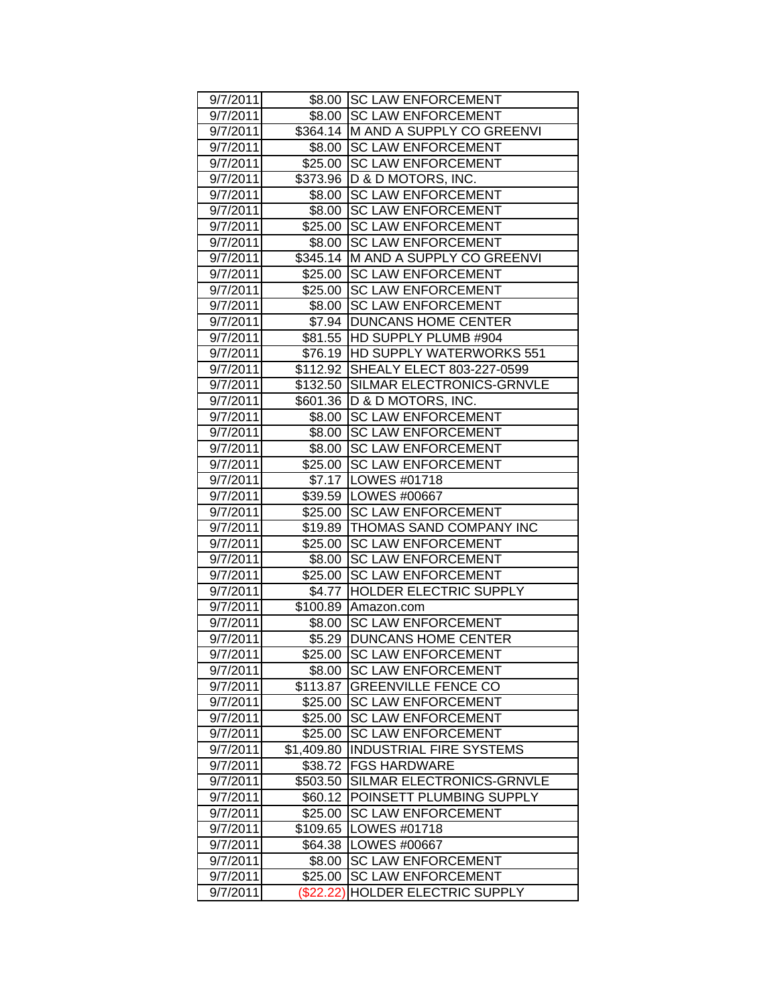| 9/7/2011 |            | \$8.00 SC LAW ENFORCEMENT          |
|----------|------------|------------------------------------|
| 9/7/2011 |            | \$8.00 SC LAW ENFORCEMENT          |
| 9/7/2011 |            | \$364.14 M AND A SUPPLY CO GREENVI |
| 9/7/2011 | \$8.00     | <b>SC LAW ENFORCEMENT</b>          |
| 9/7/2011 | \$25.00    | <b>SC LAW ENFORCEMENT</b>          |
| 9/7/2011 | \$373.96   | <b>ID &amp; D MOTORS, INC.</b>     |
| 9/7/2011 | \$8.00     | <b>SC LAW ENFORCEMENT</b>          |
| 9/7/2011 | \$8.00     | <b>SC LAW ENFORCEMENT</b>          |
| 9/7/2011 |            | \$25.00 SC LAW ENFORCEMENT         |
| 9/7/2011 | \$8.00     | <b>SC LAW ENFORCEMENT</b>          |
| 9/7/2011 |            | \$345.14 M AND A SUPPLY CO GREENVI |
| 9/7/2011 | \$25.00    | <b>SC LAW ENFORCEMENT</b>          |
| 9/7/2011 | \$25.00    | <b>SC LAW ENFORCEMENT</b>          |
| 9/7/2011 | \$8.00     | <b>SC LAW ENFORCEMENT</b>          |
| 9/7/2011 |            | \$7.94 DUNCANS HOME CENTER         |
| 9/7/2011 |            | \$81.55 HD SUPPLY PLUMB #904       |
| 9/7/2011 |            | \$76.19 HD SUPPLY WATERWORKS 551   |
| 9/7/2011 | \$112.92   | SHEALY ELECT 803-227-0599          |
| 9/7/2011 | \$132.50   | SILMAR ELECTRONICS-GRNVLE          |
| 9/7/2011 |            | \$601.36   D & D MOTORS, INC.      |
| 9/7/2011 | \$8.00     | <b>SC LAW ENFORCEMENT</b>          |
| 9/7/2011 | \$8.00     | <b>SC LAW ENFORCEMENT</b>          |
| 9/7/2011 | \$8.00     | <b>SC LAW ENFORCEMENT</b>          |
| 9/7/2011 |            | \$25.00 SC LAW ENFORCEMENT         |
| 9/7/2011 |            | \$7.17   LOWES #01718              |
| 9/7/2011 |            | \$39.59   LOWES #00667             |
| 9/7/2011 |            | \$25.00 SC LAW ENFORCEMENT         |
| 9/7/2011 |            | \$19.89 THOMAS SAND COMPANY INC    |
| 9/7/2011 | \$25.00    | <b>SC LAW ENFORCEMENT</b>          |
| 9/7/2011 | \$8.00     | <b>SC LAW ENFORCEMENT</b>          |
| 9/7/2011 | \$25.00    | <b>SC LAW ENFORCEMENT</b>          |
| 9/7/2011 | \$4.77     | HOLDER ELECTRIC SUPPLY             |
| 9/7/2011 |            | \$100.89   Amazon.com              |
| 9/7/2011 | \$8.00     | <b>SC LAW ENFORCEMENT</b>          |
| 9/7/2011 | \$5.29     | <b>DUNCANS HOME CENTER</b>         |
| 9/7/2011 | \$25.00    | <b>SC LAW ENFORCEMENT</b>          |
| 9/7/2011 | \$8.00     | <b>SC LAW ENFORCEMENT</b>          |
| 9/7/2011 | \$113.87   | <b>GREENVILLE FENCE CO</b>         |
| 9/7/2011 | \$25.00    | <b>SC LAW ENFORCEMENT</b>          |
| 9/7/2011 | \$25.00    | <b>SC LAW ENFORCEMENT</b>          |
| 9/7/2011 | \$25.00    | <b>SC LAW ENFORCEMENT</b>          |
| 9/7/2011 | \$1,409.80 | INDUSTRIAL FIRE SYSTEMS            |
| 9/7/2011 | \$38.72    | <b>FGS HARDWARE</b>                |
| 9/7/2011 | \$503.50   | SILMAR ELECTRONICS-GRNVLE          |
| 9/7/2011 | \$60.12    | POINSETT PLUMBING SUPPLY           |
| 9/7/2011 | \$25.00    | <b>SC LAW ENFORCEMENT</b>          |
| 9/7/2011 | \$109.65   | LOWES #01718                       |
| 9/7/2011 | \$64.38    | LOWES #00667                       |
| 9/7/2011 | \$8.00     | <b>SC LAW ENFORCEMENT</b>          |
| 9/7/2011 | \$25.00    | <b>SC LAW ENFORCEMENT</b>          |
| 9/7/2011 | (\$22.22)  | <b>HOLDER ELECTRIC SUPPLY</b>      |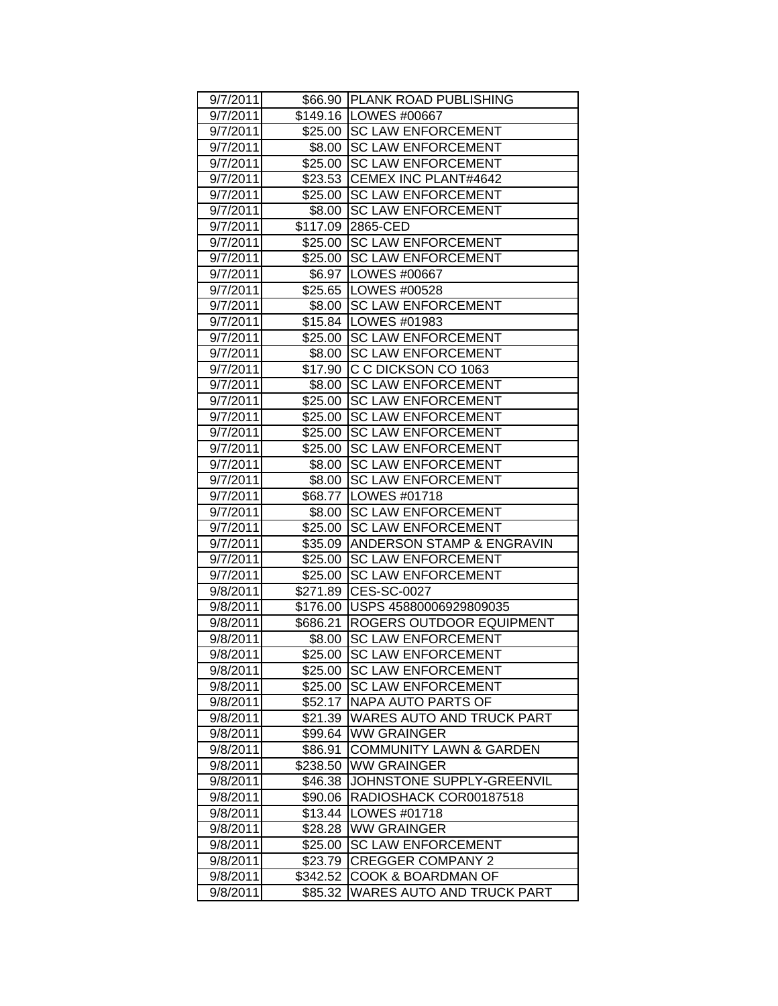| 9/7/2011 |          | \$66.90 PLANK ROAD PUBLISHING      |
|----------|----------|------------------------------------|
| 9/7/2011 |          | \$149.16   LOWES #00667            |
| 9/7/2011 |          | \$25.00 SC LAW ENFORCEMENT         |
| 9/7/2011 | \$8.00   | <b>SC LAW ENFORCEMENT</b>          |
| 9/7/2011 | \$25.00  | <b>SC LAW ENFORCEMENT</b>          |
| 9/7/2011 | \$23.53  | CEMEX INC PLANT#4642               |
| 9/7/2011 | \$25.00  | <b>SC LAW ENFORCEMENT</b>          |
| 9/7/2011 | \$8.00   | <b>SC LAW ENFORCEMENT</b>          |
| 9/7/2011 | \$117.09 | 2865-CED                           |
| 9/7/2011 |          | \$25.00 SC LAW ENFORCEMENT         |
| 9/7/2011 | \$25.00  | <b>SC LAW ENFORCEMENT</b>          |
| 9/7/2011 |          | \$6.97   LOWES #00667              |
| 9/7/2011 |          | \$25.65   LOWES #00528             |
| 9/7/2011 |          | \$8.00 SC LAW ENFORCEMENT          |
| 9/7/2011 |          | \$15.84   LOWES #01983             |
| 9/7/2011 | \$25.00  | <b>SC LAW ENFORCEMENT</b>          |
| 9/7/2011 | \$8.00   | <b>SC LAW ENFORCEMENT</b>          |
| 9/7/2011 | \$17.90  | C C DICKSON CO 1063                |
| 9/7/2011 | \$8.00   | <b>SC LAW ENFORCEMENT</b>          |
| 9/7/2011 | \$25.00  | <b>SC LAW ENFORCEMENT</b>          |
| 9/7/2011 | \$25.00  | <b>SC LAW ENFORCEMENT</b>          |
| 9/7/2011 | \$25.00  | <b>SC LAW ENFORCEMENT</b>          |
| 9/7/2011 | \$25.00  | <b>SC LAW ENFORCEMENT</b>          |
| 9/7/2011 | \$8.00   | <b>SC LAW ENFORCEMENT</b>          |
| 9/7/2011 | \$8.00   | <b>SC LAW ENFORCEMENT</b>          |
| 9/7/2011 |          | \$68.77   LOWES #01718             |
| 9/7/2011 |          | \$8.00 SC LAW ENFORCEMENT          |
| 9/7/2011 | \$25.00  | <b>SC LAW ENFORCEMENT</b>          |
| 9/7/2011 | \$35.09  | ANDERSON STAMP & ENGRAVIN          |
| 9/7/2011 | \$25.00  | <b>SC LAW ENFORCEMENT</b>          |
| 9/7/2011 | \$25.00  | <b>SC LAW ENFORCEMENT</b>          |
| 9/8/2011 | \$271.89 | CES-SC-0027                        |
| 9/8/2011 |          | \$176.00 USPS 45880006929809035    |
| 9/8/2011 |          | \$686.21 ROGERS OUTDOOR EQUIPMENT  |
| 9/8/2011 | \$8.00   | <b>SC LAW ENFORCEMENT</b>          |
| 9/8/2011 | \$25.00  | <b>SC LAW ENFORCEMENT</b>          |
| 9/8/2011 | \$25.00  | <b>SC LAW ENFORCEMENT</b>          |
| 9/8/2011 | \$25.00  | <b>SC LAW ENFORCEMENT</b>          |
| 9/8/2011 | \$52.17  | NAPA AUTO PARTS OF                 |
| 9/8/2011 | \$21.39  | <b>WARES AUTO AND TRUCK PART</b>   |
| 9/8/2011 | \$99.64  | <b>WW GRAINGER</b>                 |
| 9/8/2011 | \$86.91  | <b>COMMUNITY LAWN &amp; GARDEN</b> |
| 9/8/2011 | \$238.50 | <b>WW GRAINGER</b>                 |
| 9/8/2011 | \$46.38  | JOHNSTONE SUPPLY-GREENVIL          |
| 9/8/2011 | \$90.06  | RADIOSHACK COR00187518             |
| 9/8/2011 | \$13.44  | LOWES #01718                       |
| 9/8/2011 | \$28.28  | <b>WW GRAINGER</b>                 |
| 9/8/2011 | \$25.00  | <b>SC LAW ENFORCEMENT</b>          |
| 9/8/2011 | \$23.79  | <b>CREGGER COMPANY 2</b>           |
| 9/8/2011 | \$342.52 | COOK & BOARDMAN OF                 |
| 9/8/2011 | \$85.32  | WARES AUTO AND TRUCK PART          |
|          |          |                                    |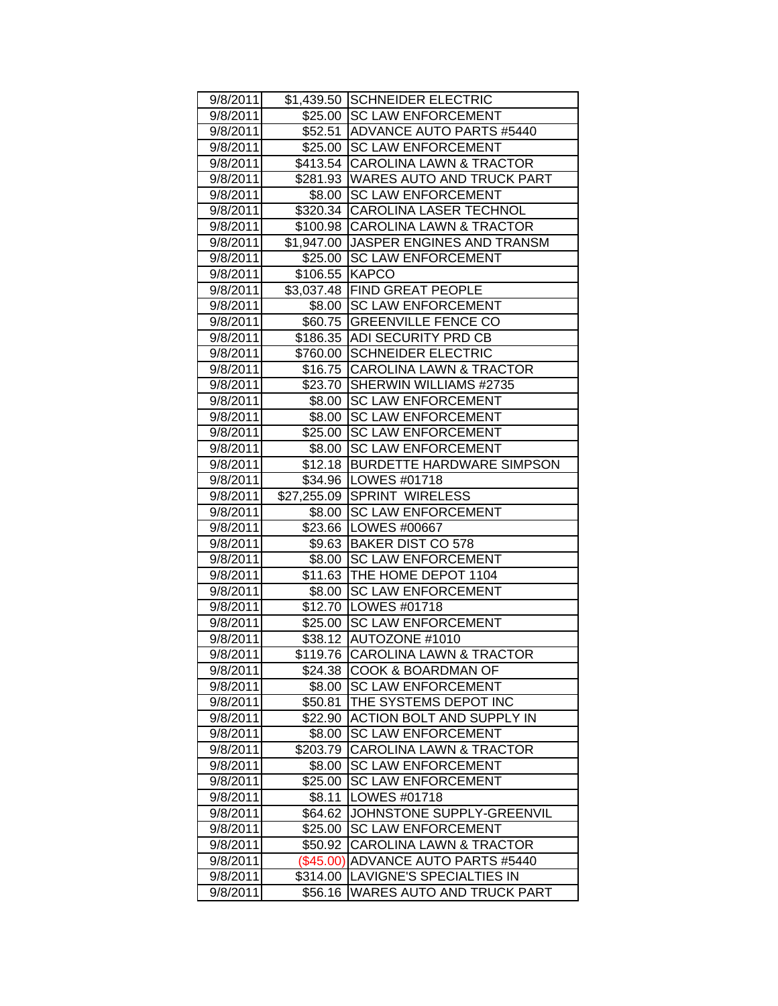| 9/8/2011 |                | \$1,439.50 SCHNEIDER ELECTRIC         |
|----------|----------------|---------------------------------------|
|          |                | \$25.00 ISC LAW ENFORCEMENT           |
| 9/8/2011 |                |                                       |
| 9/8/2011 |                | \$52.51 ADVANCE AUTO PARTS #5440      |
| 9/8/2011 |                | \$25.00 SC LAW ENFORCEMENT            |
| 9/8/2011 |                | \$413.54 CAROLINA LAWN & TRACTOR      |
| 9/8/2011 |                | \$281.93 WARES AUTO AND TRUCK PART    |
| 9/8/2011 |                | \$8.00 SC LAW ENFORCEMENT             |
| 9/8/2011 |                | \$320.34 CAROLINA LASER TECHNOL       |
| 9/8/2011 |                | \$100.98 CAROLINA LAWN & TRACTOR      |
| 9/8/2011 |                | \$1,947.00 JJASPER ENGINES AND TRANSM |
| 9/8/2011 |                | \$25.00 SC LAW ENFORCEMENT            |
| 9/8/2011 | \$106.55 KAPCO |                                       |
| 9/8/2011 |                | \$3,037.48 FIND GREAT PEOPLE          |
| 9/8/2011 |                | \$8.00 SC LAW ENFORCEMENT             |
| 9/8/2011 |                | \$60.75 GREENVILLE FENCE CO           |
| 9/8/2011 |                | \$186.35 ADI SECURITY PRD CB          |
| 9/8/2011 |                | \$760.00 SCHNEIDER ELECTRIC           |
| 9/8/2011 |                | \$16.75 CAROLINA LAWN & TRACTOR       |
| 9/8/2011 | \$23.70        | SHERWIN WILLIAMS #2735                |
| 9/8/2011 |                | \$8.00 SC LAW ENFORCEMENT             |
| 9/8/2011 |                | \$8.00 SC LAW ENFORCEMENT             |
| 9/8/2011 |                | \$25.00 SC LAW ENFORCEMENT            |
| 9/8/2011 |                | \$8.00 SC LAW ENFORCEMENT             |
| 9/8/2011 |                | \$12.18 BURDETTE HARDWARE SIMPSON     |
| 9/8/2011 |                | \$34.96   LOWES #01718                |
| 9/8/2011 |                | \$27,255.09 SPRINT WIRELESS           |
| 9/8/2011 |                | \$8.00 SC LAW ENFORCEMENT             |
| 9/8/2011 |                | \$23.66   LOWES #00667                |
| 9/8/2011 |                | \$9.63 BAKER DIST CO 578              |
| 9/8/2011 |                | \$8.00 SC LAW ENFORCEMENT             |
| 9/8/2011 |                | \$11.63 THE HOME DEPOT 1104           |
| 9/8/2011 |                | \$8.00 SC LAW ENFORCEMENT             |
| 9/8/2011 |                | \$12.70   LOWES #01718                |
| 9/8/2011 |                | \$25.00 SC LAW ENFORCEMENT            |
| 9/8/2011 |                | \$38.12 AUTOZONE #1010                |
| 9/8/2011 |                | \$119.76 CAROLINA LAWN & TRACTOR      |
| 9/8/2011 | \$24.38        | <b>COOK &amp; BOARDMAN OF</b>         |
| 9/8/2011 | \$8.00         | <b>SC LAW ENFORCEMENT</b>             |
|          |                | THE SYSTEMS DEPOT INC                 |
| 9/8/2011 | \$50.81        | <b>ACTION BOLT AND SUPPLY IN</b>      |
| 9/8/2011 | \$22.90        | <b>SC LAW ENFORCEMENT</b>             |
| 9/8/2011 | \$8.00         |                                       |
| 9/8/2011 | \$203.79       | <b>CAROLINA LAWN &amp; TRACTOR</b>    |
| 9/8/2011 | \$8.00         | <b>SC LAW ENFORCEMENT</b>             |
| 9/8/2011 | \$25.00        | <b>SC LAW ENFORCEMENT</b>             |
| 9/8/2011 | \$8.11         | LOWES #01718                          |
| 9/8/2011 | \$64.62        | JOHNSTONE SUPPLY-GREENVIL             |
| 9/8/2011 | \$25.00        | <b>SC LAW ENFORCEMENT</b>             |
| 9/8/2011 | \$50.92        | <b>CAROLINA LAWN &amp; TRACTOR</b>    |
| 9/8/2011 | (\$45.00)      | <b>ADVANCE AUTO PARTS #5440</b>       |
| 9/8/2011 | \$314.00       | LAVIGNE'S SPECIALTIES IN              |
| 9/8/2011 | \$56.16        | WARES AUTO AND TRUCK PART             |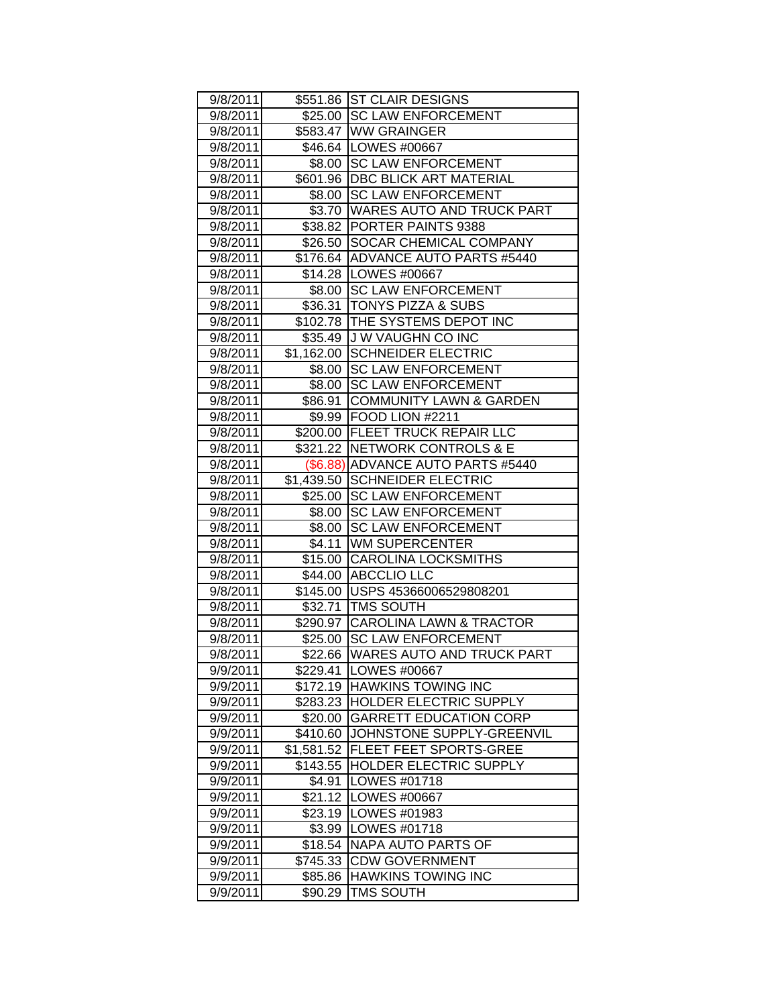| 9/8/2011 |            | \$551.86 ST CLAIR DESIGNS          |
|----------|------------|------------------------------------|
| 9/8/2011 |            | \$25.00 SC LAW ENFORCEMENT         |
| 9/8/2011 |            | \$583.47 WW GRAINGER               |
| 9/8/2011 |            | \$46.64 LOWES #00667               |
| 9/8/2011 |            | \$8.00 SC LAW ENFORCEMENT          |
| 9/8/2011 |            | \$601.96   DBC BLICK ART MATERIAL  |
| 9/8/2011 |            | \$8.00 SC LAW ENFORCEMENT          |
| 9/8/2011 |            | \$3.70   WARES AUTO AND TRUCK PART |
| 9/8/2011 |            | \$38.82 PORTER PAINTS 9388         |
| 9/8/2011 |            | \$26.50 SOCAR CHEMICAL COMPANY     |
| 9/8/2011 |            | \$176.64 ADVANCE AUTO PARTS #5440  |
| 9/8/2011 |            | \$14.28   LOWES #00667             |
| 9/8/2011 |            | \$8.00 SC LAW ENFORCEMENT          |
| 9/8/2011 |            | \$36.31  TONYS PIZZA & SUBS        |
| 9/8/2011 |            | \$102.78 THE SYSTEMS DEPOT INC     |
| 9/8/2011 |            | \$35.49 J W VAUGHN CO INC          |
| 9/8/2011 |            | \$1,162.00 SCHNEIDER ELECTRIC      |
| 9/8/2011 | \$8.00     | <b>SC LAW ENFORCEMENT</b>          |
| 9/8/2011 | \$8.00     | <b>SC LAW ENFORCEMENT</b>          |
| 9/8/2011 | \$86.91    | <b>COMMUNITY LAWN &amp; GARDEN</b> |
| 9/8/2011 |            | \$9.99 FOOD LION #2211             |
| 9/8/2011 |            | \$200.00   FLEET TRUCK REPAIR LLC  |
| 9/8/2011 |            | \$321.22   NETWORK CONTROLS & E    |
| 9/8/2011 |            | (\$6.88) ADVANCE AUTO PARTS #5440  |
| 9/8/2011 |            | \$1,439.50 SCHNEIDER ELECTRIC      |
| 9/8/2011 |            | \$25.00 SC LAW ENFORCEMENT         |
| 9/8/2011 |            | \$8.00 SC LAW ENFORCEMENT          |
| 9/8/2011 |            | \$8.00 SC LAW ENFORCEMENT          |
| 9/8/2011 |            | \$4.11 WM SUPERCENTER              |
| 9/8/2011 |            | \$15.00 CAROLINA LOCKSMITHS        |
| 9/8/2011 |            | \$44.00 ABCCLIO LLC                |
| 9/8/2011 |            | \$145.00 USPS 45366006529808201    |
| 9/8/2011 |            | \$32.71   TMS SOUTH                |
| 9/8/2011 |            | \$290.97 CAROLINA LAWN & TRACTOR   |
| 9/8/2011 | \$25.00    | <b>SC LAW ENFORCEMENT</b>          |
| 9/8/2011 | \$22.66    | <b>WARES AUTO AND TRUCK PART</b>   |
| 9/9/2011 | \$229.41   | LOWES #00667                       |
| 9/9/2011 | \$172.19   | <b>HAWKINS TOWING INC</b>          |
| 9/9/2011 | \$283.23   | HOLDER ELECTRIC SUPPLY             |
| 9/9/2011 | \$20.00    | <b>GARRETT EDUCATION CORP</b>      |
| 9/9/2011 | \$410.60   | JOHNSTONE SUPPLY-GREENVIL          |
| 9/9/2011 | \$1,581.52 | <b>FLEET FEET SPORTS-GREE</b>      |
| 9/9/2011 | \$143.55   | <b>HOLDER ELECTRIC SUPPLY</b>      |
| 9/9/2011 | \$4.91     | LOWES #01718                       |
| 9/9/2011 | \$21.12    | <b>LOWES #00667</b>                |
| 9/9/2011 | \$23.19    | LOWES #01983                       |
| 9/9/2011 | \$3.99     | LOWES #01718                       |
| 9/9/2011 | \$18.54    | NAPA AUTO PARTS OF                 |
| 9/9/2011 | \$745.33   | <b>CDW GOVERNMENT</b>              |
| 9/9/2011 | \$85.86    | <b>HAWKINS TOWING INC</b>          |
|          |            | <b>TMS SOUTH</b>                   |
| 9/9/2011 | \$90.29    |                                    |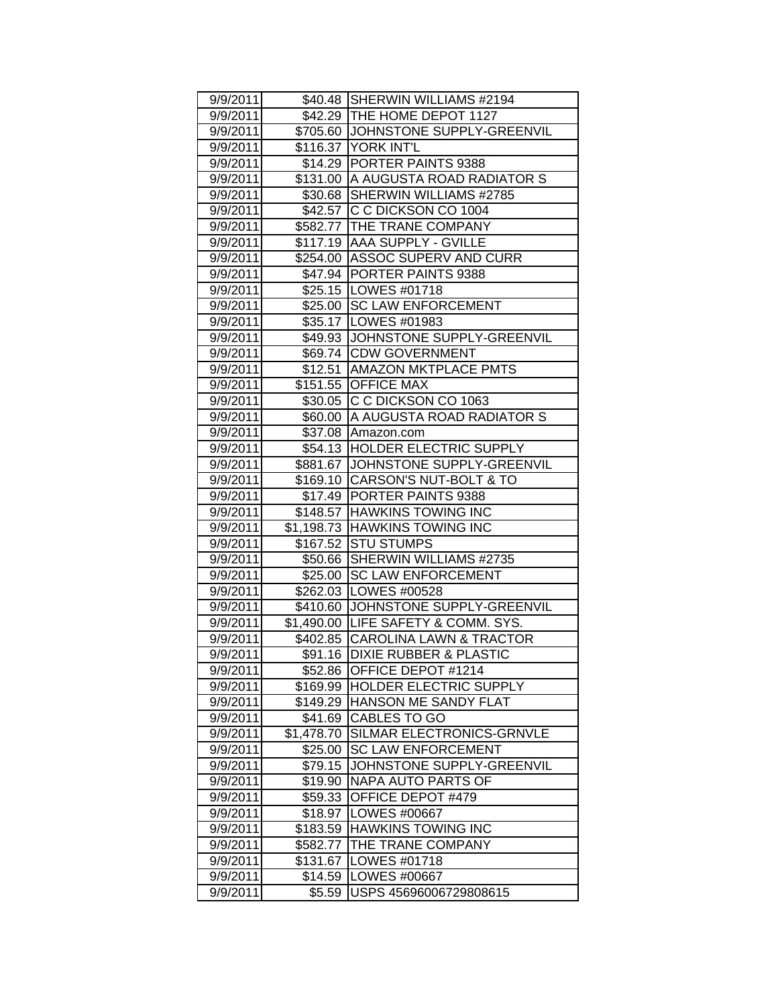| 9/9/2011 |            | \$40.48 SHERWIN WILLIAMS #2194                                       |
|----------|------------|----------------------------------------------------------------------|
| 9/9/2011 |            | \$42.29   THE HOME DEPOT 1127<br>\$705.60 JJOHNSTONE SUPPLY-GREENVIL |
| 9/9/2011 |            | \$116.37 YORK INT'L                                                  |
| 9/9/2011 |            |                                                                      |
| 9/9/2011 |            | \$14.29 PORTER PAINTS 9388<br>\$131.00 A AUGUSTA ROAD RADIATOR S     |
| 9/9/2011 |            |                                                                      |
| 9/9/2011 |            | \$30.68 SHERWIN WILLIAMS #2785                                       |
| 9/9/2011 |            | \$42.57 C C DICKSON CO 1004                                          |
| 9/9/2011 |            | \$582.77 THE TRANE COMPANY                                           |
| 9/9/2011 |            | \$117.19 AAA SUPPLY - GVILLE                                         |
| 9/9/2011 |            | \$254.00 ASSOC SUPERV AND CURR                                       |
| 9/9/2011 |            | \$47.94 PORTER PAINTS 9388                                           |
| 9/9/2011 |            | \$25.15   LOWES #01718                                               |
| 9/9/2011 |            | \$25.00 SC LAW ENFORCEMENT                                           |
| 9/9/2011 |            | \$35.17   LOWES #01983                                               |
| 9/9/2011 |            | \$49.93 JJOHNSTONE SUPPLY-GREENVIL                                   |
| 9/9/2011 |            | \$69.74 CDW GOVERNMENT                                               |
| 9/9/2011 |            | \$12.51   AMAZON MKTPLACE PMTS                                       |
| 9/9/2011 |            | \$151.55 OFFICE MAX                                                  |
| 9/9/2011 |            | \$30.05 C C DICKSON CO 1063                                          |
| 9/9/2011 |            | \$60.00 A AUGUSTA ROAD RADIATOR S                                    |
| 9/9/2011 |            | \$37.08 Amazon.com                                                   |
| 9/9/2011 |            | \$54.13 HOLDER ELECTRIC SUPPLY                                       |
| 9/9/2011 |            | \$881.67 JOHNSTONE SUPPLY-GREENVIL                                   |
| 9/9/2011 |            | \$169.10 CARSON'S NUT-BOLT & TO                                      |
| 9/9/2011 |            | \$17.49 PORTER PAINTS 9388                                           |
| 9/9/2011 |            | \$148.57 HAWKINS TOWING INC                                          |
| 9/9/2011 |            | \$1,198.73 HAWKINS TOWING INC                                        |
| 9/9/2011 |            | \$167.52 STU STUMPS                                                  |
| 9/9/2011 |            | \$50.66 SHERWIN WILLIAMS #2735                                       |
| 9/9/2011 |            | \$25.00 SC LAW ENFORCEMENT                                           |
| 9/9/2011 |            | \$262.03 LOWES #00528                                                |
| 9/9/2011 |            | \$410.60 JOHNSTONE SUPPLY-GREENVIL                                   |
| 9/9/2011 |            | \$1,490.00 LIFE SAFETY & COMM. SYS.                                  |
| 9/9/2011 |            | \$402.85 CAROLINA LAWN & TRACTOR                                     |
| 9/9/2011 |            | \$91.16 DIXIE RUBBER & PLASTIC                                       |
| 9/9/2011 | \$52.86    | OFFICE DEPOT #1214                                                   |
| 9/9/2011 | \$169.99   | <b>HOLDER ELECTRIC SUPPLY</b>                                        |
| 9/9/2011 | \$149.29   | HANSON ME SANDY FLAT                                                 |
| 9/9/2011 | \$41.69    | CABLES TO GO                                                         |
| 9/9/2011 | \$1,478.70 | SILMAR ELECTRONICS-GRNVLE                                            |
| 9/9/2011 | \$25.00    | <b>SC LAW ENFORCEMENT</b>                                            |
| 9/9/2011 | \$79.15    | JOHNSTONE SUPPLY-GREENVIL                                            |
| 9/9/2011 | \$19.90    | <b>NAPA AUTO PARTS OF</b>                                            |
| 9/9/2011 | \$59.33    | OFFICE DEPOT #479                                                    |
| 9/9/2011 | \$18.97    | LOWES #00667                                                         |
| 9/9/2011 | \$183.59   | <b>HAWKINS TOWING INC</b>                                            |
| 9/9/2011 | \$582.77   | THE TRANE COMPANY                                                    |
| 9/9/2011 | \$131.67   | LOWES #01718                                                         |
| 9/9/2011 | \$14.59    | LOWES #00667                                                         |
| 9/9/2011 | \$5.59     | USPS 45696006729808615                                               |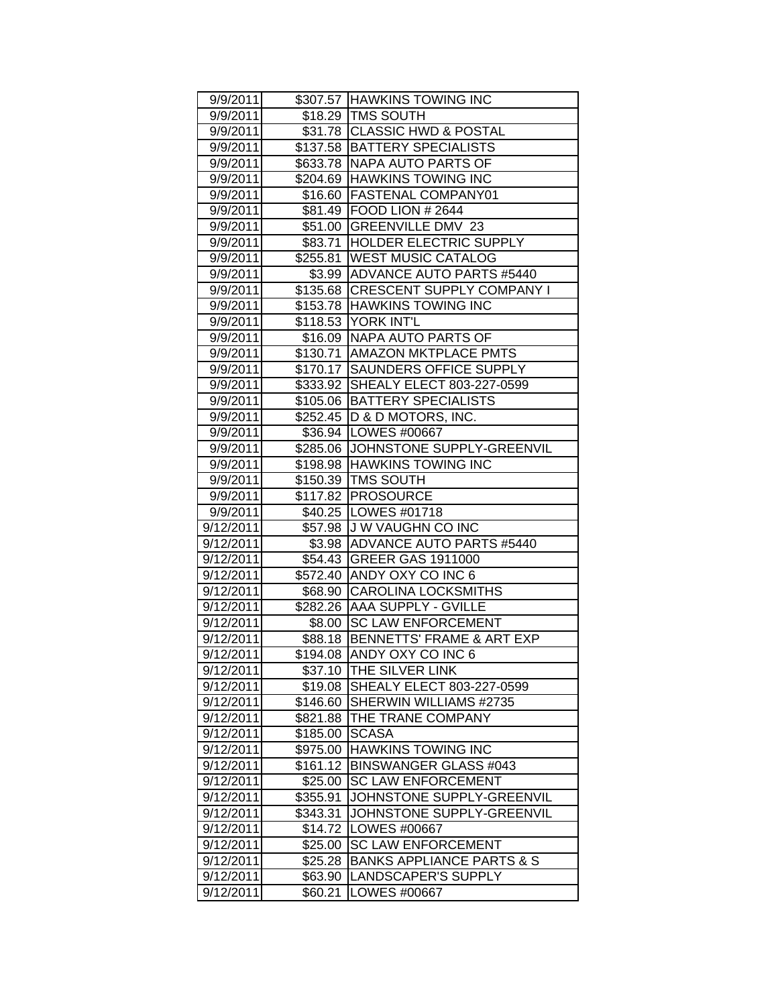| 9/9/2011  |          | \$307.57 HAWKINS TOWING INC          |
|-----------|----------|--------------------------------------|
| 9/9/2011  |          | \$18.29 TMS SOUTH                    |
| 9/9/2011  |          | \$31.78 CLASSIC HWD & POSTAL         |
| 9/9/2011  |          | \$137.58 BATTERY SPECIALISTS         |
| 9/9/2011  |          | \$633.78 NAPA AUTO PARTS OF          |
| 9/9/2011  |          | \$204.69 HAWKINS TOWING INC          |
| 9/9/2011  |          | \$16.60 FASTENAL COMPANY01           |
| 9/9/2011  |          | \$81.49 FOOD LION # 2644             |
| 9/9/2011  |          | \$51.00 GREENVILLE DMV 23            |
| 9/9/2011  |          | \$83.71 HOLDER ELECTRIC SUPPLY       |
| 9/9/2011  |          | \$255.81 WEST MUSIC CATALOG          |
| 9/9/2011  |          | \$3.99 ADVANCE AUTO PARTS #5440      |
| 9/9/2011  |          | \$135.68 CRESCENT SUPPLY COMPANY I   |
| 9/9/2011  |          | \$153.78 HAWKINS TOWING INC          |
| 9/9/2011  |          | \$118.53 YORK INT'L                  |
| 9/9/2011  |          | \$16.09   NAPA AUTO PARTS OF         |
| 9/9/2011  |          | \$130.71 AMAZON MKTPLACE PMTS        |
| 9/9/2011  |          | \$170.17 SAUNDERS OFFICE SUPPLY      |
| 9/9/2011  | \$333.92 | SHEALY ELECT 803-227-0599            |
| 9/9/2011  |          | \$105.06 BATTERY SPECIALISTS         |
|           |          | \$252.45   D & D MOTORS, INC.        |
| 9/9/2011  |          |                                      |
| 9/9/2011  |          | \$36.94 LOWES #00667                 |
| 9/9/2011  |          | \$285.06 JJOHNSTONE SUPPLY-GREENVIL  |
| 9/9/2011  |          | \$198.98 HAWKINS TOWING INC          |
| 9/9/2011  |          | \$150.39 TMS SOUTH                   |
| 9/9/2011  |          | \$117.82 PROSOURCE                   |
| 9/9/2011  |          | \$40.25   LOWES #01718               |
| 9/12/2011 |          | \$57.98 J W VAUGHN CO INC            |
| 9/12/2011 |          | \$3.98 ADVANCE AUTO PARTS #5440      |
| 9/12/2011 |          | \$54.43 GREER GAS 1911000            |
| 9/12/2011 |          | \$572.40 ANDY OXY CO INC 6           |
| 9/12/2011 |          | \$68.90 CAROLINA LOCKSMITHS          |
| 9/12/2011 |          | \$282.26 AAA SUPPLY - GVILLE         |
| 9/12/2011 |          | \$8.00 SC LAW ENFORCEMENT            |
| 9/12/2011 |          | \$88.18 BENNETTS' FRAME & ART EXP    |
| 9/12/2011 |          | \$194.08 ANDY OXY CO INC 6           |
| 9/12/2011 |          | \$37.10 THE SILVER LINK              |
| 9/12/2011 | \$19.08  | <b>SHEALY ELECT 803-227-0599</b>     |
| 9/12/2011 | \$146.60 | SHERWIN WILLIAMS #2735               |
| 9/12/2011 | \$821.88 | THE TRANE COMPANY                    |
| 9/12/2011 | \$185.00 | <b>SCASA</b>                         |
| 9/12/2011 | \$975.00 | <b>HAWKINS TOWING INC</b>            |
| 9/12/2011 | \$161.12 | <b>BINSWANGER GLASS #043</b>         |
| 9/12/2011 | \$25.00  | <b>SC LAW ENFORCEMENT</b>            |
| 9/12/2011 | \$355.91 | JOHNSTONE SUPPLY-GREENVIL            |
| 9/12/2011 | \$343.31 | JOHNSTONE SUPPLY-GREENVIL            |
| 9/12/2011 | \$14.72  | LOWES #00667                         |
| 9/12/2011 | \$25.00  | <b>SC LAW ENFORCEMENT</b>            |
| 9/12/2011 | \$25.28  | <b>BANKS APPLIANCE PARTS &amp; S</b> |
| 9/12/2011 | \$63.90  | LANDSCAPER'S SUPPLY                  |
| 9/12/2011 | \$60.21  | LOWES #00667                         |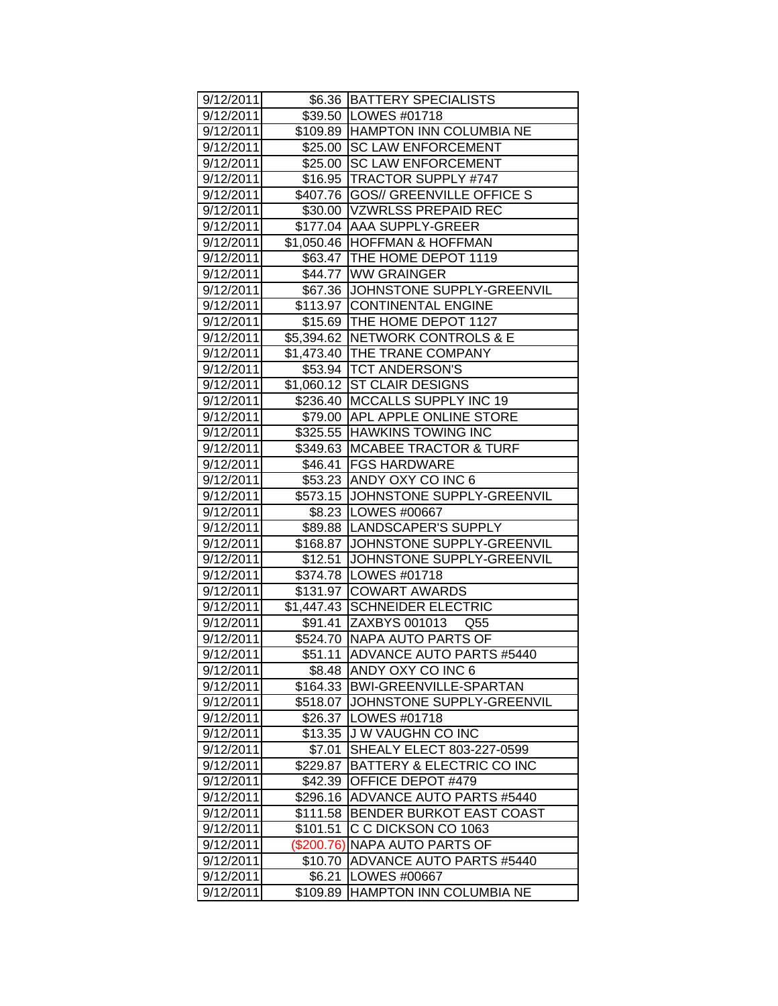| 9/12/2011 |              | \$6.36 BATTERY SPECIALISTS           |
|-----------|--------------|--------------------------------------|
| 9/12/2011 |              | \$39.50   LOWES #01718               |
| 9/12/2011 |              | \$109.89 HAMPTON INN COLUMBIA NE     |
| 9/12/2011 |              | \$25.00 SC LAW ENFORCEMENT           |
| 9/12/2011 |              | \$25.00 SC LAW ENFORCEMENT           |
| 9/12/2011 |              | \$16.95  TRACTOR SUPPLY #747         |
| 9/12/2011 |              | \$407.76   GOS// GREENVILLE OFFICE S |
| 9/12/2011 |              | \$30.00 VZWRLSS PREPAID REC          |
| 9/12/2011 |              | \$177.04 AAA SUPPLY-GREER            |
| 9/12/2011 |              | \$1,050.46 HOFFMAN & HOFFMAN         |
| 9/12/2011 |              | \$63.47   THE HOME DEPOT 1119        |
| 9/12/2011 |              | \$44.77 WW GRAINGER                  |
| 9/12/2011 |              | \$67.36 JJOHNSTONE SUPPLY-GREENVIL   |
| 9/12/2011 |              | \$113.97 CONTINENTAL ENGINE          |
| 9/12/2011 |              | \$15.69 THE HOME DEPOT 1127          |
| 9/12/2011 |              | \$5,394.62   NETWORK CONTROLS & E    |
| 9/12/2011 |              | \$1,473.40 THE TRANE COMPANY         |
| 9/12/2011 |              | \$53.94   TCT ANDERSON'S             |
| 9/12/2011 |              | \$1,060.12 ST CLAIR DESIGNS          |
| 9/12/2011 |              | \$236.40 MCCALLS SUPPLY INC 19       |
| 9/12/2011 |              | \$79.00 APL APPLE ONLINE STORE       |
| 9/12/2011 |              | \$325.55 HAWKINS TOWING INC          |
| 9/12/2011 |              | \$349.63   MCABEE TRACTOR & TURF     |
| 9/12/2011 |              | \$46.41   FGS HARDWARE               |
| 9/12/2011 |              | \$53.23 ANDY OXY CO INC 6            |
| 9/12/2011 |              | \$573.15 JOHNSTONE SUPPLY-GREENVIL   |
| 9/12/2011 |              | \$8.23   LOWES #00667                |
| 9/12/2011 |              | \$89.88  LANDSCAPER'S SUPPLY         |
| 9/12/2011 |              | \$168.87 JJOHNSTONE SUPPLY-GREENVIL  |
| 9/12/2011 |              | \$12.51 JOHNSTONE SUPPLY-GREENVIL    |
| 9/12/2011 |              | \$374.78   LOWES #01718              |
| 9/12/2011 |              | \$131.97 COWART AWARDS               |
| 9/12/2011 |              | \$1,447.43 SCHNEIDER ELECTRIC        |
| 9/12/2011 |              | \$91.41 ZAXBYS 001013<br>Q55         |
| 9/12/2011 |              | \$524.70 NAPA AUTO PARTS OF          |
| 9/12/2011 |              | \$51.11 ADVANCE AUTO PARTS #5440     |
| 9/12/2011 | \$8.48       | ANDY OXY CO INC 6                    |
| 9/12/2011 | \$164.33     | BWI-GREENVILLE-SPARTAN               |
| 9/12/2011 | \$518.07     | JOHNSTONE SUPPLY-GREENVIL            |
| 9/12/2011 | \$26.37      | LOWES #01718                         |
| 9/12/2011 | \$13.35      | J W VAUGHN CO INC                    |
| 9/12/2011 | \$7.01       | SHEALY ELECT 803-227-0599            |
| 9/12/2011 | \$229.87     | BATTERY & ELECTRIC CO INC            |
| 9/12/2011 | \$42.39      | OFFICE DEPOT #479                    |
| 9/12/2011 | \$296.16     | <b>ADVANCE AUTO PARTS #5440</b>      |
| 9/12/2011 | \$111.58     | BENDER BURKOT EAST COAST             |
| 9/12/2011 | \$101.51     | C C DICKSON CO 1063                  |
| 9/12/2011 | $(\$200.76)$ | NAPA AUTO PARTS OF                   |
| 9/12/2011 | \$10.70      | <b>ADVANCE AUTO PARTS #5440</b>      |
| 9/12/2011 | \$6.21       | LOWES #00667                         |
| 9/12/2011 | \$109.89     | HAMPTON INN COLUMBIA NE              |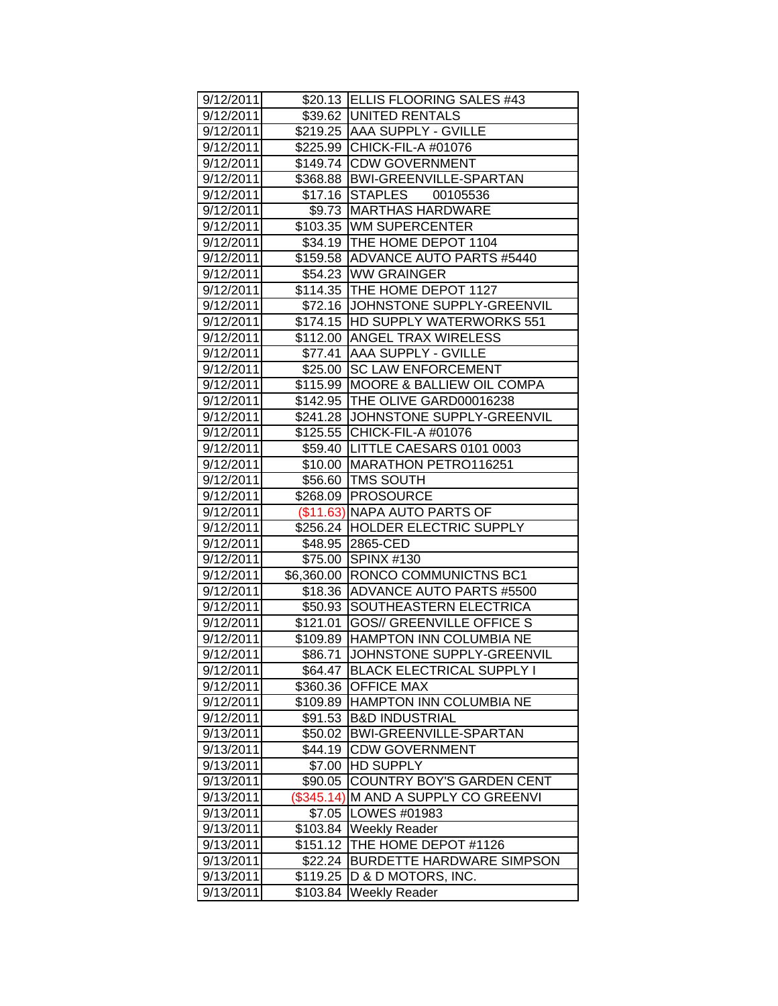| 9/12/2011 |            | \$20.13 ELLIS FLOORING SALES #43     |
|-----------|------------|--------------------------------------|
| 9/12/2011 |            | \$39.62 UNITED RENTALS               |
| 9/12/2011 |            | \$219.25 AAA SUPPLY - GVILLE         |
| 9/12/2011 |            | \$225.99 CHICK-FIL-A #01076          |
| 9/12/2011 |            | \$149.74 CDW GOVERNMENT              |
| 9/12/2011 |            | \$368.88 BWI-GREENVILLE-SPARTAN      |
| 9/12/2011 |            | \$17.16 STAPLES 00105536             |
| 9/12/2011 |            | \$9.73 MARTHAS HARDWARE              |
| 9/12/2011 |            | \$103.35 WM SUPERCENTER              |
| 9/12/2011 |            | \$34.19   THE HOME DEPOT 1104        |
| 9/12/2011 |            | \$159.58 ADVANCE AUTO PARTS #5440    |
| 9/12/2011 |            | \$54.23 WW GRAINGER                  |
| 9/12/2011 |            | \$114.35 THE HOME DEPOT 1127         |
| 9/12/2011 |            | \$72.16 JJOHNSTONE SUPPLY-GREENVIL   |
| 9/12/2011 |            | \$174.15 HD SUPPLY WATERWORKS 551    |
| 9/12/2011 |            | \$112.00 ANGEL TRAX WIRELESS         |
| 9/12/2011 |            | \$77.41 AAA SUPPLY - GVILLE          |
| 9/12/2011 | \$25.00    | <b>SC LAW ENFORCEMENT</b>            |
| 9/12/2011 | \$115.99   | <b>MOORE &amp; BALLIEW OIL COMPA</b> |
| 9/12/2011 | \$142.95   | THE OLIVE GARD00016238               |
| 9/12/2011 |            | \$241.28 JJOHNSTONE SUPPLY-GREENVIL  |
| 9/12/2011 |            | \$125.55 CHICK-FIL-A #01076          |
| 9/12/2011 |            | \$59.40 LITTLE CAESARS 0101 0003     |
| 9/12/2011 |            | \$10.00 MARATHON PETRO116251         |
| 9/12/2011 |            | \$56.60 TMS SOUTH                    |
| 9/12/2011 |            | \$268.09 PROSOURCE                   |
| 9/12/2011 |            | (\$11.63) NAPA AUTO PARTS OF         |
| 9/12/2011 |            | \$256.24 HOLDER ELECTRIC SUPPLY      |
| 9/12/2011 |            | \$48.95 2865-CED                     |
| 9/12/2011 |            | \$75.00 SPINX #130                   |
| 9/12/2011 |            | \$6,360.00 RONCO COMMUNICTNS BC1     |
| 9/12/2011 | \$18.36    | ADVANCE AUTO PARTS #5500             |
| 9/12/2011 |            | \$50.93 SOUTHEASTERN ELECTRICA       |
| 9/12/2011 | \$121.01   | <b>GOS// GREENVILLE OFFICE S</b>     |
| 9/12/2011 |            | \$109.89 HAMPTON INN COLUMBIA NE     |
| 9/12/2011 | \$86.71    | JOHNSTONE SUPPLY-GREENVIL            |
| 9/12/2011 | \$64.47    | <b>BLACK ELECTRICAL SUPPLY I</b>     |
| 9/12/2011 | \$360.36   | <b>OFFICE MAX</b>                    |
| 9/12/2011 | \$109.89   | HAMPTON INN COLUMBIA NE              |
| 9/12/2011 | \$91.53    | <b>B&amp;D INDUSTRIAL</b>            |
| 9/13/2011 | \$50.02    | <b>BWI-GREENVILLE-SPARTAN</b>        |
| 9/13/2011 | \$44.19    | <b>CDW GOVERNMENT</b>                |
| 9/13/2011 | \$7.00     | <b>HD SUPPLY</b>                     |
| 9/13/2011 | \$90.05    | COUNTRY BOY'S GARDEN CENT            |
| 9/13/2011 | (\$345.14) | M AND A SUPPLY CO GREENVI            |
| 9/13/2011 | \$7.05     | LOWES #01983                         |
| 9/13/2011 | \$103.84   | <b>Weekly Reader</b>                 |
| 9/13/2011 | \$151.12   | THE HOME DEPOT #1126                 |
| 9/13/2011 | \$22.24    | <b>BURDETTE HARDWARE SIMPSON</b>     |
| 9/13/2011 | \$119.25   | D & D MOTORS, INC.                   |
| 9/13/2011 | \$103.84   | <b>Weekly Reader</b>                 |
|           |            |                                      |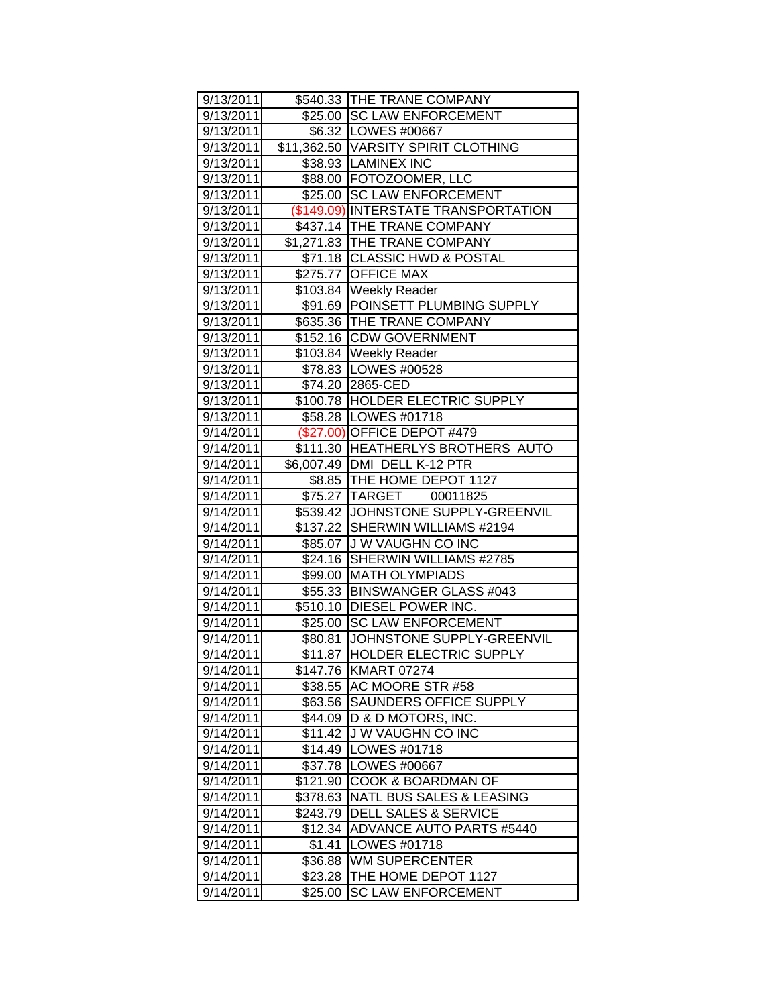| 9/13/2011 |          | \$540.33 THE TRANE COMPANY           |
|-----------|----------|--------------------------------------|
| 9/13/2011 |          | \$25.00 SC LAW ENFORCEMENT           |
| 9/13/2011 |          | \$6.32   LOWES #00667                |
| 9/13/2011 |          | \$11,362.50 VARSITY SPIRIT CLOTHING  |
| 9/13/2011 |          | \$38.93 LAMINEX INC                  |
| 9/13/2011 |          | \$88.00 FOTOZOOMER, LLC              |
| 9/13/2011 |          | \$25.00 SC LAW ENFORCEMENT           |
| 9/13/2011 |          | (\$149.09) INTERSTATE TRANSPORTATION |
| 9/13/2011 |          | \$437.14 THE TRANE COMPANY           |
| 9/13/2011 |          | \$1,271.83 THE TRANE COMPANY         |
| 9/13/2011 |          | \$71.18 CLASSIC HWD & POSTAL         |
| 9/13/2011 | \$275.77 | <b>OFFICE MAX</b>                    |
| 9/13/2011 |          | \$103.84 Weekly Reader               |
|           |          | \$91.69 POINSETT PLUMBING SUPPLY     |
| 9/13/2011 |          |                                      |
| 9/13/2011 |          | \$635.36 THE TRANE COMPANY           |
| 9/13/2011 |          | \$152.16 CDW GOVERNMENT              |
| 9/13/2011 |          | \$103.84 Weekly Reader               |
| 9/13/2011 |          | \$78.83 LOWES #00528                 |
| 9/13/2011 |          | \$74.20 2865-CED                     |
| 9/13/2011 |          | \$100.78 HOLDER ELECTRIC SUPPLY      |
| 9/13/2011 |          | \$58.28   LOWES #01718               |
| 9/14/2011 |          | (\$27.00) OFFICE DEPOT #479          |
| 9/14/2011 |          | \$111.30 HEATHERLYS BROTHERS AUTO    |
| 9/14/2011 |          | \$6,007.49 DMI DELL K-12 PTR         |
| 9/14/2011 |          | \$8.85   THE HOME DEPOT 1127         |
| 9/14/2011 |          | \$75.27 TARGET 00011825              |
| 9/14/2011 |          | \$539.42 JJOHNSTONE SUPPLY-GREENVIL  |
| 9/14/2011 |          | \$137.22 SHERWIN WILLIAMS #2194      |
| 9/14/2011 |          | \$85.07 J W VAUGHN CO INC            |
| 9/14/2011 |          | \$24.16 SHERWIN WILLIAMS #2785       |
| 9/14/2011 |          | \$99.00 MATH OLYMPIADS               |
| 9/14/2011 |          | \$55.33 BINSWANGER GLASS #043        |
| 9/14/2011 |          | \$510.10 DIESEL POWER INC.           |
| 9/14/2011 |          | \$25.00 SC LAW ENFORCEMENT           |
| 9/14/2011 | \$80.81  | JOHNSTONE SUPPLY-GREENVIL            |
| 9/14/2011 |          | \$11.87 HOLDER ELECTRIC SUPPLY       |
| 9/14/2011 |          | \$147.76 KMART 07274                 |
| 9/14/2011 | \$38.55  | AC MOORE STR #58                     |
| 9/14/2011 | \$63.56  | <b>SAUNDERS OFFICE SUPPLY</b>        |
| 9/14/2011 |          | \$44.09 D & D MOTORS, INC.           |
| 9/14/2011 | \$11.42  | J W VAUGHN CO INC                    |
| 9/14/2011 | \$14.49  | LOWES #01718                         |
| 9/14/2011 |          | \$37.78   LOWES #00667               |
| 9/14/2011 | \$121.90 | COOK & BOARDMAN OF                   |
| 9/14/2011 | \$378.63 | <b>NATL BUS SALES &amp; LEASING</b>  |
| 9/14/2011 |          | \$243.79 DELL SALES & SERVICE        |
| 9/14/2011 | \$12.34  | <b>ADVANCE AUTO PARTS #5440</b>      |
| 9/14/2011 | \$1.41   | LOWES #01718                         |
| 9/14/2011 | \$36.88  | WM SUPERCENTER                       |
| 9/14/2011 | \$23.28  | THE HOME DEPOT 1127                  |
| 9/14/2011 | \$25.00  | <b>SC LAW ENFORCEMENT</b>            |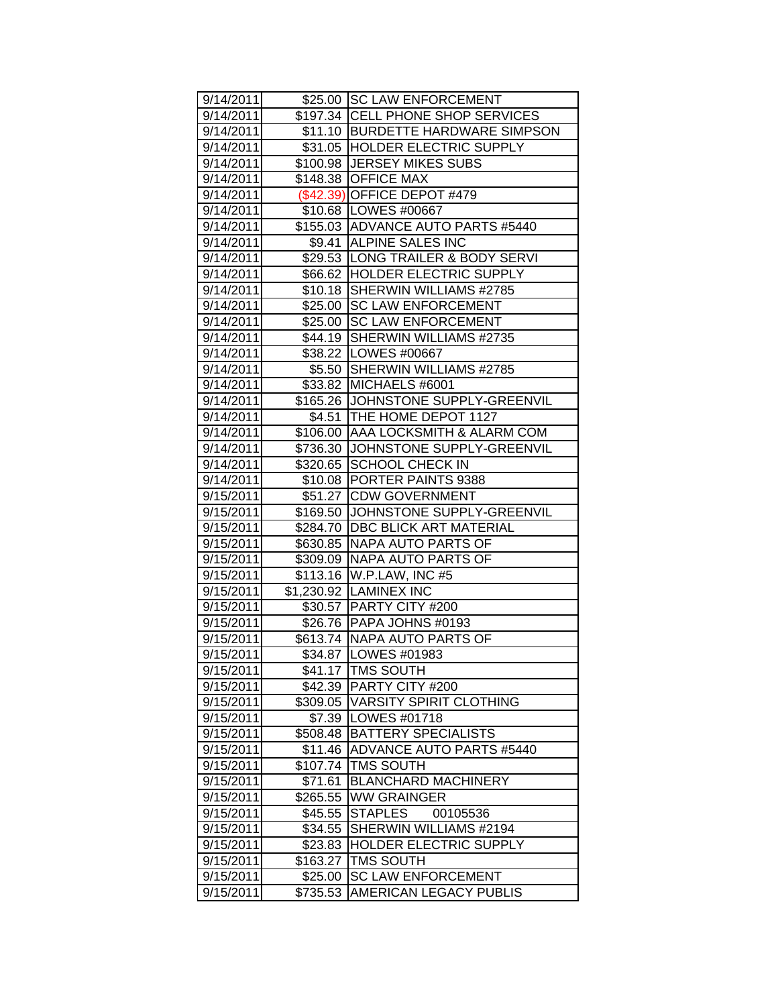| 9/14/2011 |          | \$25.00 SC LAW ENFORCEMENT          |
|-----------|----------|-------------------------------------|
| 9/14/2011 |          | \$197.34 CELL PHONE SHOP SERVICES   |
| 9/14/2011 |          | \$11.10 BURDETTE HARDWARE SIMPSON   |
| 9/14/2011 |          | \$31.05 HOLDER ELECTRIC SUPPLY      |
| 9/14/2011 |          | \$100.98 JERSEY MIKES SUBS          |
| 9/14/2011 |          | \$148.38 OFFICE MAX                 |
| 9/14/2011 |          | (\$42.39) OFFICE DEPOT #479         |
| 9/14/2011 |          | \$10.68   LOWES #00667              |
| 9/14/2011 |          | \$155.03 ADVANCE AUTO PARTS #5440   |
| 9/14/2011 |          | \$9.41 ALPINE SALES INC             |
| 9/14/2011 |          | \$29.53 ILONG TRAILER & BODY SERVI  |
| 9/14/2011 |          | \$66.62 HOLDER ELECTRIC SUPPLY      |
| 9/14/2011 | $$10.18$ | SHERWIN WILLIAMS #2785              |
| 9/14/2011 | \$25.00  | <b>SC LAW ENFORCEMENT</b>           |
| 9/14/2011 | \$25.00  | <b>SC LAW ENFORCEMENT</b>           |
| 9/14/2011 | \$44.19  | SHERWIN WILLIAMS #2735              |
| 9/14/2011 |          | \$38.22   LOWES #00667              |
| 9/14/2011 | \$5.50   | SHERWIN WILLIAMS #2785              |
| 9/14/2011 | \$33.82  | MICHAELS #6001                      |
| 9/14/2011 |          | \$165.26 JOHNSTONE SUPPLY-GREENVIL  |
| 9/14/2011 | \$4.51   | THE HOME DEPOT 1127                 |
| 9/14/2011 |          | \$106.00 AAA LOCKSMITH & ALARM COM  |
| 9/14/2011 |          | \$736.30 JJOHNSTONE SUPPLY-GREENVIL |
| 9/14/2011 | \$320.65 | <b>SCHOOL CHECK IN</b>              |
| 9/14/2011 |          | \$10.08   PORTER PAINTS 9388        |
| 9/15/2011 | \$51.27  | <b>CDW GOVERNMENT</b>               |
| 9/15/2011 |          | \$169.50 JJOHNSTONE SUPPLY-GREENVIL |
| 9/15/2011 |          | \$284.70   DBC BLICK ART MATERIAL   |
| 9/15/2011 |          | \$630.85 NAPA AUTO PARTS OF         |
| 9/15/2011 |          | \$309.09 NAPA AUTO PARTS OF         |
| 9/15/2011 |          | \$113.16 W.P.LAW, INC #5            |
| 9/15/2011 |          | \$1,230.92 LAMINEX INC              |
| 9/15/2011 |          | \$30.57 PARTY CITY #200             |
| 9/15/2011 |          | \$26.76   PAPA JOHNS #0193          |
| 9/15/2011 |          | \$613.74 NAPA AUTO PARTS OF         |
| 9/15/2011 |          | \$34.87   LOWES #01983              |
| 9/15/2011 |          | \$41.17 TMS SOUTH                   |
| 9/15/2011 | \$42.39  | PARTY CITY #200                     |
| 9/15/2011 |          | \$309.05   VARSITY SPIRIT CLOTHING  |
| 9/15/2011 |          | \$7.39   LOWES #01718               |
| 9/15/2011 | \$508.48 | <b>BATTERY SPECIALISTS</b>          |
| 9/15/2011 | \$11.46  | <b>ADVANCE AUTO PARTS #5440</b>     |
| 9/15/2011 | \$107.74 | <b>TMS SOUTH</b>                    |
| 9/15/2011 | \$71.61  | <b>BLANCHARD MACHINERY</b>          |
| 9/15/2011 | \$265.55 | <b>WW GRAINGER</b>                  |
| 9/15/2011 | \$45.55  | <b>STAPLES</b><br>00105536          |
| 9/15/2011 | \$34.55  | SHERWIN WILLIAMS #2194              |
| 9/15/2011 | \$23.83  | HOLDER ELECTRIC SUPPLY              |
| 9/15/2011 | \$163.27 | <b>TMS SOUTH</b>                    |
| 9/15/2011 |          | <b>SC LAW ENFORCEMENT</b>           |
|           | \$25.00  |                                     |
| 9/15/2011 | \$735.53 | AMERICAN LEGACY PUBLIS              |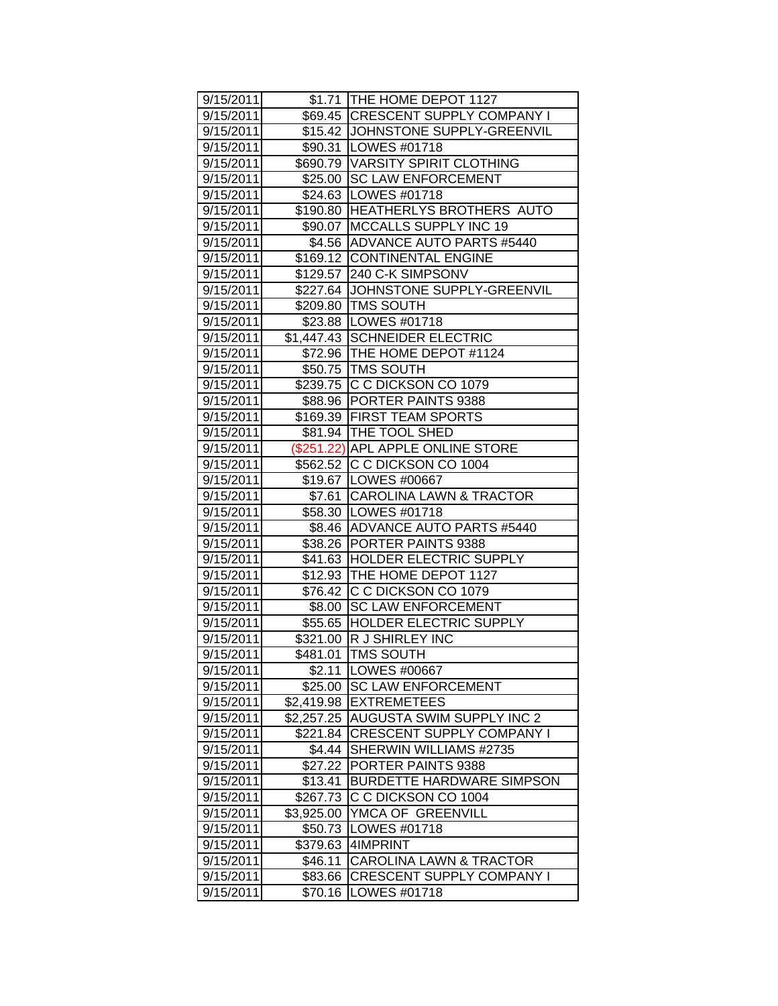| 9/15/2011               |            | \$1.71 THE HOME DEPOT 1127          |
|-------------------------|------------|-------------------------------------|
| 9/15/2011               |            | \$69.45 CRESCENT SUPPLY COMPANY I   |
| 9/15/2011               |            | \$15.42 JOHNSTONE SUPPLY-GREENVIL   |
| 9/15/2011               |            | \$90.31   LOWES #01718              |
| 9/15/2011               |            | \$690.79 VARSITY SPIRIT CLOTHING    |
| 9/15/2011               |            | \$25.00 SC LAW ENFORCEMENT          |
| 9/15/2011               |            | \$24.63   LOWES #01718              |
| 9/15/2011               |            | \$190.80 HEATHERLYS BROTHERS AUTO   |
| 9/15/2011               |            | \$90.07   MCCALLS SUPPLY INC 19     |
| 9/15/2011               |            | \$4.56 ADVANCE AUTO PARTS #5440     |
| 9/15/2011               |            | \$169.12 CONTINENTAL ENGINE         |
| 9/15/2011               |            | \$129.57 240 C-K SIMPSONV           |
| 9/15/2011               |            | \$227.64 JJOHNSTONE SUPPLY-GREENVIL |
| 9/15/2011               |            | \$209.80   TMS SOUTH                |
| 9/15/2011               |            | \$23.88   LOWES #01718              |
| 9/15/2011               |            | \$1,447.43 SCHNEIDER ELECTRIC       |
| 9/15/2011               |            | \$72.96   THE HOME DEPOT #1124      |
| 9/15/2011               |            | \$50.75   TMS SOUTH                 |
| 9/15/2011               | \$239.75   | C C DICKSON CO 1079                 |
| 9/15/2011               |            | \$88.96 PORTER PAINTS 9388          |
| 9/15/2011               |            | \$169.39 FIRST TEAM SPORTS          |
| 9/15/2011               |            | \$81.94   THE TOOL SHED             |
| 9/15/2011               |            | (\$251.22) APL APPLE ONLINE STORE   |
| 9/15/2011               |            | \$562.52 C C DICKSON CO 1004        |
| 9/15/2011               |            | \$19.67   LOWES #00667              |
| 9/15/2011               |            | \$7.61 CAROLINA LAWN & TRACTOR      |
| 9/15/2011               |            | \$58.30   LOWES #01718              |
| 9/15/2011               |            | \$8.46 ADVANCE AUTO PARTS #5440     |
| 9/15/2011               |            | \$38.26 PORTER PAINTS 9388          |
| 9/15/2011               | \$41.63    | <b>HOLDER ELECTRIC SUPPLY</b>       |
| 9/15/2011               |            | \$12.93 THE HOME DEPOT 1127         |
| 9/15/2011               |            | \$76.42 C C DICKSON CO 1079         |
| 9/15/2011               | \$8.00     | <b>SC LAW ENFORCEMENT</b>           |
| 9/15/2011               |            | \$55.65 HOLDER ELECTRIC SUPPLY      |
| 9/15/2011               |            | \$321.00 R J SHIRLEY INC            |
| $\overline{9}$ /15/2011 | \$481.01   | <b>TMS SOUTH</b>                    |
| 9/15/2011               | \$2.11     | <b>LOWES #00667</b>                 |
| 9/15/2011               | \$25.00    | <b>SC LAW ENFORCEMENT</b>           |
| 9/15/2011               | \$2,419.98 | <b>EXTREMETEES</b>                  |
| 9/15/2011               | \$2,257.25 | <b>AUGUSTA SWIM SUPPLY INC 2</b>    |
| 9/15/2011               | \$221.84   | CRESCENT SUPPLY COMPANY I           |
| 9/15/2011               | \$4.44     | SHERWIN WILLIAMS #2735              |
| 9/15/2011               | \$27.22    | PORTER PAINTS 9388                  |
| 9/15/2011               | \$13.41    | <b>BURDETTE HARDWARE SIMPSON</b>    |
| 9/15/2011               | \$267.73   | C C DICKSON CO 1004                 |
| 9/15/2011               | \$3,925.00 | YMCA OF GREENVILL                   |
| 9/15/2011               | \$50.73    | LOWES #01718                        |
| 9/15/2011               | \$379.63   | 4IMPRINT                            |
| 9/15/2011               | \$46.11    | <b>CAROLINA LAWN &amp; TRACTOR</b>  |
| 9/15/2011               | \$83.66    | <b>CRESCENT SUPPLY COMPANY I</b>    |
| 9/15/2011               | \$70.16    | LOWES #01718                        |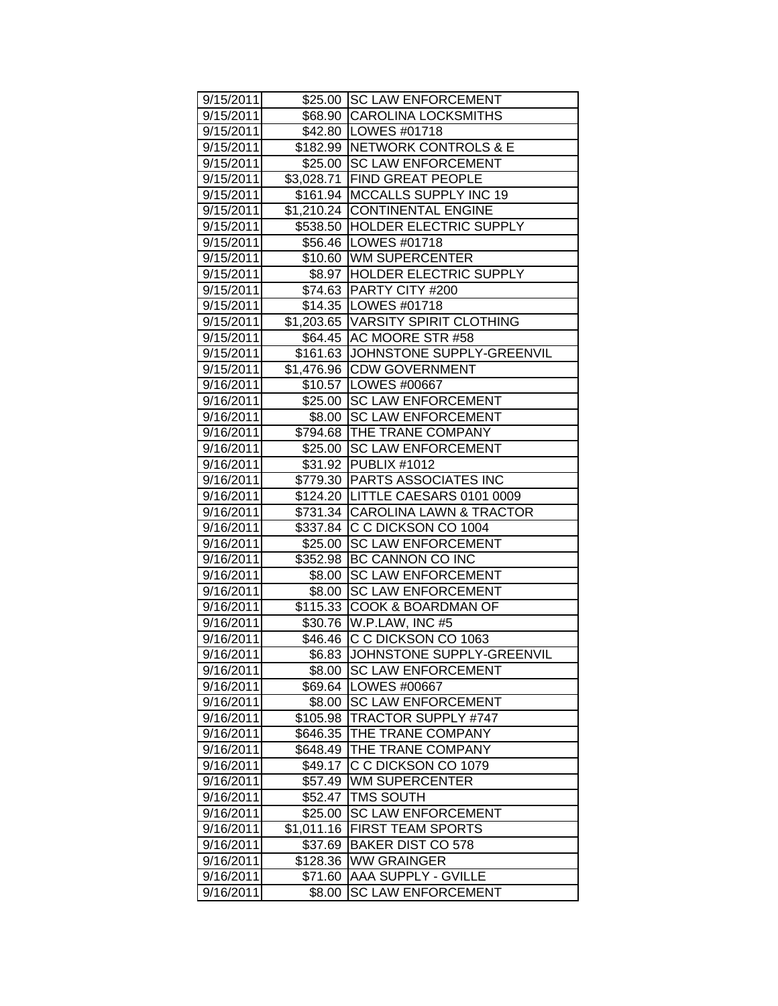| 9/15/2011 |            | \$25.00 SC LAW ENFORCEMENT                                       |
|-----------|------------|------------------------------------------------------------------|
| 9/15/2011 |            | \$68.90 CAROLINA LOCKSMITHS                                      |
| 9/15/2011 |            | \$42.80   LOWES #01718                                           |
| 9/15/2011 |            | \$182.99 NETWORK CONTROLS & E                                    |
| 9/15/2011 |            | \$25.00 SC LAW ENFORCEMENT                                       |
| 9/15/2011 |            | \$3,028.71 FIND GREAT PEOPLE                                     |
| 9/15/2011 |            | \$161.94 MCCALLS SUPPLY INC 19                                   |
| 9/15/2011 |            | \$1,210.24 CONTINENTAL ENGINE                                    |
| 9/15/2011 |            | \$538.50 HOLDER ELECTRIC SUPPLY                                  |
| 9/15/2011 |            | \$56.46   LOWES #01718                                           |
| 9/15/2011 |            | \$10.60 WM SUPERCENTER                                           |
| 9/15/2011 |            | \$8.97  HOLDER ELECTRIC SUPPLY                                   |
| 9/15/2011 |            | \$74.63 PARTY CITY #200                                          |
| 9/15/2011 |            | \$14.35   LOWES #01718                                           |
| 9/15/2011 |            | \$1,203.65 VARSITY SPIRIT CLOTHING                               |
| 9/15/2011 |            | \$64.45 AC MOORE STR #58                                         |
| 9/15/2011 |            | \$161.63 JJOHNSTONE SUPPLY-GREENVIL                              |
| 9/15/2011 |            | \$1,476.96 CDW GOVERNMENT                                        |
| 9/16/2011 |            | \$10.57 LOWES #00667                                             |
| 9/16/2011 |            | \$25.00 SC LAW ENFORCEMENT                                       |
| 9/16/2011 |            | \$8.00 SC LAW ENFORCEMENT                                        |
| 9/16/2011 |            | \$794.68 THE TRANE COMPANY                                       |
| 9/16/2011 |            | \$25.00 SC LAW ENFORCEMENT                                       |
| 9/16/2011 |            | \$31.92 PUBLIX #1012                                             |
| 9/16/2011 |            | \$779.30 PARTS ASSOCIATES INC                                    |
|           |            |                                                                  |
| 9/16/2011 |            | \$124.20 LITTLE CAESARS 0101 0009                                |
| 9/16/2011 |            | \$731.34 CAROLINA LAWN & TRACTOR<br>\$337.84 C C DICKSON CO 1004 |
| 9/16/2011 |            |                                                                  |
| 9/16/2011 |            | \$25.00 SC LAW ENFORCEMENT                                       |
| 9/16/2011 |            | \$352.98 BC CANNON CO INC                                        |
| 9/16/2011 |            | \$8.00 SC LAW ENFORCEMENT                                        |
| 9/16/2011 |            | \$8.00 SC LAW ENFORCEMENT                                        |
| 9/16/2011 |            | \$115.33 COOK & BOARDMAN OF                                      |
| 9/16/2011 |            | \$30.76   W.P.LAW, INC #5                                        |
| 9/16/2011 |            | \$46.46 C C DICKSON CO 1063                                      |
| 9/16/2011 |            | \$6.83 JJOHNSTONE SUPPLY-GREENVIL                                |
| 9/16/2011 |            | \$8.00   SC LAW ENFORCEMENT                                      |
| 9/16/2011 |            | \$69.64 LOWES #00667                                             |
| 9/16/2011 | \$8.00     | <b>SC LAW ENFORCEMENT</b>                                        |
| 9/16/2011 | \$105.98   | <b>TRACTOR SUPPLY #747</b>                                       |
| 9/16/2011 | \$646.35   | THE TRANE COMPANY                                                |
| 9/16/2011 | \$648.49   | THE TRANE COMPANY                                                |
| 9/16/2011 | \$49.17    | C C DICKSON CO 1079                                              |
| 9/16/2011 | \$57.49    | <b>WM SUPERCENTER</b>                                            |
| 9/16/2011 | \$52.47    | TMS SOUTH                                                        |
| 9/16/2011 | \$25.00    | <b>SC LAW ENFORCEMENT</b>                                        |
| 9/16/2011 | \$1,011.16 | <b>FIRST TEAM SPORTS</b>                                         |
| 9/16/2011 | \$37.69    | <b>BAKER DIST CO 578</b>                                         |
| 9/16/2011 | \$128.36   | <b>WW GRAINGER</b>                                               |
| 9/16/2011 | \$71.60    | AAA SUPPLY - GVILLE                                              |
| 9/16/2011 | \$8.00     | <b>SC LAW ENFORCEMENT</b>                                        |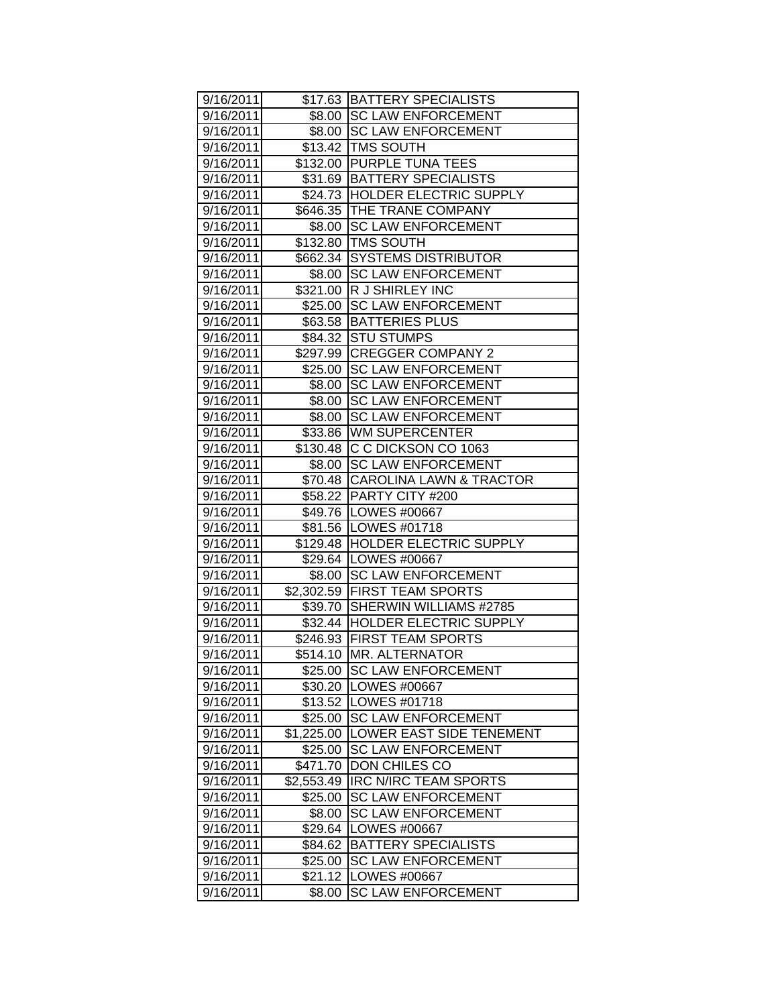| 9/16/2011 |            | \$17.63 BATTERY SPECIALISTS     |
|-----------|------------|---------------------------------|
| 9/16/2011 |            | \$8.00 SC LAW ENFORCEMENT       |
| 9/16/2011 |            | \$8.00 SC LAW ENFORCEMENT       |
| 9/16/2011 |            | \$13.42 TMS SOUTH               |
| 9/16/2011 |            | \$132.00 PURPLE TUNA TEES       |
| 9/16/2011 |            | \$31.69 BATTERY SPECIALISTS     |
| 9/16/2011 |            | \$24.73 HOLDER ELECTRIC SUPPLY  |
| 9/16/2011 |            | \$646.35 THE TRANE COMPANY      |
| 9/16/2011 |            | \$8.00 SC LAW ENFORCEMENT       |
| 9/16/2011 |            | \$132.80 TMS SOUTH              |
| 9/16/2011 |            | \$662.34 SYSTEMS DISTRIBUTOR    |
| 9/16/2011 |            | \$8.00 SC LAW ENFORCEMENT       |
| 9/16/2011 |            | \$321.00 R J SHIRLEY INC        |
| 9/16/2011 |            | \$25.00 SC LAW ENFORCEMENT      |
| 9/16/2011 |            | \$63.58 BATTERIES PLUS          |
| 9/16/2011 | \$84.32    | <b>STU STUMPS</b>               |
| 9/16/2011 | \$297.99   | <b>CREGGER COMPANY 2</b>        |
| 9/16/2011 | \$25.00    | <b>SC LAW ENFORCEMENT</b>       |
| 9/16/2011 | \$8.00     | <b>SC LAW ENFORCEMENT</b>       |
| 9/16/2011 | \$8.00     | <b>SC LAW ENFORCEMENT</b>       |
| 9/16/2011 | \$8.00     | <b>SC LAW ENFORCEMENT</b>       |
| 9/16/2011 |            | \$33.86 WM SUPERCENTER          |
| 9/16/2011 |            | \$130.48 C C DICKSON CO 1063    |
| 9/16/2011 | \$8.00     | <b>SC LAW ENFORCEMENT</b>       |
| 9/16/2011 |            | \$70.48 CAROLINA LAWN & TRACTOR |
| 9/16/2011 |            | \$58.22 PARTY CITY #200         |
| 9/16/2011 |            | \$49.76   LOWES #00667          |
| 9/16/2011 |            | \$81.56   LOWES #01718          |
| 9/16/2011 |            | \$129.48 HOLDER ELECTRIC SUPPLY |
| 9/16/2011 |            | \$29.64 LOWES #00667            |
| 9/16/2011 | \$8.00     | <b>SC LAW ENFORCEMENT</b>       |
| 9/16/2011 |            | \$2,302.59 FIRST TEAM SPORTS    |
| 9/16/2011 | \$39.70    | SHERWIN WILLIAMS #2785          |
| 9/16/2011 |            | \$32.44  HOLDER ELECTRIC SUPPLY |
| 9/16/2011 |            | \$246.93 FIRST TEAM SPORTS      |
| 9/16/2011 |            | \$514.10 MR. ALTERNATOR         |
| 9/16/2011 | \$25.00    | <b>SC LAW ENFORCEMENT</b>       |
| 9/16/2011 | \$30.20    | LOWES #00667                    |
| 9/16/2011 | \$13.52    | LOWES #01718                    |
| 9/16/2011 | \$25.00    | <b>SC LAW ENFORCEMENT</b>       |
| 9/16/2011 | \$1,225.00 | LOWER EAST SIDE TENEMENT        |
| 9/16/2011 | \$25.00    | <b>SC LAW ENFORCEMENT</b>       |
| 9/16/2011 | \$471.70   | DON CHILES CO                   |
| 9/16/2011 | \$2,553.49 | <b>IRC N/IRC TEAM SPORTS</b>    |
| 9/16/2011 | \$25.00    | <b>SC LAW ENFORCEMENT</b>       |
| 9/16/2011 | \$8.00     | <b>SC LAW ENFORCEMENT</b>       |
| 9/16/2011 | \$29.64    | LOWES #00667                    |
| 9/16/2011 | \$84.62    | <b>BATTERY SPECIALISTS</b>      |
| 9/16/2011 | \$25.00    | <b>SC LAW ENFORCEMENT</b>       |
| 9/16/2011 | \$21.12    | LOWES #00667                    |
| 9/16/2011 | \$8.00     | <b>SC LAW ENFORCEMENT</b>       |
|           |            |                                 |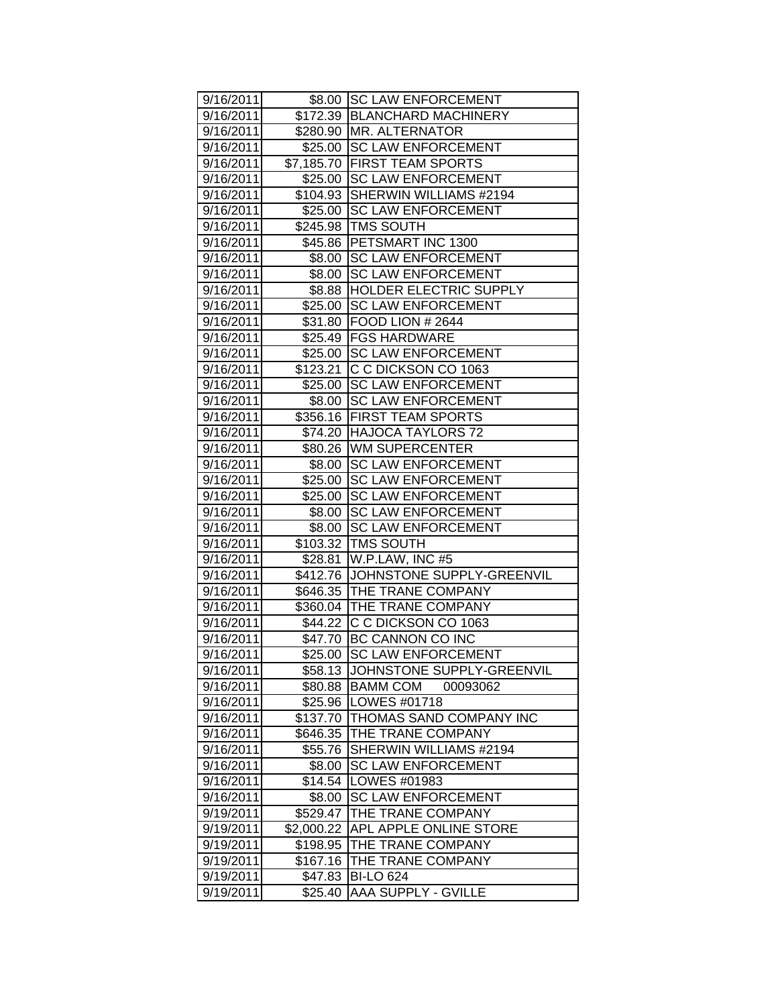| 9/16/2011 |            | \$8.00 SC LAW ENFORCEMENT          |
|-----------|------------|------------------------------------|
| 9/16/2011 |            | \$172.39   BLANCHARD MACHINERY     |
| 9/16/2011 |            | \$280.90   MR. ALTERNATOR          |
| 9/16/2011 |            | \$25.00 SC LAW ENFORCEMENT         |
| 9/16/2011 |            | \$7,185.70 FIRST TEAM SPORTS       |
| 9/16/2011 | \$25.00    | <b>SC LAW ENFORCEMENT</b>          |
| 9/16/2011 | \$104.93   | SHERWIN WILLIAMS #2194             |
| 9/16/2011 | \$25.00    | <b>SC LAW ENFORCEMENT</b>          |
| 9/16/2011 |            | \$245.98 TMS SOUTH                 |
| 9/16/2011 |            | \$45.86 PETSMART INC 1300          |
| 9/16/2011 | \$8.00     | <b>SC LAW ENFORCEMENT</b>          |
| 9/16/2011 | \$8.00     | <b>SC LAW ENFORCEMENT</b>          |
| 9/16/2011 | \$8.88     | <b>HOLDER ELECTRIC SUPPLY</b>      |
| 9/16/2011 | \$25.00    | <b>SC LAW ENFORCEMENT</b>          |
| 9/16/2011 |            | \$31.80 FOOD LION # 2644           |
| 9/16/2011 |            | \$25.49 FGS HARDWARE               |
| 9/16/2011 | \$25.00    | <b>SC LAW ENFORCEMENT</b>          |
| 9/16/2011 | \$123.21   | C C DICKSON CO 1063                |
| 9/16/2011 | \$25.00    | <b>SC LAW ENFORCEMENT</b>          |
| 9/16/2011 | \$8.00     | <b>SC LAW ENFORCEMENT</b>          |
| 9/16/2011 |            | \$356.16 FIRST TEAM SPORTS         |
| 9/16/2011 |            | \$74.20 HAJOCA TAYLORS 72          |
| 9/16/2011 |            | \$80.26   WM SUPERCENTER           |
| 9/16/2011 | \$8.00     | <b>SC LAW ENFORCEMENT</b>          |
| 9/16/2011 | \$25.00    | <b>SC LAW ENFORCEMENT</b>          |
| 9/16/2011 | \$25.00    | <b>SC LAW ENFORCEMENT</b>          |
| 9/16/2011 |            | \$8.00 SC LAW ENFORCEMENT          |
| 9/16/2011 |            | \$8.00 SC LAW ENFORCEMENT          |
| 9/16/2011 |            | \$103.32 TMS SOUTH                 |
| 9/16/2011 | \$28.81    | W.P.LAW, INC #5                    |
| 9/16/2011 |            | \$412.76 JOHNSTONE SUPPLY-GREENVIL |
| 9/16/2011 |            | \$646.35 THE TRANE COMPANY         |
| 9/16/2011 |            | \$360.04 THE TRANE COMPANY         |
| 9/16/2011 |            | \$44.22 C C DICKSON CO 1063        |
| 9/16/2011 |            | \$47.70 BC CANNON CO INC           |
| 9/16/2011 | \$25.00    | <b>SC LAW ENFORCEMENT</b>          |
| 9/16/2011 | \$58.13    | JOHNSTONE SUPPLY-GREENVIL          |
| 9/16/2011 | \$80.88    | <b>BAMM COM</b><br>00093062        |
| 9/16/2011 | \$25.96    | LOWES #01718                       |
| 9/16/2011 | \$137.70   | THOMAS SAND COMPANY INC            |
| 9/16/2011 | \$646.35   | THE TRANE COMPANY                  |
| 9/16/2011 | \$55.76    | SHERWIN WILLIAMS #2194             |
| 9/16/2011 | \$8.00     | <b>SC LAW ENFORCEMENT</b>          |
| 9/16/2011 | \$14.54    | LOWES #01983                       |
| 9/16/2011 | \$8.00     | <b>SC LAW ENFORCEMENT</b>          |
| 9/19/2011 | \$529.47   | THE TRANE COMPANY                  |
| 9/19/2011 | \$2,000.22 | APL APPLE ONLINE STORE             |
| 9/19/2011 | \$198.95   | THE TRANE COMPANY                  |
| 9/19/2011 | \$167.16   | THE TRANE COMPANY                  |
| 9/19/2011 | \$47.83    | <b>BI-LO 624</b>                   |
| 9/19/2011 | \$25.40    | <b>AAA SUPPLY - GVILLE</b>         |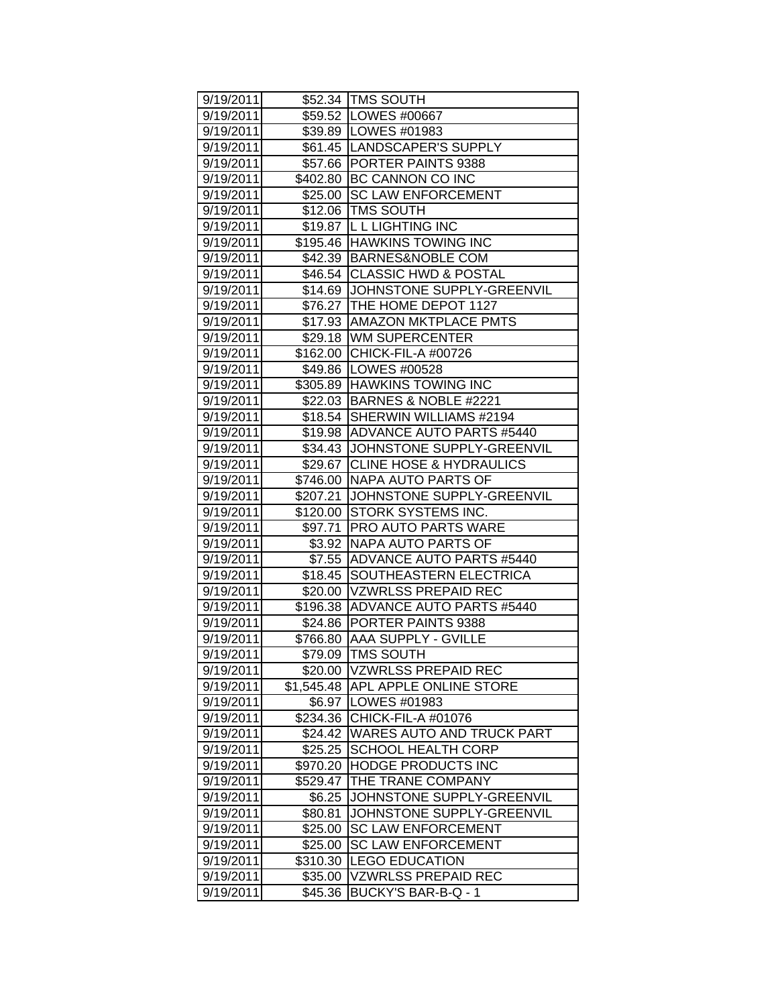| 9/19/2011               |            | \$52.34  TMS SOUTH                 |
|-------------------------|------------|------------------------------------|
| 9/19/2011               |            | \$59.52   LOWES #00667             |
| 9/19/2011               |            | \$39.89   LOWES #01983             |
| 9/19/2011               |            | \$61.45  LANDSCAPER'S SUPPLY       |
| 9/19/2011               |            | \$57.66 PORTER PAINTS 9388         |
| 9/19/2011               |            | \$402.80 BC CANNON CO INC          |
| 9/19/2011               | \$25.00    | <b>SC LAW ENFORCEMENT</b>          |
| 9/19/2011               | \$12.06    | <b>TMS SOUTH</b>                   |
| 9/19/2011               |            | \$19.87  L L LIGHTING INC          |
| 9/19/2011               |            | \$195.46 HAWKINS TOWING INC        |
| 9/19/2011               |            | \$42.39 BARNES&NOBLE COM           |
| 9/19/2011               |            | \$46.54 CLASSIC HWD & POSTAL       |
| 9/19/2011               | \$14.69    | JOHNSTONE SUPPLY-GREENVIL          |
| 9/19/2011               |            | \$76.27 THE HOME DEPOT 1127        |
| 9/19/2011               |            | \$17.93   AMAZON MKTPLACE PMTS     |
| 9/19/2011               |            | \$29.18 WM SUPERCENTER             |
| 9/19/2011               |            | \$162.00 CHICK-FIL-A #00726        |
| 9/19/2011               |            | \$49.86 LOWES #00528               |
| 9/19/2011               |            | \$305.89 HAWKINS TOWING INC        |
| 9/19/2011               | \$22.03    | BARNES & NOBLE #2221               |
| 9/19/2011               | \$18.54    | SHERWIN WILLIAMS #2194             |
| 9/19/2011               |            | \$19.98 ADVANCE AUTO PARTS #5440   |
| 9/19/2011               |            | \$34.43 JJOHNSTONE SUPPLY-GREENVIL |
| 9/19/2011               | \$29.67    | <b>CLINE HOSE &amp; HYDRAULICS</b> |
| 9/19/2011               |            | \$746.00 NAPA AUTO PARTS OF        |
| 9/19/2011               | \$207.21   | JOHNSTONE SUPPLY-GREENVIL          |
| 9/19/2011               |            | \$120.00 STORK SYSTEMS INC.        |
| 9/19/2011               |            | \$97.71   PRO AUTO PARTS WARE      |
| 9/19/2011               |            | \$3.92 NAPA AUTO PARTS OF          |
| 9/19/2011               | \$7.55     | ADVANCE AUTO PARTS #5440           |
| 9/19/2011               | \$18.45    | SOUTHEASTERN ELECTRICA             |
| 9/19/2011               | \$20.00    | <b>VZWRLSS PREPAID REC</b>         |
| 9/19/2011               | \$196.38   | ADVANCE AUTO PARTS #5440           |
| 9/19/2011               |            | \$24.86 PORTER PAINTS 9388         |
| 9/19/2011               |            | \$766.80 AAA SUPPLY - GVILLE       |
| 9/19/2011               |            | \$79.09 TMS SOUTH                  |
| 9/19/2011               | \$20.00    | <b>VZWRLSS PREPAID REC</b>         |
| 9/19/2011               | \$1,545.48 | APL APPLE ONLINE STORE             |
| 9/19/2011               | \$6.97     | LOWES #01983                       |
| 9/19/2011               | \$234.36   | CHICK-FIL-A #01076                 |
| 9/19/2011               | \$24.42    | <b>WARES AUTO AND TRUCK PART</b>   |
| 9/19/2011               | \$25.25    | SCHOOL HEALTH CORP                 |
| 9/19/2011               | \$970.20   | <b>HODGE PRODUCTS INC</b>          |
| 9/19/2011               | \$529.47   | THE TRANE COMPANY                  |
| 9/19/2011               | \$6.25     | JOHNSTONE SUPPLY-GREENVIL          |
| 9/19/2011               | \$80.81    | JOHNSTONE SUPPLY-GREENVIL          |
| 9/19/2011               | \$25.00    | <b>SC LAW ENFORCEMENT</b>          |
| $\overline{9}$ /19/2011 | \$25.00    | <b>SC LAW ENFORCEMENT</b>          |
| 9/19/2011               | \$310.30   | <b>LEGO EDUCATION</b>              |
| 9/19/2011               | \$35.00    | <b>VZWRLSS PREPAID REC</b>         |
| 9/19/2011               | \$45.36    | BUCKY'S BAR-B-Q - 1                |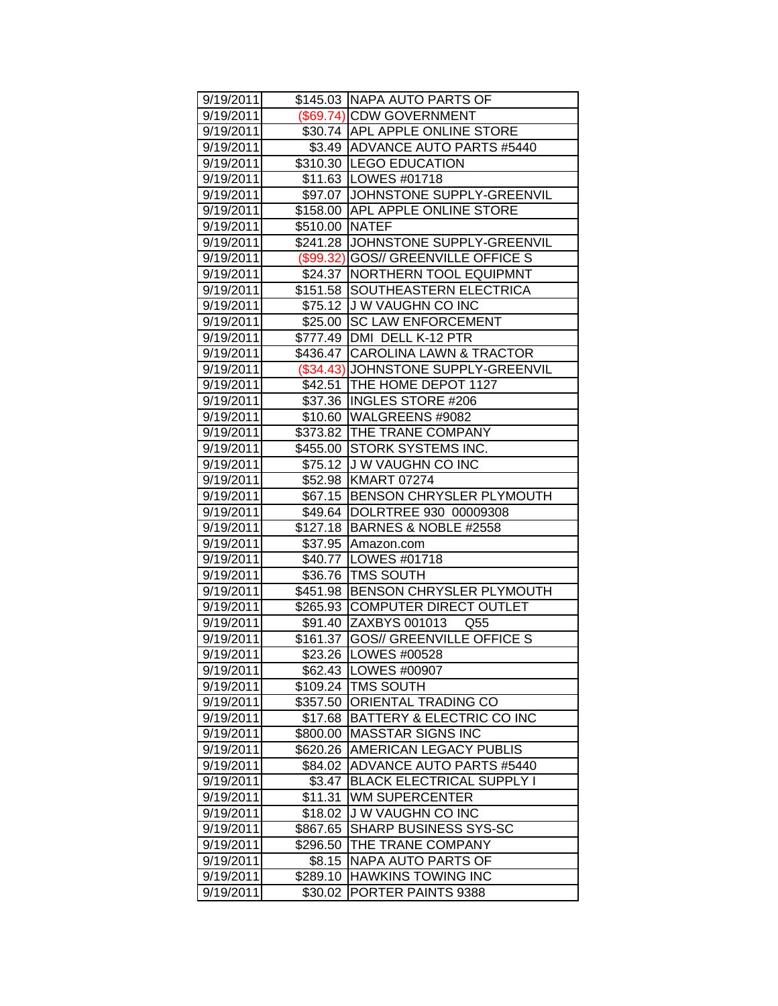| 9/19/2011 |                | \$145.03 NAPA AUTO PARTS OF         |
|-----------|----------------|-------------------------------------|
| 9/19/2011 |                | (\$69.74) CDW GOVERNMENT            |
| 9/19/2011 |                | \$30.74 APL APPLE ONLINE STORE      |
| 9/19/2011 |                | \$3.49 ADVANCE AUTO PARTS #5440     |
| 9/19/2011 |                | \$310.30 LEGO EDUCATION             |
| 9/19/2011 |                | \$11.63   LOWES #01718              |
| 9/19/2011 |                | \$97.07 JJOHNSTONE SUPPLY-GREENVIL  |
| 9/19/2011 |                | \$158.00 APL APPLE ONLINE STORE     |
| 9/19/2011 | \$510.00 NATEF |                                     |
| 9/19/2011 |                | \$241.28 JJOHNSTONE SUPPLY-GREENVIL |
| 9/19/2011 |                | (\$99.32) GOS// GREENVILLE OFFICE S |
| 9/19/2011 |                | \$24.37   NORTHERN TOOL EQUIPMNT    |
| 9/19/2011 |                | \$151.58 SOUTHEASTERN ELECTRICA     |
| 9/19/2011 |                | \$75.12 J W VAUGHN CO INC           |
| 9/19/2011 |                | \$25.00 SC LAW ENFORCEMENT          |
| 9/19/2011 |                | \$777.49   DMI DELL K-12 PTR        |
| 9/19/2011 |                | \$436.47 CAROLINA LAWN & TRACTOR    |
| 9/19/2011 |                | (\$34.43) JOHNSTONE SUPPLY-GREENVIL |
| 9/19/2011 | \$42.51        | THE HOME DEPOT 1127                 |
| 9/19/2011 |                | \$37.36 INGLES STORE #206           |
| 9/19/2011 |                | \$10.60 WALGREENS #9082             |
| 9/19/2011 |                | \$373.82 THE TRANE COMPANY          |
| 9/19/2011 |                | \$455.00 STORK SYSTEMS INC.         |
| 9/19/2011 |                | \$75.12 J W VAUGHN CO INC           |
| 9/19/2011 |                | \$52.98 KMART 07274                 |
| 9/19/2011 |                | \$67.15 BENSON CHRYSLER PLYMOUTH    |
| 9/19/2011 |                | \$49.64  DOLRTREE 930 00009308      |
| 9/19/2011 |                | \$127.18 BARNES & NOBLE #2558       |
| 9/19/2011 |                | \$37.95 Amazon.com                  |
| 9/19/2011 |                | \$40.77 LOWES #01718                |
| 9/19/2011 |                | \$36.76 TMS SOUTH                   |
| 9/19/2011 |                | \$451.98 BENSON CHRYSLER PLYMOUTH   |
| 9/19/2011 |                | \$265.93 COMPUTER DIRECT OUTLET     |
| 9/19/2011 |                | \$91.40 ZAXBYS 001013<br>Q55        |
| 9/19/2011 | \$161.37       | <b>GOS// GREENVILLE OFFICE S</b>    |
| 9/19/2011 |                | \$23.26   LOWES #00528              |
| 9/19/2011 |                | \$62.43   LOWES #00907              |
| 9/19/2011 |                | \$109.24   TMS SOUTH                |
| 9/19/2011 | \$357.50       | ORIENTAL TRADING CO                 |
| 9/19/2011 |                | \$17.68 BATTERY & ELECTRIC CO INC   |
| 9/19/2011 | \$800.00       | <b>MASSTAR SIGNS INC</b>            |
| 9/19/2011 | \$620.26       | <b>AMERICAN LEGACY PUBLIS</b>       |
| 9/19/2011 | \$84.02        | <b>ADVANCE AUTO PARTS #5440</b>     |
| 9/19/2011 | \$3.47         | <b>BLACK ELECTRICAL SUPPLY I</b>    |
| 9/19/2011 | \$11.31        | <b>WM SUPERCENTER</b>               |
| 9/19/2011 | \$18.02        | <b>JW VAUGHN CO INC</b>             |
| 9/19/2011 | \$867.65       | <b>SHARP BUSINESS SYS-SC</b>        |
| 9/19/2011 | \$296.50       | THE TRANE COMPANY                   |
| 9/19/2011 | \$8.15         | <b>NAPA AUTO PARTS OF</b>           |
| 9/19/2011 | \$289.10       | <b>HAWKINS TOWING INC</b>           |
| 9/19/2011 | \$30.02        | <b>PORTER PAINTS 9388</b>           |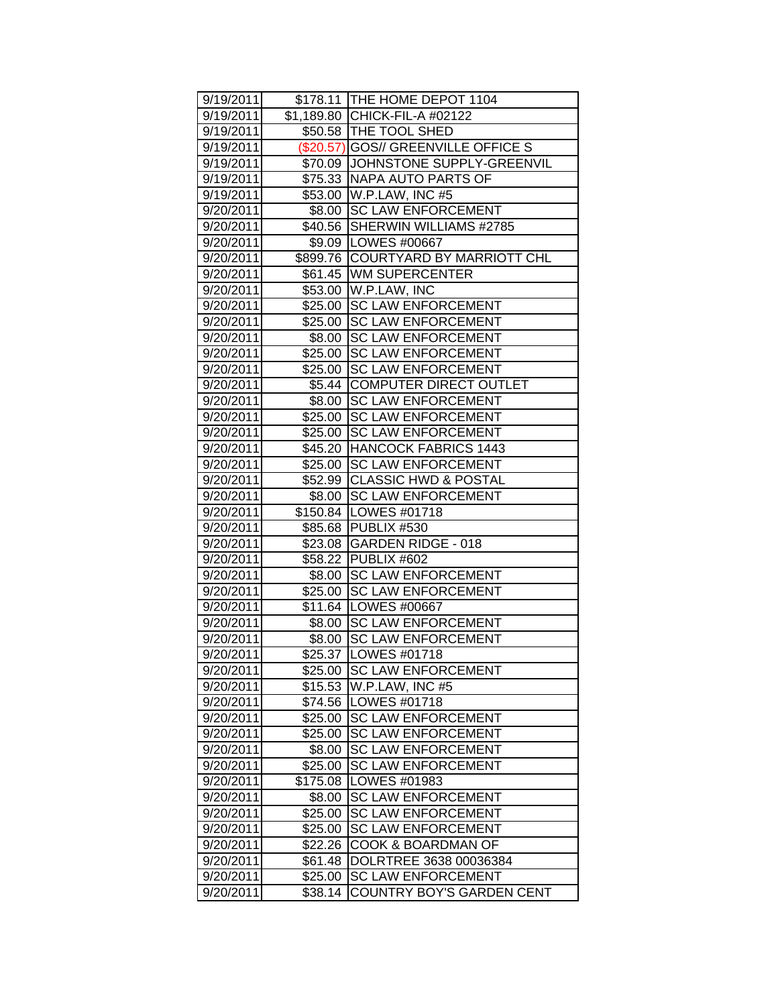| 9/19/2011              |          | \$178.11   THE HOME DEPOT 1104                         |
|------------------------|----------|--------------------------------------------------------|
| 9/19/2011<br>9/19/2011 |          | \$1,189.80 CHICK-FIL-A #02122<br>\$50.58 THE TOOL SHED |
|                        |          |                                                        |
| 9/19/2011              |          | (\$20.57) GOS// GREENVILLE OFFICE S                    |
| 9/19/2011              |          | \$70.09 JJOHNSTONE SUPPLY-GREENVIL                     |
| 9/19/2011              |          | \$75.33 NAPA AUTO PARTS OF                             |
| 9/19/2011              |          | \$53.00 W.P.LAW, INC #5                                |
| 9/20/2011              |          | \$8.00 SC LAW ENFORCEMENT                              |
| 9/20/2011              |          | \$40.56 SHERWIN WILLIAMS #2785                         |
| 9/20/2011              |          | \$9.09   LOWES #00667                                  |
| 9/20/2011              |          | \$899.76 COURTYARD BY MARRIOTT CHL                     |
| 9/20/2011              |          | \$61.45 WM SUPERCENTER                                 |
| 9/20/2011              |          | \$53.00   W.P.LAW, INC                                 |
| 9/20/2011              |          | \$25.00 SC LAW ENFORCEMENT                             |
| 9/20/2011              |          | \$25.00 SC LAW ENFORCEMENT                             |
| 9/20/2011              |          | \$8.00 SC LAW ENFORCEMENT                              |
| 9/20/2011              | \$25.00  | <b>SC LAW ENFORCEMENT</b>                              |
| 9/20/2011              | \$25.00  | <b>SC LAW ENFORCEMENT</b>                              |
| 9/20/2011              | \$5.44   | <b>COMPUTER DIRECT OUTLET</b>                          |
| 9/20/2011              | \$8.00   | <b>SC LAW ENFORCEMENT</b>                              |
| 9/20/2011              |          | \$25.00 SC LAW ENFORCEMENT                             |
| 9/20/2011              | \$25.00  | <b>SC LAW ENFORCEMENT</b>                              |
| 9/20/2011              |          | \$45.20 HANCOCK FABRICS 1443                           |
| 9/20/2011              | \$25.00  | <b>SC LAW ENFORCEMENT</b>                              |
| 9/20/2011              |          | \$52.99 CLASSIC HWD & POSTAL                           |
| 9/20/2011              |          | \$8.00 SC LAW ENFORCEMENT                              |
| 9/20/2011              |          | \$150.84   LOWES #01718                                |
| 9/20/2011              |          | \$85.68 PUBLIX #530                                    |
| 9/20/2011              |          | \$23.08 GARDEN RIDGE - 018                             |
| 9/20/2011              |          | \$58.22 PUBLIX #602                                    |
| 9/20/2011              | \$8.00   | <b>SC LAW ENFORCEMENT</b>                              |
| 9/20/2011              | \$25.00  | <b>SC LAW ENFORCEMENT</b>                              |
| 9/20/2011              |          | \$11.64   LOWES #00667                                 |
| 9/20/2011              |          | \$8.00 SC LAW ENFORCEMENT                              |
| 9/20/2011              | \$8.00   | <b>SC LAW ENFORCEMENT</b>                              |
| 9/20/2011              |          | \$25.37   LOWES #01718                                 |
| 9/20/2011              | \$25.00  | <b>SC LAW ENFORCEMENT</b>                              |
| 9/20/2011              | \$15.53  | W.P.LAW, INC #5                                        |
| 9/20/2011              |          | \$74.56   LOWES #01718                                 |
| 9/20/2011              | \$25.00  | <b>SC LAW ENFORCEMENT</b>                              |
| 9/20/2011              | \$25.00  | <b>SC LAW ENFORCEMENT</b>                              |
| 9/20/2011              | \$8.00   | <b>SC LAW ENFORCEMENT</b>                              |
| 9/20/2011              | \$25.00  | <b>SC LAW ENFORCEMENT</b>                              |
| 9/20/2011              | \$175.08 | LOWES #01983                                           |
| 9/20/2011              | \$8.00   | <b>SC LAW ENFORCEMENT</b>                              |
| 9/20/2011              | \$25.00  | <b>SC LAW ENFORCEMENT</b>                              |
| 9/20/2011              | \$25.00  | <b>SC LAW ENFORCEMENT</b>                              |
| 9/20/2011              | \$22.26  | COOK & BOARDMAN OF                                     |
| 9/20/2011              | \$61.48  | DOLRTREE 3638 00036384                                 |
| 9/20/2011              | \$25.00  | <b>SC LAW ENFORCEMENT</b>                              |
| 9/20/2011              | \$38.14  | <b>COUNTRY BOY'S GARDEN CENT</b>                       |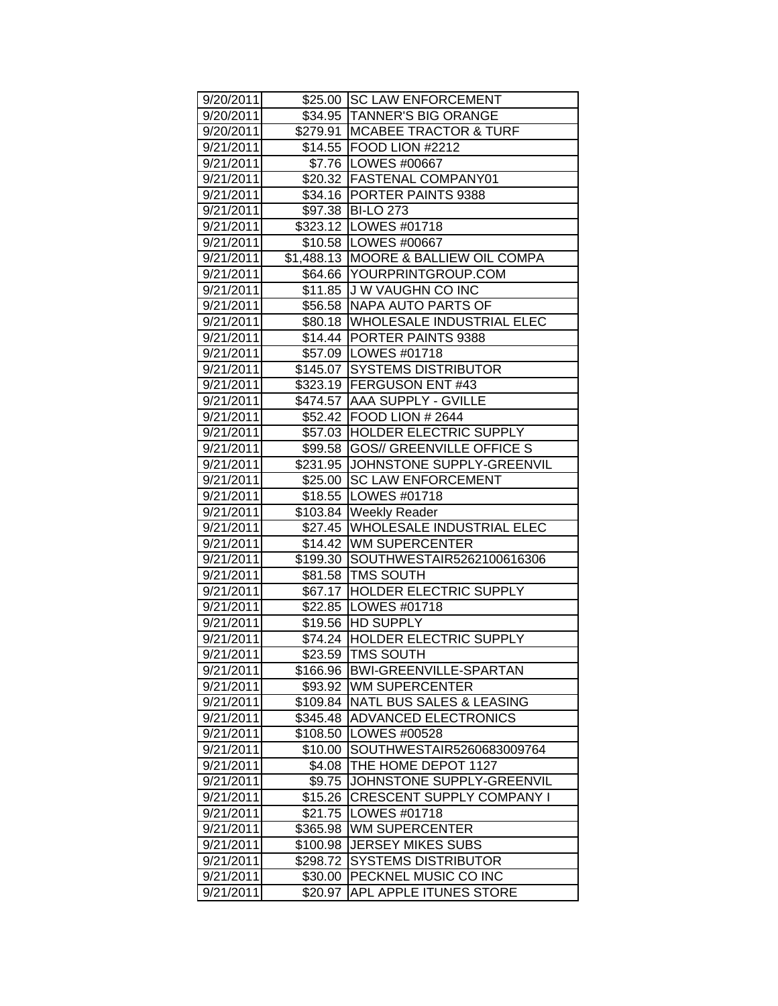| 9/20/2011 |          | \$25.00 SC LAW ENFORCEMENT           |
|-----------|----------|--------------------------------------|
| 9/20/2011 |          | \$34.95 TANNER'S BIG ORANGE          |
| 9/20/2011 |          | \$279.91 MCABEE TRACTOR & TURF       |
| 9/21/2011 |          | \$14.55 FOOD LION #2212              |
| 9/21/2011 |          | \$7.76   LOWES #00667                |
| 9/21/2011 |          | \$20.32 FASTENAL COMPANY01           |
| 9/21/2011 |          | \$34.16 PORTER PAINTS 9388           |
| 9/21/2011 |          | \$97.38 BI-LO 273                    |
| 9/21/2011 |          | \$323.12 LOWES #01718                |
| 9/21/2011 |          | \$10.58   LOWES #00667               |
| 9/21/2011 |          | \$1,488.13 MOORE & BALLIEW OIL COMPA |
| 9/21/2011 |          | \$64.66 YOURPRINTGROUP.COM           |
| 9/21/2011 |          | \$11.85 J W VAUGHN CO INC            |
| 9/21/2011 |          | \$56.58 NAPA AUTO PARTS OF           |
| 9/21/2011 | \$80.18  | <b>WHOLESALE INDUSTRIAL ELEC</b>     |
| 9/21/2011 |          | \$14.44   PORTER PAINTS 9388         |
| 9/21/2011 |          | \$57.09 LOWES #01718                 |
| 9/21/2011 | \$145.07 | <b>SYSTEMS DISTRIBUTOR</b>           |
| 9/21/2011 |          | \$323.19 FERGUSON ENT #43            |
| 9/21/2011 |          | \$474.57 AAA SUPPLY - GVILLE         |
| 9/21/2011 |          | \$52.42 FOOD LION # 2644             |
| 9/21/2011 |          | \$57.03 HOLDER ELECTRIC SUPPLY       |
| 9/21/2011 | \$99.58  | <b>GOS// GREENVILLE OFFICE S</b>     |
| 9/21/2011 |          | \$231.95 JJOHNSTONE SUPPLY-GREENVIL  |
| 9/21/2011 |          | \$25.00 SC LAW ENFORCEMENT           |
| 9/21/2011 |          | \$18.55   LOWES #01718               |
| 9/21/2011 |          | \$103.84   Weekly Reader             |
| 9/21/2011 |          | \$27.45 WHOLESALE INDUSTRIAL ELEC    |
| 9/21/2011 |          | \$14.42 WM SUPERCENTER               |
| 9/21/2011 | \$199.30 | SOUTHWESTAIR5262100616306            |
| 9/21/2011 |          | \$81.58   TMS SOUTH                  |
| 9/21/2011 |          | \$67.17 HOLDER ELECTRIC SUPPLY       |
| 9/21/2011 |          | \$22.85   LOWES #01718               |
| 9/21/2011 |          | \$19.56 HD SUPPLY                    |
| 9/21/2011 |          | \$74.24 HOLDER ELECTRIC SUPPLY       |
| 9/21/2011 |          | \$23.59 TMS SOUTH                    |
| 9/21/2011 | \$166.96 | BWI-GREENVILLE-SPARTAN               |
| 9/21/2011 | \$93.92  | WM SUPERCENTER                       |
| 9/21/2011 | \$109.84 | <b>NATL BUS SALES &amp; LEASING</b>  |
| 9/21/2011 | \$345.48 | <b>ADVANCED ELECTRONICS</b>          |
| 9/21/2011 | \$108.50 | LOWES #00528                         |
| 9/21/2011 | \$10.00  | SOUTHWESTAIR5260683009764            |
| 9/21/2011 | \$4.08   | THE HOME DEPOT 1127                  |
| 9/21/2011 | \$9.75   | JOHNSTONE SUPPLY-GREENVIL            |
| 9/21/2011 | \$15.26  | <b>CRESCENT SUPPLY COMPANY I</b>     |
| 9/21/2011 | \$21.75  | LOWES #01718                         |
| 9/21/2011 | \$365.98 | <b>WM SUPERCENTER</b>                |
| 9/21/2011 | \$100.98 | <b>JERSEY MIKES SUBS</b>             |
| 9/21/2011 | \$298.72 | <b>SYSTEMS DISTRIBUTOR</b>           |
| 9/21/2011 | \$30.00  | PECKNEL MUSIC CO INC                 |
| 9/21/2011 | \$20.97  | APL APPLE ITUNES STORE               |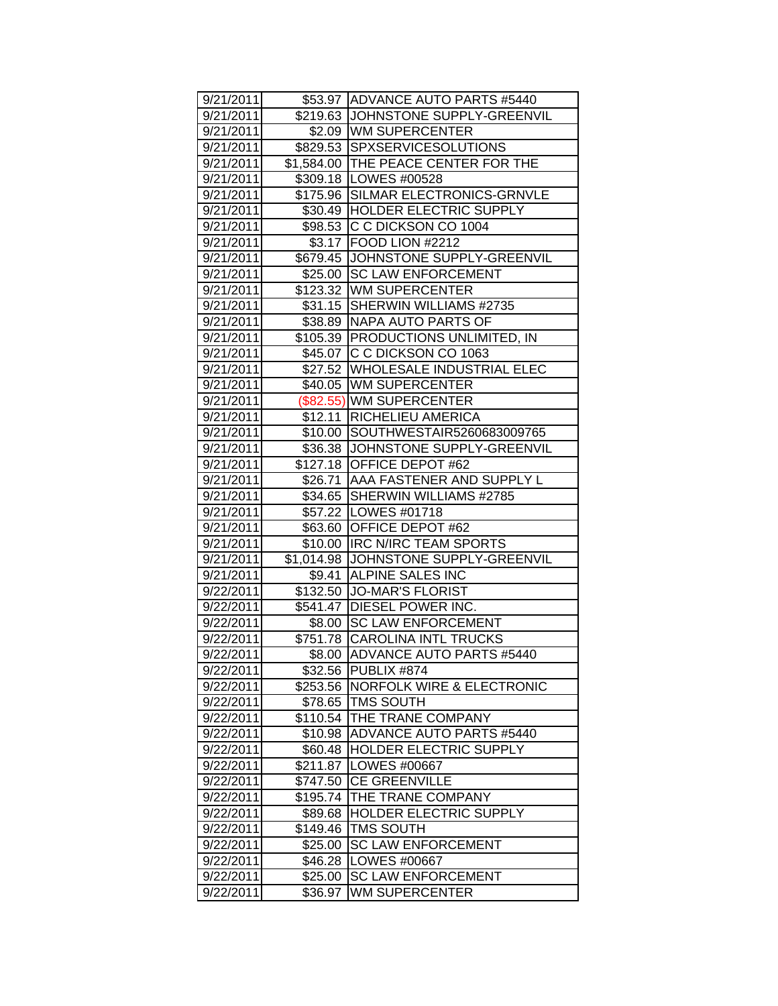| 9/21/2011 |          | \$53.97 ADVANCE AUTO PARTS #5440     |
|-----------|----------|--------------------------------------|
| 9/21/2011 |          | \$219.63 JOHNSTONE SUPPLY-GREENVIL   |
| 9/21/2011 |          | \$2.09   WM SUPERCENTER              |
| 9/21/2011 |          | \$829.53 SPXSERVICESOLUTIONS         |
| 9/21/2011 |          | \$1,584.00 THE PEACE CENTER FOR THE  |
| 9/21/2011 |          | \$309.18   LOWES #00528              |
| 9/21/2011 |          | \$175.96 SILMAR ELECTRONICS-GRNVLE   |
| 9/21/2011 |          | \$30.49 HOLDER ELECTRIC SUPPLY       |
| 9/21/2011 |          | \$98.53 C C DICKSON CO 1004          |
| 9/21/2011 |          | \$3.17 FOOD LION #2212               |
| 9/21/2011 |          | \$679.45 JJOHNSTONE SUPPLY-GREENVIL  |
| 9/21/2011 | \$25.00  | <b>SC LAW ENFORCEMENT</b>            |
| 9/21/2011 |          | \$123.32 WM SUPERCENTER              |
| 9/21/2011 |          | \$31.15 SHERWIN WILLIAMS #2735       |
| 9/21/2011 |          | \$38.89 NAPA AUTO PARTS OF           |
| 9/21/2011 |          | \$105.39 PRODUCTIONS UNLIMITED, IN   |
| 9/21/2011 | \$45.07  | C C DICKSON CO 1063                  |
| 9/21/2011 | \$27.52  | WHOLESALE INDUSTRIAL ELEC            |
| 9/21/2011 | \$40.05  | <b>WM SUPERCENTER</b>                |
| 9/21/2011 |          | (\$82.55) WM SUPERCENTER             |
| 9/21/2011 | \$12.11  | <b>RICHELIEU AMERICA</b>             |
| 9/21/2011 | \$10.00  | SOUTHWESTAIR5260683009765            |
| 9/21/2011 | \$36.38  | JOHNSTONE SUPPLY-GREENVIL            |
| 9/21/2011 |          | \$127.18 OFFICE DEPOT #62            |
| 9/21/2011 |          | \$26.71   AAA FASTENER AND SUPPLY L  |
| 9/21/2011 |          | \$34.65 SHERWIN WILLIAMS #2785       |
| 9/21/2011 |          | \$57.22   LOWES #01718               |
| 9/21/2011 |          | \$63.60 OFFICE DEPOT #62             |
| 9/21/2011 |          | \$10.00  IRC N/IRC TEAM SPORTS       |
| 9/21/2011 |          | \$1,014.98 JOHNSTONE SUPPLY-GREENVIL |
| 9/21/2011 | \$9.41   | <b>ALPINE SALES INC</b>              |
| 9/22/2011 | \$132.50 | <b>JO-MAR'S FLORIST</b>              |
| 9/22/2011 |          | \$541.47 DIESEL POWER INC.           |
| 9/22/2011 |          | \$8.00 SC LAW ENFORCEMENT            |
| 9/22/2011 |          | \$751.78 CAROLINA INTL TRUCKS        |
| 9/22/2011 | \$8.00   | ADVANCE AUTO PARTS #5440             |
| 9/22/2011 |          | \$32.56 PUBLIX #874                  |
| 9/22/2011 | \$253.56 | <b>NORFOLK WIRE &amp; ELECTRONIC</b> |
| 9/22/2011 | \$78.65  | <b>TMS SOUTH</b>                     |
| 9/22/2011 | \$110.54 | THE TRANE COMPANY                    |
| 9/22/2011 | \$10.98  | <b>ADVANCE AUTO PARTS #5440</b>      |
| 9/22/2011 | \$60.48  | HOLDER ELECTRIC SUPPLY               |
| 9/22/2011 | \$211.87 | LOWES #00667                         |
| 9/22/2011 | \$747.50 | <b>CE GREENVILLE</b>                 |
| 9/22/2011 | \$195.74 | THE TRANE COMPANY                    |
| 9/22/2011 | \$89.68  | <b>HOLDER ELECTRIC SUPPLY</b>        |
| 9/22/2011 | \$149.46 | <b>TMS SOUTH</b>                     |
| 9/22/2011 | \$25.00  | <b>SC LAW ENFORCEMENT</b>            |
| 9/22/2011 | \$46.28  | LOWES #00667                         |
| 9/22/2011 | \$25.00  | <b>SC LAW ENFORCEMENT</b>            |
| 9/22/2011 | \$36.97  | WM SUPERCENTER                       |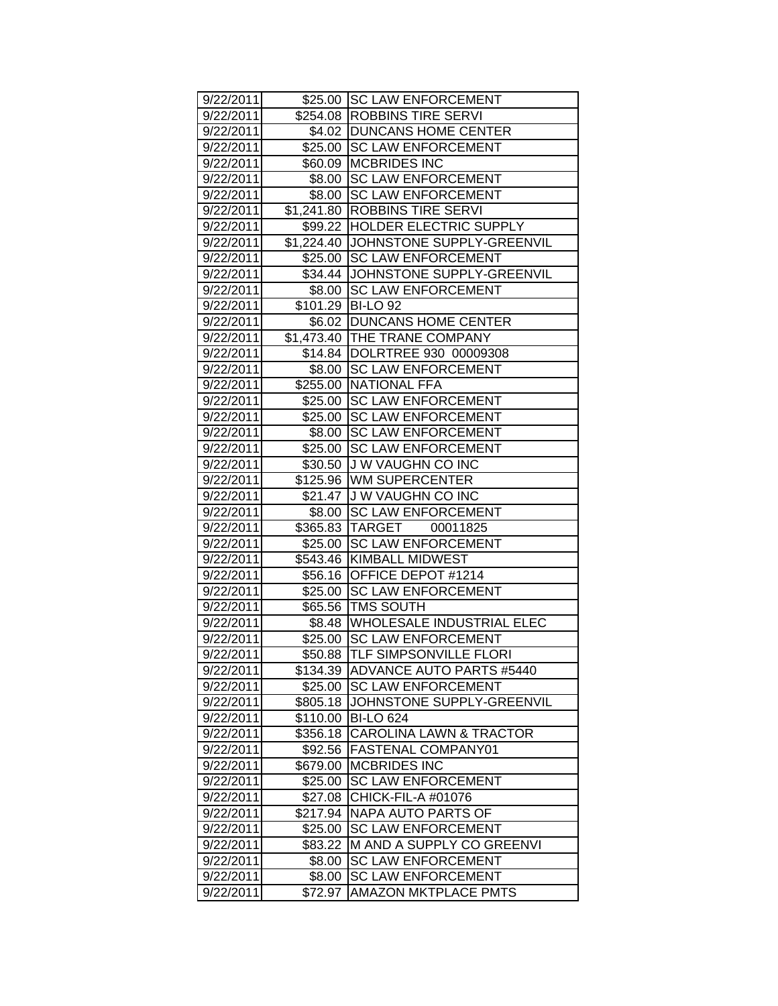| 9/22/2011 |          | \$25.00 SC LAW ENFORCEMENT            |
|-----------|----------|---------------------------------------|
| 9/22/2011 |          | \$254.08 ROBBINS TIRE SERVI           |
| 9/22/2011 |          | \$4.02   DUNCANS HOME CENTER          |
| 9/22/2011 |          | \$25.00 SC LAW ENFORCEMENT            |
| 9/22/2011 |          | \$60.09 MCBRIDES INC                  |
| 9/22/2011 |          | \$8.00 SC LAW ENFORCEMENT             |
| 9/22/2011 |          | \$8.00 SC LAW ENFORCEMENT             |
| 9/22/2011 |          | \$1,241.80 ROBBINS TIRE SERVI         |
| 9/22/2011 |          | \$99.22 HOLDER ELECTRIC SUPPLY        |
| 9/22/2011 |          | \$1,224.40 JJOHNSTONE SUPPLY-GREENVIL |
| 9/22/2011 |          | \$25.00 SC LAW ENFORCEMENT            |
| 9/22/2011 |          | \$34.44 JJOHNSTONE SUPPLY-GREENVIL    |
| 9/22/2011 |          | \$8.00 SC LAW ENFORCEMENT             |
| 9/22/2011 |          | \$101.29 BI-LO 92                     |
| 9/22/2011 |          | \$6.02   DUNCANS HOME CENTER          |
| 9/22/2011 |          | \$1,473.40 THE TRANE COMPANY          |
| 9/22/2011 |          | \$14.84  DOLRTREE 930 00009308        |
| 9/22/2011 |          | \$8.00 SC LAW ENFORCEMENT             |
| 9/22/2011 |          | \$255.00 NATIONAL FFA                 |
| 9/22/2011 |          | \$25.00 SC LAW ENFORCEMENT            |
| 9/22/2011 |          | \$25.00 SC LAW ENFORCEMENT            |
| 9/22/2011 |          | \$8.00 SC LAW ENFORCEMENT             |
| 9/22/2011 |          | \$25.00 SC LAW ENFORCEMENT            |
| 9/22/2011 |          | \$30.50 J W VAUGHN CO INC             |
| 9/22/2011 |          | \$125.96 WM SUPERCENTER               |
| 9/22/2011 |          | \$21.47 J W VAUGHN CO INC             |
| 9/22/2011 |          | \$8.00 SC LAW ENFORCEMENT             |
| 9/22/2011 |          | \$365.83 TARGET 00011825              |
| 9/22/2011 |          | \$25.00 SC LAW ENFORCEMENT            |
| 9/22/2011 |          | \$543.46 KIMBALL MIDWEST              |
| 9/22/2011 |          | \$56.16 OFFICE DEPOT #1214            |
| 9/22/2011 |          | \$25.00 SC LAW ENFORCEMENT            |
| 9/22/2011 |          | \$65.56 TMS SOUTH                     |
| 9/22/2011 |          | \$8.48 WHOLESALE INDUSTRIAL ELEC      |
| 9/22/2011 |          | \$25.00 SC LAW ENFORCEMENT            |
| 9/22/2011 | \$50.88  | <b>TLF SIMPSONVILLE FLORI</b>         |
| 9/22/2011 |          | \$134.39 ADVANCE AUTO PARTS #5440     |
| 9/22/2011 | \$25.00  | <b>SC LAW ENFORCEMENT</b>             |
| 9/22/2011 | \$805.18 | JOHNSTONE SUPPLY-GREENVIL             |
| 9/22/2011 | \$110.00 | <b>BI-LO 624</b>                      |
| 9/22/2011 | \$356.18 | <b>CAROLINA LAWN &amp; TRACTOR</b>    |
| 9/22/2011 | \$92.56  | <b>FASTENAL COMPANY01</b>             |
| 9/22/2011 | \$679.00 | <b>MCBRIDES INC</b>                   |
| 9/22/2011 | \$25.00  | <b>SC LAW ENFORCEMENT</b>             |
| 9/22/2011 | \$27.08  | CHICK-FIL-A #01076                    |
| 9/22/2011 | \$217.94 | NAPA AUTO PARTS OF                    |
| 9/22/2011 | \$25.00  | <b>SC LAW ENFORCEMENT</b>             |
| 9/22/2011 | \$83.22  | M AND A SUPPLY CO GREENVI             |
| 9/22/2011 | \$8.00   | <b>SC LAW ENFORCEMENT</b>             |
| 9/22/2011 | \$8.00   | <b>SC LAW ENFORCEMENT</b>             |
| 9/22/2011 | \$72.97  | <b>AMAZON MKTPLACE PMTS</b>           |
|           |          |                                       |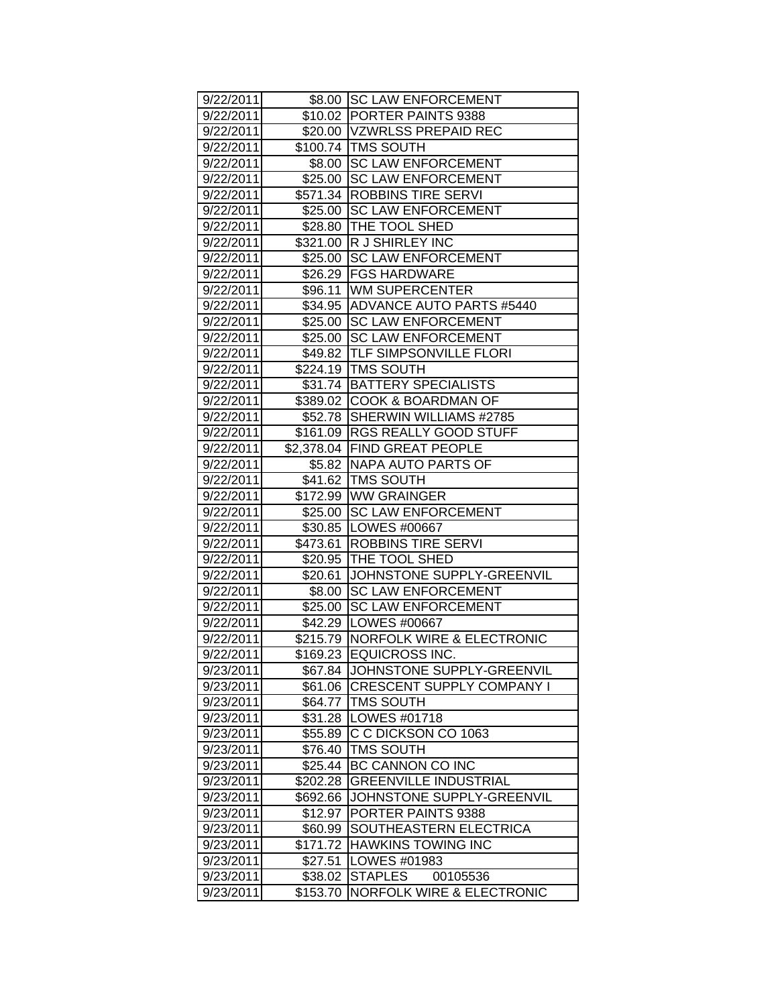| 9/22/2011 |                    | \$8.00 SC LAW ENFORCEMENT            |
|-----------|--------------------|--------------------------------------|
| 9/22/2011 |                    | \$10.02 PORTER PAINTS 9388           |
| 9/22/2011 |                    | \$20.00 VZWRLSS PREPAID REC          |
| 9/22/2011 |                    | \$100.74 TMS SOUTH                   |
| 9/22/2011 | \$8.00             | <b>SC LAW ENFORCEMENT</b>            |
| 9/22/2011 |                    | \$25.00 SC LAW ENFORCEMENT           |
| 9/22/2011 |                    | \$571.34 ROBBINS TIRE SERVI          |
| 9/22/2011 |                    | \$25.00 SC LAW ENFORCEMENT           |
| 9/22/2011 |                    | \$28.80 THE TOOL SHED                |
| 9/22/2011 |                    | \$321.00 R J SHIRLEY INC             |
| 9/22/2011 |                    | \$25.00 SC LAW ENFORCEMENT           |
| 9/22/2011 |                    | \$26.29   FGS HARDWARE               |
| 9/22/2011 |                    | \$96.11   WM SUPERCENTER             |
| 9/22/2011 |                    | \$34.95 ADVANCE AUTO PARTS #5440     |
| 9/22/2011 |                    | \$25.00 SC LAW ENFORCEMENT           |
| 9/22/2011 |                    | \$25.00 SC LAW ENFORCEMENT           |
| 9/22/2011 |                    | \$49.82 TLF SIMPSONVILLE FLORI       |
| 9/22/2011 |                    | \$224.19 TMS SOUTH                   |
| 9/22/2011 |                    | \$31.74 BATTERY SPECIALISTS          |
| 9/22/2011 |                    | \$389.02 COOK & BOARDMAN OF          |
| 9/22/2011 |                    | \$52.78 SHERWIN WILLIAMS #2785       |
| 9/22/2011 |                    | \$161.09  RGS REALLY GOOD STUFF      |
| 9/22/2011 |                    | \$2,378.04 FIND GREAT PEOPLE         |
| 9/22/2011 |                    | \$5.82 NAPA AUTO PARTS OF            |
| 9/22/2011 |                    | \$41.62   TMS SOUTH                  |
| 9/22/2011 |                    | \$172.99   WW GRAINGER               |
| 9/22/2011 |                    | \$25.00 SC LAW ENFORCEMENT           |
| 9/22/2011 |                    | \$30.85   LOWES #00667               |
| 9/22/2011 |                    | \$473.61 ROBBINS TIRE SERVI          |
| 9/22/2011 |                    | \$20.95 THE TOOL SHED                |
| 9/22/2011 |                    | \$20.61 JOHNSTONE SUPPLY-GREENVIL    |
| 9/22/2011 | \$8.00             | <b>SC LAW ENFORCEMENT</b>            |
| 9/22/2011 | \$25.00            | <b>SC LAW ENFORCEMENT</b>            |
| 9/22/2011 |                    | \$42.29   LOWES #00667               |
| 9/22/2011 | \$215.79           | <b>NORFOLK WIRE &amp; ELECTRONIC</b> |
| 9/22/2011 | $\frac{1}{169.23}$ | <b>EQUICROSS INC.</b>                |
| 9/23/2011 | \$67.84            | JOHNSTONE SUPPLY-GREENVIL            |
| 9/23/2011 | \$61.06            | <b>CRESCENT SUPPLY COMPANY I</b>     |
| 9/23/2011 | \$64.77            | <b>TMS SOUTH</b>                     |
| 9/23/2011 | \$31.28            | LOWES #01718                         |
| 9/23/2011 | \$55.89            | C C DICKSON CO 1063                  |
| 9/23/2011 | \$76.40            | <b>TMS SOUTH</b>                     |
| 9/23/2011 | \$25.44            | BC CANNON CO INC                     |
| 9/23/2011 | \$202.28           | <b>GREENVILLE INDUSTRIAL</b>         |
| 9/23/2011 | \$692.66           | JOHNSTONE SUPPLY-GREENVIL            |
| 9/23/2011 | \$12.97            | PORTER PAINTS 9388                   |
| 9/23/2011 | \$60.99            | SOUTHEASTERN ELECTRICA               |
| 9/23/2011 | \$171.72           | <b>HAWKINS TOWING INC</b>            |
| 9/23/2011 | \$27.51            | LOWES #01983                         |
| 9/23/2011 | \$38.02            | <b>STAPLES</b><br>00105536           |
| 9/23/2011 | \$153.70           | <b>NORFOLK WIRE &amp; ELECTRONIC</b> |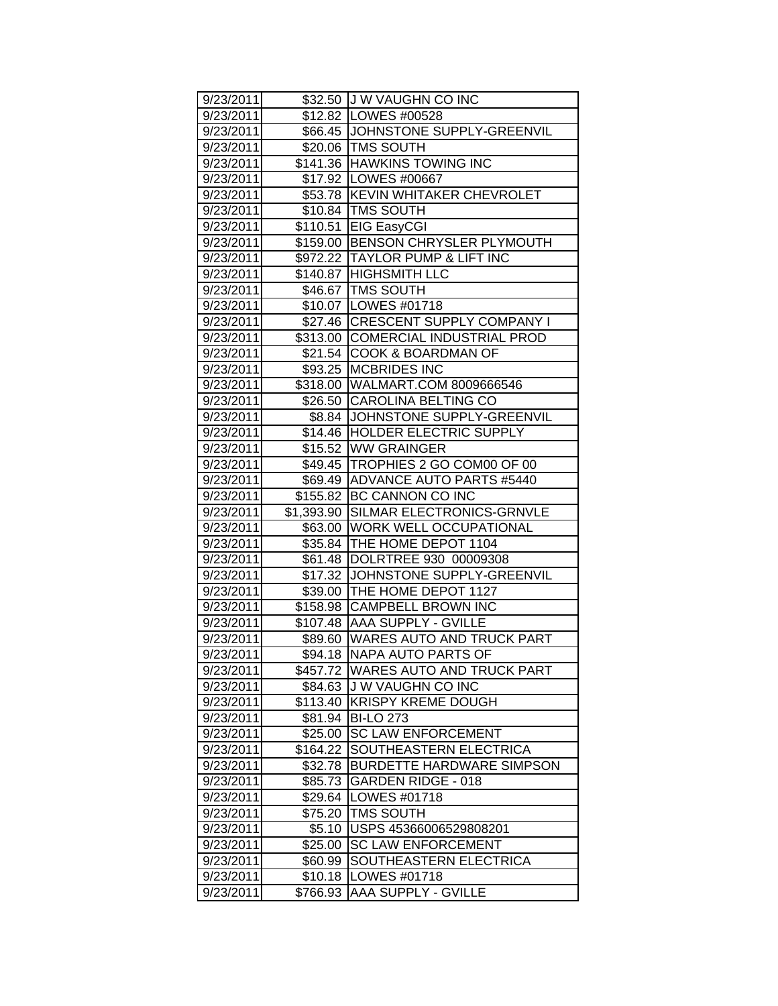| 9/23/2011 |            | \$32.50 J W VAUGHN CO INC          |
|-----------|------------|------------------------------------|
| 9/23/2011 |            | \$12.82   LOWES #00528             |
| 9/23/2011 |            | \$66.45 JJOHNSTONE SUPPLY-GREENVIL |
| 9/23/2011 |            | \$20.06 TMS SOUTH                  |
| 9/23/2011 |            | \$141.36 HAWKINS TOWING INC        |
| 9/23/2011 |            | \$17.92   LOWES #00667             |
| 9/23/2011 |            | \$53.78 KEVIN WHITAKER CHEVROLET   |
| 9/23/2011 |            | \$10.84 TMS SOUTH                  |
| 9/23/2011 |            | \$110.51 EIG EasyCGI               |
| 9/23/2011 |            | \$159.00 BENSON CHRYSLER PLYMOUTH  |
| 9/23/2011 |            | \$972.22 TAYLOR PUMP & LIFT INC    |
| 9/23/2011 |            | \$140.87 HIGHSMITH LLC             |
| 9/23/2011 |            | \$46.67   TMS SOUTH                |
| 9/23/2011 |            | \$10.07   LOWES #01718             |
| 9/23/2011 |            | \$27.46 CRESCENT SUPPLY COMPANY I  |
| 9/23/2011 |            | \$313.00 COMERCIAL INDUSTRIAL PROD |
| 9/23/2011 | \$21.54    | <b>COOK &amp; BOARDMAN OF</b>      |
| 9/23/2011 |            | \$93.25 MCBRIDES INC               |
| 9/23/2011 |            | \$318.00 WALMART.COM 8009666546    |
| 9/23/2011 |            | \$26.50 CAROLINA BELTING CO        |
| 9/23/2011 |            | \$8.84 JJOHNSTONE SUPPLY-GREENVIL  |
| 9/23/2011 | \$14.46    | <b>HOLDER ELECTRIC SUPPLY</b>      |
| 9/23/2011 |            | \$15.52 WW GRAINGER                |
| 9/23/2011 |            | \$49.45 TROPHIES 2 GO COM00 OF 00  |
| 9/23/2011 |            | \$69.49 ADVANCE AUTO PARTS #5440   |
| 9/23/2011 | \$155.82   | BC CANNON CO INC                   |
| 9/23/2011 | \$1,393.90 | SILMAR ELECTRONICS-GRNVLE          |
| 9/23/2011 |            | \$63.00   WORK WELL OCCUPATIONAL   |
| 9/23/2011 |            | \$35.84 THE HOME DEPOT 1104        |
| 9/23/2011 | \$61.48    | DOLRTREE 930 00009308              |
| 9/23/2011 |            | \$17.32 JJOHNSTONE SUPPLY-GREENVIL |
| 9/23/2011 |            | \$39.00 THE HOME DEPOT 1127        |
| 9/23/2011 |            | \$158.98 CAMPBELL BROWN INC        |
| 9/23/2011 |            | \$107.48 AAA SUPPLY - GVILLE       |
| 9/23/2011 |            | \$89.60 WARES AUTO AND TRUCK PART  |
| 9/23/2011 |            | \$94.18 NAPA AUTO PARTS OF         |
| 9/23/2011 | \$457.72   | WARES AUTO AND TRUCK PART          |
| 9/23/2011 | \$84.63    | <b>JW VAUGHN CO INC</b>            |
| 9/23/2011 | \$113.40   | <b>KRISPY KREME DOUGH</b>          |
| 9/23/2011 | \$81.94    | <b>BI-LO 273</b>                   |
| 9/23/2011 | \$25.00    | <b>SC LAW ENFORCEMENT</b>          |
| 9/23/2011 | \$164.22   | SOUTHEASTERN ELECTRICA             |
| 9/23/2011 | \$32.78    | <b>BURDETTE HARDWARE SIMPSON</b>   |
| 9/23/2011 | \$85.73    | <b>GARDEN RIDGE - 018</b>          |
| 9/23/2011 | \$29.64    | LOWES #01718                       |
| 9/23/2011 | \$75.20    | <b>TMS SOUTH</b>                   |
| 9/23/2011 | \$5.10     | USPS 45366006529808201             |
| 9/23/2011 | \$25.00    | <b>SC LAW ENFORCEMENT</b>          |
| 9/23/2011 | \$60.99    | SOUTHEASTERN ELECTRICA             |
| 9/23/2011 | \$10.18    | LOWES #01718                       |
| 9/23/2011 | \$766.93   | AAA SUPPLY - GVILLE                |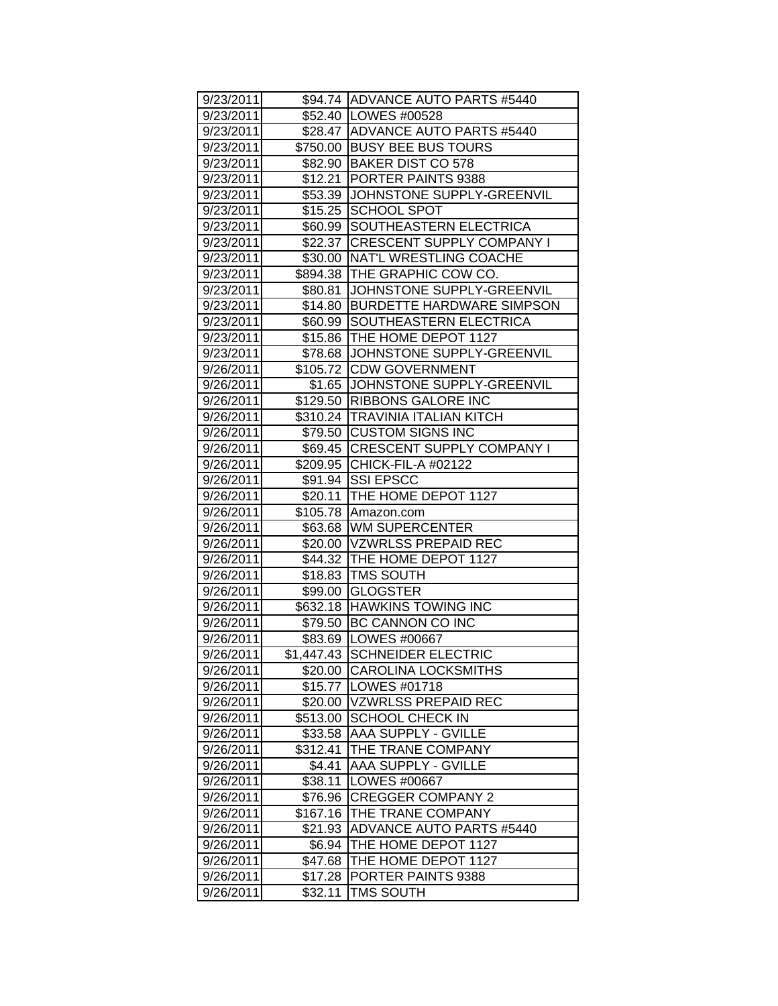| 9/23/2011 |          | \$94.74 ADVANCE AUTO PARTS #5440   |
|-----------|----------|------------------------------------|
| 9/23/2011 |          | \$52.40   LOWES #00528             |
| 9/23/2011 |          | \$28.47 ADVANCE AUTO PARTS #5440   |
| 9/23/2011 |          | \$750.00 BUSY BEE BUS TOURS        |
| 9/23/2011 |          | \$82.90 BAKER DIST CO 578          |
| 9/23/2011 | \$12.21  | PORTER PAINTS 9388                 |
| 9/23/2011 | \$53.39  | JOHNSTONE SUPPLY-GREENVIL          |
| 9/23/2011 | \$15.25  | <b>SCHOOL SPOT</b>                 |
| 9/23/2011 |          | \$60.99 SOUTHEASTERN ELECTRICA     |
| 9/23/2011 |          | \$22.37 CRESCENT SUPPLY COMPANY I  |
| 9/23/2011 |          | \$30.00   NAT'L WRESTLING COACHE   |
| 9/23/2011 |          | \$894.38 THE GRAPHIC COW CO.       |
| 9/23/2011 | \$80.81  | JOHNSTONE SUPPLY-GREENVIL          |
| 9/23/2011 |          | \$14.80 BURDETTE HARDWARE SIMPSON  |
| 9/23/2011 | \$60.99  | SOUTHEASTERN ELECTRICA             |
| 9/23/2011 |          | \$15.86 THE HOME DEPOT 1127        |
| 9/23/2011 |          | \$78.68 JJOHNSTONE SUPPLY-GREENVIL |
| 9/26/2011 | \$105.72 | <b>CDW GOVERNMENT</b>              |
| 9/26/2011 | \$1.65   | JOHNSTONE SUPPLY-GREENVIL          |
| 9/26/2011 |          | \$129.50 RIBBONS GALORE INC        |
| 9/26/2011 |          | \$310.24 TRAVINIA ITALIAN KITCH    |
| 9/26/2011 |          | \$79.50 CUSTOM SIGNS INC           |
| 9/26/2011 |          | \$69.45 CRESCENT SUPPLY COMPANY I  |
| 9/26/2011 |          | \$209.95 CHICK-FIL-A #02122        |
| 9/26/2011 |          | \$91.94 SSI EPSCC                  |
| 9/26/2011 |          | \$20.11  THE HOME DEPOT 1127       |
| 9/26/2011 |          | \$105.78 Amazon.com                |
| 9/26/2011 |          | \$63.68   WM SUPERCENTER           |
| 9/26/2011 |          | \$20.00 VZWRLSS PREPAID REC        |
| 9/26/2011 |          | \$44.32 THE HOME DEPOT 1127        |
| 9/26/2011 | \$18.83  | <b>TMS SOUTH</b>                   |
| 9/26/2011 | \$99.00  | <b>GLOGSTER</b>                    |
| 9/26/2011 |          | \$632.18 HAWKINS TOWING INC        |
| 9/26/2011 |          | \$79.50 BC CANNON CO INC           |
| 9/26/2011 |          | \$83.69 LOWES #00667               |
| 9/26/2011 |          | \$1,447.43 SCHNEIDER ELECTRIC      |
| 9/26/2011 |          | \$20.00 CAROLINA LOCKSMITHS        |
| 9/26/2011 | \$15.77  | <b>LOWES #01718</b>                |
| 9/26/2011 | \$20.00  | <b>VZWRLSS PREPAID REC</b>         |
| 9/26/2011 | \$513.00 | <b>SCHOOL CHECK IN</b>             |
| 9/26/2011 | \$33.58  | <b>AAA SUPPLY - GVILLE</b>         |
| 9/26/2011 | \$312.41 | THE TRANE COMPANY                  |
| 9/26/2011 | \$4.41   | AAA SUPPLY - GVILLE                |
| 9/26/2011 | \$38.11  | LOWES #00667                       |
| 9/26/2011 | \$76.96  | <b>CREGGER COMPANY 2</b>           |
| 9/26/2011 | \$167.16 | THE TRANE COMPANY                  |
| 9/26/2011 | \$21.93  | <b>ADVANCE AUTO PARTS #5440</b>    |
| 9/26/2011 | \$6.94   | THE HOME DEPOT 1127                |
| 9/26/2011 | \$47.68  | THE HOME DEPOT 1127                |
| 9/26/2011 | \$17.28  | PORTER PAINTS 9388                 |
| 9/26/2011 | \$32.11  | <b>TMS SOUTH</b>                   |
|           |          |                                    |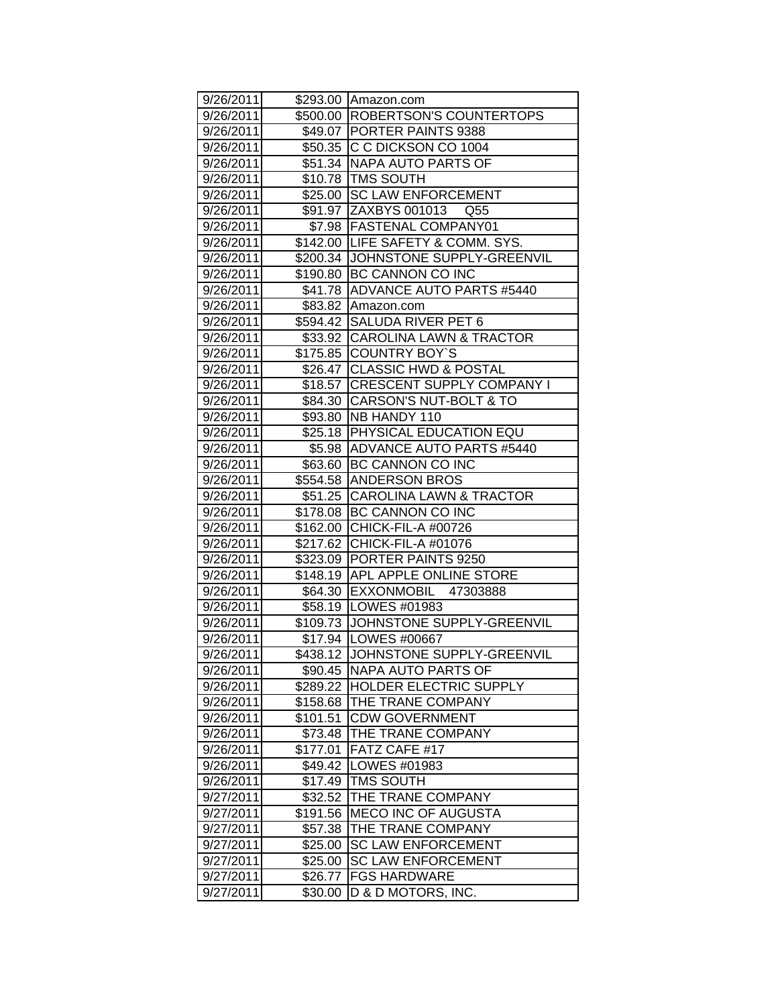| 9/26/2011 |          | \$293.00 Amazon.com                 |
|-----------|----------|-------------------------------------|
| 9/26/2011 |          | \$500.00  ROBERTSON'S COUNTERTOPS   |
| 9/26/2011 |          | \$49.07 PORTER PAINTS 9388          |
| 9/26/2011 |          | \$50.35 C C DICKSON CO 1004         |
| 9/26/2011 |          | \$51.34 NAPA AUTO PARTS OF          |
| 9/26/2011 |          | \$10.78 TMS SOUTH                   |
| 9/26/2011 | \$25.00  | <b>SC LAW ENFORCEMENT</b>           |
| 9/26/2011 |          | \$91.97 ZAXBYS 001013<br>Q55        |
| 9/26/2011 |          | \$7.98   FASTENAL COMPANY01         |
| 9/26/2011 |          | \$142.00 LIFE SAFETY & COMM. SYS.   |
| 9/26/2011 |          | \$200.34 JJOHNSTONE SUPPLY-GREENVIL |
| 9/26/2011 |          | \$190.80 BC CANNON CO INC           |
| 9/26/2011 |          | \$41.78 ADVANCE AUTO PARTS #5440    |
| 9/26/2011 |          | \$83.82 Amazon.com                  |
| 9/26/2011 |          | \$594.42 SALUDA RIVER PET 6         |
| 9/26/2011 |          | \$33.92 CAROLINA LAWN & TRACTOR     |
| 9/26/2011 |          | \$175.85 COUNTRY BOY'S              |
| 9/26/2011 | \$26.47  | <b>CLASSIC HWD &amp; POSTAL</b>     |
| 9/26/2011 | \$18.57  | <b>CRESCENT SUPPLY COMPANY I</b>    |
| 9/26/2011 | \$84.30  | <b>CARSON'S NUT-BOLT &amp; TO</b>   |
| 9/26/2011 |          | \$93.80   NB HANDY 110              |
| 9/26/2011 |          | \$25.18 PHYSICAL EDUCATION EQU      |
| 9/26/2011 |          | \$5.98   ADVANCE AUTO PARTS #5440   |
| 9/26/2011 |          | \$63.60 BC CANNON CO INC            |
| 9/26/2011 |          | \$554.58 ANDERSON BROS              |
| 9/26/2011 |          | \$51.25 CAROLINA LAWN & TRACTOR     |
| 9/26/2011 |          | \$178.08 BC CANNON CO INC           |
| 9/26/2011 |          | \$162.00 CHICK-FIL-A #00726         |
| 9/26/2011 |          | \$217.62 CHICK-FIL-A #01076         |
| 9/26/2011 | \$323.09 | <b>PORTER PAINTS 9250</b>           |
| 9/26/2011 |          | \$148.19 APL APPLE ONLINE STORE     |
| 9/26/2011 |          | \$64.30 EXXONMOBIL 47303888         |
| 9/26/2011 |          | \$58.19 LOWES #01983                |
| 9/26/2011 |          | \$109.73 JJOHNSTONE SUPPLY-GREENVIL |
| 9/26/2011 |          | \$17.94 LOWES #00667                |
| 9/26/2011 |          | \$438.12 JOHNSTONE SUPPLY-GREENVIL  |
| 9/26/2011 | \$90.45  | NAPA AUTO PARTS OF                  |
| 9/26/2011 | \$289.22 | <b>HOLDER ELECTRIC SUPPLY</b>       |
| 9/26/2011 | \$158.68 | THE TRANE COMPANY                   |
| 9/26/2011 | \$101.51 | <b>CDW GOVERNMENT</b>               |
| 9/26/2011 | \$73.48  | THE TRANE COMPANY                   |
| 9/26/2011 | \$177.01 | FATZ CAFE #17                       |
| 9/26/2011 | \$49.42  | LOWES #01983                        |
| 9/26/2011 | \$17.49  | <b>TMS SOUTH</b>                    |
| 9/27/2011 | \$32.52  | THE TRANE COMPANY                   |
| 9/27/2011 | \$191.56 | <b>MECO INC OF AUGUSTA</b>          |
| 9/27/2011 | \$57.38  | THE TRANE COMPANY                   |
| 9/27/2011 | \$25.00  | <b>SC LAW ENFORCEMENT</b>           |
| 9/27/2011 | \$25.00  | <b>SC LAW ENFORCEMENT</b>           |
| 9/27/2011 | \$26.77  | <b>FGS HARDWARE</b>                 |
| 9/27/2011 | \$30.00  | D & D MOTORS, INC.                  |
|           |          |                                     |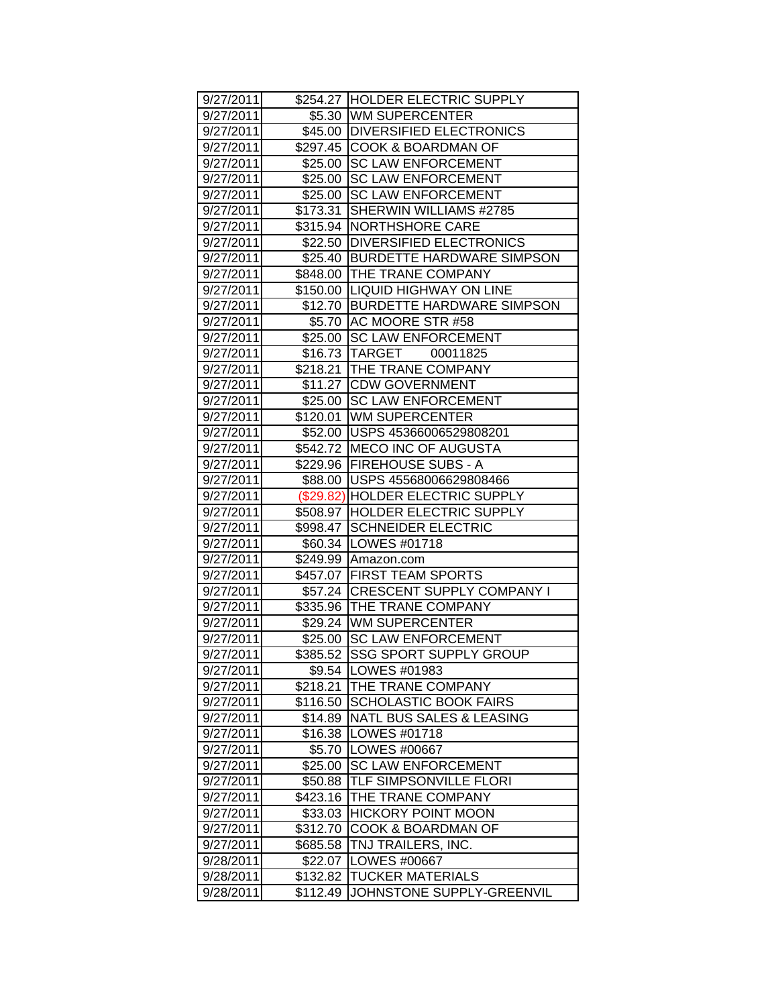| 9/27/2011 |          | \$254.27 HOLDER ELECTRIC SUPPLY   |
|-----------|----------|-----------------------------------|
| 9/27/2011 |          | \$5.30 WM SUPERCENTER             |
| 9/27/2011 |          | \$45.00 DIVERSIFIED ELECTRONICS   |
| 9/27/2011 |          | \$297.45 COOK & BOARDMAN OF       |
| 9/27/2011 | \$25.00  | <b>SC LAW ENFORCEMENT</b>         |
| 9/27/2011 | \$25.00  | <b>SC LAW ENFORCEMENT</b>         |
| 9/27/2011 | \$25.00  | <b>SC LAW ENFORCEMENT</b>         |
| 9/27/2011 | \$173.31 | SHERWIN WILLIAMS #2785            |
| 9/27/2011 |          | \$315.94   NORTHSHORE CARE        |
| 9/27/2011 |          | \$22.50 DIVERSIFIED ELECTRONICS   |
| 9/27/2011 |          | \$25.40 BURDETTE HARDWARE SIMPSON |
| 9/27/2011 |          | \$848.00 THE TRANE COMPANY        |
| 9/27/2011 |          | \$150.00 LIQUID HIGHWAY ON LINE   |
| 9/27/2011 |          | \$12.70 BURDETTE HARDWARE SIMPSON |
| 9/27/2011 |          | \$5.70 AC MOORE STR #58           |
| 9/27/2011 |          | \$25.00 SC LAW ENFORCEMENT        |
| 9/27/2011 |          | \$16.73 TARGET 00011825           |
| 9/27/2011 |          | \$218.21 THE TRANE COMPANY        |
| 9/27/2011 | \$11.27  | <b>CDW GOVERNMENT</b>             |
| 9/27/2011 | \$25.00  | <b>SC LAW ENFORCEMENT</b>         |
| 9/27/2011 |          | \$120.01 WM SUPERCENTER           |
| 9/27/2011 |          | \$52.00 USPS 45366006529808201    |
| 9/27/2011 |          | \$542.72 MECO INC OF AUGUSTA      |
| 9/27/2011 |          | \$229.96   FIREHOUSE SUBS - A     |
| 9/27/2011 |          | \$88.00 USPS 45568006629808466    |
| 9/27/2011 |          | (\$29.82) HOLDER ELECTRIC SUPPLY  |
| 9/27/2011 |          | \$508.97 HOLDER ELECTRIC SUPPLY   |
| 9/27/2011 |          | \$998.47 SCHNEIDER ELECTRIC       |
| 9/27/2011 |          | \$60.34   LOWES #01718            |
| 9/27/2011 |          | \$249.99 Amazon.com               |
| 9/27/2011 |          | \$457.07   FIRST TEAM SPORTS      |
| 9/27/2011 |          | \$57.24 CRESCENT SUPPLY COMPANY I |
| 9/27/2011 |          | \$335.96 THE TRANE COMPANY        |
| 9/27/2011 |          | \$29.24 WM SUPERCENTER            |
| 9/27/2011 |          | \$25.00 SC LAW ENFORCEMENT        |
| 9/27/2011 | 385.52   | SSG SPORT SUPPLY GROUP            |
| 9/27/2011 |          | \$9.54   LOWES #01983             |
| 9/27/2011 | \$218.21 | THE TRANE COMPANY                 |
| 9/27/2011 | \$116.50 | <b>SCHOLASTIC BOOK FAIRS</b>      |
| 9/27/2011 | \$14.89  | NATL BUS SALES & LEASING          |
| 9/27/2011 | \$16.38  | <b>LOWES #01718</b>               |
| 9/27/2011 | \$5.70   | LOWES #00667                      |
| 9/27/2011 | \$25.00  | <b>SC LAW ENFORCEMENT</b>         |
| 9/27/2011 | \$50.88  | TLF SIMPSONVILLE FLORI            |
| 9/27/2011 | \$423.16 | THE TRANE COMPANY                 |
| 9/27/2011 | \$33.03  | <b>HICKORY POINT MOON</b>         |
| 9/27/2011 | \$312.70 | <b>COOK &amp; BOARDMAN OF</b>     |
| 9/27/2011 | \$685.58 | TNJ TRAILERS, INC.                |
| 9/28/2011 | \$22.07  | LOWES #00667                      |
| 9/28/2011 | \$132.82 | <b>TUCKER MATERIALS</b>           |
| 9/28/2011 | \$112.49 | JOHNSTONE SUPPLY-GREENVIL         |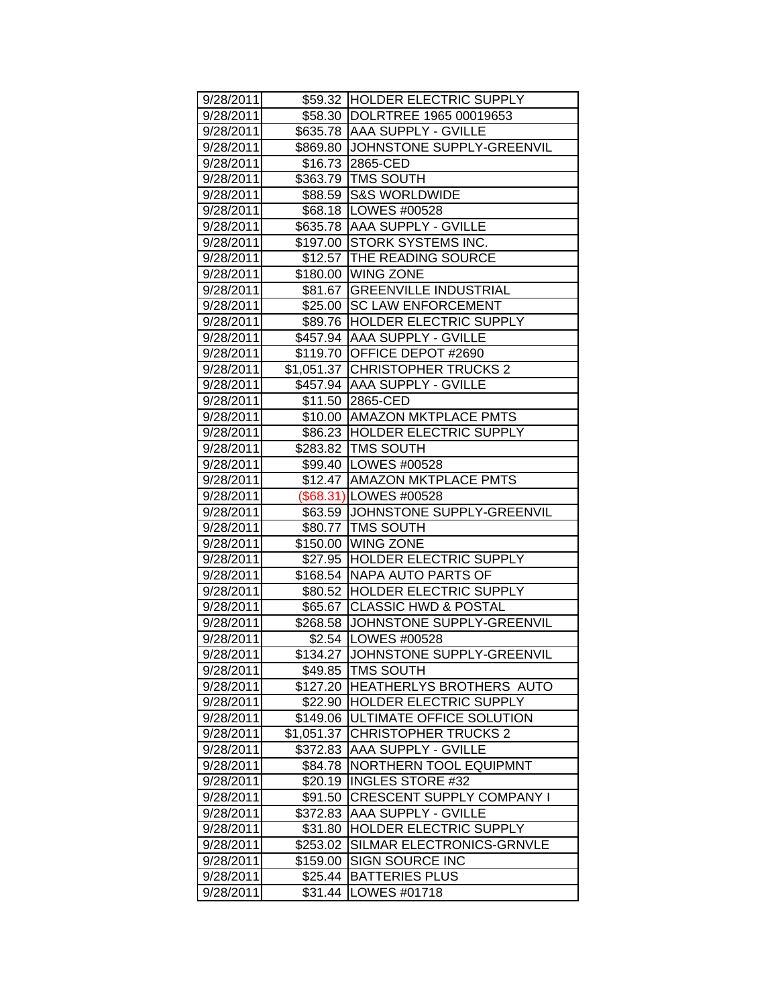| 9/28/2011 |            | \$59.32 HOLDER ELECTRIC SUPPLY      |
|-----------|------------|-------------------------------------|
| 9/28/2011 |            | \$58.30 DOLRTREE 1965 00019653      |
| 9/28/2011 |            | \$635.78   AAA SUPPLY - GVILLE      |
| 9/28/2011 |            | \$869.80 JJOHNSTONE SUPPLY-GREENVIL |
| 9/28/2011 |            | \$16.73 2865-CED                    |
| 9/28/2011 |            | \$363.79 TMS SOUTH                  |
| 9/28/2011 |            | \$88.59 S&S WORLDWIDE               |
| 9/28/2011 |            | \$68.18   LOWES #00528              |
| 9/28/2011 |            | \$635.78 AAA SUPPLY - GVILLE        |
| 9/28/2011 |            | \$197.00 STORK SYSTEMS INC.         |
| 9/28/2011 |            | \$12.57 THE READING SOURCE          |
| 9/28/2011 |            | \$180.00 WING ZONE                  |
| 9/28/2011 |            | \$81.67 GREENVILLE INDUSTRIAL       |
| 9/28/2011 |            | \$25.00 SC LAW ENFORCEMENT          |
| 9/28/2011 |            | \$89.76 HOLDER ELECTRIC SUPPLY      |
| 9/28/2011 |            | \$457.94 AAA SUPPLY - GVILLE        |
| 9/28/2011 |            | \$119.70 OFFICE DEPOT #2690         |
| 9/28/2011 |            | \$1,051.37 CHRISTOPHER TRUCKS 2     |
| 9/28/2011 | \$457.94   | <b>AAA SUPPLY - GVILLE</b>          |
| 9/28/2011 |            | \$11.50 2865-CED                    |
| 9/28/2011 |            | \$10.00 AMAZON MKTPLACE PMTS        |
| 9/28/2011 |            | \$86.23 HOLDER ELECTRIC SUPPLY      |
| 9/28/2011 |            | \$283.82 TMS SOUTH                  |
| 9/28/2011 |            | \$99.40   LOWES #00528              |
| 9/28/2011 |            | \$12.47 AMAZON MKTPLACE PMTS        |
| 9/28/2011 |            | (\$68.31) LOWES #00528              |
| 9/28/2011 |            | \$63.59 JJOHNSTONE SUPPLY-GREENVIL  |
| 9/28/2011 |            | \$80.77   TMS SOUTH                 |
| 9/28/2011 |            | \$150.00 WING ZONE                  |
| 9/28/2011 |            | \$27.95 HOLDER ELECTRIC SUPPLY      |
| 9/28/2011 |            | \$168.54 NAPA AUTO PARTS OF         |
| 9/28/2011 |            | \$80.52 HOLDER ELECTRIC SUPPLY      |
| 9/28/2011 |            | \$65.67 CLASSIC HWD & POSTAL        |
| 9/28/2011 |            | \$268.58 JOHNSTONE SUPPLY-GREENVIL  |
| 9/28/2011 |            | \$2.54 LOWES #00528                 |
| 9/28/2011 |            | \$134.27 JOHNSTONE SUPPLY-GREENVIL  |
| 9/28/2011 |            | \$49.85 TMS SOUTH                   |
| 9/28/2011 |            | \$127.20   HEATHERLYS BROTHERS AUTO |
| 9/28/2011 | \$22.90    | <b>HOLDER ELECTRIC SUPPLY</b>       |
| 9/28/2011 | \$149.06   | ULTIMATE OFFICE SOLUTION            |
| 9/28/2011 | \$1,051.37 | <b>CHRISTOPHER TRUCKS 2</b>         |
| 9/28/2011 | \$372.83   | AAA SUPPLY - GVILLE                 |
| 9/28/2011 | \$84.78    | NORTHERN TOOL EQUIPMNT              |
| 9/28/2011 | \$20.19    | <b>INGLES STORE #32</b>             |
| 9/28/2011 | \$91.50    | <b>CRESCENT SUPPLY COMPANY I</b>    |
| 9/28/2011 | \$372.83   | <b>AAA SUPPLY - GVILLE</b>          |
| 9/28/2011 | \$31.80    | <b>HOLDER ELECTRIC SUPPLY</b>       |
| 9/28/2011 | \$253.02   | SILMAR ELECTRONICS-GRNVLE           |
| 9/28/2011 | \$159.00   | SIGN SOURCE INC                     |
| 9/28/2011 | \$25.44    | <b>BATTERIES PLUS</b>               |
| 9/28/2011 | \$31.44    | <b>LOWES #01718</b>                 |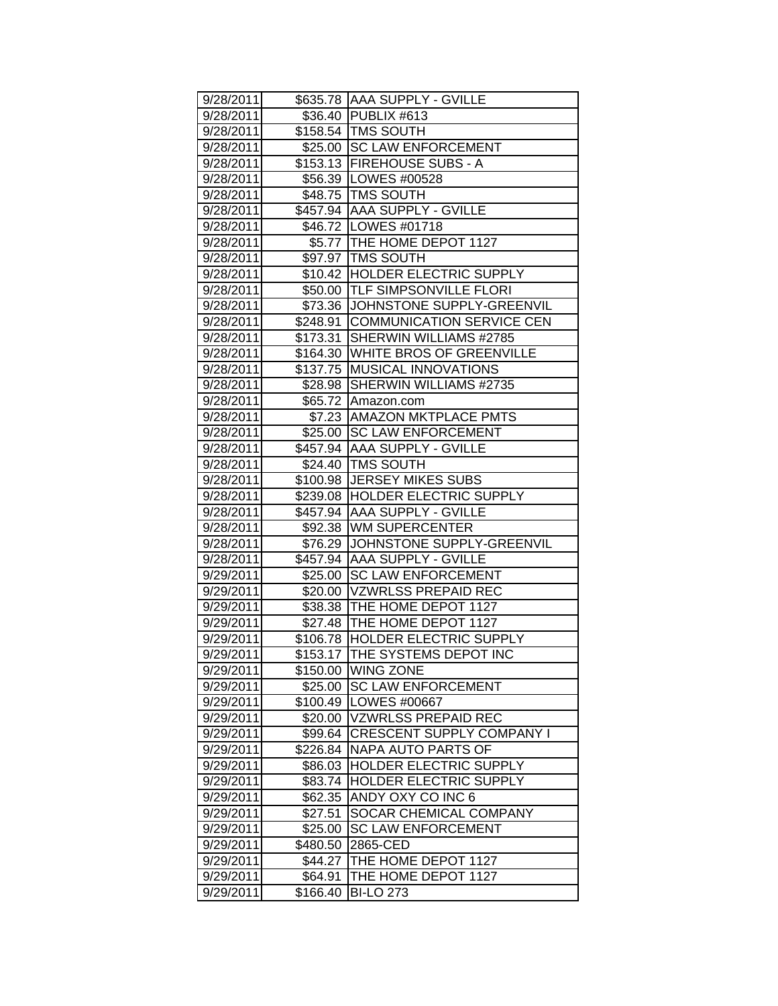| 9/28/2011 |          | \$635.78 AAA SUPPLY - GVILLE       |
|-----------|----------|------------------------------------|
| 9/28/2011 |          | \$36.40 PUBLIX #613                |
| 9/28/2011 |          | \$158.54 TMS SOUTH                 |
| 9/28/2011 |          | \$25.00 SC LAW ENFORCEMENT         |
| 9/28/2011 |          | \$153.13 FIREHOUSE SUBS - A        |
| 9/28/2011 |          | \$56.39 LOWES #00528               |
| 9/28/2011 |          | \$48.75 TMS SOUTH                  |
| 9/28/2011 |          | \$457.94 AAA SUPPLY - GVILLE       |
| 9/28/2011 |          | \$46.72   LOWES #01718             |
| 9/28/2011 |          | \$5.77 THE HOME DEPOT 1127         |
| 9/28/2011 |          | \$97.97 TMS SOUTH                  |
| 9/28/2011 |          | \$10.42 HOLDER ELECTRIC SUPPLY     |
| 9/28/2011 |          | \$50.00  TLF SIMPSONVILLE FLORI    |
| 9/28/2011 |          | \$73.36 JJOHNSTONE SUPPLY-GREENVIL |
| 9/28/2011 |          | \$248.91 COMMUNICATION SERVICE CEN |
| 9/28/2011 |          | \$173.31 SHERWIN WILLIAMS #2785    |
| 9/28/2011 |          | \$164.30 WHITE BROS OF GREENVILLE  |
| 9/28/2011 |          | \$137.75 MUSICAL INNOVATIONS       |
| 9/28/2011 | \$28.98  | SHERWIN WILLIAMS #2735             |
| 9/28/2011 | \$65.72  | Amazon.com                         |
| 9/28/2011 | \$7.23   | <b>AMAZON MKTPLACE PMTS</b>        |
| 9/28/2011 |          | \$25.00 SC LAW ENFORCEMENT         |
| 9/28/2011 |          | \$457.94 AAA SUPPLY - GVILLE       |
| 9/28/2011 |          | \$24.40 TMS SOUTH                  |
| 9/28/2011 |          | \$100.98 JERSEY MIKES SUBS         |
| 9/28/2011 |          | \$239.08  HOLDER ELECTRIC SUPPLY   |
| 9/28/2011 |          | \$457.94  AAA SUPPLY - GVILLE      |
| 9/28/2011 |          | \$92.38 WM SUPERCENTER             |
| 9/28/2011 |          | \$76.29 JJOHNSTONE SUPPLY-GREENVIL |
| 9/28/2011 |          | \$457.94 AAA SUPPLY - GVILLE       |
| 9/29/2011 |          | \$25.00 SC LAW ENFORCEMENT         |
| 9/29/2011 |          | \$20.00 VZWRLSS PREPAID REC        |
| 9/29/2011 |          | \$38.38   THE HOME DEPOT 1127      |
| 9/29/2011 |          | \$27.48 THE HOME DEPOT 1127        |
| 9/29/2011 |          | \$106.78 HOLDER ELECTRIC SUPPLY    |
| 9/29/2011 |          | \$153.17 THE SYSTEMS DEPOT INC     |
| 9/29/2011 | \$150.00 | <b>WING ZONE</b>                   |
| 9/29/2011 | \$25.00  | <b>SC LAW ENFORCEMENT</b>          |
| 9/29/2011 | \$100.49 | LOWES #00667                       |
| 9/29/2011 | \$20.00  | <b>VZWRLSS PREPAID REC</b>         |
| 9/29/2011 | \$99.64  | <b>CRESCENT SUPPLY COMPANY I</b>   |
| 9/29/2011 | \$226.84 | <b>NAPA AUTO PARTS OF</b>          |
| 9/29/2011 | \$86.03  | HOLDER ELECTRIC SUPPLY             |
| 9/29/2011 | \$83.74  | HOLDER ELECTRIC SUPPLY             |
| 9/29/2011 | \$62.35  | ANDY OXY CO INC 6                  |
| 9/29/2011 | \$27.51  | SOCAR CHEMICAL COMPANY             |
| 9/29/2011 | \$25.00  | <b>SC LAW ENFORCEMENT</b>          |
| 9/29/2011 | \$480.50 | 2865-CED                           |
| 9/29/2011 | \$44.27  | THE HOME DEPOT 1127                |
| 9/29/2011 | \$64.91  | THE HOME DEPOT 1127                |
| 9/29/2011 | \$166.40 | <b>BI-LO 273</b>                   |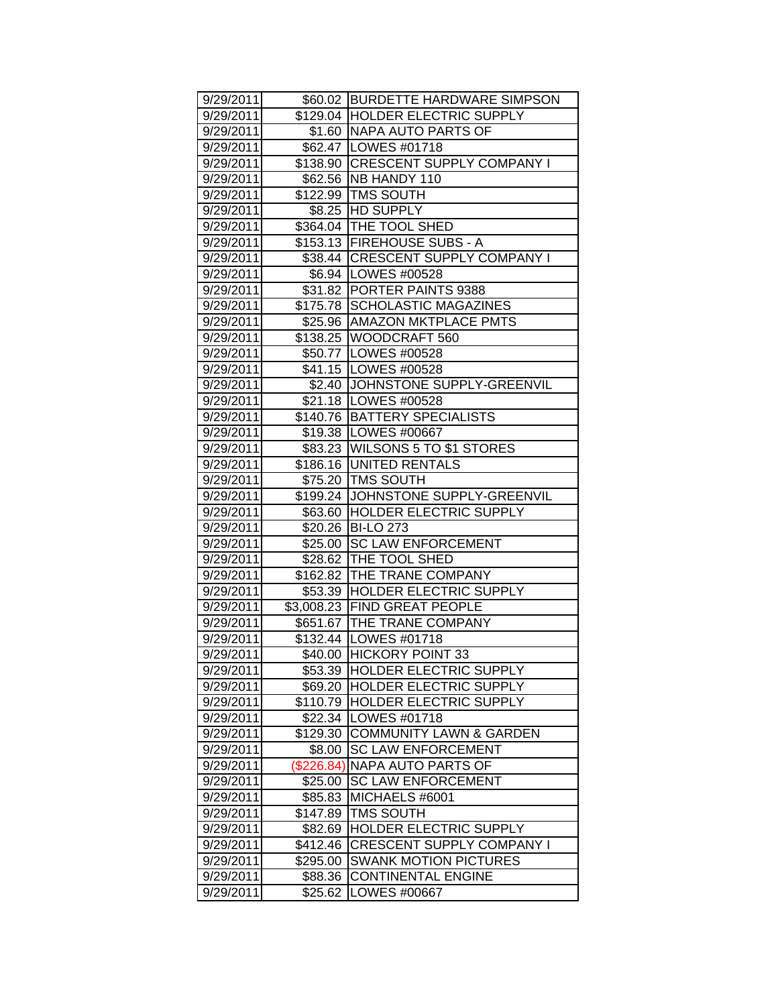| 9/29/2011 |            | \$60.02 BURDETTE HARDWARE SIMPSON   |
|-----------|------------|-------------------------------------|
| 9/29/2011 |            | \$129.04 HOLDER ELECTRIC SUPPLY     |
| 9/29/2011 |            | \$1.60 NAPA AUTO PARTS OF           |
| 9/29/2011 |            | \$62.47 LOWES #01718                |
| 9/29/2011 |            | \$138.90 CRESCENT SUPPLY COMPANY I  |
| 9/29/2011 |            | \$62.56 NB HANDY 110                |
| 9/29/2011 |            | \$122.99 TMS SOUTH                  |
| 9/29/2011 |            | \$8.25 HD SUPPLY                    |
| 9/29/2011 |            | \$364.04 THE TOOL SHED              |
| 9/29/2011 |            | \$153.13 FIREHOUSE SUBS - A         |
| 9/29/2011 |            | \$38.44 CRESCENT SUPPLY COMPANY I   |
| 9/29/2011 |            | \$6.94   LOWES #00528               |
| 9/29/2011 |            | \$31.82 PORTER PAINTS 9388          |
| 9/29/2011 |            | \$175.78 SCHOLASTIC MAGAZINES       |
| 9/29/2011 |            | \$25.96   AMAZON MKTPLACE PMTS      |
| 9/29/2011 |            | \$138.25 WOODCRAFT 560              |
| 9/29/2011 |            | \$50.77 LOWES #00528                |
| 9/29/2011 |            | \$41.15   LOWES #00528              |
| 9/29/2011 |            | \$2.40 JOHNSTONE SUPPLY-GREENVIL    |
| 9/29/2011 |            | \$21.18   LOWES #00528              |
| 9/29/2011 |            | \$140.76 BATTERY SPECIALISTS        |
| 9/29/2011 |            | \$19.38   LOWES #00667              |
| 9/29/2011 |            | \$83.23   WILSONS 5 TO \$1 STORES   |
| 9/29/2011 |            | \$186.16 UNITED RENTALS             |
| 9/29/2011 |            | \$75.20   TMS SOUTH                 |
| 9/29/2011 |            | \$199.24 JJOHNSTONE SUPPLY-GREENVIL |
| 9/29/2011 |            | \$63.60 HOLDER ELECTRIC SUPPLY      |
| 9/29/2011 |            | \$20.26 BI-LO 273                   |
| 9/29/2011 |            | \$25.00 SC LAW ENFORCEMENT          |
| 9/29/2011 |            | \$28.62 THE TOOL SHED               |
| 9/29/2011 |            | \$162.82 THE TRANE COMPANY          |
| 9/29/2011 |            | \$53.39 HOLDER ELECTRIC SUPPLY      |
| 9/29/2011 |            | \$3,008.23 FIND GREAT PEOPLE        |
| 9/29/2011 |            | \$651.67   THE TRANE COMPANY        |
| 9/29/2011 |            | \$132.44 LOWES #01718               |
| 9/29/2011 |            | \$40.00 HICKORY POINT 33            |
| 9/29/2011 | \$53.39    | <b>HOLDER ELECTRIC SUPPLY</b>       |
| 9/29/2011 |            | \$69.20  HOLDER ELECTRIC SUPPLY     |
| 9/29/2011 | \$110.79   | <b>HOLDER ELECTRIC SUPPLY</b>       |
| 9/29/2011 |            | \$22.34   LOWES #01718              |
| 9/29/2011 | \$129.30   | <b>COMMUNITY LAWN &amp; GARDEN</b>  |
| 9/29/2011 | \$8.00     | <b>SC LAW ENFORCEMENT</b>           |
| 9/29/2011 | (\$226.84) | <b>NAPA AUTO PARTS OF</b>           |
| 9/29/2011 | \$25.00    | <b>SC LAW ENFORCEMENT</b>           |
| 9/29/2011 | \$85.83    | MICHAELS #6001                      |
| 9/29/2011 | \$147.89   | <b>TMS SOUTH</b>                    |
| 9/29/2011 | \$82.69    | HOLDER ELECTRIC SUPPLY              |
| 9/29/2011 | \$412.46   | <b>CRESCENT SUPPLY COMPANY I</b>    |
| 9/29/2011 | \$295.00   | <b>SWANK MOTION PICTURES</b>        |
| 9/29/2011 | \$88.36    | <b>CONTINENTAL ENGINE</b>           |
| 9/29/2011 | \$25.62    | LOWES #00667                        |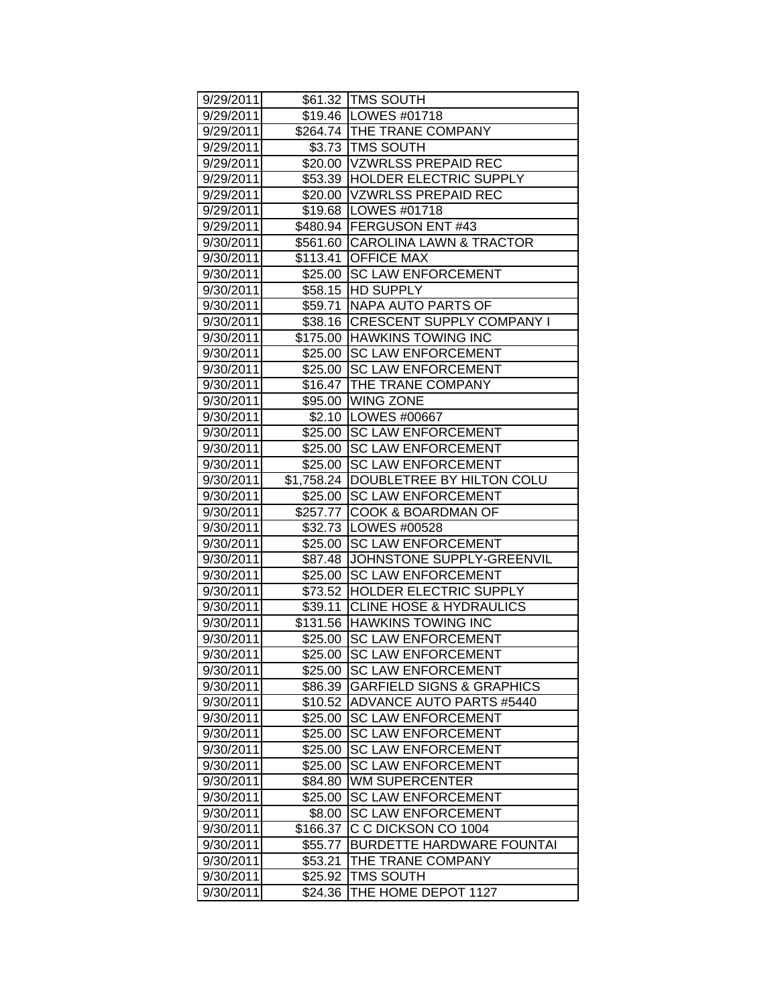| 9/29/2011 |          | \$61.32 TMS SOUTH                      |
|-----------|----------|----------------------------------------|
| 9/29/2011 |          | \$19.46   LOWES #01718                 |
| 9/29/2011 |          | \$264.74 THE TRANE COMPANY             |
| 9/29/2011 |          | \$3.73 TMS SOUTH                       |
| 9/29/2011 |          | \$20.00 VZWRLSS PREPAID REC            |
| 9/29/2011 |          | \$53.39 HOLDER ELECTRIC SUPPLY         |
| 9/29/2011 |          | \$20.00 VZWRLSS PREPAID REC            |
| 9/29/2011 |          | \$19.68   LOWES #01718                 |
| 9/29/2011 |          | \$480.94 FERGUSON ENT #43              |
| 9/30/2011 |          | \$561.60 CAROLINA LAWN & TRACTOR       |
| 9/30/2011 |          | \$113.41 OFFICE MAX                    |
| 9/30/2011 |          | \$25.00 SC LAW ENFORCEMENT             |
| 9/30/2011 |          | \$58.15 HD SUPPLY                      |
| 9/30/2011 |          | \$59.71   NAPA AUTO PARTS OF           |
| 9/30/2011 |          | \$38.16 CRESCENT SUPPLY COMPANY I      |
| 9/30/2011 |          | \$175.00 HAWKINS TOWING INC            |
| 9/30/2011 |          | \$25.00 SC LAW ENFORCEMENT             |
| 9/30/2011 |          | \$25.00 SC LAW ENFORCEMENT             |
| 9/30/2011 | \$16.47  | THE TRANE COMPANY                      |
| 9/30/2011 |          | \$95.00 WING ZONE                      |
| 9/30/2011 |          | \$2.10  LOWES #00667                   |
| 9/30/2011 |          | \$25.00 SC LAW ENFORCEMENT             |
| 9/30/2011 |          | \$25.00 SC LAW ENFORCEMENT             |
| 9/30/2011 |          | \$25.00 SC LAW ENFORCEMENT             |
| 9/30/2011 |          | \$1,758.24   DOUBLETREE BY HILTON COLU |
| 9/30/2011 |          | \$25.00 SC LAW ENFORCEMENT             |
| 9/30/2011 |          | \$257.77 COOK & BOARDMAN OF            |
| 9/30/2011 |          | \$32.73   LOWES #00528                 |
| 9/30/2011 |          | \$25.00 SC LAW ENFORCEMENT             |
| 9/30/2011 |          | \$87.48 JJOHNSTONE SUPPLY-GREENVIL     |
| 9/30/2011 |          | \$25.00 SC LAW ENFORCEMENT             |
| 9/30/2011 |          | \$73.52 HOLDER ELECTRIC SUPPLY         |
| 9/30/2011 |          | \$39.11 CLINE HOSE & HYDRAULICS        |
| 9/30/2011 |          | \$131.56 HAWKINS TOWING INC            |
| 9/30/2011 |          | \$25.00 SC LAW ENFORCEMENT             |
| 9/30/2011 |          | \$25.00 SC LAW ENFORCEMENT             |
| 9/30/2011 | \$25.00  | <b>SC LAW ENFORCEMENT</b>              |
| 9/30/2011 | \$86.39  | <b>GARFIELD SIGNS &amp; GRAPHICS</b>   |
| 9/30/2011 | \$10.52  | ADVANCE AUTO PARTS #5440               |
| 9/30/2011 | \$25.00  | <b>SC LAW ENFORCEMENT</b>              |
| 9/30/2011 | \$25.00  | <b>SC LAW ENFORCEMENT</b>              |
| 9/30/2011 | \$25.00  | <b>SC LAW ENFORCEMENT</b>              |
| 9/30/2011 | \$25.00  | <b>SC LAW ENFORCEMENT</b>              |
| 9/30/2011 | \$84.80  | <b>WM SUPERCENTER</b>                  |
| 9/30/2011 | \$25.00  | <b>SC LAW ENFORCEMENT</b>              |
| 9/30/2011 | \$8.00   | <b>SC LAW ENFORCEMENT</b>              |
| 9/30/2011 | \$166.37 | C C DICKSON CO 1004                    |
| 9/30/2011 | \$55.77  | <b>BURDETTE HARDWARE FOUNTAI</b>       |
| 9/30/2011 | \$53.21  | THE TRANE COMPANY                      |
| 9/30/2011 | \$25.92  | <b>TMS SOUTH</b>                       |
| 9/30/2011 | \$24.36  | THE HOME DEPOT 1127                    |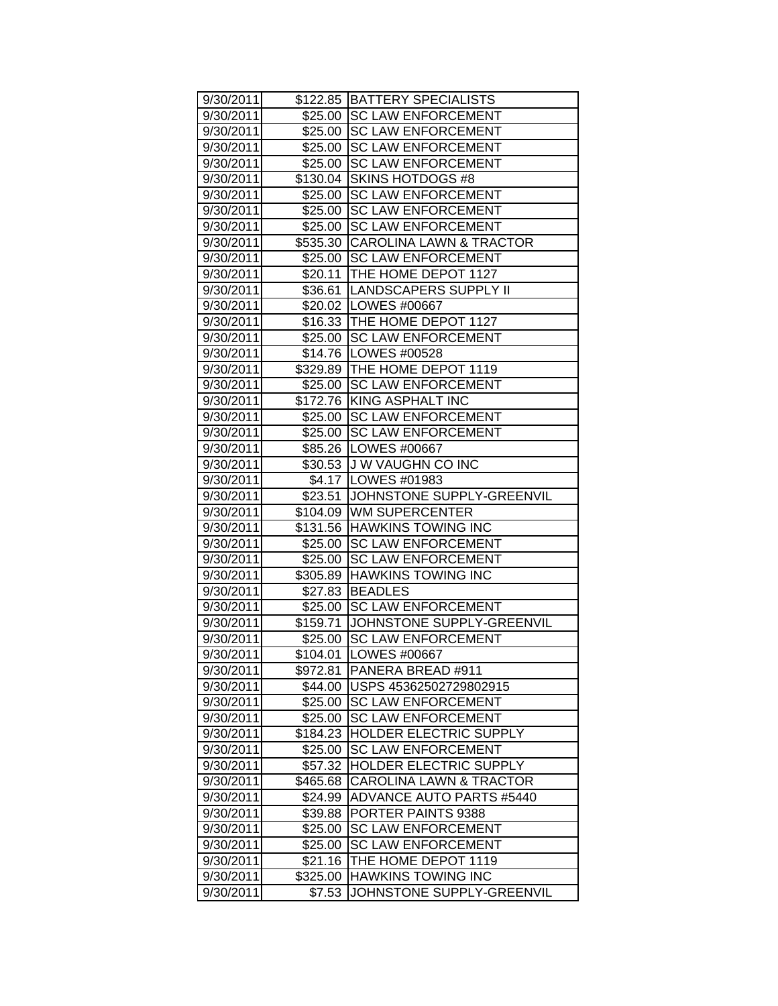| 9/30/2011 |          | \$122.85 BATTERY SPECIALISTS       |
|-----------|----------|------------------------------------|
| 9/30/2011 |          | \$25.00 SC LAW ENFORCEMENT         |
| 9/30/2011 |          | \$25.00 SC LAW ENFORCEMENT         |
| 9/30/2011 |          | \$25.00 SC LAW ENFORCEMENT         |
| 9/30/2011 |          | \$25.00 SC LAW ENFORCEMENT         |
| 9/30/2011 |          | \$130.04 SKINS HOTDOGS #8          |
| 9/30/2011 | \$25.00  | <b>SC LAW ENFORCEMENT</b>          |
| 9/30/2011 |          | \$25.00 SC LAW ENFORCEMENT         |
| 9/30/2011 |          | \$25.00 SC LAW ENFORCEMENT         |
| 9/30/2011 |          | \$535.30 CAROLINA LAWN & TRACTOR   |
| 9/30/2011 |          | \$25.00 SC LAW ENFORCEMENT         |
| 9/30/2011 |          | \$20.11   THE HOME DEPOT 1127      |
| 9/30/2011 |          | \$36.61  LANDSCAPERS SUPPLY II     |
| 9/30/2011 |          | \$20.02   LOWES #00667             |
| 9/30/2011 |          | \$16.33 THE HOME DEPOT 1127        |
| 9/30/2011 |          | \$25.00 SC LAW ENFORCEMENT         |
| 9/30/2011 |          | \$14.76   LOWES #00528             |
| 9/30/2011 |          | \$329.89 THE HOME DEPOT 1119       |
| 9/30/2011 | \$25.00  | <b>SC LAW ENFORCEMENT</b>          |
| 9/30/2011 |          | \$172.76 KING ASPHALT INC          |
| 9/30/2011 |          | \$25.00 SC LAW ENFORCEMENT         |
| 9/30/2011 |          | \$25.00 SC LAW ENFORCEMENT         |
| 9/30/2011 |          | \$85.26   LOWES #00667             |
| 9/30/2011 |          | \$30.53 J W VAUGHN CO INC          |
| 9/30/2011 |          | \$4.17 LOWES #01983                |
| 9/30/2011 |          | \$23.51 JJOHNSTONE SUPPLY-GREENVIL |
| 9/30/2011 |          | \$104.09 WM SUPERCENTER            |
| 9/30/2011 |          | \$131.56 HAWKINS TOWING INC        |
| 9/30/2011 |          | \$25.00 SC LAW ENFORCEMENT         |
| 9/30/2011 |          | \$25.00 SC LAW ENFORCEMENT         |
| 9/30/2011 |          | \$305.89 HAWKINS TOWING INC        |
| 9/30/2011 | \$27.83  | <b>BEADLES</b>                     |
| 9/30/2011 |          | \$25.00 SC LAW ENFORCEMENT         |
| 9/30/2011 |          | \$159.71 JOHNSTONE SUPPLY-GREENVIL |
| 9/30/2011 | \$25.00  | <b>SC LAW ENFORCEMENT</b>          |
| 9/30/2011 | \$104.01 | <b>LOWES #00667</b>                |
| 9/30/2011 | \$972.81 | PANERA BREAD #911                  |
| 9/30/2011 | \$44.00  | USPS 45362502729802915             |
| 9/30/2011 | \$25.00  | <b>SC LAW ENFORCEMENT</b>          |
| 9/30/2011 | \$25.00  | <b>SC LAW ENFORCEMENT</b>          |
| 9/30/2011 | \$184.23 | HOLDER ELECTRIC SUPPLY             |
| 9/30/2011 | \$25.00  | <b>SC LAW ENFORCEMENT</b>          |
| 9/30/2011 | \$57.32  | HOLDER ELECTRIC SUPPLY             |
| 9/30/2011 | \$465.68 | <b>CAROLINA LAWN &amp; TRACTOR</b> |
| 9/30/2011 | \$24.99  | <b>ADVANCE AUTO PARTS #5440</b>    |
| 9/30/2011 | \$39.88  | PORTER PAINTS 9388                 |
| 9/30/2011 | \$25.00  | <b>SC LAW ENFORCEMENT</b>          |
| 9/30/2011 | \$25.00  | <b>SC LAW ENFORCEMENT</b>          |
| 9/30/2011 | \$21.16  | THE HOME DEPOT 1119                |
| 9/30/2011 | \$325.00 | <b>HAWKINS TOWING INC</b>          |
| 9/30/2011 | \$7.53   | JOHNSTONE SUPPLY-GREENVIL          |
|           |          |                                    |